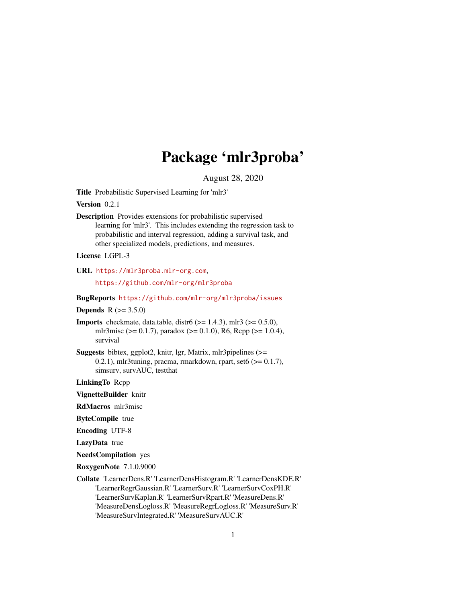# Package 'mlr3proba'

August 28, 2020

<span id="page-0-0"></span>Title Probabilistic Supervised Learning for 'mlr3'

Version 0.2.1

Description Provides extensions for probabilistic supervised learning for 'mlr3'. This includes extending the regression task to probabilistic and interval regression, adding a survival task, and other specialized models, predictions, and measures.

License LGPL-3

URL <https://mlr3proba.mlr-org.com>,

<https://github.com/mlr-org/mlr3proba>

BugReports <https://github.com/mlr-org/mlr3proba/issues>

**Depends** R  $(>= 3.5.0)$ 

- **Imports** checkmate, data.table, distr $6 \approx 1.4.3$ ), mlr3 ( $> = 0.5.0$ ), mlr3misc (>= 0.1.7), paradox (>= 0.1.0), R6, Rcpp (>= 1.0.4), survival
- Suggests bibtex, ggplot2, knitr, lgr, Matrix, mlr3pipelines (>= 0.2.1), mlr3tuning, pracma, rmarkdown, rpart, set $6 \approx 0.1.7$ ), simsurv, survAUC, testthat

LinkingTo Rcpp

VignetteBuilder knitr

RdMacros mlr3misc

ByteCompile true

Encoding UTF-8

LazyData true

NeedsCompilation yes

RoxygenNote 7.1.0.9000

Collate 'LearnerDens.R' 'LearnerDensHistogram.R' 'LearnerDensKDE.R' 'LearnerRegrGaussian.R' 'LearnerSurv.R' 'LearnerSurvCoxPH.R' 'LearnerSurvKaplan.R' 'LearnerSurvRpart.R' 'MeasureDens.R' 'MeasureDensLogloss.R' 'MeasureRegrLogloss.R' 'MeasureSurv.R' 'MeasureSurvIntegrated.R' 'MeasureSurvAUC.R'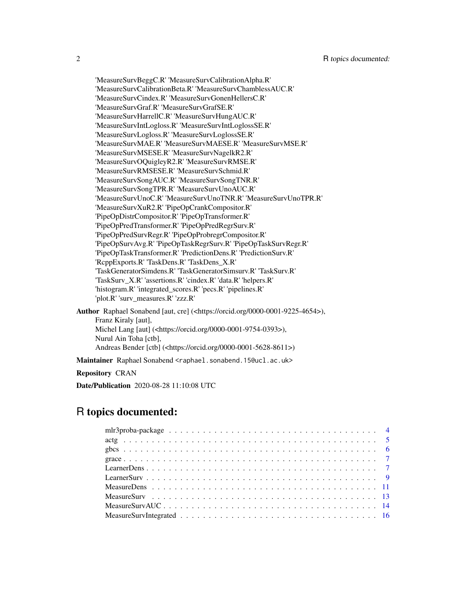'MeasureSurvBeggC.R' 'MeasureSurvCalibrationAlpha.R' 'MeasureSurvCalibrationBeta.R' 'MeasureSurvChamblessAUC.R' 'MeasureSurvCindex.R' 'MeasureSurvGonenHellersC.R' 'MeasureSurvGraf.R' 'MeasureSurvGrafSE.R' 'MeasureSurvHarrellC.R' 'MeasureSurvHungAUC.R' 'MeasureSurvIntLogloss.R' 'MeasureSurvIntLoglossSE.R' 'MeasureSurvLogloss.R' 'MeasureSurvLoglossSE.R' 'MeasureSurvMAE.R' 'MeasureSurvMAESE.R' 'MeasureSurvMSE.R' 'MeasureSurvMSESE.R' 'MeasureSurvNagelkR2.R' 'MeasureSurvOQuigleyR2.R' 'MeasureSurvRMSE.R' 'MeasureSurvRMSESE.R' 'MeasureSurvSchmid.R' 'MeasureSurvSongAUC.R' 'MeasureSurvSongTNR.R' 'MeasureSurvSongTPR.R' 'MeasureSurvUnoAUC.R' 'MeasureSurvUnoC.R' 'MeasureSurvUnoTNR.R' 'MeasureSurvUnoTPR.R' 'MeasureSurvXuR2.R' 'PipeOpCrankCompositor.R' 'PipeOpDistrCompositor.R' 'PipeOpTransformer.R' 'PipeOpPredTransformer.R' 'PipeOpPredRegrSurv.R' 'PipeOpPredSurvRegr.R' 'PipeOpProbregrCompositor.R' 'PipeOpSurvAvg.R' 'PipeOpTaskRegrSurv.R' 'PipeOpTaskSurvRegr.R' 'PipeOpTaskTransformer.R' 'PredictionDens.R' 'PredictionSurv.R' 'RcppExports.R' 'TaskDens.R' 'TaskDens\_X.R' 'TaskGeneratorSimdens.R' 'TaskGeneratorSimsurv.R' 'TaskSurv.R' 'TaskSurv\_X.R' 'assertions.R' 'cindex.R' 'data.R' 'helpers.R' 'histogram.R' 'integrated\_scores.R' 'pecs.R' 'pipelines.R' 'plot.R' 'surv\_measures.R' 'zzz.R' Author Raphael Sonabend [aut, cre] (<https://orcid.org/0000-0001-9225-4654>), Franz Kiraly [aut], Michel Lang [aut] (<https://orcid.org/0000-0001-9754-0393>), Nurul Ain Toha [ctb], Andreas Bender [ctb] (<https://orcid.org/0000-0001-5628-8611>) Maintainer Raphael Sonabend <raphael.sonabend.15@ucl.ac.uk>

Repository CRAN

Date/Publication 2020-08-28 11:10:08 UTC

## R topics documented: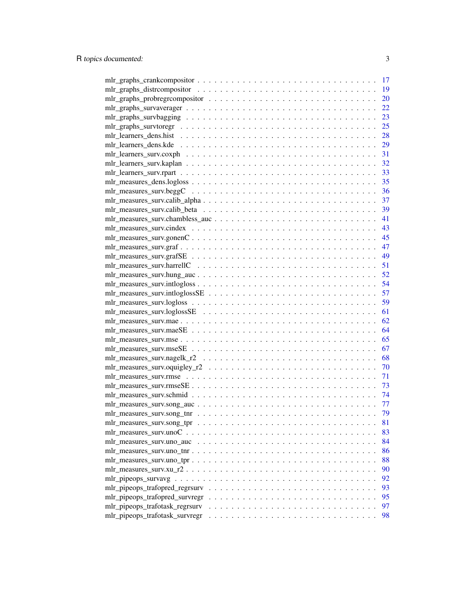|                                                                                                             | 17 |
|-------------------------------------------------------------------------------------------------------------|----|
|                                                                                                             | 19 |
|                                                                                                             | 20 |
|                                                                                                             | 22 |
|                                                                                                             | 23 |
| $mlr\_graphs\_survey to regr \dots \dots \dots \dots \dots \dots \dots \dots \dots \dots \dots \dots \dots$ | 25 |
|                                                                                                             | 28 |
|                                                                                                             | 29 |
|                                                                                                             | 31 |
|                                                                                                             | 32 |
|                                                                                                             | 33 |
|                                                                                                             | 35 |
|                                                                                                             | 36 |
|                                                                                                             | 37 |
|                                                                                                             | 39 |
|                                                                                                             | 41 |
|                                                                                                             | 43 |
| $mlr_m$ easures_surv.gonen $C \ldots \ldots \ldots \ldots \ldots \ldots \ldots \ldots \ldots \ldots \ldots$ | 45 |
|                                                                                                             | 47 |
|                                                                                                             | 49 |
|                                                                                                             |    |
|                                                                                                             |    |
|                                                                                                             | 54 |
|                                                                                                             | 57 |
|                                                                                                             | 59 |
|                                                                                                             | 61 |
|                                                                                                             | 62 |
|                                                                                                             | 64 |
|                                                                                                             | 65 |
|                                                                                                             | 67 |
|                                                                                                             | 68 |
|                                                                                                             | 70 |
|                                                                                                             | 71 |
|                                                                                                             | 73 |
|                                                                                                             | 74 |
|                                                                                                             | 77 |
|                                                                                                             | 79 |
|                                                                                                             | 81 |
|                                                                                                             | 83 |
|                                                                                                             | 84 |
|                                                                                                             | 86 |
|                                                                                                             | 88 |
|                                                                                                             | 90 |
|                                                                                                             | 92 |
|                                                                                                             | 93 |
|                                                                                                             | 95 |
| mlr_pipeops_trafotask_regrsurv                                                                              | 97 |
| mlr_pipeops_trafotask_survregr                                                                              | 98 |
|                                                                                                             |    |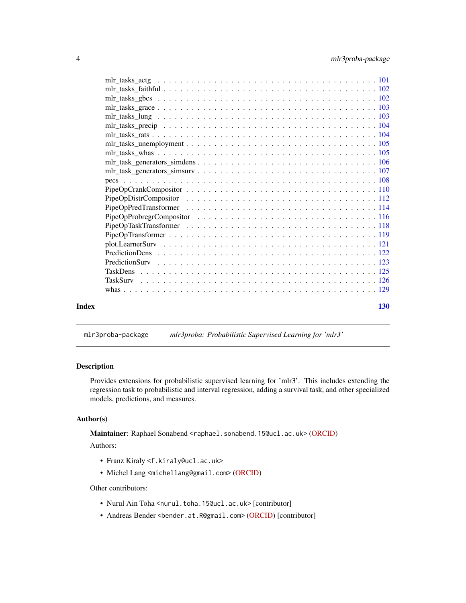<span id="page-3-0"></span>

| Index | <b>130</b> |
|-------|------------|
|       |            |
|       |            |
|       |            |
|       |            |
|       |            |
|       |            |
|       |            |
|       |            |
|       |            |
|       |            |
|       |            |
|       |            |
|       |            |
|       |            |
|       |            |
|       |            |
|       |            |
|       |            |
|       |            |
|       |            |
|       |            |
|       |            |
|       |            |
|       |            |

## mlr3proba-package *mlr3proba: Probabilistic Supervised Learning for 'mlr3'*

## Description

Provides extensions for probabilistic supervised learning for 'mlr3'. This includes extending the regression task to probabilistic and interval regression, adding a survival task, and other specialized models, predictions, and measures.

## Author(s)

Maintainer: Raphael Sonabend <raphael.sonabend.15@ucl.ac.uk> [\(ORCID\)](https://orcid.org/0000-0001-9225-4654)

Authors:

- Franz Kiraly <f.kiraly@ucl.ac.uk>
- Michel Lang <michellang@gmail.com> [\(ORCID\)](https://orcid.org/0000-0001-9754-0393)

#### Other contributors:

- Nurul Ain Toha <nurul.toha.15@ucl.ac.uk> [contributor]
- Andreas Bender <bender.at.R@gmail.com> [\(ORCID\)](https://orcid.org/0000-0001-5628-8611) [contributor]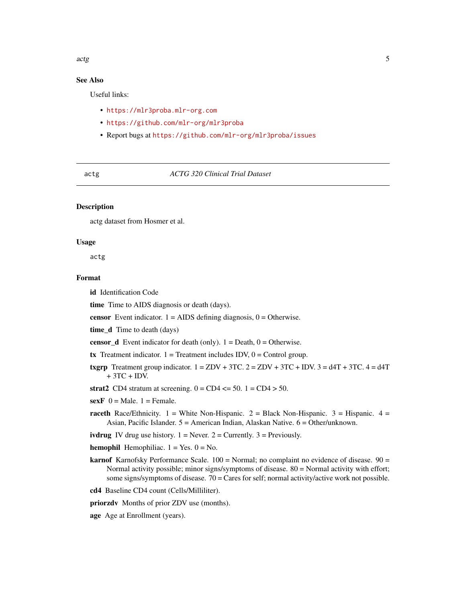## <span id="page-4-0"></span>See Also

Useful links:

- <https://mlr3proba.mlr-org.com>
- <https://github.com/mlr-org/mlr3proba>
- Report bugs at <https://github.com/mlr-org/mlr3proba/issues>

#### actg *ACTG 320 Clinical Trial Dataset*

#### **Description**

actg dataset from Hosmer et al.

#### Usage

actg

#### Format

id Identification Code

time Time to AIDS diagnosis or death (days).

**censor** Event indicator.  $1 = \text{AIDS}$  defining diagnosis,  $0 = \text{Otherwise}$ .

time\_d Time to death (days)

**censor\_d** Event indicator for death (only).  $1 =$  Death,  $0 =$  Otherwise.

tx Treatment indicator.  $1 =$  Treatment includes IDV,  $0 =$  Control group.

- txgrp Treatment group indicator.  $1 = ZDV + 3TC$ .  $2 = ZDV + 3TC + IDV$ .  $3 = d4T + 3TC$ .  $4 = d4T$ + 3TC + IDV.
- strat2 CD4 stratum at screening.  $0 = CD4 \le 50$ .  $1 = CD4 > 50$ .
- $sexF$  0 = Male. 1 = Female.
- raceth Race/Ethnicity.  $1 =$  White Non-Hispanic.  $2 =$  Black Non-Hispanic.  $3 =$  Hispanic.  $4 =$ Asian, Pacific Islander. 5 = American Indian, Alaskan Native. 6 = Other/unknown.

ivdrug IV drug use history.  $1 =$  Never.  $2 =$  Currently.  $3 =$  Previously.

**hemophil** Hemophiliac.  $1 = Yes$ .  $0 = No$ .

- **karnof** Karnofsky Performance Scale.  $100 =$  Normal; no complaint no evidence of disease.  $90 =$ Normal activity possible; minor signs/symptoms of disease. 80 = Normal activity with effort; some signs/symptoms of disease.  $70 =$  Cares for self; normal activity/active work not possible.
- cd4 Baseline CD4 count (Cells/Milliliter).

priorzdv Months of prior ZDV use (months).

age Age at Enrollment (years).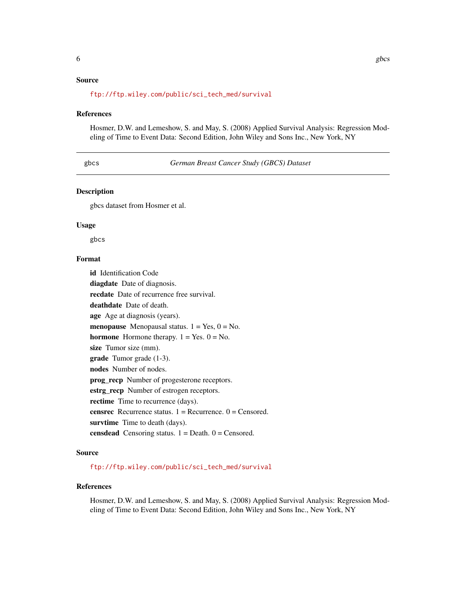## <span id="page-5-0"></span>Source

#### References

Hosmer, D.W. and Lemeshow, S. and May, S. (2008) Applied Survival Analysis: Regression Modeling of Time to Event Data: Second Edition, John Wiley and Sons Inc., New York, NY

gbcs *German Breast Cancer Study (GBCS) Dataset*

#### Description

gbcs dataset from Hosmer et al.

#### Usage

gbcs

## Format

id Identification Code diagdate Date of diagnosis. recdate Date of recurrence free survival. deathdate Date of death. age Age at diagnosis (years). **menopause** Menopausal status.  $1 = Yes, 0 = No$ . hormone Hormone therapy.  $1 = Yes. 0 = No.$ size Tumor size (mm). grade Tumor grade (1-3). nodes Number of nodes. prog\_recp Number of progesterone receptors. estrg\_recp Number of estrogen receptors. rectime Time to recurrence (days). **censrec** Recurrence status.  $1 =$  Recurrence.  $0 =$  Censored. survtime Time to death (days). censdead Censoring status.  $1 = \text{Death}$ .  $0 = \text{Censored}$ .

## Source

[ftp://ftp.wiley.com/public/sci\\_tech\\_med/survival](ftp://ftp.wiley.com/public/sci_tech_med/survival)

### References

Hosmer, D.W. and Lemeshow, S. and May, S. (2008) Applied Survival Analysis: Regression Modeling of Time to Event Data: Second Edition, John Wiley and Sons Inc., New York, NY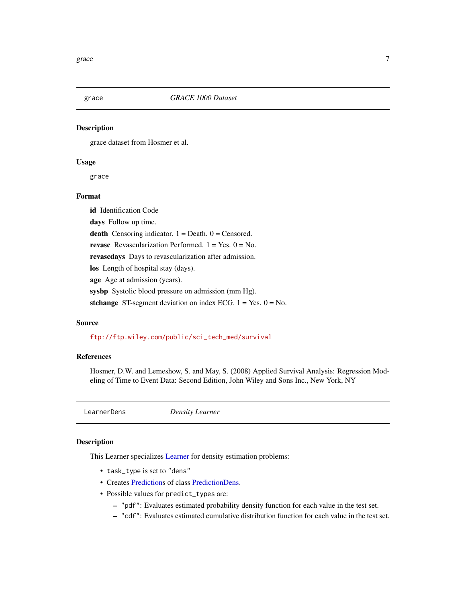<span id="page-6-0"></span>

#### Description

grace dataset from Hosmer et al.

#### Usage

grace

## Format

id Identification Code days Follow up time. death Censoring indicator.  $1 =$  Death.  $0 =$  Censored. revasc Revascularization Performed.  $1 = Yes. 0 = No.$ revascdays Days to revascularization after admission. los Length of hospital stay (days). age Age at admission (years). sysbp Systolic blood pressure on admission (mm Hg). stchange ST-segment deviation on index ECG.  $1 = Yes. 0 = No.$ 

#### Source

[ftp://ftp.wiley.com/public/sci\\_tech\\_med/survival](ftp://ftp.wiley.com/public/sci_tech_med/survival)

## References

Hosmer, D.W. and Lemeshow, S. and May, S. (2008) Applied Survival Analysis: Regression Modeling of Time to Event Data: Second Edition, John Wiley and Sons Inc., New York, NY

<span id="page-6-1"></span>

LearnerDens *Density Learner*

#### Description

This Learner specializes [Learner](#page-0-0) for density estimation problems:

- task\_type is set to "dens"
- Creates [Predictions](#page-0-0) of class [PredictionDens.](#page-121-1)
- Possible values for predict\_types are:
	- "pdf": Evaluates estimated probability density function for each value in the test set.
	- "cdf": Evaluates estimated cumulative distribution function for each value in the test set.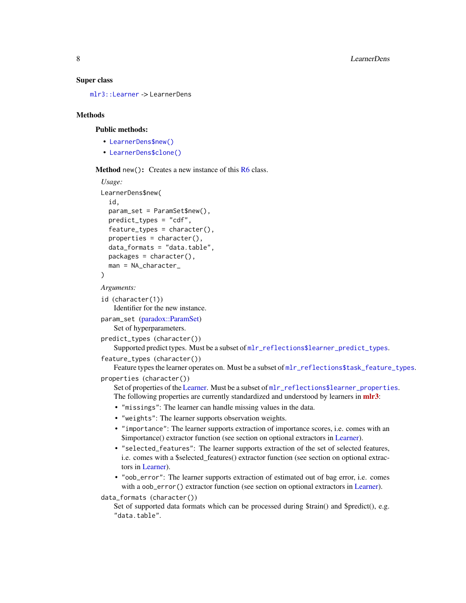#### Super class

[mlr3::Learner](#page-0-0) -> LearnerDens

#### **Methods**

#### Public methods:

- [LearnerDens\\$new\(\)](#page-7-0)
- [LearnerDens\\$clone\(\)](#page-8-1)

<span id="page-7-0"></span>Method new(): Creates a new instance of this [R6](#page-0-0) class.

```
Usage:
LearnerDens$new(
  id,
  param_set = ParamSet$new(),
  predict_types = "cdf",
  feature_types = character(),properties = character(),
  data_formats = "data.table",
  packages = character(),
  man = NA_character_
)
Arguments:
id (character(1))
   Identifier for the new instance.
param_set (paradox::ParamSet)
   Set of hyperparameters.
predict_types (character())
   Supported predict types. Must be a subset of mlr_reflections$learner_predict_types.
feature_types (character())
   Feature types the learner operates on. Must be a subset of m1r_reflections$task_feature_typess.properties (character())
   Learner. Must be a subset of m1r_reflections$learner_properties.The following properties are currently standardized and understood by learners in mlr3:
    • "missings": The learner can handle missing values in the data.
    • "weights": The learner supports observation weights.
    • "importance": The learner supports extraction of importance scores, i.e. comes with an
      $importance() extractor function (see section on optional extractors in Learner).
    • "selected_features": The learner supports extraction of the set of selected features,
     i.e. comes with a $selected_features() extractor function (see section on optional extrac-
      tors in Learner).
    • "oob_error": The learner supports extraction of estimated out of bag error, i.e. comes
      Learner).
data_formats (character())
   Set of supported data formats which can be processed during $train() and $predict(), e.g.
    "data.table".
```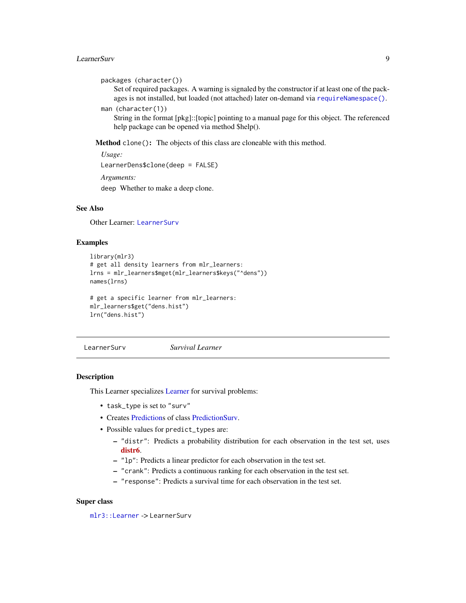#### <span id="page-8-0"></span>LearnerSurv 9

```
packages (character())
```
Set of required packages. A warning is signaled by the constructor if at least one of the packages is not installed, but loaded (not attached) later on-demand via [requireNamespace\(\)](#page-0-0).

```
man (character(1))
```
String in the format [pkg]::[topic] pointing to a manual page for this object. The referenced help package can be opened via method \$help().

<span id="page-8-1"></span>Method clone(): The objects of this class are cloneable with this method.

*Usage:* LearnerDens\$clone(deep = FALSE) *Arguments:* deep Whether to make a deep clone.

## See Also

Other Learner: [LearnerSurv](#page-8-2)

#### Examples

```
library(mlr3)
# get all density learners from mlr_learners:
lrns = mlr_learners$mget(mlr_learners$keys("^dens"))
names(lrns)
# get a specific learner from mlr_learners:
```

```
mlr_learners$get("dens.hist")
lrn("dens.hist")
```
<span id="page-8-2"></span>LearnerSurv *Survival Learner*

## Description

This Learner specializes [Learner](#page-0-0) for survival problems:

- task\_type is set to "surv"
- Creates [Predictions](#page-0-0) of class [PredictionSurv.](#page-122-1)
- Possible values for predict\_types are:
	- "distr": Predicts a probability distribution for each observation in the test set, uses [distr6](https://CRAN.R-project.org/package=distr6).
	- "lp": Predicts a linear predictor for each observation in the test set.
	- "crank": Predicts a continuous ranking for each observation in the test set.
	- "response": Predicts a survival time for each observation in the test set.

#### Super class

[mlr3::Learner](#page-0-0) -> LearnerSurv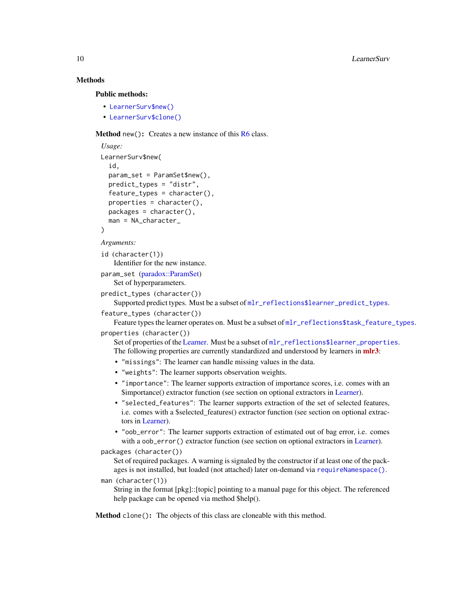## **Methods**

Public methods:

```
• LearnerSurv$new()
```
• [LearnerSurv\\$clone\(\)](#page-8-1)

Method new(): Creates a new instance of this [R6](#page-0-0) class.

```
Usage:
LearnerSurv$new(
  id,
  param_set = ParamSet$new(),
 predict_types = "distr",
  feature_types = character(),
  properties = character(),
 packages = character(),
  man = NA_character_
)
```
*Arguments:*

```
id (character(1))
   Identifier for the new instance.
```
param\_set [\(paradox::ParamSet\)](#page-0-0) Set of hyperparameters.

```
predict_types (character())
```
Supported predict types. Must be a subset of [mlr\\_reflections\\$learner\\_predict\\_types](#page-0-0).

```
feature_types (character())
```
Feature types the learner operates on. Must be a subset of  $mlr_reflections$task_feature_typess.$  $mlr_reflections$task_feature_typess.$ 

```
properties (character())
```
Set of properties of the [Learner.](#page-0-0) Must be a subset of [mlr\\_reflections\\$learner\\_properties](#page-0-0). The following properties are currently standardized and understood by learners in **[mlr3](https://CRAN.R-project.org/package=mlr3)**:

- "missings": The learner can handle missing values in the data.
- "weights": The learner supports observation weights.
- "importance": The learner supports extraction of importance scores, i.e. comes with an \$importance() extractor function (see section on optional extractors in [Learner\)](#page-0-0).
- "selected\_features": The learner supports extraction of the set of selected features, i.e. comes with a \$selected\_features() extractor function (see section on optional extractors in [Learner\)](#page-0-0).
- "oob\_error": The learner supports extraction of estimated out of bag error, i.e. comes with a oob\_error() extractor function (see section on optional extractors in [Learner\)](#page-0-0).

packages (character())

Set of required packages. A warning is signaled by the constructor if at least one of the packages is not installed, but loaded (not attached) later on-demand via [requireNamespace\(\)](#page-0-0).

```
man (character(1))
```
String in the format [pkg]::[topic] pointing to a manual page for this object. The referenced help package can be opened via method \$help().

Method clone(): The objects of this class are cloneable with this method.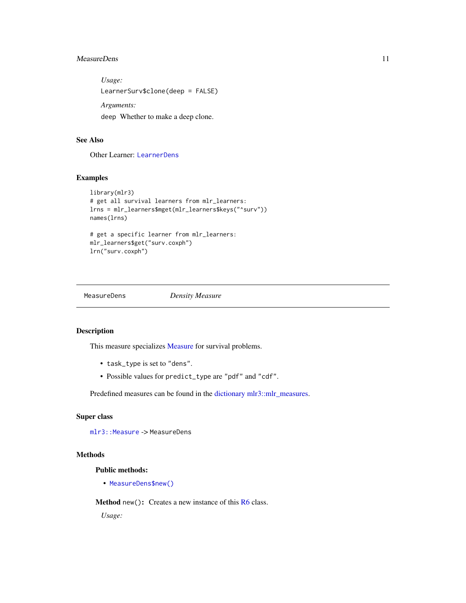## <span id="page-10-0"></span>MeasureDens 11

*Usage:* LearnerSurv\$clone(deep = FALSE) *Arguments:* deep Whether to make a deep clone.

## See Also

Other Learner: [LearnerDens](#page-6-1)

## Examples

```
library(mlr3)
# get all survival learners from mlr_learners:
lrns = mlr_learners$mget(mlr_learners$keys("^surv"))
names(lrns)
# get a specific learner from mlr_learners:
mlr_learners$get("surv.coxph")
lrn("surv.coxph")
```

```
MeasureDens Density Measure
```
## Description

This measure specializes [Measure](#page-0-0) for survival problems.

- task\_type is set to "dens".
- Possible values for predict\_type are "pdf" and "cdf".

Predefined measures can be found in the [dictionary](#page-0-0) [mlr3::mlr\\_measures.](#page-0-0)

#### Super class

[mlr3::Measure](#page-0-0) -> MeasureDens

#### Methods

Public methods:

• [MeasureDens\\$new\(\)](#page-7-0)

Method new(): Creates a new instance of this [R6](#page-0-0) class.

*Usage:*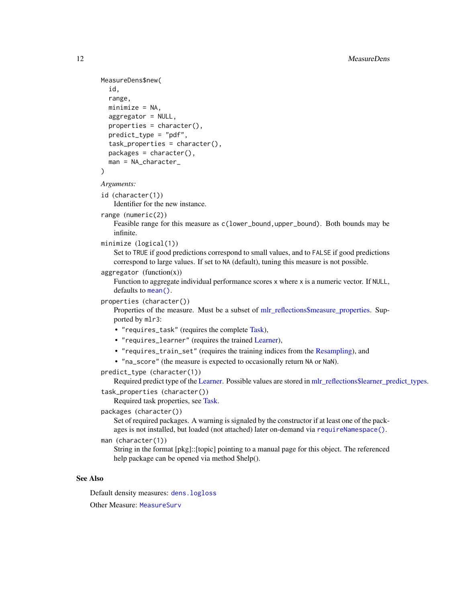```
MeasureDens$new(
  id,
  range,
 minimize = NA,
  aggregator = NULL,
  properties = character(),
 predict_type = "pdf",
  task_properties = character(),
 packages = character(),
 man = NA_character_
\lambda
```
*Arguments:*

id (character(1))

Identifier for the new instance.

```
range (numeric(2))
```
Feasible range for this measure as  $c(1$  ower\_bound,upper\_bound). Both bounds may be infinite.

```
minimize (logical(1))
```
Set to TRUE if good predictions correspond to small values, and to FALSE if good predictions correspond to large values. If set to NA (default), tuning this measure is not possible.

 $aggregation (function(x))$ 

Function to aggregate individual performance scores x where x is a numeric vector. If NULL, defaults to [mean\(\)](#page-0-0).

```
properties (character())
```
Properties of the measure. Must be a subset of [mlr\\_reflections\\$measure\\_properties.](#page-0-0) Supported by mlr3:

- "requires\_task" (requires the complete [Task\)](#page-0-0),
- "requires\_learner" (requires the trained [Learner\)](#page-0-0),
- "requires\_train\_set" (requires the training indices from the [Resampling\)](#page-0-0), and
- "na\_score" (the measure is expected to occasionally return NA or NaN).

## predict\_type (character(1))

Required predict type of the [Learner.](#page-0-0) Possible values are stored in [mlr\\_reflections\\$learner\\_predict\\_types.](#page-0-0) task\_properties (character())

Required task properties, see [Task.](#page-0-0)

packages (character())

Set of required packages. A warning is signaled by the constructor if at least one of the packages is not installed, but loaded (not attached) later on-demand via [requireNamespace\(\)](#page-0-0).

man (character(1))

String in the format [pkg]::[topic] pointing to a manual page for this object. The referenced help package can be opened via method \$help().

#### See Also

Default density measures: [dens.logloss](#page-34-1)

Other Measure: [MeasureSurv](#page-12-1)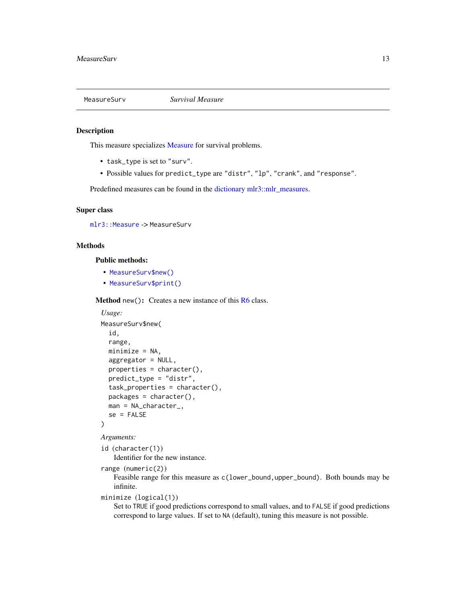<span id="page-12-1"></span><span id="page-12-0"></span>

#### Description

This measure specializes [Measure](#page-0-0) for survival problems.

- task\_type is set to "surv".
- Possible values for predict\_type are "distr", "lp", "crank", and "response".

Predefined measures can be found in the [dictionary](#page-0-0) [mlr3::mlr\\_measures.](#page-0-0)

#### Super class

```
mlr3::Measure -> MeasureSurv
```
#### Methods

Public methods:

- [MeasureSurv\\$new\(\)](#page-7-0)
- [MeasureSurv\\$print\(\)](#page-13-1)

**Method** new(): Creates a new instance of this  $R6$  class.

```
Usage:
MeasureSurv$new(
  id,
 range,
 minimize = NA,
  aggregator = NULL,
 properties = character(),
 predict_type = "distr",
  task_properties = character(),
 packages = character(),
 man = NA_character_,
  se = FALSE)
```

```
Arguments:
```
id (character(1)) Identifier for the new instance.

```
range (numeric(2))
```
Feasible range for this measure as c(lower\_bound,upper\_bound). Both bounds may be infinite.

```
minimize (logical(1))
```
Set to TRUE if good predictions correspond to small values, and to FALSE if good predictions correspond to large values. If set to NA (default), tuning this measure is not possible.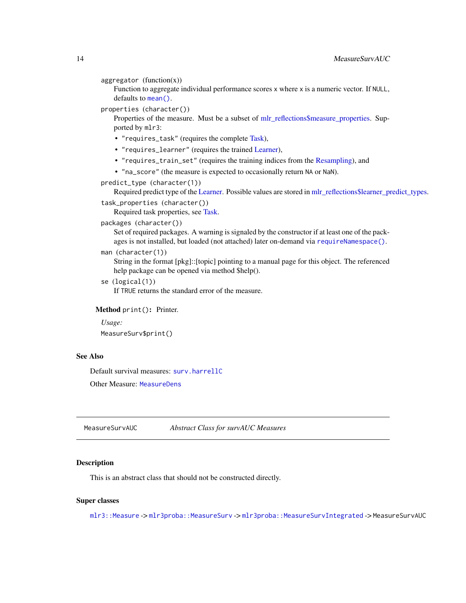```
aggregation (function(x))
```
Function to aggregate individual performance scores x where x is a numeric vector. If NULL, defaults to [mean\(\)](#page-0-0).

```
properties (character())
```
Properties of the measure. Must be a subset of [mlr\\_reflections\\$measure\\_properties.](#page-0-0) Supported by mlr3:

- "requires\_task" (requires the complete [Task\)](#page-0-0),
- "requires\_learner" (requires the trained [Learner\)](#page-0-0),
- "requires\_train\_set" (requires the training indices from the [Resampling\)](#page-0-0), and
- "na\_score" (the measure is expected to occasionally return NA or NaN).
- predict\_type (character(1))

Required predict type of the [Learner.](#page-0-0) Possible values are stored in [mlr\\_reflections\\$learner\\_predict\\_types.](#page-0-0)

```
task_properties (character())
```
Required task properties, see [Task.](#page-0-0)

packages (character())

Set of required packages. A warning is signaled by the constructor if at least one of the packages is not installed, but loaded (not attached) later on-demand via [requireNamespace\(\)](#page-0-0).

```
man (character(1))
```
String in the format [pkg]::[topic] pointing to a manual page for this object. The referenced help package can be opened via method \$help().

se (logical(1))

If TRUE returns the standard error of the measure.

<span id="page-13-1"></span>Method print(): Printer.

```
Usage:
```
MeasureSurv\$print()

## See Also

Default survival measures: [surv.harrellC](#page-50-1)

Other Measure: [MeasureDens](#page-10-1)

MeasureSurvAUC *Abstract Class for survAUC Measures*

#### Description

This is an abstract class that should not be constructed directly.

#### Super classes

[mlr3::Measure](#page-0-0) -> [mlr3proba::MeasureSurv](#page-0-0) -> [mlr3proba::MeasureSurvIntegrated](#page-0-0) -> MeasureSurvAUC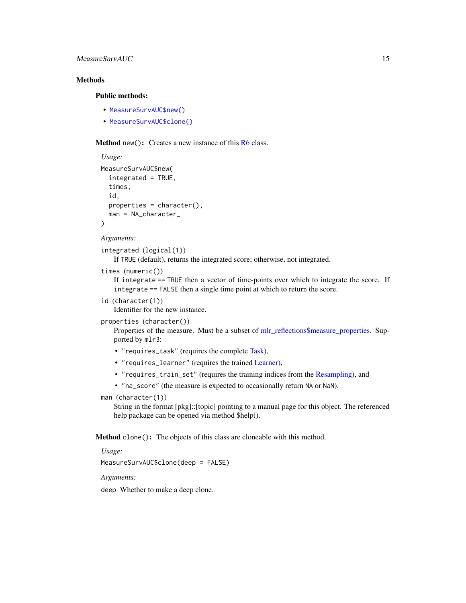## MeasureSurvAUC 15

## **Methods**

## Public methods:

- [MeasureSurvAUC\\$new\(\)](#page-7-0)
- [MeasureSurvAUC\\$clone\(\)](#page-8-1)

**Method** new(): Creates a new instance of this  $R6$  class.

```
Usage:
MeasureSurvAUC$new(
  integrated = TRUE,
  times,
  id,
  properties = character(),
  man = NA_character_
)
```
*Arguments:*

#### integrated (logical(1))

If TRUE (default), returns the integrated score; otherwise, not integrated.

```
times (numeric())
```
If integrate == TRUE then a vector of time-points over which to integrate the score. If integrate == FALSE then a single time point at which to return the score.

id (character(1))

Identifier for the new instance.

properties (character())

Properties of the measure. Must be a subset of [mlr\\_reflections\\$measure\\_properties.](#page-0-0) Supported by mlr3:

- "requires\_task" (requires the complete [Task\)](#page-0-0),
- "requires\_learner" (requires the trained [Learner\)](#page-0-0),
- "requires\_train\_set" (requires the training indices from the [Resampling\)](#page-0-0), and
- "na\_score" (the measure is expected to occasionally return NA or NaN).

#### man (character(1))

String in the format [pkg]::[topic] pointing to a manual page for this object. The referenced help package can be opened via method \$help().

Method clone(): The objects of this class are cloneable with this method.

*Usage:*

MeasureSurvAUC\$clone(deep = FALSE)

*Arguments:*

deep Whether to make a deep clone.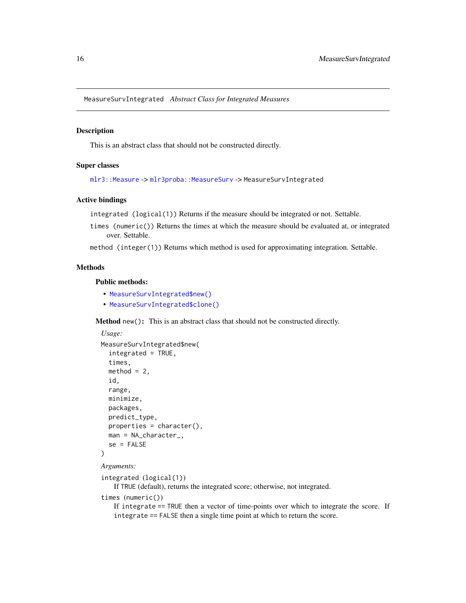<span id="page-15-0"></span>MeasureSurvIntegrated *Abstract Class for Integrated Measures*

#### Description

This is an abstract class that should not be constructed directly.

#### Super classes

[mlr3::Measure](#page-0-0) -> [mlr3proba::MeasureSurv](#page-0-0) -> MeasureSurvIntegrated

#### Active bindings

integrated (logical(1)) Returns if the measure should be integrated or not. Settable.

times (numeric()) Returns the times at which the measure should be evaluated at, or integrated over. Settable.

method (integer(1)) Returns which method is used for approximating integration. Settable.

## Methods

#### Public methods:

- [MeasureSurvIntegrated\\$new\(\)](#page-7-0)
- [MeasureSurvIntegrated\\$clone\(\)](#page-8-1)

Method new(): This is an abstract class that should not be constructed directly.

```
Usage:
MeasureSurvIntegrated$new(
  integrated = TRUE,
  times,
  method = 2,
  id,
  range,
  minimize,
  packages,
 predict_type,
  properties = character(),
  man = NA_character_,
  se = FALSE)
```

```
Arguments:
```

```
integrated (logical(1))
```
If TRUE (default), returns the integrated score; otherwise, not integrated.

```
times (numeric())
```
If integrate == TRUE then a vector of time-points over which to integrate the score. If integrate == FALSE then a single time point at which to return the score.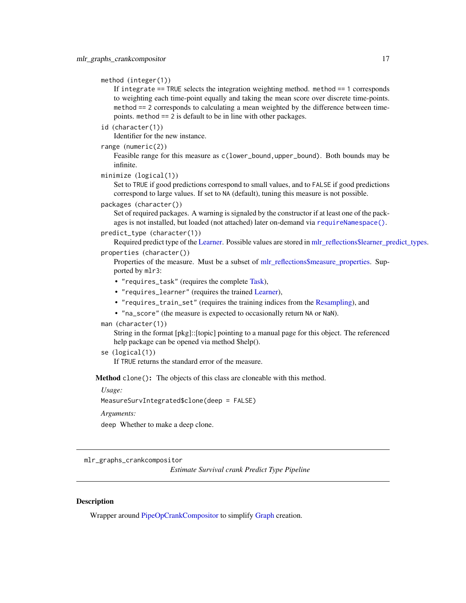```
method (integer(1))
```
If integrate == TRUE selects the integration weighting method. method == 1 corresponds to weighting each time-point equally and taking the mean score over discrete time-points. method == 2 corresponds to calculating a mean weighted by the difference between timepoints. method == 2 is default to be in line with other packages.

id (character(1))

Identifier for the new instance.

range (numeric(2))

Feasible range for this measure as c(lower\_bound,upper\_bound). Both bounds may be infinite.

```
minimize (logical(1))
```
Set to TRUE if good predictions correspond to small values, and to FALSE if good predictions correspond to large values. If set to NA (default), tuning this measure is not possible.

```
packages (character())
```
Set of required packages. A warning is signaled by the constructor if at least one of the packages is not installed, but loaded (not attached) later on-demand via [requireNamespace\(\)](#page-0-0).

```
predict_type (character(1))
```
Required predict type of the [Learner.](#page-0-0) Possible values are stored in [mlr\\_reflections\\$learner\\_predict\\_types.](#page-0-0) properties (character())

Properties of the measure. Must be a subset of [mlr\\_reflections\\$measure\\_properties.](#page-0-0) Supported by mlr3:

- "requires\_task" (requires the complete [Task\)](#page-0-0),
- "requires\_learner" (requires the trained [Learner\)](#page-0-0),
- "requires\_train\_set" (requires the training indices from the [Resampling\)](#page-0-0), and
- "na\_score" (the measure is expected to occasionally return NA or NaN).

man (character(1))

String in the format [pkg]::[topic] pointing to a manual page for this object. The referenced help package can be opened via method \$help().

se (logical(1))

If TRUE returns the standard error of the measure.

Method clone(): The objects of this class are cloneable with this method.

*Usage:*

MeasureSurvIntegrated\$clone(deep = FALSE)

*Arguments:*

deep Whether to make a deep clone.

<span id="page-16-1"></span>mlr\_graphs\_crankcompositor

*Estimate Survival crank Predict Type Pipeline*

## Description

Wrapper around [PipeOpCrankCompositor](#page-109-1) to simplify [Graph](#page-0-0) creation.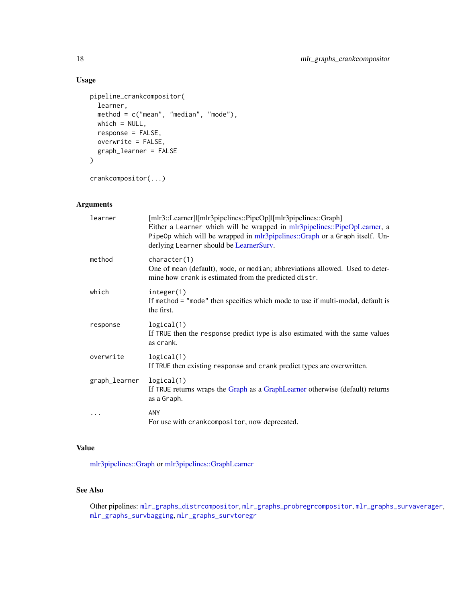## Usage

```
pipeline_crankcompositor(
  learner,
  method = c("mean", "median", "mode"),
  which = NULL,
  response = FALSE,
  overwrite = FALSE,
  graph_learner = FALSE
\mathcal{L}
```
crankcompositor(...)

## Arguments

| learner       | [mlr3::Learner]l[mlr3pipelines::PipeOp]l[mlr3pipelines::Graph]<br>Either a Learner which will be wrapped in mlr3pipelines::PipeOpLearner, a<br>PipeOp which will be wrapped in mlr3pipelines::Graph or a Graph itself. Un-<br>derlying Learner should be LearnerSurv. |
|---------------|-----------------------------------------------------------------------------------------------------------------------------------------------------------------------------------------------------------------------------------------------------------------------|
| method        | character(1)<br>One of mean (default), mode, or median; abbreviations allowed. Used to deter-<br>mine how crank is estimated from the predicted distr.                                                                                                                |
| which         | integer(1)<br>If method = "mode" then specifies which mode to use if multi-modal, default is<br>the first.                                                                                                                                                            |
| response      | logical(1)<br>If TRUE then the response predict type is also estimated with the same values<br>as crank.                                                                                                                                                              |
| overwrite     | logical(1)<br>If TRUE then existing response and crank predict types are overwritten.                                                                                                                                                                                 |
| graph_learner | logical(1)<br>If TRUE returns wraps the Graph as a GraphLearner otherwise (default) returns<br>as a Graph.                                                                                                                                                            |
| .             | <b>ANY</b><br>For use with crankcompositor, now deprecated.                                                                                                                                                                                                           |

## Value

[mlr3pipelines::Graph](#page-0-0) or [mlr3pipelines::GraphLearner](#page-0-0)

## See Also

Other pipelines: [mlr\\_graphs\\_distrcompositor](#page-18-1), [mlr\\_graphs\\_probregrcompositor](#page-19-1), [mlr\\_graphs\\_survaverager](#page-21-1), [mlr\\_graphs\\_survbagging](#page-22-1), [mlr\\_graphs\\_survtoregr](#page-24-1)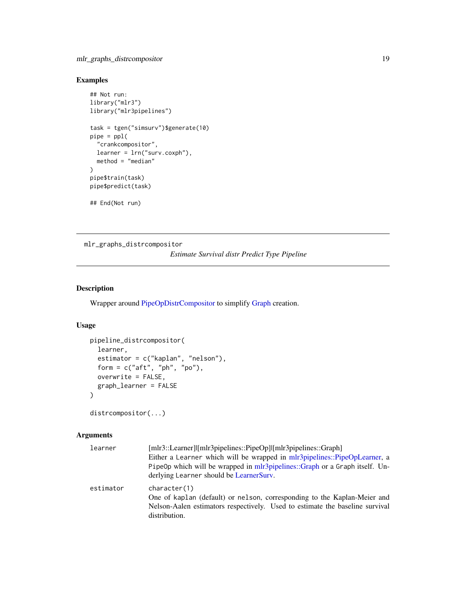## <span id="page-18-0"></span>mlr\_graphs\_distrcompositor 19

## Examples

```
## Not run:
library("mlr3")
library("mlr3pipelines")
task = tgen("simsurv")$generate(10)
pipe = pp1("crankcompositor",
  learner = lrn("surv.coxph"),
  method = "median"
)
pipe$train(task)
pipe$predict(task)
## End(Not run)
```
<span id="page-18-1"></span>mlr\_graphs\_distrcompositor

## *Estimate Survival distr Predict Type Pipeline*

## Description

Wrapper around [PipeOpDistrCompositor](#page-111-1) to simplify [Graph](#page-0-0) creation.

#### Usage

```
pipeline_distrcompositor(
  learner,
  estimator = c("kaplan", "nelson"),
  form = c("aft", "ph", "po"),
 overwrite = FALSE,
  graph_learner = FALSE
\mathcal{E}
```
distrcompositor(...)

## Arguments

| learner   | [mlr3::Learner] [mlr3pipelines::PipeOp] [mlr3pipelines::Graph]<br>Either a Learner which will be wrapped in mlr3pipelines::PipeOpLearner, a<br>PipeOp which will be wrapped in mlr3pipelines::Graph or a Graph itself. Un-<br>derlying Learner should be LearnerSury. |
|-----------|-----------------------------------------------------------------------------------------------------------------------------------------------------------------------------------------------------------------------------------------------------------------------|
| estimator | character(1)<br>One of kaplan (default) or nelson, corresponding to the Kaplan-Meier and<br>Nelson-Aalen estimators respectively. Used to estimate the baseline survival<br>distribution.                                                                             |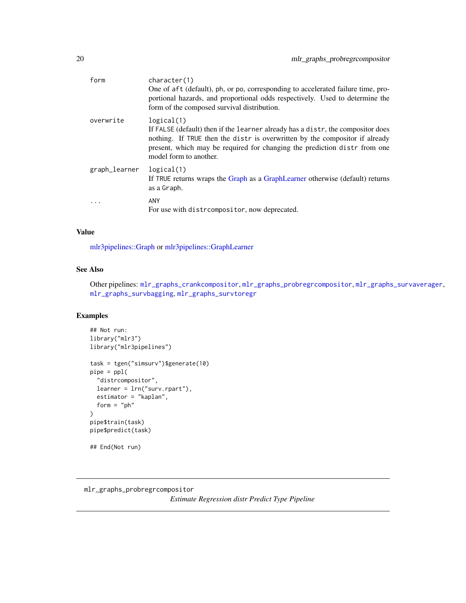<span id="page-19-0"></span>

| form          | character(1)<br>One of aft (default), ph, or po, corresponding to accelerated failure time, pro-<br>portional hazards, and proportional odds respectively. Used to determine the<br>form of the composed survival distribution.                                                     |
|---------------|-------------------------------------------------------------------------------------------------------------------------------------------------------------------------------------------------------------------------------------------------------------------------------------|
| overwrite     | logical(1)<br>If FALSE (default) then if the learner already has a distr, the compositor does<br>nothing. If TRUE then the distr is overwritten by the compositor if already<br>present, which may be required for changing the prediction distr from one<br>model form to another. |
| graph_learner | logical(1)<br>If TRUE returns wraps the Graph as a GraphLearner otherwise (default) returns<br>as a Graph.                                                                                                                                                                          |
| $\ddotsc$     | ANY<br>For use with distreased itor, now deprecated.                                                                                                                                                                                                                                |

## Value

[mlr3pipelines::Graph](#page-0-0) or [mlr3pipelines::GraphLearner](#page-0-0)

## See Also

Other pipelines: [mlr\\_graphs\\_crankcompositor](#page-16-1), [mlr\\_graphs\\_probregrcompositor](#page-19-1), [mlr\\_graphs\\_survaverager](#page-21-1), [mlr\\_graphs\\_survbagging](#page-22-1), [mlr\\_graphs\\_survtoregr](#page-24-1)

#### Examples

```
## Not run:
library("mlr3")
library("mlr3pipelines")
task = tgen("simsurv")$generate(10)
pipe = pp1("distrcompositor",
  learner = lrn("surv.rpart"),
  estimator = "kaplan",
  form = "ph"\mathcal{L}pipe$train(task)
pipe$predict(task)
## End(Not run)
```
<span id="page-19-1"></span>mlr\_graphs\_probregrcompositor *Estimate Regression distr Predict Type Pipeline*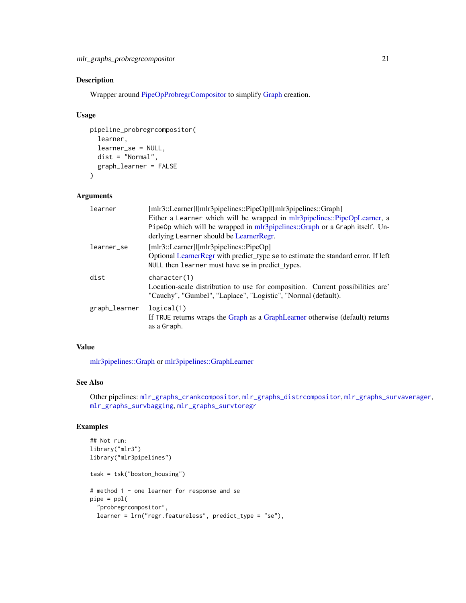## Description

Wrapper around [PipeOpProbregrCompositor](#page-115-1) to simplify [Graph](#page-0-0) creation.

## Usage

```
pipeline_probregrcompositor(
  learner,
  learner_se = NULL,
 dist = "Normal",
 graph_learner = FALSE
)
```
#### Arguments

| learner       | [mlr3::Learner] [mlr3pipelines::PipeOp] [mlr3pipelines::Graph]                    |
|---------------|-----------------------------------------------------------------------------------|
|               | Either a Learner which will be wrapped in mlr3pipelines::PipeOpLearner, a         |
|               | PipeOp which will be wrapped in mlr3pipelines::Graph or a Graph itself. Un-       |
|               | derlying Learner should be LearnerRegr.                                           |
| learner_se    | $[mlr3::Learner]] [mlr3 pipelines::PipeOp]$                                       |
|               | Optional LearnerRegr with predict_type se to estimate the standard error. If left |
|               | NULL then learner must have se in predict_types.                                  |
| dist          | character(1)                                                                      |
|               | Location-scale distribution to use for composition. Current possibilities are     |
|               | "Cauchy", "Gumbel", "Laplace", "Logistic", "Normal (default).                     |
| graph_learner | logical(1)                                                                        |
|               | If TRUE returns wraps the Graph as a GraphLearner otherwise (default) returns     |
|               | as a Graph.                                                                       |
|               |                                                                                   |

## Value

[mlr3pipelines::Graph](#page-0-0) or [mlr3pipelines::GraphLearner](#page-0-0)

## See Also

Other pipelines: [mlr\\_graphs\\_crankcompositor](#page-16-1), [mlr\\_graphs\\_distrcompositor](#page-18-1), [mlr\\_graphs\\_survaverager](#page-21-1), [mlr\\_graphs\\_survbagging](#page-22-1), [mlr\\_graphs\\_survtoregr](#page-24-1)

## Examples

```
## Not run:
library("mlr3")
library("mlr3pipelines")
task = tsk("boston_housing")
# method 1 - one learner for response and se
pipe = pp1("probregrcompositor",
  learner = lrn("regr.featureless", predict_type = "se"),
```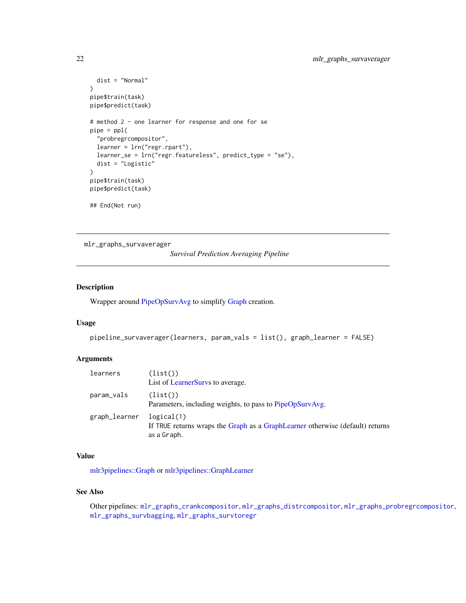```
dist = "Normal"
)
pipe$train(task)
pipe$predict(task)
# method 2 - one learner for response and one for se
pipe = pp1("probregrcompositor",
  learner = lrn("regr.rpart"),
  learner_se = lrn("regr.featureless", predict_type = "se"),
  dist = "Logistic"
\mathcal{L}pipe$train(task)
pipe$predict(task)
## End(Not run)
```
<span id="page-21-1"></span>mlr\_graphs\_survaverager

*Survival Prediction Averaging Pipeline*

#### Description

Wrapper around [PipeOpSurvAvg](#page-91-1) to simplify [Graph](#page-0-0) creation.

#### Usage

```
pipeline_survaverager(learners, param_vals = list(), graph_learner = FALSE)
```
#### Arguments

| learners      | (list()<br>List of Learner Survs to average.                                                               |
|---------------|------------------------------------------------------------------------------------------------------------|
| param_vals    | (list()<br>Parameters, including weights, to pass to PipeOpSurvAvg.                                        |
| graph_learner | logical(1)<br>If TRUE returns wraps the Graph as a GraphLearner otherwise (default) returns<br>as a Graph. |

## Value

[mlr3pipelines::Graph](#page-0-0) or [mlr3pipelines::GraphLearner](#page-0-0)

#### See Also

Other pipelines: [mlr\\_graphs\\_crankcompositor](#page-16-1), [mlr\\_graphs\\_distrcompositor](#page-18-1), [mlr\\_graphs\\_probregrcompositor](#page-19-1), [mlr\\_graphs\\_survbagging](#page-22-1), [mlr\\_graphs\\_survtoregr](#page-24-1)

<span id="page-21-0"></span>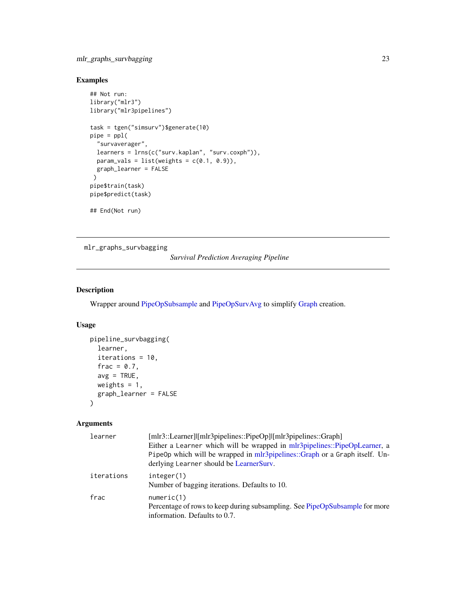## <span id="page-22-0"></span>mlr\_graphs\_survbagging 23

## Examples

```
## Not run:
library("mlr3")
library("mlr3pipelines")
task = tgen("simsurv")$generate(10)
pipe = ppl(
  "survaverager",
  learners = lrns(c("surv.kaplan", "surv.coxph")),
  param_vals = list(weights = c(0.1, 0.9)),
 graph_learner = FALSE
 \lambdapipe$train(task)
pipe$predict(task)
## End(Not run)
```
<span id="page-22-1"></span>mlr\_graphs\_survbagging

*Survival Prediction Averaging Pipeline*

## Description

Wrapper around [PipeOpSubsample](#page-0-0) and [PipeOpSurvAvg](#page-91-1) to simplify [Graph](#page-0-0) creation.

## Usage

```
pipeline_survbagging(
  learner,
  iterations = 10,
 frac = 0.7,
 avg = TRUE,weights = 1,
 graph_learner = FALSE
\mathcal{E}
```
## Arguments

| learner    | [mlr3::Learner] [mlr3pipelines::PipeOp] [mlr3pipelines::Graph]<br>Either a Learner which will be wrapped in mlr3pipelines::PipeOpLearner, a<br>PipeOp which will be wrapped in mlr3pipelines::Graph or a Graph itself. Un- |
|------------|----------------------------------------------------------------------------------------------------------------------------------------------------------------------------------------------------------------------------|
|            | derlying Learner should be LearnerSurv.                                                                                                                                                                                    |
| iterations | integer(1)<br>Number of bagging iterations. Defaults to 10.                                                                                                                                                                |
| frac       | numeric(1)<br>Percentage of rows to keep during subsampling. See PipeOpSubsample for more<br>information. Defaults to 0.7.                                                                                                 |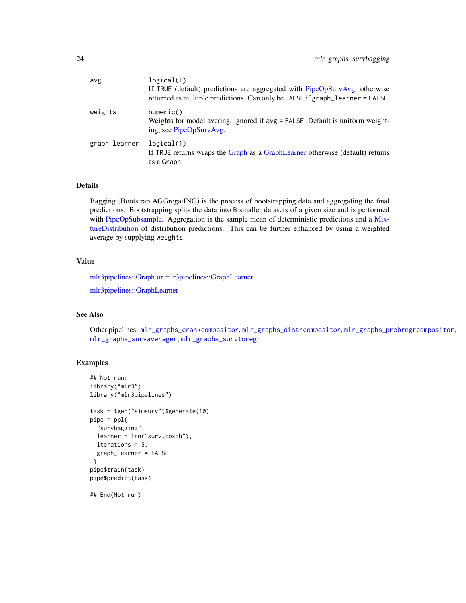| avg           | logical(1)<br>If TRUE (default) predictions are aggregated with PipeOpSurvAvg, otherwise<br>returned as multiple predictions. Can only be FALSE if graph_learner = FALSE. |
|---------------|---------------------------------------------------------------------------------------------------------------------------------------------------------------------------|
| weights       | numeric()<br>Weights for model avering, ignored if avg = FALSE. Default is uniform weight-<br>ing, see PipeOpSurvAvg.                                                     |
| graph_learner | logical(1)<br>If TRUE returns wraps the Graph as a GraphLearner otherwise (default) returns<br>as a Graph.                                                                |

## Details

Bagging (Bootstrap AGGregatING) is the process of bootstrapping data and aggregating the final predictions. Bootstrapping splits the data into B smaller datasets of a given size and is performed with [PipeOpSubsample.](#page-0-0) Aggregation is the sample mean of deterministic predictions and a [Mix](#page-0-0)[tureDistribution](#page-0-0) of distribution predictions. This can be further enhanced by using a weighted average by supplying weights.

## Value

[mlr3pipelines::Graph](#page-0-0) or [mlr3pipelines::GraphLearner](#page-0-0)

[mlr3pipelines::GraphLearner](#page-0-0)

## See Also

Other pipelines: [mlr\\_graphs\\_crankcompositor](#page-16-1), [mlr\\_graphs\\_distrcompositor](#page-18-1), [mlr\\_graphs\\_probregrcompositor](#page-19-1), [mlr\\_graphs\\_survaverager](#page-21-1), [mlr\\_graphs\\_survtoregr](#page-24-1)

#### Examples

```
## Not run:
library("mlr3")
library("mlr3pipelines")
task = tgen("simsurv")$generate(10)
pipe = pp1("survbagging",
  learner = lrn("surv.coxph"),
  iterations = 5,
  graph_learner = FALSE
 )
pipe$train(task)
pipe$predict(task)
## End(Not run)
```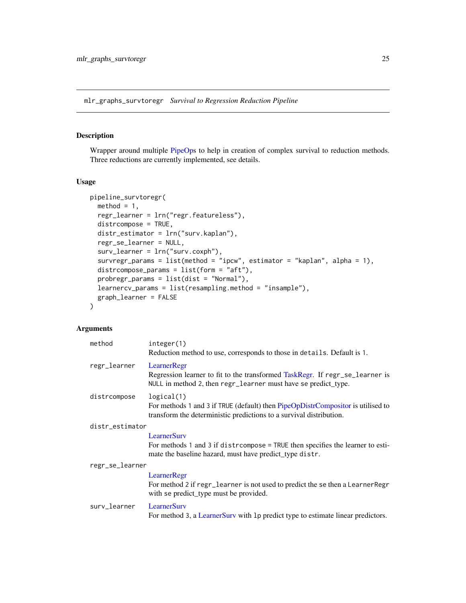<span id="page-24-1"></span><span id="page-24-0"></span>mlr\_graphs\_survtoregr *Survival to Regression Reduction Pipeline*

### Description

Wrapper around multiple [PipeOps](#page-0-0) to help in creation of complex survival to reduction methods. Three reductions are currently implemented, see details.

#### Usage

```
pipeline_survtoregr(
  method = 1,
  regr_learner = lrn("regr.featureless"),
  distrcompose = TRUE,
  distr_estimator = lrn("surv.kaplan"),
  regr_se_learner = NULL,
  surv_learner = lrn("surv.coxph"),
  survregr_params = list(method = "ipcw", estimator = "kaplan", alpha = 1),
  distrcompose_params = list(form = "aft"),
  probregr_params = list(dist = "Normal"),
  learnercv_params = list(resampling.method = "insample"),
  graph_learner = FALSE
\mathcal{L}
```
#### Arguments

| method          | integer(1)<br>Reduction method to use, corresponds to those in details. Default is 1.                                                                                 |  |
|-----------------|-----------------------------------------------------------------------------------------------------------------------------------------------------------------------|--|
| regr_learner    | LearnerRegr<br>Regression learner to fit to the transformed TaskRegr. If regr_se_learner is<br>NULL in method 2, then regr_learner must have se predict_type.         |  |
| distrcompose    | logical(1)<br>For methods 1 and 3 if TRUE (default) then PipeOpDistrCompositor is utilised to<br>transform the deterministic predictions to a survival distribution.  |  |
| distr_estimator |                                                                                                                                                                       |  |
|                 | <b>LearnerSurv</b><br>For methods 1 and 3 if district on poster = TRUE then specifies the learner to esti-<br>mate the baseline hazard, must have predict_type distr. |  |
| regr_se_learner |                                                                                                                                                                       |  |
|                 | LearnerRegr<br>For method 2 if regr_learner is not used to predict the se then a LearnerRegr<br>with se predict_type must be provided.                                |  |
| surv_learner    | <b>LearnerSury</b><br>For method 3, a Learner Surv with 1p predict type to estimate linear predictors.                                                                |  |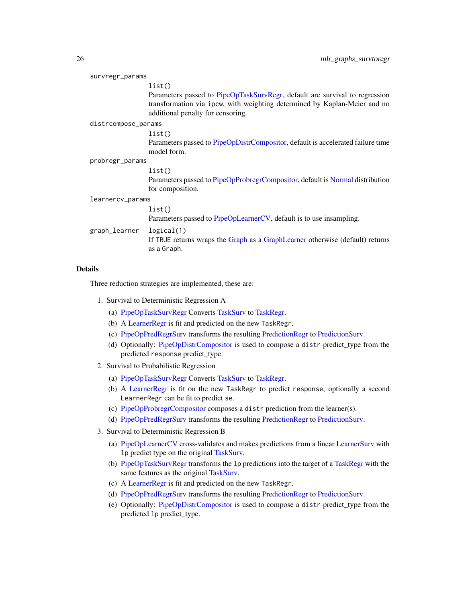| survregr_params     |                                                                                                                                                          |  |
|---------------------|----------------------------------------------------------------------------------------------------------------------------------------------------------|--|
|                     | list()                                                                                                                                                   |  |
|                     | Parameters passed to PipeOpTaskSurvRegr, default are survival to regression<br>transformation via ipcw, with weighting determined by Kaplan-Meier and no |  |
|                     | additional penalty for censoring.                                                                                                                        |  |
| distrcompose_params |                                                                                                                                                          |  |
|                     | list()                                                                                                                                                   |  |
|                     | Parameters passed to PipeOpDistrCompositor, default is accelerated failure time<br>model form.                                                           |  |
| probregr_params     |                                                                                                                                                          |  |
|                     | list()                                                                                                                                                   |  |
|                     | Parameters passed to PipeOpProbregrCompositor, default is Normal distribution                                                                            |  |
|                     | for composition.                                                                                                                                         |  |
| learnercv_params    |                                                                                                                                                          |  |
|                     | list()                                                                                                                                                   |  |
|                     | Parameters passed to PipeOpLearnerCV, default is to use insampling.                                                                                      |  |
| graph_learner       | logical(1)<br>If TRUE returns wraps the Graph as a GraphLearner otherwise (default) returns<br>as a Graph.                                               |  |
|                     |                                                                                                                                                          |  |

#### Details

Three reduction strategies are implemented, these are:

- 1. Survival to Deterministic Regression A
	- (a) [PipeOpTaskSurvRegr](#page-97-1) Converts [TaskSurv](#page-125-1) to [TaskRegr.](#page-0-0)
	- (b) A [LearnerRegr](#page-0-0) is fit and predicted on the new TaskRegr.
	- (c) [PipeOpPredRegrSurv](#page-92-1) transforms the resulting [PredictionRegr](#page-0-0) to [PredictionSurv.](#page-122-1)
	- (d) Optionally: [PipeOpDistrCompositor](#page-111-1) is used to compose a distr predict\_type from the predicted response predict\_type.
- 2. Survival to Probabilistic Regression
	- (a) [PipeOpTaskSurvRegr](#page-97-1) Converts [TaskSurv](#page-125-1) to [TaskRegr.](#page-0-0)
	- (b) A [LearnerRegr](#page-0-0) is fit on the new TaskRegr to predict response, optionally a second LearnerRegr can be fit to predict se.
	- (c) [PipeOpProbregrCompositor](#page-115-1) composes a distr prediction from the learner(s).
	- (d) [PipeOpPredRegrSurv](#page-92-1) transforms the resulting [PredictionRegr](#page-0-0) to [PredictionSurv.](#page-122-1)
- 3. Survival to Deterministic Regression B
	- (a) [PipeOpLearnerCV](#page-0-0) cross-validates and makes predictions from a linear [LearnerSurv](#page-8-2) with lp predict type on the original [TaskSurv.](#page-125-1)
	- (b) [PipeOpTaskSurvRegr](#page-97-1) transforms the lp predictions into the target of a [TaskRegr](#page-0-0) with the same features as the original [TaskSurv.](#page-125-1)
	- (c) A [LearnerRegr](#page-0-0) is fit and predicted on the new TaskRegr.
	- (d) [PipeOpPredRegrSurv](#page-92-1) transforms the resulting [PredictionRegr](#page-0-0) to [PredictionSurv.](#page-122-1)
	- (e) Optionally: [PipeOpDistrCompositor](#page-111-1) is used to compose a distr predict\_type from the predicted lp predict\_type.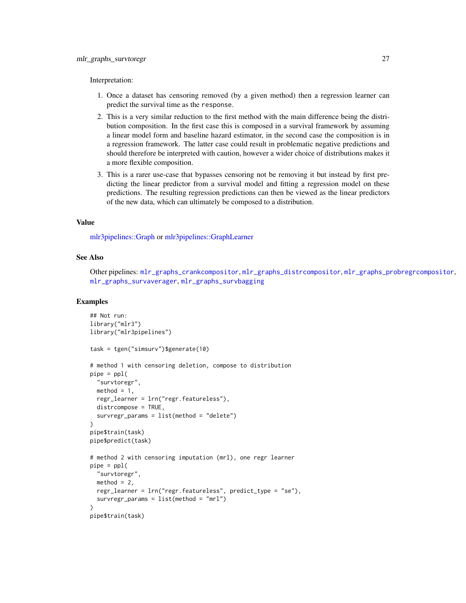Interpretation:

- 1. Once a dataset has censoring removed (by a given method) then a regression learner can predict the survival time as the response.
- 2. This is a very similar reduction to the first method with the main difference being the distribution composition. In the first case this is composed in a survival framework by assuming a linear model form and baseline hazard estimator, in the second case the composition is in a regression framework. The latter case could result in problematic negative predictions and should therefore be interpreted with caution, however a wider choice of distributions makes it a more flexible composition.
- 3. This is a rarer use-case that bypasses censoring not be removing it but instead by first predicting the linear predictor from a survival model and fitting a regression model on these predictions. The resulting regression predictions can then be viewed as the linear predictors of the new data, which can ultimately be composed to a distribution.

#### Value

[mlr3pipelines::Graph](#page-0-0) or [mlr3pipelines::GraphLearner](#page-0-0)

#### See Also

Other pipelines: [mlr\\_graphs\\_crankcompositor](#page-16-1), [mlr\\_graphs\\_distrcompositor](#page-18-1), [mlr\\_graphs\\_probregrcompositor](#page-19-1), [mlr\\_graphs\\_survaverager](#page-21-1), [mlr\\_graphs\\_survbagging](#page-22-1)

#### Examples

```
## Not run:
library("mlr3")
library("mlr3pipelines")
task = tgen("simsurv")$generate(10)
# method 1 with censoring deletion, compose to distribution
pipe = pp1("survtoregr",
 method = 1,
 regr_learner = lrn("regr.featureless"),
 distrcompose = TRUE,
 survregr_params = list(method = "delete")
)
pipe$train(task)
pipe$predict(task)
# method 2 with censoring imputation (mrl), one regr learner
pipe = pp1("survtoregr",
 method = 2,
 regr_learner = lrn("regr.featureless", predict_type = "se"),
 survregr_params = list(method = "mrl")
\lambdapipe$train(task)
```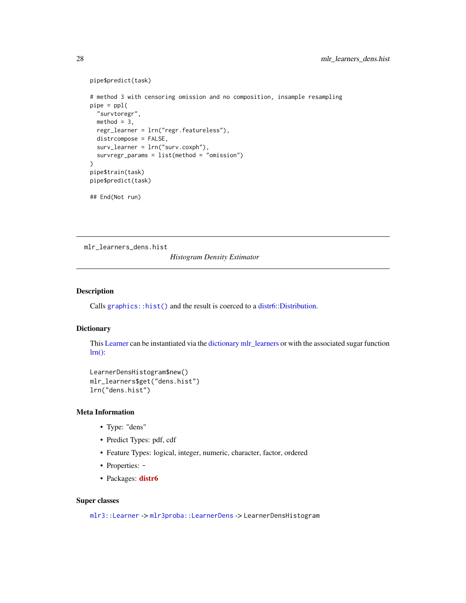```
pipe$predict(task)
# method 3 with censoring omission and no composition, insample resampling
pipe = pp1("survtoregr",
  method = 3,regr_learner = lrn("regr.featureless"),
  distrcompose = FALSE,
  surv_learner = lrn("surv.coxph"),
  survregr_params = list(method = "omission")
)
pipe$train(task)
pipe$predict(task)
## End(Not run)
```
<span id="page-27-1"></span>mlr\_learners\_dens.hist

*Histogram Density Estimator*

#### Description

Calls [graphics::hist\(\)](#page-0-0) and the result is coerced to a [distr6::Distribution.](#page-0-0)

## **Dictionary**

This [Learner](#page-0-0) can be instantiated via the [dictionary](#page-0-0) [mlr\\_learners](#page-0-0) or with the associated sugar function  $lrn()$ :

```
LearnerDensHistogram$new()
mlr_learners$get("dens.hist")
lrn("dens.hist")
```
## Meta Information

- Type: "dens"
- Predict Types: pdf, cdf
- Feature Types: logical, integer, numeric, character, factor, ordered
- Properties: -
- Packages: [distr6](https://CRAN.R-project.org/package=distr6)

#### Super classes

[mlr3::Learner](#page-0-0) -> [mlr3proba::LearnerDens](#page-0-0) -> LearnerDensHistogram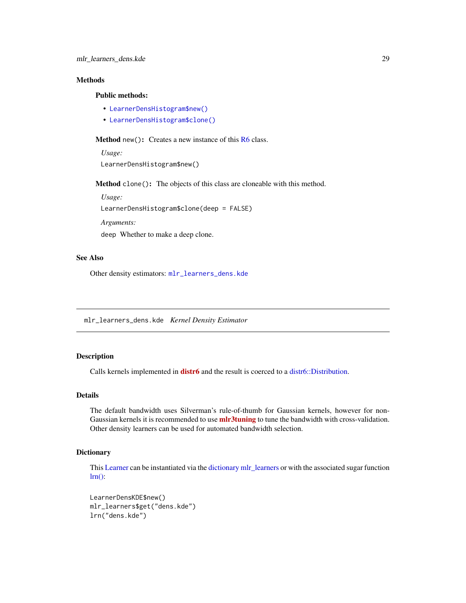## <span id="page-28-0"></span>Methods

## Public methods:

- [LearnerDensHistogram\\$new\(\)](#page-7-0)
- [LearnerDensHistogram\\$clone\(\)](#page-8-1)

Method new(): Creates a new instance of this [R6](#page-0-0) class.

*Usage:* LearnerDensHistogram\$new()

Method clone(): The objects of this class are cloneable with this method.

*Usage:*

LearnerDensHistogram\$clone(deep = FALSE)

*Arguments:*

deep Whether to make a deep clone.

## See Also

Other density estimators: [mlr\\_learners\\_dens.kde](#page-28-1)

<span id="page-28-1"></span>mlr\_learners\_dens.kde *Kernel Density Estimator*

## Description

Calls kernels implemented in **[distr6](https://CRAN.R-project.org/package=distr6)** and the result is coerced to a [distr6::Distribution.](#page-0-0)

#### Details

The default bandwidth uses Silverman's rule-of-thumb for Gaussian kernels, however for non-Gaussian kernels it is recommended to use **mir3tuning** to tune the bandwidth with cross-validation. Other density learners can be used for automated bandwidth selection.

#### **Dictionary**

This [Learner](#page-0-0) can be instantiated via the [dictionary](#page-0-0) [mlr\\_learners](#page-0-0) or with the associated sugar function  $lrn$ :

LearnerDensKDE\$new() mlr\_learners\$get("dens.kde") lrn("dens.kde")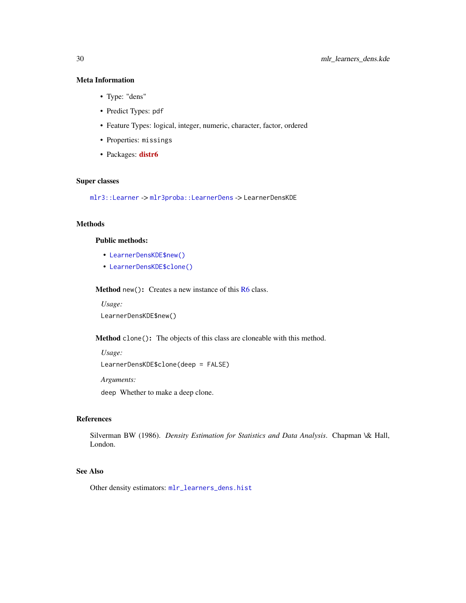## Meta Information

- Type: "dens"
- Predict Types: pdf
- Feature Types: logical, integer, numeric, character, factor, ordered
- Properties: missings
- Packages: [distr6](https://CRAN.R-project.org/package=distr6)

## Super classes

[mlr3::Learner](#page-0-0) -> [mlr3proba::LearnerDens](#page-0-0) -> LearnerDensKDE

## Methods

#### Public methods:

- [LearnerDensKDE\\$new\(\)](#page-7-0)
- [LearnerDensKDE\\$clone\(\)](#page-8-1)

Method new(): Creates a new instance of this [R6](#page-0-0) class.

*Usage:* LearnerDensKDE\$new()

Method clone(): The objects of this class are cloneable with this method.

```
Usage:
LearnerDensKDE$clone(deep = FALSE)
Arguments:
```
deep Whether to make a deep clone.

## References

Silverman BW (1986). *Density Estimation for Statistics and Data Analysis*. Chapman \& Hall, London.

## See Also

Other density estimators: [mlr\\_learners\\_dens.hist](#page-27-1)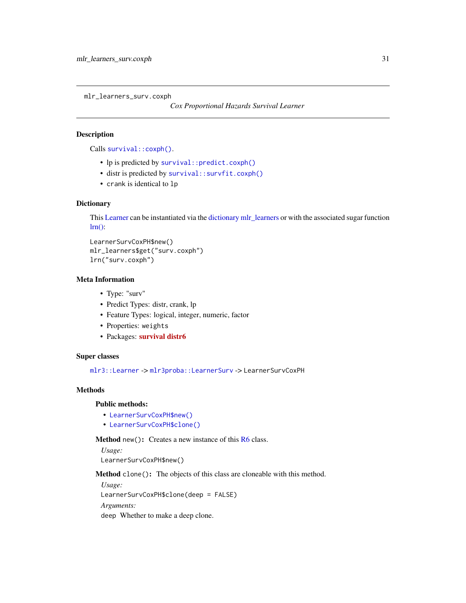<span id="page-30-1"></span><span id="page-30-0"></span>mlr\_learners\_surv.coxph

*Cox Proportional Hazards Survival Learner*

## Description

Calls [survival::coxph\(\)](#page-0-0).

- lp is predicted by [survival::predict.coxph\(\)](#page-0-0)
- distr is predicted by [survival::survfit.coxph\(\)](#page-0-0)
- crank is identical to lp

## **Dictionary**

This [Learner](#page-0-0) can be instantiated via the [dictionary](#page-0-0) [mlr\\_learners](#page-0-0) or with the associated sugar function  $lrn$ :

```
LearnerSurvCoxPH$new()
mlr_learners$get("surv.coxph")
lrn("surv.coxph")
```
#### Meta Information

- Type: "surv"
- Predict Types: distr, crank, lp
- Feature Types: logical, integer, numeric, factor
- Properties: weights
- Packages: [survival](https://CRAN.R-project.org/package=survival) [distr6](https://CRAN.R-project.org/package=distr6)

## Super classes

[mlr3::Learner](#page-0-0) -> [mlr3proba::LearnerSurv](#page-0-0) -> LearnerSurvCoxPH

## Methods

#### Public methods:

- [LearnerSurvCoxPH\\$new\(\)](#page-7-0)
- [LearnerSurvCoxPH\\$clone\(\)](#page-8-1)

Method new(): Creates a new instance of this [R6](#page-0-0) class.

*Usage:* LearnerSurvCoxPH\$new()

Method clone(): The objects of this class are cloneable with this method.

*Usage:*

LearnerSurvCoxPH\$clone(deep = FALSE)

*Arguments:*

deep Whether to make a deep clone.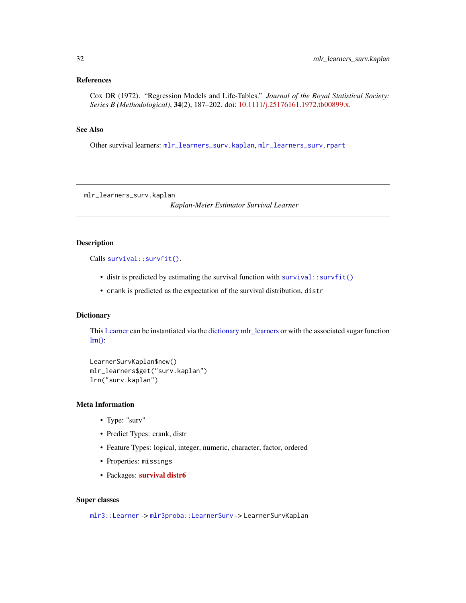## <span id="page-31-0"></span>References

Cox DR (1972). "Regression Models and Life-Tables." *Journal of the Royal Statistical Society: Series B (Methodological)*, 34(2), 187–202. doi: [10.1111/j.25176161.1972.tb00899.x.](https://doi.org/10.1111/j.2517-6161.1972.tb00899.x)

## See Also

Other survival learners: [mlr\\_learners\\_surv.kaplan](#page-31-1), [mlr\\_learners\\_surv.rpart](#page-32-1)

<span id="page-31-1"></span>mlr\_learners\_surv.kaplan

*Kaplan-Meier Estimator Survival Learner*

## **Description**

Calls [survival::survfit\(\)](#page-0-0).

- distr is predicted by estimating the survival function with [survival::survfit\(\)](#page-0-0)
- crank is predicted as the expectation of the survival distribution, distr

#### Dictionary

This [Learner](#page-0-0) can be instantiated via the [dictionary](#page-0-0) [mlr\\_learners](#page-0-0) or with the associated sugar function  $lrn$ :

```
LearnerSurvKaplan$new()
mlr_learners$get("surv.kaplan")
lrn("surv.kaplan")
```
#### Meta Information

- Type: "surv"
- Predict Types: crank, distr
- Feature Types: logical, integer, numeric, character, factor, ordered
- Properties: missings
- Packages: [survival](https://CRAN.R-project.org/package=survival) [distr6](https://CRAN.R-project.org/package=distr6)

#### Super classes

[mlr3::Learner](#page-0-0) -> [mlr3proba::LearnerSurv](#page-0-0) -> LearnerSurvKaplan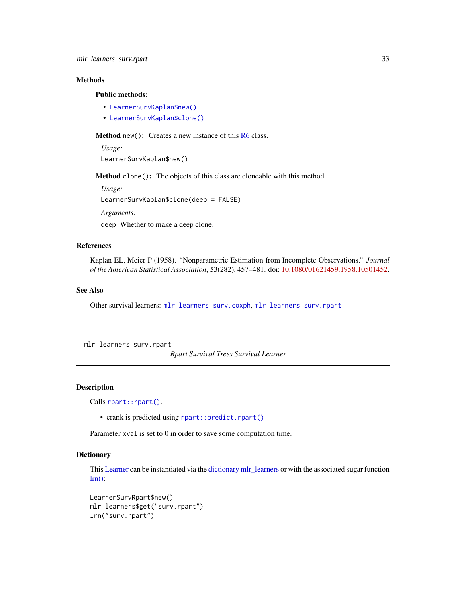## <span id="page-32-0"></span>Methods

#### Public methods:

- [LearnerSurvKaplan\\$new\(\)](#page-7-0)
- [LearnerSurvKaplan\\$clone\(\)](#page-8-1)

**Method** new(): Creates a new instance of this  $R6$  class.

*Usage:* LearnerSurvKaplan\$new()

Method clone(): The objects of this class are cloneable with this method.

*Usage:* LearnerSurvKaplan\$clone(deep = FALSE) *Arguments:* deep Whether to make a deep clone.

#### References

Kaplan EL, Meier P (1958). "Nonparametric Estimation from Incomplete Observations." *Journal of the American Statistical Association*, 53(282), 457–481. doi: [10.1080/01621459.1958.10501452.](https://doi.org/10.1080/01621459.1958.10501452)

#### See Also

Other survival learners: [mlr\\_learners\\_surv.coxph](#page-30-1), [mlr\\_learners\\_surv.rpart](#page-32-1)

<span id="page-32-1"></span>mlr\_learners\_surv.rpart

*Rpart Survival Trees Survival Learner*

## Description

Calls [rpart::rpart\(\)](#page-0-0).

• crank is predicted using [rpart::predict.rpart\(\)](#page-0-0)

Parameter xval is set to 0 in order to save some computation time.

#### Dictionary

This [Learner](#page-0-0) can be instantiated via the [dictionary](#page-0-0) [mlr\\_learners](#page-0-0) or with the associated sugar function  $lrn$ :

```
LearnerSurvRpart$new()
mlr_learners$get("surv.rpart")
lrn("surv.rpart")
```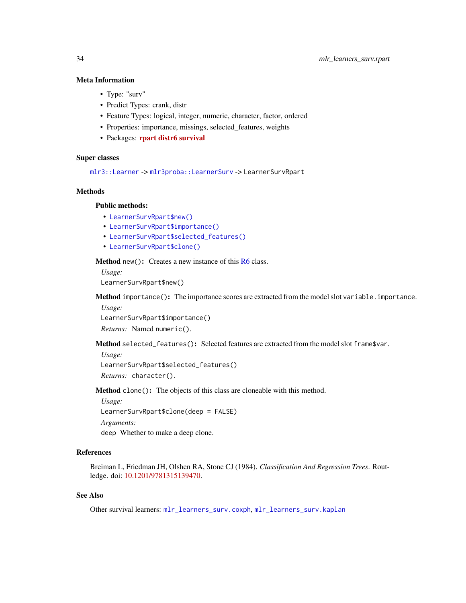## Meta Information

- Type: "surv"
- Predict Types: crank, distr
- Feature Types: logical, integer, numeric, character, factor, ordered
- Properties: importance, missings, selected\_features, weights
- Packages: [rpart](https://CRAN.R-project.org/package=rpart) [distr6](https://CRAN.R-project.org/package=distr6) [survival](https://CRAN.R-project.org/package=survival)

#### Super classes

[mlr3::Learner](#page-0-0) -> [mlr3proba::LearnerSurv](#page-0-0) -> LearnerSurvRpart

#### **Methods**

#### Public methods:

- [LearnerSurvRpart\\$new\(\)](#page-7-0)
- [LearnerSurvRpart\\$importance\(\)](#page-33-0)
- [LearnerSurvRpart\\$selected\\_features\(\)](#page-33-1)
- [LearnerSurvRpart\\$clone\(\)](#page-8-1)

Method new(): Creates a new instance of this [R6](#page-0-0) class.

*Usage:*

LearnerSurvRpart\$new()

<span id="page-33-0"></span>Method importance(): The importance scores are extracted from the model slot variable.importance. *Usage:*

LearnerSurvRpart\$importance()

*Returns:* Named numeric().

<span id="page-33-1"></span>Method selected\_features(): Selected features are extracted from the model slot frame\$var.

*Usage:*

LearnerSurvRpart\$selected\_features()

*Returns:* character().

Method clone(): The objects of this class are cloneable with this method.

*Usage:*

LearnerSurvRpart\$clone(deep = FALSE)

*Arguments:*

deep Whether to make a deep clone.

## References

Breiman L, Friedman JH, Olshen RA, Stone CJ (1984). *Classification And Regression Trees*. Routledge. doi: [10.1201/9781315139470.](https://doi.org/10.1201/9781315139470)

## See Also

Other survival learners: [mlr\\_learners\\_surv.coxph](#page-30-1), [mlr\\_learners\\_surv.kaplan](#page-31-1)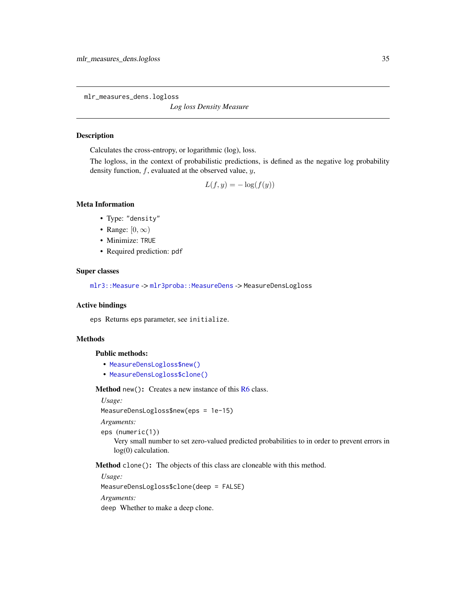<span id="page-34-1"></span><span id="page-34-0"></span>mlr\_measures\_dens.logloss

*Log loss Density Measure*

## Description

Calculates the cross-entropy, or logarithmic (log), loss.

The logloss, in the context of probabilistic predictions, is defined as the negative log probability density function,  $f$ , evaluated at the observed value,  $y$ ,

$$
L(f, y) = -\log(f(y))
$$

#### Meta Information

- Type: "density"
- Range:  $[0, \infty)$
- Minimize: TRUE
- Required prediction: pdf

#### Super classes

[mlr3::Measure](#page-0-0) -> [mlr3proba::MeasureDens](#page-0-0) -> MeasureDensLogloss

#### Active bindings

eps Returns eps parameter, see initialize.

## Methods

#### Public methods:

- [MeasureDensLogloss\\$new\(\)](#page-7-0)
- [MeasureDensLogloss\\$clone\(\)](#page-8-1)

Method new(): Creates a new instance of this [R6](#page-0-0) class.

*Usage:*

MeasureDensLogloss\$new(eps = 1e-15)

*Arguments:*

eps (numeric(1))

Very small number to set zero-valued predicted probabilities to in order to prevent errors in log(0) calculation.

Method clone(): The objects of this class are cloneable with this method.

*Usage:*

MeasureDensLogloss\$clone(deep = FALSE)

*Arguments:*

deep Whether to make a deep clone.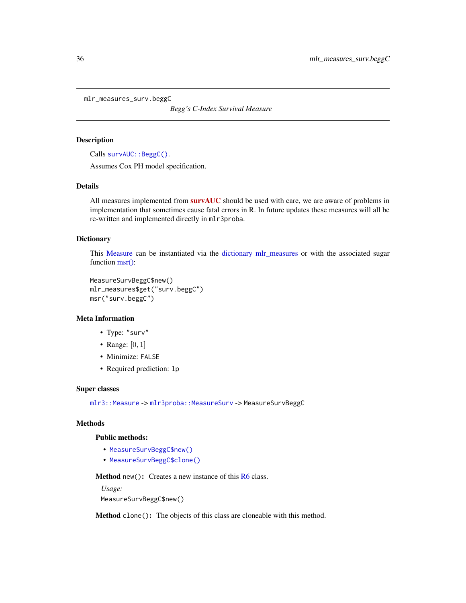<span id="page-35-0"></span>mlr\_measures\_surv.beggC

*Begg's C-Index Survival Measure*

#### Description

Calls [survAUC::BeggC\(\)](#page-0-0).

Assumes Cox PH model specification.

#### Details

All measures implemented from [survAUC](https://CRAN.R-project.org/package=survAUC) should be used with care, we are aware of problems in implementation that sometimes cause fatal errors in R. In future updates these measures will all be re-written and implemented directly in mlr3proba.

#### **Dictionary**

This [Measure](#page-0-0) can be instantiated via the [dictionary](#page-0-0) [mlr\\_measures](#page-0-0) or with the associated sugar function [msr\(\):](#page-0-0)

```
MeasureSurvBeggC$new()
mlr_measures$get("surv.beggC")
msr("surv.beggC")
```
## Meta Information

- Type: "surv"
- Range:  $[0, 1]$
- Minimize: FALSE
- Required prediction: lp

## Super classes

[mlr3::Measure](#page-0-0) -> [mlr3proba::MeasureSurv](#page-0-0) -> MeasureSurvBeggC

## Methods

#### Public methods:

- [MeasureSurvBeggC\\$new\(\)](#page-7-0)
- [MeasureSurvBeggC\\$clone\(\)](#page-8-1)

Method new(): Creates a new instance of this [R6](#page-0-0) class.

```
Usage:
MeasureSurvBeggC$new()
```
Method clone(): The objects of this class are cloneable with this method.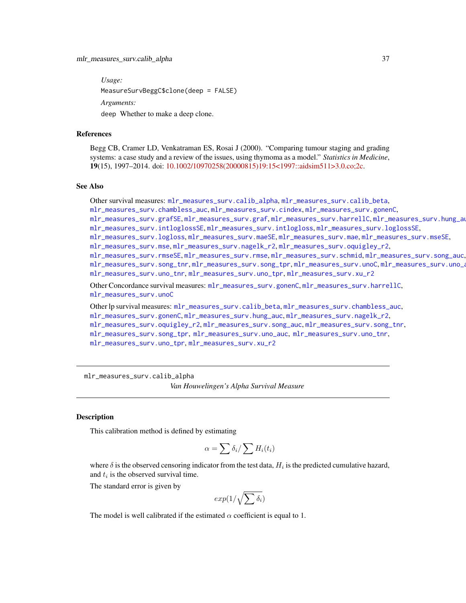*Usage:* MeasureSurvBeggC\$clone(deep = FALSE) *Arguments:* deep Whether to make a deep clone.

#### References

Begg CB, Cramer LD, Venkatraman ES, Rosai J (2000). "Comparing tumour staging and grading systems: a case study and a review of the issues, using thymoma as a model." *Statistics in Medicine*, 19(15), 1997–2014. doi: [10.1002/10970258\(20000815\)19:15<1997::aidsim511>3.0.co;2c.](https://doi.org/10.1002/1097-0258(20000815)19:15<1997::aid-sim511>3.0.co;2-c)

#### See Also

Other survival measures: [mlr\\_measures\\_surv.calib\\_alpha](#page-36-0), [mlr\\_measures\\_surv.calib\\_beta](#page-38-0), [mlr\\_measures\\_surv.chambless\\_auc](#page-40-0), [mlr\\_measures\\_surv.cindex](#page-42-0), [mlr\\_measures\\_surv.gonenC](#page-44-0), [mlr\\_measures\\_surv.grafSE](#page-48-0), [mlr\\_measures\\_surv.graf](#page-46-0), [mlr\\_measures\\_surv.harrellC](#page-50-0), [mlr\\_measures\\_surv.hung\\_auc](#page-51-0), [mlr\\_measures\\_surv.intloglossSE](#page-56-0), [mlr\\_measures\\_surv.intlogloss](#page-53-0), [mlr\\_measures\\_surv.loglossSE](#page-60-0), [mlr\\_measures\\_surv.logloss](#page-58-0), [mlr\\_measures\\_surv.maeSE](#page-63-0), [mlr\\_measures\\_surv.mae](#page-61-0), [mlr\\_measures\\_surv.mseSE](#page-66-0), [mlr\\_measures\\_surv.mse](#page-64-0), [mlr\\_measures\\_surv.nagelk\\_r2](#page-67-0), [mlr\\_measures\\_surv.oquigley\\_r2](#page-69-0), [mlr\\_measures\\_surv.rmseSE](#page-72-0), [mlr\\_measures\\_surv.rmse](#page-70-0), [mlr\\_measures\\_surv.schmid](#page-73-0), [mlr\\_measures\\_surv.song\\_auc](#page-76-0), [mlr\\_measures\\_surv.song\\_tnr](#page-78-0), [mlr\\_measures\\_surv.song\\_tpr](#page-80-0), [mlr\\_measures\\_surv.unoC](#page-82-0), [mlr\\_measures\\_surv.uno\\_auc](#page-83-0), [mlr\\_measures\\_surv.uno\\_tnr](#page-85-0), [mlr\\_measures\\_surv.uno\\_tpr](#page-87-0), [mlr\\_measures\\_surv.xu\\_r2](#page-89-0) Other Concordance survival measures: [mlr\\_measures\\_surv.gonenC](#page-44-0), [mlr\\_measures\\_surv.harrellC](#page-50-0), [mlr\\_measures\\_surv.unoC](#page-82-0) Other lp survival measures: [mlr\\_measures\\_surv.calib\\_beta](#page-38-0), [mlr\\_measures\\_surv.chambless\\_auc](#page-40-0), [mlr\\_measures\\_surv.gonenC](#page-44-0), [mlr\\_measures\\_surv.hung\\_auc](#page-51-0), [mlr\\_measures\\_surv.nagelk\\_r2](#page-67-0), [mlr\\_measures\\_surv.oquigley\\_r2](#page-69-0), [mlr\\_measures\\_surv.song\\_auc](#page-76-0), [mlr\\_measures\\_surv.song\\_tnr](#page-78-0),

[mlr\\_measures\\_surv.song\\_tpr](#page-80-0), [mlr\\_measures\\_surv.uno\\_auc](#page-83-0), [mlr\\_measures\\_surv.uno\\_tnr](#page-85-0),

```
mlr_measures_surv.uno_tpr, mlr_measures_surv.xu_r2
```
<span id="page-36-0"></span>mlr\_measures\_surv.calib\_alpha *Van Houwelingen's Alpha Survival Measure*

#### **Description**

This calibration method is defined by estimating

$$
\alpha = \sum \delta_i / \sum H_i(t_i)
$$

where  $\delta$  is the observed censoring indicator from the test data,  $H_i$  is the predicted cumulative hazard, and  $t_i$  is the observed survival time.

The standard error is given by

$$
\exp(1/\sqrt{\sum \delta_i})
$$

The model is well calibrated if the estimated  $\alpha$  coefficient is equal to 1.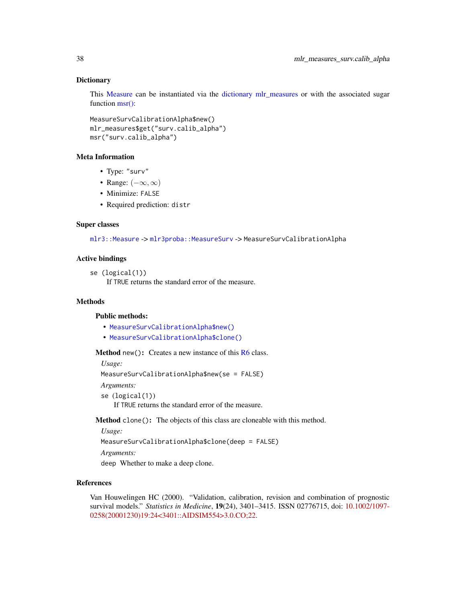# **Dictionary**

This [Measure](#page-0-0) can be instantiated via the [dictionary](#page-0-0) [mlr\\_measures](#page-0-0) or with the associated sugar function [msr\(\):](#page-0-0)

```
MeasureSurvCalibrationAlpha$new()
mlr_measures$get("surv.calib_alpha")
msr("surv.calib_alpha")
```
#### Meta Information

- Type: "surv"
- Range:  $(-\infty, \infty)$
- Minimize: FALSE
- Required prediction: distr

### Super classes

[mlr3::Measure](#page-0-0) -> [mlr3proba::MeasureSurv](#page-0-0) -> MeasureSurvCalibrationAlpha

### Active bindings

```
se (logical(1))
```
If TRUE returns the standard error of the measure.

# Methods

### Public methods:

- [MeasureSurvCalibrationAlpha\\$new\(\)](#page-7-0)
- [MeasureSurvCalibrationAlpha\\$clone\(\)](#page-8-0)

**Method** new( $)$ : Creates a new instance of this  $R6$  class.

*Usage:*

MeasureSurvCalibrationAlpha\$new(se = FALSE)

*Arguments:*

se (logical(1))

If TRUE returns the standard error of the measure.

Method clone(): The objects of this class are cloneable with this method.

*Usage:*

MeasureSurvCalibrationAlpha\$clone(deep = FALSE)

*Arguments:*

deep Whether to make a deep clone.

### References

Van Houwelingen HC (2000). "Validation, calibration, revision and combination of prognostic survival models." *Statistics in Medicine*, 19(24), 3401–3415. ISSN 02776715, doi: [10.1002/1097-](https://doi.org/10.1002/1097-0258(20001230)19:24<3401::AID-SIM554>3.0.CO;2-2) [0258\(20001230\)19:24<3401::AIDSIM554>3.0.CO;22.](https://doi.org/10.1002/1097-0258(20001230)19:24<3401::AID-SIM554>3.0.CO;2-2)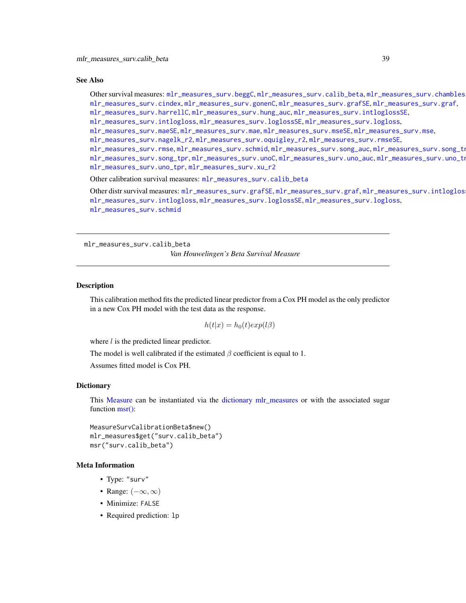### See Also

Other survival measures: [mlr\\_measures\\_surv.beggC](#page-35-0), [mlr\\_measures\\_surv.calib\\_beta](#page-38-0), [mlr\\_measures\\_surv.chambless\\_auc](#page-40-0), [mlr\\_measures\\_surv.cindex](#page-42-0), [mlr\\_measures\\_surv.gonenC](#page-44-0), [mlr\\_measures\\_surv.grafSE](#page-48-0), [mlr\\_measures\\_surv.graf](#page-46-0), [mlr\\_measures\\_surv.harrellC](#page-50-0), [mlr\\_measures\\_surv.hung\\_auc](#page-51-0), [mlr\\_measures\\_surv.intloglossSE](#page-56-0), [mlr\\_measures\\_surv.intlogloss](#page-53-0), [mlr\\_measures\\_surv.loglossSE](#page-60-0), [mlr\\_measures\\_surv.logloss](#page-58-0), [mlr\\_measures\\_surv.maeSE](#page-63-0), [mlr\\_measures\\_surv.mae](#page-61-0), [mlr\\_measures\\_surv.mseSE](#page-66-0), [mlr\\_measures\\_surv.mse](#page-64-0),

[mlr\\_measures\\_surv.nagelk\\_r2](#page-67-0), [mlr\\_measures\\_surv.oquigley\\_r2](#page-69-0), [mlr\\_measures\\_surv.rmseSE](#page-72-0),

[mlr\\_measures\\_surv.rmse](#page-70-0), [mlr\\_measures\\_surv.schmid](#page-73-0), [mlr\\_measures\\_surv.song\\_auc](#page-76-0), mlr\_measures\_surv.song\_tn [mlr\\_measures\\_surv.song\\_tpr](#page-80-0), [mlr\\_measures\\_surv.unoC](#page-82-0), [mlr\\_measures\\_surv.uno\\_auc](#page-83-0), mlr\_measures\_surv.uno\_tn

[mlr\\_measures\\_surv.uno\\_tpr](#page-87-0), [mlr\\_measures\\_surv.xu\\_r2](#page-89-0)

Other calibration survival measures: [mlr\\_measures\\_surv.calib\\_beta](#page-38-0)

Other distr survival measures: [mlr\\_measures\\_surv.grafSE](#page-48-0), [mlr\\_measures\\_surv.graf](#page-46-0), mlr\_measures\_surv.intloglos [mlr\\_measures\\_surv.intlogloss](#page-53-0), [mlr\\_measures\\_surv.loglossSE](#page-60-0), [mlr\\_measures\\_surv.logloss](#page-58-0), [mlr\\_measures\\_surv.schmid](#page-73-0)

<span id="page-38-0"></span>mlr\_measures\_surv.calib\_beta

*Van Houwelingen's Beta Survival Measure*

#### Description

This calibration method fits the predicted linear predictor from a Cox PH model as the only predictor in a new Cox PH model with the test data as the response.

$$
h(t|x) = h_0(t)exp(l\beta)
$$

where  $l$  is the predicted linear predictor.

The model is well calibrated if the estimated  $\beta$  coefficient is equal to 1.

Assumes fitted model is Cox PH.

# **Dictionary**

This [Measure](#page-0-0) can be instantiated via the [dictionary](#page-0-0) [mlr\\_measures](#page-0-0) or with the associated sugar function [msr\(\):](#page-0-0)

MeasureSurvCalibrationBeta\$new() mlr\_measures\$get("surv.calib\_beta") msr("surv.calib\_beta")

# Meta Information

- Type: "surv"
- Range:  $(-\infty, \infty)$
- Minimize: FALSE
- Required prediction: lp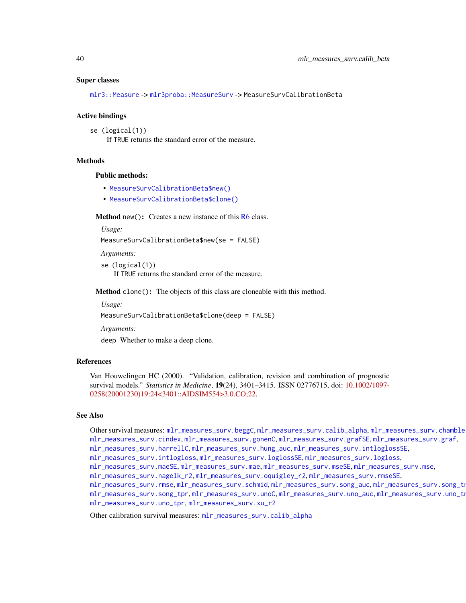#### Super classes

[mlr3::Measure](#page-0-0) -> [mlr3proba::MeasureSurv](#page-0-0) -> MeasureSurvCalibrationBeta

#### Active bindings

se (logical(1)) If TRUE returns the standard error of the measure.

#### **Methods**

# Public methods:

- [MeasureSurvCalibrationBeta\\$new\(\)](#page-7-0)
- [MeasureSurvCalibrationBeta\\$clone\(\)](#page-8-0)

Method new(): Creates a new instance of this [R6](#page-0-0) class.

*Usage:*

MeasureSurvCalibrationBeta\$new(se = FALSE)

*Arguments:*

```
se (logical(1))
   If TRUE returns the standard error of the measure.
```
Method clone(): The objects of this class are cloneable with this method.

*Usage:*

MeasureSurvCalibrationBeta\$clone(deep = FALSE)

*Arguments:*

deep Whether to make a deep clone.

#### References

Van Houwelingen HC (2000). "Validation, calibration, revision and combination of prognostic survival models." *Statistics in Medicine*, 19(24), 3401–3415. ISSN 02776715, doi: [10.1002/1097-](https://doi.org/10.1002/1097-0258(20001230)19:24<3401::AID-SIM554>3.0.CO;2-2) [0258\(20001230\)19:24<3401::AIDSIM554>3.0.CO;22.](https://doi.org/10.1002/1097-0258(20001230)19:24<3401::AID-SIM554>3.0.CO;2-2)

### See Also

Other survival measures: [mlr\\_measures\\_surv.beggC](#page-35-0), [mlr\\_measures\\_surv.calib\\_alpha](#page-36-0), mlr\_measures\_surv.chamble [mlr\\_measures\\_surv.cindex](#page-42-0), [mlr\\_measures\\_surv.gonenC](#page-44-0), [mlr\\_measures\\_surv.grafSE](#page-48-0), [mlr\\_measures\\_surv.graf](#page-46-0), [mlr\\_measures\\_surv.harrellC](#page-50-0), [mlr\\_measures\\_surv.hung\\_auc](#page-51-0), [mlr\\_measures\\_surv.intloglossSE](#page-56-0),

[mlr\\_measures\\_surv.intlogloss](#page-53-0), [mlr\\_measures\\_surv.loglossSE](#page-60-0), [mlr\\_measures\\_surv.logloss](#page-58-0),

[mlr\\_measures\\_surv.maeSE](#page-63-0), [mlr\\_measures\\_surv.mae](#page-61-0), [mlr\\_measures\\_surv.mseSE](#page-66-0), [mlr\\_measures\\_surv.mse](#page-64-0),

```
mlr_measures_surv.nagelk_r2, mlr_measures_surv.oquigley_r2, mlr_measures_surv.rmseSE,
```
[mlr\\_measures\\_surv.rmse](#page-70-0), [mlr\\_measures\\_surv.schmid](#page-73-0), [mlr\\_measures\\_surv.song\\_auc](#page-76-0), mlr\_measures\_surv.song\_tn [mlr\\_measures\\_surv.song\\_tpr](#page-80-0),[mlr\\_measures\\_surv.unoC](#page-82-0),[mlr\\_measures\\_surv.uno\\_auc](#page-83-0),mlr\_measures\_surv.uno\_tn [mlr\\_measures\\_surv.uno\\_tpr](#page-87-0), [mlr\\_measures\\_surv.xu\\_r2](#page-89-0)

Other calibration survival measures: [mlr\\_measures\\_surv.calib\\_alpha](#page-36-0)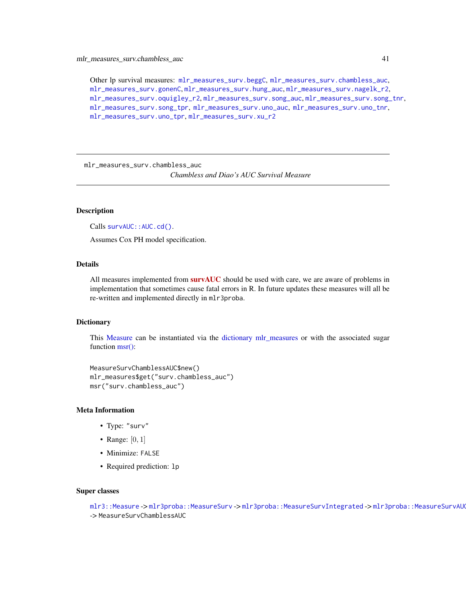Other lp survival measures: [mlr\\_measures\\_surv.beggC](#page-35-0), [mlr\\_measures\\_surv.chambless\\_auc](#page-40-0), [mlr\\_measures\\_surv.gonenC](#page-44-0), [mlr\\_measures\\_surv.hung\\_auc](#page-51-0), [mlr\\_measures\\_surv.nagelk\\_r2](#page-67-0), [mlr\\_measures\\_surv.oquigley\\_r2](#page-69-0), [mlr\\_measures\\_surv.song\\_auc](#page-76-0), [mlr\\_measures\\_surv.song\\_tnr](#page-78-0), [mlr\\_measures\\_surv.song\\_tpr](#page-80-0), [mlr\\_measures\\_surv.uno\\_auc](#page-83-0), [mlr\\_measures\\_surv.uno\\_tnr](#page-85-0), [mlr\\_measures\\_surv.uno\\_tpr](#page-87-0), [mlr\\_measures\\_surv.xu\\_r2](#page-89-0)

<span id="page-40-0"></span>mlr\_measures\_surv.chambless\_auc

*Chambless and Diao's AUC Survival Measure*

### Description

Calls survAUC:: AUC.cd().

Assumes Cox PH model specification.

# Details

All measures implemented from **[survAUC](https://CRAN.R-project.org/package=survAUC)** should be used with care, we are aware of problems in implementation that sometimes cause fatal errors in R. In future updates these measures will all be re-written and implemented directly in mlr3proba.

# **Dictionary**

This [Measure](#page-0-0) can be instantiated via the [dictionary](#page-0-0) [mlr\\_measures](#page-0-0) or with the associated sugar function [msr\(\):](#page-0-0)

```
MeasureSurvChamblessAUC$new()
mlr_measures$get("surv.chambless_auc")
msr("surv.chambless_auc")
```
# Meta Information

- Type: "surv"
- Range:  $[0, 1]$
- Minimize: FALSE
- Required prediction: lp

### Super classes

[mlr3::Measure](#page-0-0) -> [mlr3proba::MeasureSurv](#page-0-0) -> [mlr3proba::MeasureSurvIntegrated](#page-0-0) -> mlr3proba::MeasureSurvAU -> MeasureSurvChamblessAUC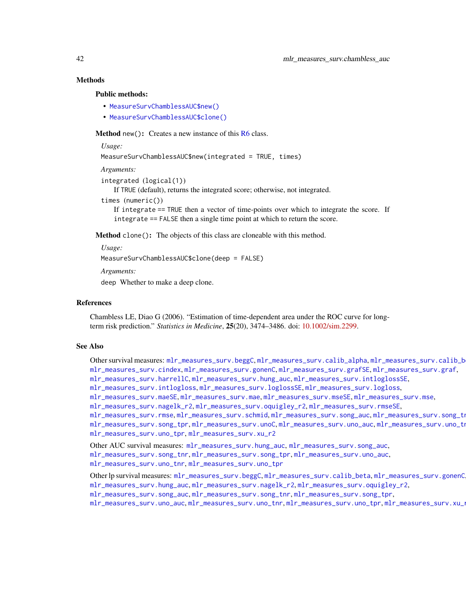# Methods

#### Public methods:

- [MeasureSurvChamblessAUC\\$new\(\)](#page-7-0)
- [MeasureSurvChamblessAUC\\$clone\(\)](#page-8-0)

**Method** new(): Creates a new instance of this  $R6$  class.

*Usage:*

```
MeasureSurvChamblessAUC$new(integrated = TRUE, times)
```
*Arguments:*

```
integrated (logical(1))
```
If TRUE (default), returns the integrated score; otherwise, not integrated.

```
times (numeric())
```
If integrate == TRUE then a vector of time-points over which to integrate the score. If integrate == FALSE then a single time point at which to return the score.

Method clone(): The objects of this class are cloneable with this method.

*Usage:*

MeasureSurvChamblessAUC\$clone(deep = FALSE)

*Arguments:*

deep Whether to make a deep clone.

#### References

Chambless LE, Diao G (2006). "Estimation of time-dependent area under the ROC curve for longterm risk prediction." *Statistics in Medicine*, 25(20), 3474–3486. doi: [10.1002/sim.2299.](https://doi.org/10.1002/sim.2299)

### See Also

Other survival measures: [mlr\\_measures\\_surv.beggC](#page-35-0), [mlr\\_measures\\_surv.calib\\_alpha](#page-36-0), [mlr\\_measures\\_surv.calib\\_beta](#page-38-0), [mlr\\_measures\\_surv.cindex](#page-42-0), [mlr\\_measures\\_surv.gonenC](#page-44-0), [mlr\\_measures\\_surv.grafSE](#page-48-0), [mlr\\_measures\\_surv.graf](#page-46-0), [mlr\\_measures\\_surv.harrellC](#page-50-0), [mlr\\_measures\\_surv.hung\\_auc](#page-51-0), [mlr\\_measures\\_surv.intloglossSE](#page-56-0), [mlr\\_measures\\_surv.intlogloss](#page-53-0), [mlr\\_measures\\_surv.loglossSE](#page-60-0), [mlr\\_measures\\_surv.logloss](#page-58-0), [mlr\\_measures\\_surv.maeSE](#page-63-0), [mlr\\_measures\\_surv.mae](#page-61-0), [mlr\\_measures\\_surv.mseSE](#page-66-0), [mlr\\_measures\\_surv.mse](#page-64-0), [mlr\\_measures\\_surv.nagelk\\_r2](#page-67-0), [mlr\\_measures\\_surv.oquigley\\_r2](#page-69-0), [mlr\\_measures\\_surv.rmseSE](#page-72-0),

```
mlr_measures_surv.rmsemlr_measures_surv.schmidmlr_measures_surv.song_auc, mlr_measures_surv.song_tn
mlr_measures_surv.song_tprmlr_measures_surv.unoCmlr_measures_surv.uno_auc,mlr_measures_surv.uno_tn
mlr_measures_surv.uno_tpr, mlr_measures_surv.xu_r2
```
Other AUC survival measures: [mlr\\_measures\\_surv.hung\\_auc](#page-51-0), [mlr\\_measures\\_surv.song\\_auc](#page-76-0), [mlr\\_measures\\_surv.song\\_tnr](#page-78-0), [mlr\\_measures\\_surv.song\\_tpr](#page-80-0), [mlr\\_measures\\_surv.uno\\_auc](#page-83-0), [mlr\\_measures\\_surv.uno\\_tnr](#page-85-0), [mlr\\_measures\\_surv.uno\\_tpr](#page-87-0)

Other lp survival measures: [mlr\\_measures\\_surv.beggC](#page-35-0), [mlr\\_measures\\_surv.calib\\_beta](#page-38-0), [mlr\\_measures\\_surv.gonenC](#page-44-0), [mlr\\_measures\\_surv.hung\\_auc](#page-51-0), [mlr\\_measures\\_surv.nagelk\\_r2](#page-67-0), [mlr\\_measures\\_surv.oquigley\\_r2](#page-69-0), [mlr\\_measures\\_surv.song\\_auc](#page-76-0), [mlr\\_measures\\_surv.song\\_tnr](#page-78-0), [mlr\\_measures\\_surv.song\\_tpr](#page-80-0), [mlr\\_measures\\_surv.uno\\_auc](#page-83-0), [mlr\\_measures\\_surv.uno\\_tnr](#page-85-0), [mlr\\_measures\\_surv.uno\\_tpr](#page-87-0), [mlr\\_measures\\_surv.xu\\_r2](#page-89-0)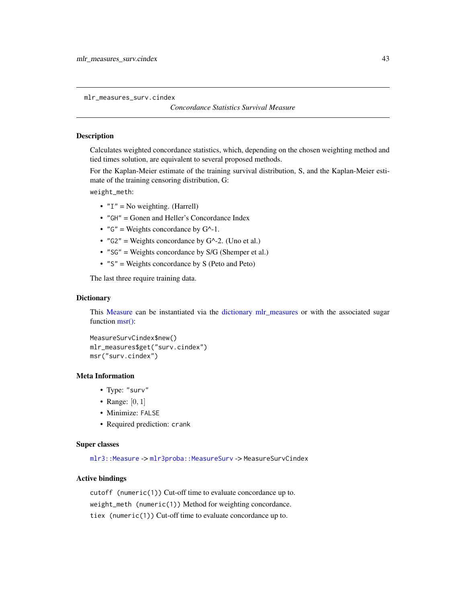<span id="page-42-0"></span>mlr\_measures\_surv.cindex

### *Concordance Statistics Survival Measure*

### Description

Calculates weighted concordance statistics, which, depending on the chosen weighting method and tied times solution, are equivalent to several proposed methods.

For the Kaplan-Meier estimate of the training survival distribution, S, and the Kaplan-Meier estimate of the training censoring distribution, G:

weight\_meth:

- $"I" = No weighting. (Harrell)$
- "GH" = Gonen and Heller's Concordance Index
- " $G''$  = Weights concordance by  $G^{\wedge}$ -1.
- " $G2$ " = Weights concordance by  $G^{\wedge}$ -2. (Uno et al.)
- "SG" = Weights concordance by S/G (Shemper et al.)
- "S" = Weights concordance by S (Peto and Peto)

The last three require training data.

### **Dictionary**

This [Measure](#page-0-0) can be instantiated via the [dictionary](#page-0-0) [mlr\\_measures](#page-0-0) or with the associated sugar function [msr\(\):](#page-0-0)

```
MeasureSurvCindex$new()
mlr_measures$get("surv.cindex")
msr("surv.cindex")
```
# Meta Information

- Type: "surv"
- Range:  $[0, 1]$
- Minimize: FALSE
- Required prediction: crank

### Super classes

[mlr3::Measure](#page-0-0) -> [mlr3proba::MeasureSurv](#page-0-0) -> MeasureSurvCindex

### Active bindings

cutoff (numeric(1)) Cut-off time to evaluate concordance up to. weight\_meth (numeric(1)) Method for weighting concordance. tiex (numeric(1)) Cut-off time to evaluate concordance up to.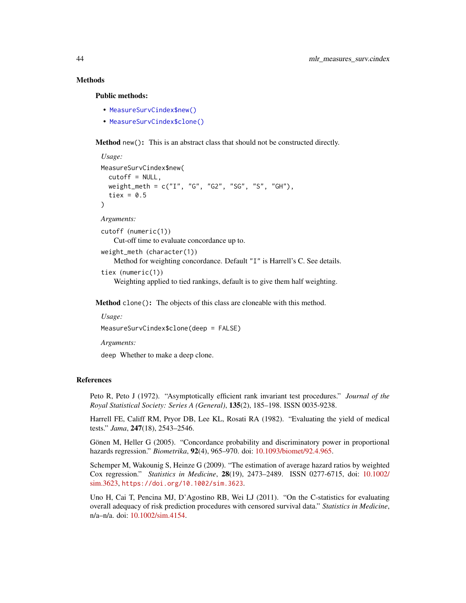# Methods

# Public methods:

- [MeasureSurvCindex\\$new\(\)](#page-7-0)
- [MeasureSurvCindex\\$clone\(\)](#page-8-0)

Method new(): This is an abstract class that should not be constructed directly.

```
Usage:
MeasureSurvCindex$new(
  cutoff = NULL,
  weight_meth = c("I", "G", "G2", "SG", "S", "GH"),
  tiex = 0.5\lambda
```
*Arguments:*

```
cutoff (numeric(1))
   Cut-off time to evaluate concordance up to.
```
weight\_meth (character(1)) Method for weighting concordance. Default "I" is Harrell's C. See details.

```
tiex (numeric(1))
```
Weighting applied to tied rankings, default is to give them half weighting.

Method clone(): The objects of this class are cloneable with this method.

```
Usage:
MeasureSurvCindex$clone(deep = FALSE)
```
*Arguments:*

deep Whether to make a deep clone.

#### References

Peto R, Peto J (1972). "Asymptotically efficient rank invariant test procedures." *Journal of the Royal Statistical Society: Series A (General)*, 135(2), 185–198. ISSN 0035-9238.

Harrell FE, Califf RM, Pryor DB, Lee KL, Rosati RA (1982). "Evaluating the yield of medical tests." *Jama*, 247(18), 2543–2546.

Gönen M, Heller G (2005). "Concordance probability and discriminatory power in proportional hazards regression." *Biometrika*, 92(4), 965–970. doi: [10.1093/biomet/92.4.965.](https://doi.org/10.1093/biomet/92.4.965)

Schemper M, Wakounig S, Heinze G (2009). "The estimation of average hazard ratios by weighted Cox regression." *Statistics in Medicine*, 28(19), 2473–2489. ISSN 0277-6715, doi: [10.1002/](https://doi.org/10.1002/sim.3623) [sim.3623,](https://doi.org/10.1002/sim.3623) <https://doi.org/10.1002/sim.3623>.

Uno H, Cai T, Pencina MJ, D'Agostino RB, Wei LJ (2011). "On the C-statistics for evaluating overall adequacy of risk prediction procedures with censored survival data." *Statistics in Medicine*, n/a–n/a. doi: [10.1002/sim.4154.](https://doi.org/10.1002/sim.4154)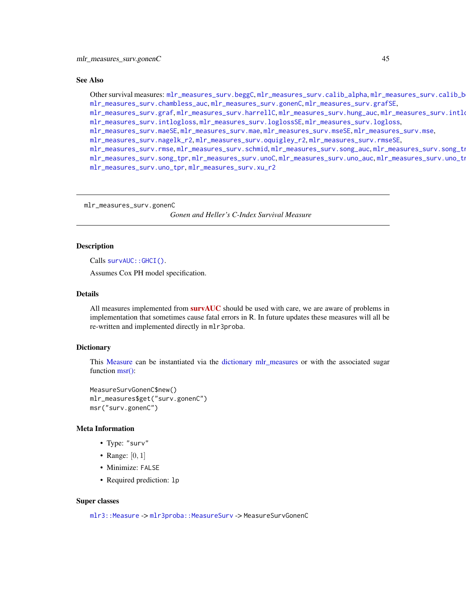#### See Also

Other survival measures: [mlr\\_measures\\_surv.beggC](#page-35-0), [mlr\\_measures\\_surv.calib\\_alpha](#page-36-0), [mlr\\_measures\\_surv.calib\\_beta](#page-38-0), [mlr\\_measures\\_surv.chambless\\_auc](#page-40-0), [mlr\\_measures\\_surv.gonenC](#page-44-0), [mlr\\_measures\\_surv.grafSE](#page-48-0),

[mlr\\_measures\\_surv.graf](#page-46-0), [mlr\\_measures\\_surv.harrellC](#page-50-0), [mlr\\_measures\\_surv.hung\\_auc](#page-51-0), mlr\_measures\_surv.intlo [mlr\\_measures\\_surv.intlogloss](#page-53-0), [mlr\\_measures\\_surv.loglossSE](#page-60-0), [mlr\\_measures\\_surv.logloss](#page-58-0),

[mlr\\_measures\\_surv.maeSE](#page-63-0), [mlr\\_measures\\_surv.mae](#page-61-0), [mlr\\_measures\\_surv.mseSE](#page-66-0), [mlr\\_measures\\_surv.mse](#page-64-0),

[mlr\\_measures\\_surv.nagelk\\_r2](#page-67-0), [mlr\\_measures\\_surv.oquigley\\_r2](#page-69-0), [mlr\\_measures\\_surv.rmseSE](#page-72-0),

[mlr\\_measures\\_surv.rmse](#page-70-0), [mlr\\_measures\\_surv.schmid](#page-73-0), [mlr\\_measures\\_surv.song\\_auc](#page-76-0), mlr\_measures\_surv.song\_tn [mlr\\_measures\\_surv.song\\_tpr](#page-80-0), [mlr\\_measures\\_surv.unoC](#page-82-0), [mlr\\_measures\\_surv.uno\\_auc](#page-83-0), mlr\_measures\_surv.uno\_tn [mlr\\_measures\\_surv.uno\\_tpr](#page-87-0), [mlr\\_measures\\_surv.xu\\_r2](#page-89-0)

<span id="page-44-0"></span>mlr\_measures\_surv.gonenC

*Gonen and Heller's C-Index Survival Measure*

# Description

Calls [survAUC::GHCI\(\)](#page-0-0).

Assumes Cox PH model specification.

# Details

All measures implemented from **[survAUC](https://CRAN.R-project.org/package=survAUC)** should be used with care, we are aware of problems in implementation that sometimes cause fatal errors in R. In future updates these measures will all be re-written and implemented directly in mlr3proba.

### Dictionary

This [Measure](#page-0-0) can be instantiated via the [dictionary](#page-0-0) [mlr\\_measures](#page-0-0) or with the associated sugar function [msr\(\):](#page-0-0)

```
MeasureSurvGonenC$new()
mlr_measures$get("surv.gonenC")
msr("surv.gonenC")
```
#### Meta Information

- Type: "surv"
- Range:  $[0, 1]$
- Minimize: FALSE
- Required prediction: lp

### Super classes

[mlr3::Measure](#page-0-0) -> [mlr3proba::MeasureSurv](#page-0-0) -> MeasureSurvGonenC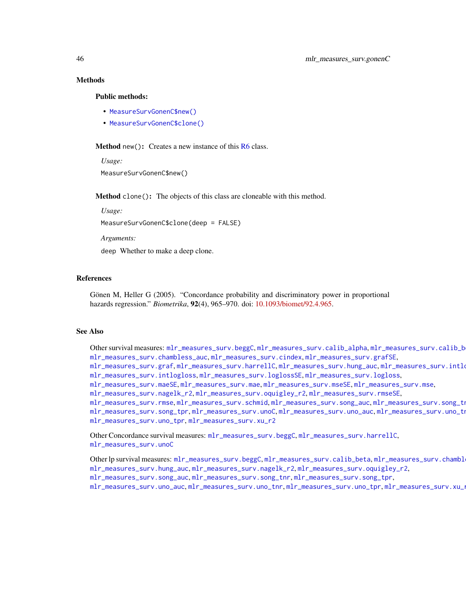# Methods

# Public methods:

- [MeasureSurvGonenC\\$new\(\)](#page-7-0)
- [MeasureSurvGonenC\\$clone\(\)](#page-8-0)

Method new(): Creates a new instance of this  $R6$  class.

*Usage:* MeasureSurvGonenC\$new()

Method clone(): The objects of this class are cloneable with this method.

*Usage:*

MeasureSurvGonenC\$clone(deep = FALSE)

*Arguments:*

deep Whether to make a deep clone.

### References

Gönen M, Heller G (2005). "Concordance probability and discriminatory power in proportional hazards regression." *Biometrika*, 92(4), 965–970. doi: [10.1093/biomet/92.4.965.](https://doi.org/10.1093/biomet/92.4.965)

#### See Also

Other survival measures: [mlr\\_measures\\_surv.beggC](#page-35-0), [mlr\\_measures\\_surv.calib\\_alpha](#page-36-0), mlr\_measures\_surv.calib\_b [mlr\\_measures\\_surv.chambless\\_auc](#page-40-0), [mlr\\_measures\\_surv.cindex](#page-42-0), [mlr\\_measures\\_surv.grafSE](#page-48-0), [mlr\\_measures\\_surv.graf](#page-46-0), [mlr\\_measures\\_surv.harrellC](#page-50-0), [mlr\\_measures\\_surv.hung\\_auc](#page-51-0), mlr\_measures\_surv.intlo [mlr\\_measures\\_surv.intlogloss](#page-53-0), [mlr\\_measures\\_surv.loglossSE](#page-60-0), [mlr\\_measures\\_surv.logloss](#page-58-0), [mlr\\_measures\\_surv.maeSE](#page-63-0), [mlr\\_measures\\_surv.mae](#page-61-0), [mlr\\_measures\\_surv.mseSE](#page-66-0), [mlr\\_measures\\_surv.mse](#page-64-0), [mlr\\_measures\\_surv.nagelk\\_r2](#page-67-0), [mlr\\_measures\\_surv.oquigley\\_r2](#page-69-0), [mlr\\_measures\\_surv.rmseSE](#page-72-0), [mlr\\_measures\\_surv.rmse](#page-70-0), [mlr\\_measures\\_surv.schmid](#page-73-0), [mlr\\_measures\\_surv.song\\_auc](#page-76-0), mlr\_measures\_surv.song\_tn [mlr\\_measures\\_surv.song\\_tpr](#page-80-0),[mlr\\_measures\\_surv.unoC](#page-82-0),[mlr\\_measures\\_surv.uno\\_auc](#page-83-0),mlr\_measures\_surv.uno\_tn [mlr\\_measures\\_surv.uno\\_tpr](#page-87-0), [mlr\\_measures\\_surv.xu\\_r2](#page-89-0)

Other Concordance survival measures: [mlr\\_measures\\_surv.beggC](#page-35-0), [mlr\\_measures\\_surv.harrellC](#page-50-0), [mlr\\_measures\\_surv.unoC](#page-82-0)

Other lp survival measures: [mlr\\_measures\\_surv.beggC](#page-35-0), [mlr\\_measures\\_surv.calib\\_beta](#page-38-0), mlr\_measures\_surv.chambl [mlr\\_measures\\_surv.hung\\_auc](#page-51-0), [mlr\\_measures\\_surv.nagelk\\_r2](#page-67-0), [mlr\\_measures\\_surv.oquigley\\_r2](#page-69-0), [mlr\\_measures\\_surv.song\\_auc](#page-76-0), [mlr\\_measures\\_surv.song\\_tnr](#page-78-0), [mlr\\_measures\\_surv.song\\_tpr](#page-80-0), [mlr\\_measures\\_surv.uno\\_auc](#page-83-0), [mlr\\_measures\\_surv.uno\\_tnr](#page-85-0), [mlr\\_measures\\_surv.uno\\_tpr](#page-87-0), [mlr\\_measures\\_surv.xu\\_r2](#page-89-0)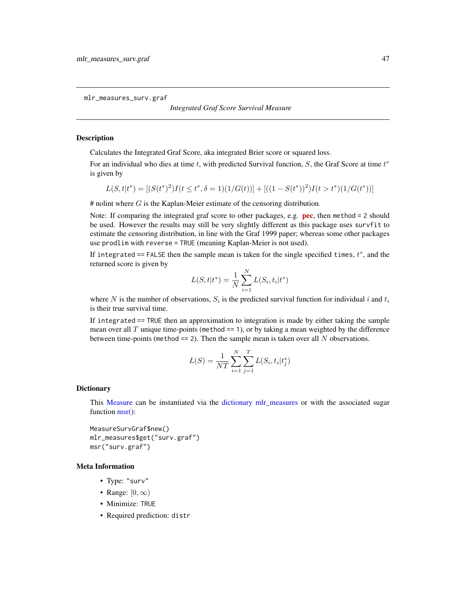<span id="page-46-0"></span>mlr\_measures\_surv.graf

### *Integrated Graf Score Survival Measure*

# <span id="page-46-1"></span>Description

Calculates the Integrated Graf Score, aka integrated Brier score or squared loss.

For an individual who dies at time  $t$ , with predicted Survival function,  $S$ , the Graf Score at time  $t^*$ is given by

$$
L(S, t|t^*) = [(S(t^*)^2)I(t \le t^*, \delta = 1)(1/G(t))] + [(1 - S(t^*))^2)I(t > t^*)(1/G(t^*))]
$$

 $#$  nolint where  $G$  is the Kaplan-Meier estimate of the censoring distribution.

Note: If comparing the integrated graf score to other packages, e.g. **[pec](https://CRAN.R-project.org/package=pec)**, then method  $= 2$  should be used. However the results may still be very slightly different as this package uses survfit to estimate the censoring distribution, in line with the Graf 1999 paper; whereas some other packages use prodlim with reverse = TRUE (meaning Kaplan-Meier is not used).

If integrated == FALSE then the sample mean is taken for the single specified times,  $t^*$ , and the returned score is given by

$$
L(S, t | t^*) = \frac{1}{N} \sum_{i=1}^{N} L(S_i, t_i | t^*)
$$

where N is the number of observations,  $S_i$  is the predicted survival function for individual i and  $t_i$ is their true survival time.

If integrated == TRUE then an approximation to integration is made by either taking the sample mean over all  $T$  unique time-points (method  $== 1$ ), or by taking a mean weighted by the difference between time-points (method  $== 2$ ). Then the sample mean is taken over all N observations.

$$
L(S) = \frac{1}{NT} \sum_{i=1}^{N} \sum_{j=1}^{T} L(S_i, t_i | t_j^*)
$$

# **Dictionary**

This [Measure](#page-0-0) can be instantiated via the [dictionary](#page-0-0) [mlr\\_measures](#page-0-0) or with the associated sugar function [msr\(\):](#page-0-0)

MeasureSurvGraf\$new() mlr\_measures\$get("surv.graf") msr("surv.graf")

# Meta Information

- Type: "surv"
- Range:  $[0, \infty)$
- Minimize: TRUE
- Required prediction: distr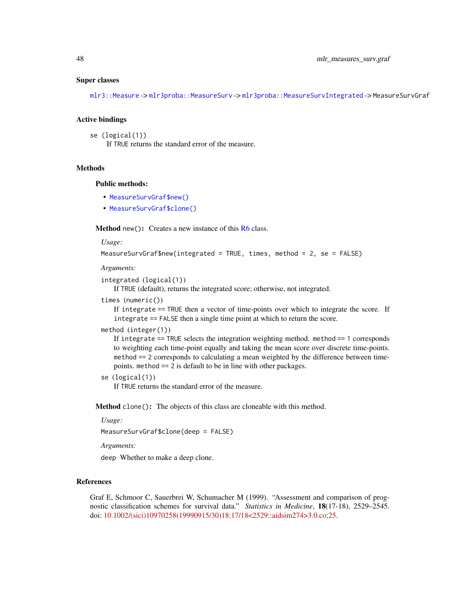### Super classes

[mlr3::Measure](#page-0-0) -> [mlr3proba::MeasureSurv](#page-0-0) -> [mlr3proba::MeasureSurvIntegrated](#page-0-0) -> MeasureSurvGraf

### Active bindings

```
se (logical(1))
     If TRUE returns the standard error of the measure.
```
# **Methods**

# Public methods:

- [MeasureSurvGraf\\$new\(\)](#page-7-0)
- [MeasureSurvGraf\\$clone\(\)](#page-8-0)

**Method** new(): Creates a new instance of this  $R6$  class.

*Usage:*

```
MeasureSurvGraf$new(integrated = TRUE, times, method = 2, se = FALSE)
```
*Arguments:*

```
integrated (logical(1))
```
If TRUE (default), returns the integrated score; otherwise, not integrated.

```
times (numeric())
```
If integrate == TRUE then a vector of time-points over which to integrate the score. If integrate == FALSE then a single time point at which to return the score.

#### method (integer(1))

If integrate == TRUE selects the integration weighting method. method == 1 corresponds to weighting each time-point equally and taking the mean score over discrete time-points. method == 2 corresponds to calculating a mean weighted by the difference between timepoints. method == 2 is default to be in line with other packages.

se (logical(1))

If TRUE returns the standard error of the measure.

Method clone(): The objects of this class are cloneable with this method.

#### *Usage:*

MeasureSurvGraf\$clone(deep = FALSE)

*Arguments:*

deep Whether to make a deep clone.

# References

Graf E, Schmoor C, Sauerbrei W, Schumacher M (1999). "Assessment and comparison of prognostic classification schemes for survival data." *Statistics in Medicine*, 18(17-18), 2529–2545. doi: [10.1002/\(sici\)10970258\(19990915/30\)18:17/18<2529::aidsim274>3.0.co;25.](https://doi.org/10.1002/(sici)1097-0258(19990915/30)18:17/18<2529::aid-sim274>3.0.co;2-5)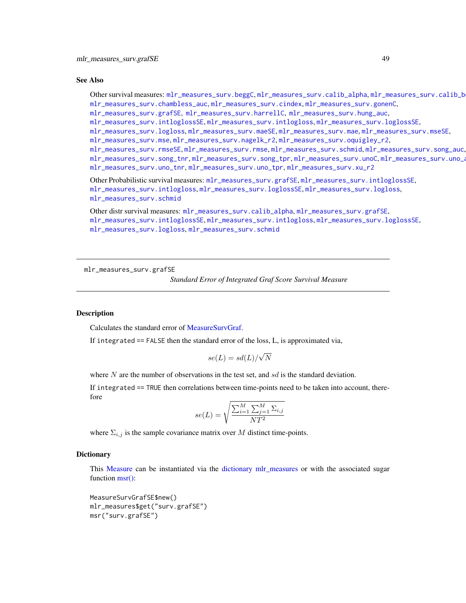#### See Also

Other survival measures: [mlr\\_measures\\_surv.beggC](#page-35-0), [mlr\\_measures\\_surv.calib\\_alpha](#page-36-0), [mlr\\_measures\\_surv.calib\\_beta](#page-38-0), [mlr\\_measures\\_surv.chambless\\_auc](#page-40-0), [mlr\\_measures\\_surv.cindex](#page-42-0), [mlr\\_measures\\_surv.gonenC](#page-44-0), [mlr\\_measures\\_surv.grafSE](#page-48-0), [mlr\\_measures\\_surv.harrellC](#page-50-0), [mlr\\_measures\\_surv.hung\\_auc](#page-51-0), [mlr\\_measures\\_surv.intloglossSE](#page-56-0), [mlr\\_measures\\_surv.intlogloss](#page-53-0), [mlr\\_measures\\_surv.loglossSE](#page-60-0), [mlr\\_measures\\_surv.logloss](#page-58-0), [mlr\\_measures\\_surv.maeSE](#page-63-0), [mlr\\_measures\\_surv.mae](#page-61-0), [mlr\\_measures\\_surv.mseSE](#page-66-0), [mlr\\_measures\\_surv.mse](#page-64-0), [mlr\\_measures\\_surv.nagelk\\_r2](#page-67-0), [mlr\\_measures\\_surv.oquigley\\_r2](#page-69-0), [mlr\\_measures\\_surv.rmseSE](#page-72-0), [mlr\\_measures\\_surv.rmse](#page-70-0), [mlr\\_measures\\_surv.schmid](#page-73-0), [mlr\\_measures\\_surv.song\\_auc](#page-76-0), [mlr\\_measures\\_surv.song\\_tnr](#page-78-0), [mlr\\_measures\\_surv.song\\_tpr](#page-80-0), [mlr\\_measures\\_surv.unoC](#page-82-0), [mlr\\_measures\\_surv.uno\\_auc](#page-83-0), [mlr\\_measures\\_surv.uno\\_tnr](#page-85-0), [mlr\\_measures\\_surv.uno\\_tpr](#page-87-0), [mlr\\_measures\\_surv.xu\\_r2](#page-89-0)

```
Other Probabilistic survival measures: mlr_measures_surv.grafSE, mlr_measures_surv.intloglossSE,
mlr_measures_surv.intlogloss, mlr_measures_surv.loglossSE, mlr_measures_surv.logloss,
mlr_measures_surv.schmid
```

```
Other distr survival measures: mlr_measures_surv.calib_alpha, mlr_measures_surv.grafSE,
mlr_measures_surv.intloglossSE, mlr_measures_surv.intlogloss, mlr_measures_surv.loglossSE,
mlr_measures_surv.logloss, mlr_measures_surv.schmid
```
<span id="page-48-0"></span>mlr\_measures\_surv.grafSE

*Standard Error of Integrated Graf Score Survival Measure*

# **Description**

Calculates the standard error of [MeasureSurvGraf.](#page-46-1)

If integrated == FALSE then the standard error of the loss, L, is approximated via,

$$
se(L) = sd(L)/\sqrt{N}
$$

where N are the number of observations in the test set, and  $sd$  is the standard deviation.

If integrated == TRUE then correlations between time-points need to be taken into account, therefore

$$
se(L) = \sqrt{\frac{\sum_{i=1}^{M} \sum_{j=1}^{M} \Sigma_{i,j}}{NT^2}}
$$

where  $\Sigma_{i,j}$  is the sample covariance matrix over M distinct time-points.

# **Dictionary**

This [Measure](#page-0-0) can be instantiated via the [dictionary](#page-0-0) [mlr\\_measures](#page-0-0) or with the associated sugar function [msr\(\):](#page-0-0)

```
MeasureSurvGrafSE$new()
mlr_measures$get("surv.grafSE")
msr("surv.grafSE")
```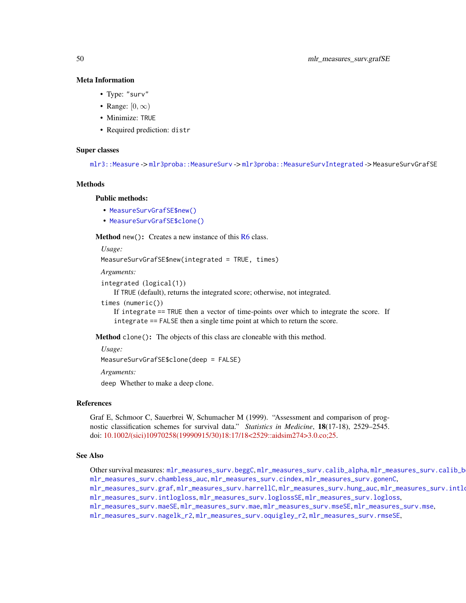#### Meta Information

- Type: "surv"
- Range:  $[0, \infty)$
- Minimize: TRUE
- Required prediction: distr

### Super classes

[mlr3::Measure](#page-0-0) -> [mlr3proba::MeasureSurv](#page-0-0) -> [mlr3proba::MeasureSurvIntegrated](#page-0-0) -> MeasureSurvGrafSE

# Methods

### Public methods:

- [MeasureSurvGrafSE\\$new\(\)](#page-7-0)
- [MeasureSurvGrafSE\\$clone\(\)](#page-8-0)

**Method** new( $)$ : Creates a new instance of this  $R6$  class.

*Usage:*

MeasureSurvGrafSE\$new(integrated = TRUE, times)

*Arguments:*

```
integrated (logical(1))
```
If TRUE (default), returns the integrated score; otherwise, not integrated.

```
times (numeric())
```
If integrate == TRUE then a vector of time-points over which to integrate the score. If integrate == FALSE then a single time point at which to return the score.

Method clone(): The objects of this class are cloneable with this method.

#### *Usage:*

MeasureSurvGrafSE\$clone(deep = FALSE)

*Arguments:*

deep Whether to make a deep clone.

### References

Graf E, Schmoor C, Sauerbrei W, Schumacher M (1999). "Assessment and comparison of prognostic classification schemes for survival data." *Statistics in Medicine*, 18(17-18), 2529–2545. doi: [10.1002/\(sici\)10970258\(19990915/30\)18:17/18<2529::aidsim274>3.0.co;25.](https://doi.org/10.1002/(sici)1097-0258(19990915/30)18:17/18<2529::aid-sim274>3.0.co;2-5)

#### See Also

Other survival measures: [mlr\\_measures\\_surv.beggC](#page-35-0), [mlr\\_measures\\_surv.calib\\_alpha](#page-36-0), [mlr\\_measures\\_surv.calib\\_beta](#page-38-0), [mlr\\_measures\\_surv.chambless\\_auc](#page-40-0), [mlr\\_measures\\_surv.cindex](#page-42-0), [mlr\\_measures\\_surv.gonenC](#page-44-0),

[mlr\\_measures\\_surv.graf](#page-46-0).[mlr\\_measures\\_surv.harrellC](#page-50-0).[mlr\\_measures\\_surv.hung\\_auc](#page-51-0).mlr\_measures\_surv.intlo [mlr\\_measures\\_surv.intlogloss](#page-53-0), [mlr\\_measures\\_surv.loglossSE](#page-60-0), [mlr\\_measures\\_surv.logloss](#page-58-0),

[mlr\\_measures\\_surv.maeSE](#page-63-0), [mlr\\_measures\\_surv.mae](#page-61-0), [mlr\\_measures\\_surv.mseSE](#page-66-0), [mlr\\_measures\\_surv.mse](#page-64-0),

[mlr\\_measures\\_surv.nagelk\\_r2](#page-67-0), [mlr\\_measures\\_surv.oquigley\\_r2](#page-69-0), [mlr\\_measures\\_surv.rmseSE](#page-72-0),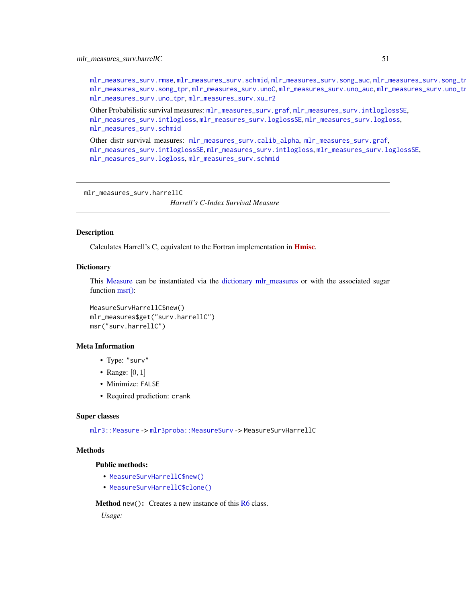[mlr\\_measures\\_surv.rmse](#page-70-0), [mlr\\_measures\\_surv.schmid](#page-73-0), [mlr\\_measures\\_surv.song\\_auc](#page-76-0), mlr\_measures\_surv.song\_tn [mlr\\_measures\\_surv.song\\_tpr](#page-80-0), [mlr\\_measures\\_surv.unoC](#page-82-0), [mlr\\_measures\\_surv.uno\\_auc](#page-83-0), mlr\_measures\_surv.uno\_tn [mlr\\_measures\\_surv.uno\\_tpr](#page-87-0), [mlr\\_measures\\_surv.xu\\_r2](#page-89-0)

Other Probabilistic survival measures: [mlr\\_measures\\_surv.graf](#page-46-0), [mlr\\_measures\\_surv.intloglossSE](#page-56-0), [mlr\\_measures\\_surv.intlogloss](#page-53-0), [mlr\\_measures\\_surv.loglossSE](#page-60-0), [mlr\\_measures\\_surv.logloss](#page-58-0), [mlr\\_measures\\_surv.schmid](#page-73-0)

Other distr survival measures: [mlr\\_measures\\_surv.calib\\_alpha](#page-36-0), [mlr\\_measures\\_surv.graf](#page-46-0), [mlr\\_measures\\_surv.intloglossSE](#page-56-0), [mlr\\_measures\\_surv.intlogloss](#page-53-0), [mlr\\_measures\\_surv.loglossSE](#page-60-0), [mlr\\_measures\\_surv.logloss](#page-58-0), [mlr\\_measures\\_surv.schmid](#page-73-0)

<span id="page-50-0"></span>mlr\_measures\_surv.harrellC

*Harrell's C-Index Survival Measure*

# Description

Calculates Harrell's C, equivalent to the Fortran implementation in **[Hmisc](https://CRAN.R-project.org/package=Hmisc)**.

# Dictionary

This [Measure](#page-0-0) can be instantiated via the [dictionary](#page-0-0) [mlr\\_measures](#page-0-0) or with the associated sugar function [msr\(\):](#page-0-0)

MeasureSurvHarrellC\$new() mlr\_measures\$get("surv.harrellC") msr("surv.harrellC")

# Meta Information

- Type: "surv"
- Range:  $[0, 1]$
- Minimize: FALSE
- Required prediction: crank

#### Super classes

[mlr3::Measure](#page-0-0) -> [mlr3proba::MeasureSurv](#page-0-0) -> MeasureSurvHarrellC

# **Methods**

# Public methods:

- [MeasureSurvHarrellC\\$new\(\)](#page-7-0)
- [MeasureSurvHarrellC\\$clone\(\)](#page-8-0)

Method new(): Creates a new instance of this [R6](#page-0-0) class.

*Usage:*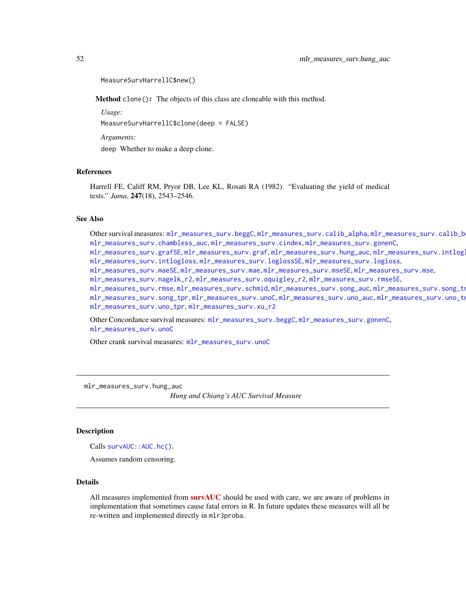```
MeasureSurvHarrellC$new()
```
Method clone(): The objects of this class are cloneable with this method.

*Usage:*

MeasureSurvHarrellC\$clone(deep = FALSE)

*Arguments:*

deep Whether to make a deep clone.

# References

Harrell FE, Califf RM, Pryor DB, Lee KL, Rosati RA (1982). "Evaluating the yield of medical tests." *Jama*, 247(18), 2543–2546.

### See Also

Other survival measures: [mlr\\_measures\\_surv.beggC](#page-35-0), [mlr\\_measures\\_surv.calib\\_alpha](#page-36-0), mlr\_measures\_surv.calib\_b [mlr\\_measures\\_surv.chambless\\_auc](#page-40-0), [mlr\\_measures\\_surv.cindex](#page-42-0), [mlr\\_measures\\_surv.gonenC](#page-44-0), [mlr\\_measures\\_surv.grafSE](#page-48-0),[mlr\\_measures\\_surv.graf](#page-46-0),[mlr\\_measures\\_surv.hung\\_auc](#page-51-0),mlr\_measures\_surv.intlog [mlr\\_measures\\_surv.intlogloss](#page-53-0), [mlr\\_measures\\_surv.loglossSE](#page-60-0), [mlr\\_measures\\_surv.logloss](#page-58-0), [mlr\\_measures\\_surv.maeSE](#page-63-0), [mlr\\_measures\\_surv.mae](#page-61-0), [mlr\\_measures\\_surv.mseSE](#page-66-0), [mlr\\_measures\\_surv.mse](#page-64-0), [mlr\\_measures\\_surv.nagelk\\_r2](#page-67-0), [mlr\\_measures\\_surv.oquigley\\_r2](#page-69-0), [mlr\\_measures\\_surv.rmseSE](#page-72-0), [mlr\\_measures\\_surv.rmse](#page-70-0), [mlr\\_measures\\_surv.schmid](#page-73-0), [mlr\\_measures\\_surv.song\\_auc](#page-76-0), mlr\_measures\_surv.song\_tn [mlr\\_measures\\_surv.song\\_tpr](#page-80-0), [mlr\\_measures\\_surv.unoC](#page-82-0), [mlr\\_measures\\_surv.uno\\_auc](#page-83-0), mlr\_measures\_surv.uno\_tn [mlr\\_measures\\_surv.uno\\_tpr](#page-87-0), [mlr\\_measures\\_surv.xu\\_r2](#page-89-0)

Other Concordance survival measures: [mlr\\_measures\\_surv.beggC](#page-35-0), [mlr\\_measures\\_surv.gonenC](#page-44-0), [mlr\\_measures\\_surv.unoC](#page-82-0)

Other crank survival measures: [mlr\\_measures\\_surv.unoC](#page-82-0)

<span id="page-51-0"></span>mlr\_measures\_surv.hung\_auc

*Hung and Chiang's AUC Survival Measure*

### Description

Calls survAUC:: AUC.hc().

Assumes random censoring.

#### Details

All measures implemented from **[survAUC](https://CRAN.R-project.org/package=survAUC)** should be used with care, we are aware of problems in implementation that sometimes cause fatal errors in R. In future updates these measures will all be re-written and implemented directly in mlr3proba.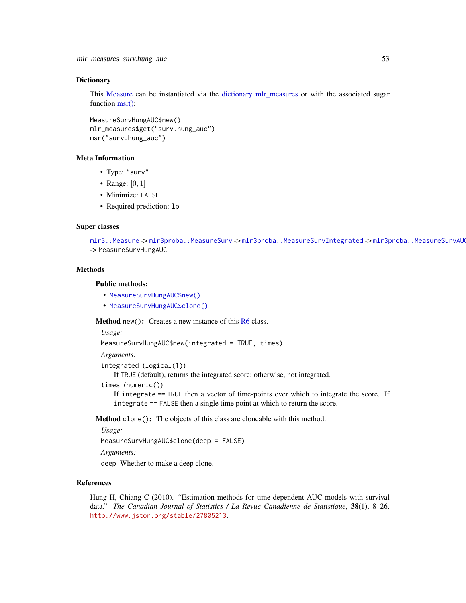### **Dictionary**

This [Measure](#page-0-0) can be instantiated via the [dictionary](#page-0-0) [mlr\\_measures](#page-0-0) or with the associated sugar function [msr\(\):](#page-0-0)

```
MeasureSurvHungAUC$new()
mlr_measures$get("surv.hung_auc")
msr("surv.hung_auc")
```
#### Meta Information

- Type: "surv"
- Range:  $[0, 1]$
- Minimize: FALSE
- Required prediction: lp

### Super classes

```
mlr3::Measuremlr3proba::MeasureSurvmlr3proba::MeasureSurvIntegrated -> mlr3proba::MeasureSurvAU
-> MeasureSurvHungAUC
```
# **Methods**

#### Public methods:

- [MeasureSurvHungAUC\\$new\(\)](#page-7-0)
- [MeasureSurvHungAUC\\$clone\(\)](#page-8-0)

Method new(): Creates a new instance of this [R6](#page-0-0) class.

*Usage:*

```
MeasureSurvHungAUC$new(integrated = TRUE, times)
```
*Arguments:*

```
integrated (logical(1))
```
If TRUE (default), returns the integrated score; otherwise, not integrated.

times (numeric())

If integrate == TRUE then a vector of time-points over which to integrate the score. If integrate == FALSE then a single time point at which to return the score.

Method clone(): The objects of this class are cloneable with this method.

*Usage:*

MeasureSurvHungAUC\$clone(deep = FALSE)

*Arguments:*

deep Whether to make a deep clone.

### References

Hung H, Chiang C (2010). "Estimation methods for time-dependent AUC models with survival data." *The Canadian Journal of Statistics / La Revue Canadienne de Statistique*, 38(1), 8–26. <http://www.jstor.org/stable/27805213>.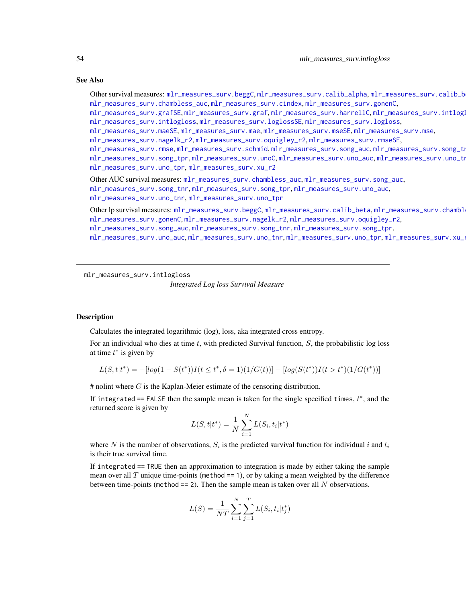### See Also

Other survival measures: [mlr\\_measures\\_surv.beggC](#page-35-0), [mlr\\_measures\\_surv.calib\\_alpha](#page-36-0), [mlr\\_measures\\_surv.calib\\_beta](#page-38-0), [mlr\\_measures\\_surv.chambless\\_auc](#page-40-0), [mlr\\_measures\\_surv.cindex](#page-42-0), [mlr\\_measures\\_surv.gonenC](#page-44-0), [mlr\\_measures\\_surv.grafSE](#page-48-0), [mlr\\_measures\\_surv.graf](#page-46-0), [mlr\\_measures\\_surv.harrellC](#page-50-0), mlr\_measures\_surv.intlog [mlr\\_measures\\_surv.intlogloss](#page-53-0), [mlr\\_measures\\_surv.loglossSE](#page-60-0), [mlr\\_measures\\_surv.logloss](#page-58-0), [mlr\\_measures\\_surv.maeSE](#page-63-0), [mlr\\_measures\\_surv.mae](#page-61-0), [mlr\\_measures\\_surv.mseSE](#page-66-0), [mlr\\_measures\\_surv.mse](#page-64-0), [mlr\\_measures\\_surv.nagelk\\_r2](#page-67-0), [mlr\\_measures\\_surv.oquigley\\_r2](#page-69-0), [mlr\\_measures\\_surv.rmseSE](#page-72-0), [mlr\\_measures\\_surv.rmse](#page-70-0), [mlr\\_measures\\_surv.schmid](#page-73-0), [mlr\\_measures\\_surv.song\\_auc](#page-76-0), mlr\_measures\_surv.song\_tn [mlr\\_measures\\_surv.song\\_tpr](#page-80-0),[mlr\\_measures\\_surv.unoC](#page-82-0),[mlr\\_measures\\_surv.uno\\_auc](#page-83-0),mlr\_measures\_surv.uno\_tn [mlr\\_measures\\_surv.uno\\_tpr](#page-87-0), [mlr\\_measures\\_surv.xu\\_r2](#page-89-0) Other AUC survival measures: [mlr\\_measures\\_surv.chambless\\_auc](#page-40-0), [mlr\\_measures\\_surv.song\\_auc](#page-76-0), [mlr\\_measures\\_surv.song\\_tnr](#page-78-0), [mlr\\_measures\\_surv.song\\_tpr](#page-80-0), [mlr\\_measures\\_surv.uno\\_auc](#page-83-0), [mlr\\_measures\\_surv.uno\\_tnr](#page-85-0), [mlr\\_measures\\_surv.uno\\_tpr](#page-87-0) Other lp survival measures: [mlr\\_measures\\_surv.beggC](#page-35-0), [mlr\\_measures\\_surv.calib\\_beta](#page-38-0), mlr\_measures\_surv.chambl [mlr\\_measures\\_surv.gonenC](#page-44-0), [mlr\\_measures\\_surv.nagelk\\_r2](#page-67-0), [mlr\\_measures\\_surv.oquigley\\_r2](#page-69-0), [mlr\\_measures\\_surv.song\\_auc](#page-76-0), [mlr\\_measures\\_surv.song\\_tnr](#page-78-0), [mlr\\_measures\\_surv.song\\_tpr](#page-80-0),

[mlr\\_measures\\_surv.uno\\_auc](#page-83-0), [mlr\\_measures\\_surv.uno\\_tnr](#page-85-0), [mlr\\_measures\\_surv.uno\\_tpr](#page-87-0), [mlr\\_measures\\_surv.xu\\_r2](#page-89-0)

<span id="page-53-0"></span>mlr\_measures\_surv.intlogloss

*Integrated Log loss Survival Measure*

# <span id="page-53-1"></span>Description

Calculates the integrated logarithmic (log), loss, aka integrated cross entropy.

For an individual who dies at time  $t$ , with predicted Survival function,  $S$ , the probabilistic log loss at time  $t^*$  is given by

$$
L(S, t|t^*) = -[log(1 - S(t^*))I(t \le t^*, \delta = 1)(1/G(t))] - [log(S(t^*))I(t > t^*)(1/G(t^*))]
$$

 $#$  nolint where  $G$  is the Kaplan-Meier estimate of the censoring distribution.

If integrated == FALSE then the sample mean is taken for the single specified times,  $t^*$ , and the returned score is given by

$$
L(S, t | t^*) = \frac{1}{N} \sum_{i=1}^{N} L(S_i, t_i | t^*)
$$

where N is the number of observations,  $S_i$  is the predicted survival function for individual i and  $t_i$ is their true survival time.

If integrated == TRUE then an approximation to integration is made by either taking the sample mean over all T unique time-points (method  $== 1$ ), or by taking a mean weighted by the difference between time-points (method  $== 2$ ). Then the sample mean is taken over all N observations.

$$
L(S) = \frac{1}{NT} \sum_{i=1}^{N} \sum_{j=1}^{T} L(S_i, t_i | t_j^*)
$$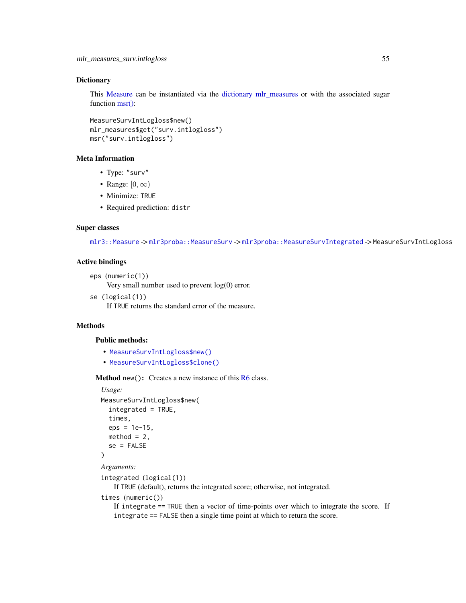### **Dictionary**

This [Measure](#page-0-0) can be instantiated via the [dictionary](#page-0-0) [mlr\\_measures](#page-0-0) or with the associated sugar function [msr\(\):](#page-0-0)

```
MeasureSurvIntLogloss$new()
mlr_measures$get("surv.intlogloss")
msr("surv.intlogloss")
```
# Meta Information

- Type: "surv"
- Range:  $[0, \infty)$
- Minimize: TRUE
- Required prediction: distr

### Super classes

[mlr3::Measure](#page-0-0) -> [mlr3proba::MeasureSurv](#page-0-0) -> [mlr3proba::MeasureSurvIntegrated](#page-0-0) -> MeasureSurvIntLogloss

### Active bindings

```
eps (numeric(1))
     Very small number used to prevent log(0) error.
```
se (logical(1))

If TRUE returns the standard error of the measure.

# Methods

# Public methods:

- [MeasureSurvIntLogloss\\$new\(\)](#page-7-0)
- [MeasureSurvIntLogloss\\$clone\(\)](#page-8-0)

**Method** new(): Creates a new instance of this  $R6$  class.

```
Usage:
MeasureSurvIntLogloss$new(
  integrated = TRUE,
  times,
  eps = 1e-15,
  method = 2,
  se = FALSE)
```
# *Arguments:*

integrated (logical(1))

If TRUE (default), returns the integrated score; otherwise, not integrated.

```
times (numeric())
```
If integrate == TRUE then a vector of time-points over which to integrate the score. If integrate == FALSE then a single time point at which to return the score.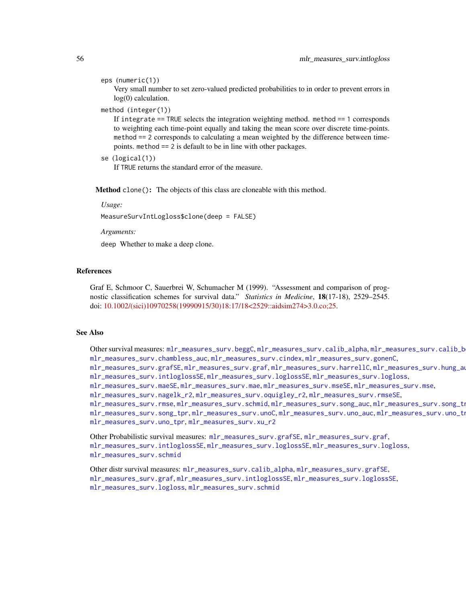#### eps (numeric(1))

Very small number to set zero-valued predicted probabilities to in order to prevent errors in log(0) calculation.

#### method (integer(1))

If integrate == TRUE selects the integration weighting method. method == 1 corresponds to weighting each time-point equally and taking the mean score over discrete time-points. method == 2 corresponds to calculating a mean weighted by the difference between timepoints. method == 2 is default to be in line with other packages.

```
se (logical(1))
```
If TRUE returns the standard error of the measure.

Method clone(): The objects of this class are cloneable with this method.

*Usage:*

MeasureSurvIntLogloss\$clone(deep = FALSE)

*Arguments:*

deep Whether to make a deep clone.

### References

Graf E, Schmoor C, Sauerbrei W, Schumacher M (1999). "Assessment and comparison of prognostic classification schemes for survival data." *Statistics in Medicine*, 18(17-18), 2529–2545. doi: [10.1002/\(sici\)10970258\(19990915/30\)18:17/18<2529::aidsim274>3.0.co;25.](https://doi.org/10.1002/(sici)1097-0258(19990915/30)18:17/18<2529::aid-sim274>3.0.co;2-5)

#### See Also

Other survival measures: [mlr\\_measures\\_surv.beggC](#page-35-0), [mlr\\_measures\\_surv.calib\\_alpha](#page-36-0), [mlr\\_measures\\_surv.calib\\_beta](#page-38-0), [mlr\\_measures\\_surv.chambless\\_auc](#page-40-0), [mlr\\_measures\\_surv.cindex](#page-42-0), [mlr\\_measures\\_surv.gonenC](#page-44-0), [mlr\\_measures\\_surv.grafSE](#page-48-0), [mlr\\_measures\\_surv.graf](#page-46-0), [mlr\\_measures\\_surv.harrellC](#page-50-0), [mlr\\_measures\\_surv.hung\\_auc](#page-51-0), [mlr\\_measures\\_surv.intloglossSE](#page-56-0), [mlr\\_measures\\_surv.loglossSE](#page-60-0), [mlr\\_measures\\_surv.logloss](#page-58-0), [mlr\\_measures\\_surv.maeSE](#page-63-0), [mlr\\_measures\\_surv.mae](#page-61-0), [mlr\\_measures\\_surv.mseSE](#page-66-0), [mlr\\_measures\\_surv.mse](#page-64-0), [mlr\\_measures\\_surv.nagelk\\_r2](#page-67-0), [mlr\\_measures\\_surv.oquigley\\_r2](#page-69-0), [mlr\\_measures\\_surv.rmseSE](#page-72-0), [mlr\\_measures\\_surv.rmse](#page-70-0), [mlr\\_measures\\_surv.schmid](#page-73-0), [mlr\\_measures\\_surv.song\\_auc](#page-76-0), mlr\_measures\_surv.song\_tn [mlr\\_measures\\_surv.song\\_tpr](#page-80-0),[mlr\\_measures\\_surv.unoC](#page-82-0),[mlr\\_measures\\_surv.uno\\_auc](#page-83-0),mlr\_measures\_surv.uno\_tn [mlr\\_measures\\_surv.uno\\_tpr](#page-87-0), [mlr\\_measures\\_surv.xu\\_r2](#page-89-0)

Other Probabilistic survival measures: [mlr\\_measures\\_surv.grafSE](#page-48-0), [mlr\\_measures\\_surv.graf](#page-46-0), [mlr\\_measures\\_surv.intloglossSE](#page-56-0), [mlr\\_measures\\_surv.loglossSE](#page-60-0), [mlr\\_measures\\_surv.logloss](#page-58-0), [mlr\\_measures\\_surv.schmid](#page-73-0)

Other distr survival measures: [mlr\\_measures\\_surv.calib\\_alpha](#page-36-0), [mlr\\_measures\\_surv.grafSE](#page-48-0), [mlr\\_measures\\_surv.graf](#page-46-0), [mlr\\_measures\\_surv.intloglossSE](#page-56-0), [mlr\\_measures\\_surv.loglossSE](#page-60-0), [mlr\\_measures\\_surv.logloss](#page-58-0), [mlr\\_measures\\_surv.schmid](#page-73-0)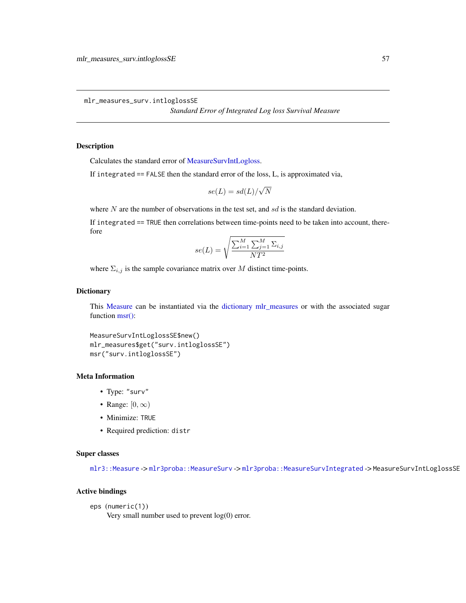<span id="page-56-0"></span>mlr\_measures\_surv.intloglossSE

*Standard Error of Integrated Log loss Survival Measure*

# Description

Calculates the standard error of [MeasureSurvIntLogloss.](#page-53-1)

If integrated == FALSE then the standard error of the loss, L, is approximated via,

$$
se(L) = sd(L)/\sqrt{N}
$$

where  $N$  are the number of observations in the test set, and  $sd$  is the standard deviation.

If integrated == TRUE then correlations between time-points need to be taken into account, therefore

$$
se(L) = \sqrt{\frac{\sum_{i=1}^{M} \sum_{j=1}^{M} \Sigma_{i,j}}{NT^2}}
$$

where  $\Sigma_{i,j}$  is the sample covariance matrix over M distinct time-points.

# Dictionary

This [Measure](#page-0-0) can be instantiated via the [dictionary](#page-0-0) [mlr\\_measures](#page-0-0) or with the associated sugar function [msr\(\):](#page-0-0)

```
MeasureSurvIntLoglossSE$new()
mlr_measures$get("surv.intloglossSE")
msr("surv.intloglossSE")
```
# Meta Information

- Type: "surv"
- Range:  $[0, \infty)$
- Minimize: TRUE
- Required prediction: distr

# Super classes

[mlr3::Measure](#page-0-0) -> [mlr3proba::MeasureSurv](#page-0-0) -> [mlr3proba::MeasureSurvIntegrated](#page-0-0) -> MeasureSurvIntLoglossSE

# Active bindings

```
eps (numeric(1))
```
Very small number used to prevent log(0) error.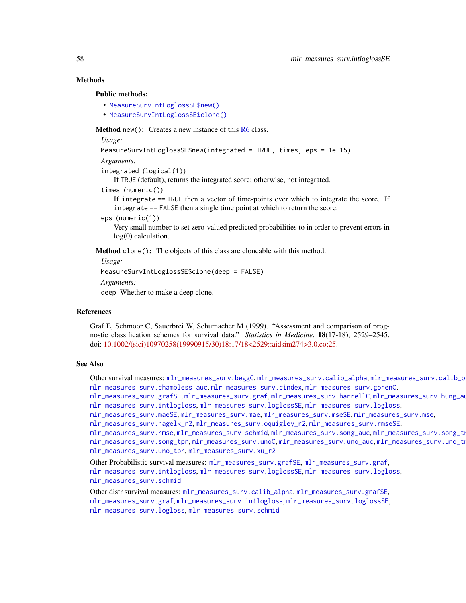# **Methods**

#### Public methods:

- [MeasureSurvIntLoglossSE\\$new\(\)](#page-7-0)
- [MeasureSurvIntLoglossSE\\$clone\(\)](#page-8-0)

Method new(): Creates a new instance of this [R6](#page-0-0) class.

*Usage:*

```
MeasureSurvIntLoglossSE$new(integrated = TRUE, times, eps = 1e-15)
```

```
Arguments:
```

```
integrated (logical(1))
```
If TRUE (default), returns the integrated score; otherwise, not integrated.

```
times (numeric())
```
If integrate == TRUE then a vector of time-points over which to integrate the score. If integrate == FALSE then a single time point at which to return the score.

```
eps (numeric(1))
```
Very small number to set zero-valued predicted probabilities to in order to prevent errors in log(0) calculation.

Method clone(): The objects of this class are cloneable with this method.

*Usage:*

```
MeasureSurvIntLoglossSE$clone(deep = FALSE)
```
*Arguments:*

deep Whether to make a deep clone.

#### References

Graf E, Schmoor C, Sauerbrei W, Schumacher M (1999). "Assessment and comparison of prognostic classification schemes for survival data." *Statistics in Medicine*, 18(17-18), 2529–2545. doi: [10.1002/\(sici\)10970258\(19990915/30\)18:17/18<2529::aidsim274>3.0.co;25.](https://doi.org/10.1002/(sici)1097-0258(19990915/30)18:17/18<2529::aid-sim274>3.0.co;2-5)

# See Also

Other survival measures: [mlr\\_measures\\_surv.beggC](#page-35-0), [mlr\\_measures\\_surv.calib\\_alpha](#page-36-0), [mlr\\_measures\\_surv.calib\\_beta](#page-38-0), [mlr\\_measures\\_surv.chambless\\_auc](#page-40-0), [mlr\\_measures\\_surv.cindex](#page-42-0), [mlr\\_measures\\_surv.gonenC](#page-44-0),

[mlr\\_measures\\_surv.grafSE](#page-48-0), [mlr\\_measures\\_surv.graf](#page-46-0), [mlr\\_measures\\_surv.harrellC](#page-50-0), [mlr\\_measures\\_surv.hung\\_auc](#page-51-0), [mlr\\_measures\\_surv.intlogloss](#page-53-0), [mlr\\_measures\\_surv.loglossSE](#page-60-0), [mlr\\_measures\\_surv.logloss](#page-58-0),

```
mlr_measures_surv.maeSE, mlr_measures_surv.mae, mlr_measures_surv.mseSE, mlr_measures_surv.mse,
```

```
mlr_measures_surv.nagelk_r2, mlr_measures_surv.oquigley_r2, mlr_measures_surv.rmseSE,
```
[mlr\\_measures\\_surv.rmse](#page-70-0), [mlr\\_measures\\_surv.schmid](#page-73-0), [mlr\\_measures\\_surv.song\\_auc](#page-76-0), mlr\_measures\_surv.song\_tn [mlr\\_measures\\_surv.song\\_tpr](#page-80-0), [mlr\\_measures\\_surv.unoC](#page-82-0), [mlr\\_measures\\_surv.uno\\_auc](#page-83-0), [mlr\\_measures\\_surv.uno\\_tnr](#page-85-0), [mlr\\_measures\\_surv.uno\\_tpr](#page-87-0), [mlr\\_measures\\_surv.xu\\_r2](#page-89-0)

Other Probabilistic survival measures: [mlr\\_measures\\_surv.grafSE](#page-48-0), [mlr\\_measures\\_surv.graf](#page-46-0), [mlr\\_measures\\_surv.intlogloss](#page-53-0), [mlr\\_measures\\_surv.loglossSE](#page-60-0), [mlr\\_measures\\_surv.logloss](#page-58-0), [mlr\\_measures\\_surv.schmid](#page-73-0)

Other distr survival measures: [mlr\\_measures\\_surv.calib\\_alpha](#page-36-0), [mlr\\_measures\\_surv.grafSE](#page-48-0), [mlr\\_measures\\_surv.graf](#page-46-0), [mlr\\_measures\\_surv.intlogloss](#page-53-0), [mlr\\_measures\\_surv.loglossSE](#page-60-0), [mlr\\_measures\\_surv.logloss](#page-58-0), [mlr\\_measures\\_surv.schmid](#page-73-0)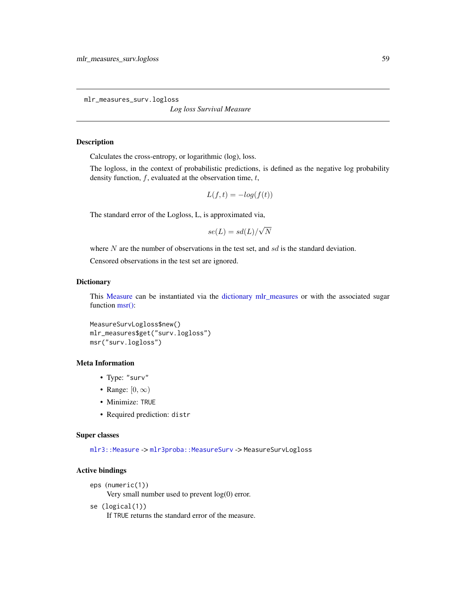<span id="page-58-0"></span>mlr\_measures\_surv.logloss

*Log loss Survival Measure*

# <span id="page-58-1"></span>Description

Calculates the cross-entropy, or logarithmic (log), loss.

The logloss, in the context of probabilistic predictions, is defined as the negative log probability density function,  $f$ , evaluated at the observation time,  $t$ ,

$$
L(f, t) = -\log(f(t))
$$

The standard error of the Logloss, L, is approximated via,

$$
se(L) = sd(L)/\sqrt{N}
$$

where N are the number of observations in the test set, and  $sd$  is the standard deviation.

Censored observations in the test set are ignored.

# **Dictionary**

This [Measure](#page-0-0) can be instantiated via the [dictionary](#page-0-0) [mlr\\_measures](#page-0-0) or with the associated sugar function [msr\(\):](#page-0-0)

```
MeasureSurvLogloss$new()
mlr_measures$get("surv.logloss")
msr("surv.logloss")
```
# Meta Information

- Type: "surv"
- Range:  $[0, \infty)$
- Minimize: TRUE
- Required prediction: distr

#### Super classes

[mlr3::Measure](#page-0-0) -> [mlr3proba::MeasureSurv](#page-0-0) -> MeasureSurvLogloss

# Active bindings

```
eps (numeric(1))
```
Very small number used to prevent log(0) error.

se (logical(1))

If TRUE returns the standard error of the measure.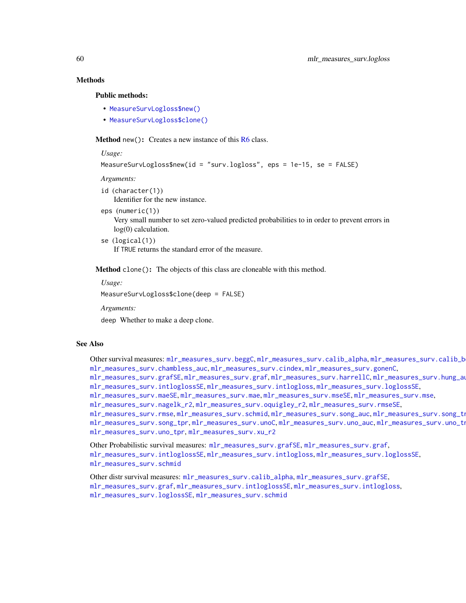# **Methods**

### Public methods:

- [MeasureSurvLogloss\\$new\(\)](#page-7-0)
- [MeasureSurvLogloss\\$clone\(\)](#page-8-0)

**Method** new(): Creates a new instance of this  $R6$  class.

#### *Usage:*

```
MeasureSurvLogloss$new(id = "surv.logloss", eps = 1e-15, se = FALSE)
```
*Arguments:*

- id (character(1)) Identifier for the new instance.
- eps (numeric(1))

Very small number to set zero-valued predicted probabilities to in order to prevent errors in log(0) calculation.

se (logical(1)) If TRUE returns the standard error of the measure.

Method clone(): The objects of this class are cloneable with this method.

*Usage:*

MeasureSurvLogloss\$clone(deep = FALSE)

*Arguments:*

deep Whether to make a deep clone.

#### See Also

Other survival measures: [mlr\\_measures\\_surv.beggC](#page-35-0), [mlr\\_measures\\_surv.calib\\_alpha](#page-36-0), mlr\_measures\_surv.calib\_b [mlr\\_measures\\_surv.chambless\\_auc](#page-40-0), [mlr\\_measures\\_surv.cindex](#page-42-0), [mlr\\_measures\\_surv.gonenC](#page-44-0), [mlr\\_measures\\_surv.grafSE](#page-48-0), [mlr\\_measures\\_surv.graf](#page-46-0), [mlr\\_measures\\_surv.harrellC](#page-50-0), [mlr\\_measures\\_surv.hung\\_auc](#page-51-0), [mlr\\_measures\\_surv.intloglossSE](#page-56-0), [mlr\\_measures\\_surv.intlogloss](#page-53-0), [mlr\\_measures\\_surv.loglossSE](#page-60-0), [mlr\\_measures\\_surv.maeSE](#page-63-0), [mlr\\_measures\\_surv.mae](#page-61-0), [mlr\\_measures\\_surv.mseSE](#page-66-0), [mlr\\_measures\\_surv.mse](#page-64-0), [mlr\\_measures\\_surv.nagelk\\_r2](#page-67-0), [mlr\\_measures\\_surv.oquigley\\_r2](#page-69-0), [mlr\\_measures\\_surv.rmseSE](#page-72-0), [mlr\\_measures\\_surv.rmse](#page-70-0), [mlr\\_measures\\_surv.schmid](#page-73-0), [mlr\\_measures\\_surv.song\\_auc](#page-76-0), mlr\_measures\_surv.song\_tn

```
mlr_measures_surv.song_tprmlr_measures_surv.unoCmlr_measures_surv.uno_auc,mlr_measures_surv.uno_tn
mlr_measures_surv.uno_tpr, mlr_measures_surv.xu_r2
```

```
mlr_measures_surv.grafSEmlr_measures_surv.graf,
mlr_measures_surv.intloglossSE, mlr_measures_surv.intlogloss, mlr_measures_surv.loglossSE,
mlr_measures_surv.schmid
```
Other distr survival measures: [mlr\\_measures\\_surv.calib\\_alpha](#page-36-0), [mlr\\_measures\\_surv.grafSE](#page-48-0), [mlr\\_measures\\_surv.graf](#page-46-0), [mlr\\_measures\\_surv.intloglossSE](#page-56-0), [mlr\\_measures\\_surv.intlogloss](#page-53-0), [mlr\\_measures\\_surv.loglossSE](#page-60-0), [mlr\\_measures\\_surv.schmid](#page-73-0)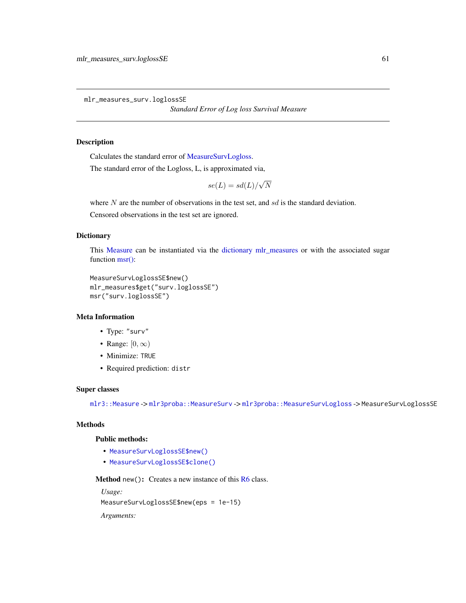<span id="page-60-0"></span>mlr\_measures\_surv.loglossSE

*Standard Error of Log loss Survival Measure*

# Description

Calculates the standard error of [MeasureSurvLogloss.](#page-58-1)

The standard error of the Logloss, L, is approximated via,

 $se(L) = sd(L)/$ √ N

where  $N$  are the number of observations in the test set, and  $sd$  is the standard deviation.

Censored observations in the test set are ignored.

### Dictionary

This [Measure](#page-0-0) can be instantiated via the [dictionary](#page-0-0) [mlr\\_measures](#page-0-0) or with the associated sugar function [msr\(\):](#page-0-0)

```
MeasureSurvLoglossSE$new()
mlr_measures$get("surv.loglossSE")
msr("surv.loglossSE")
```
# Meta Information

- Type: "surv"
- Range:  $[0, \infty)$
- Minimize: TRUE
- Required prediction: distr

# Super classes

[mlr3::Measure](#page-0-0) -> [mlr3proba::MeasureSurv](#page-0-0) -> [mlr3proba::MeasureSurvLogloss](#page-0-0) -> MeasureSurvLoglossSE

# Methods

# Public methods:

- [MeasureSurvLoglossSE\\$new\(\)](#page-7-0)
- [MeasureSurvLoglossSE\\$clone\(\)](#page-8-0)

**Method** new(): Creates a new instance of this  $R6$  class.

*Usage:*

MeasureSurvLoglossSE\$new(eps = 1e-15)

*Arguments:*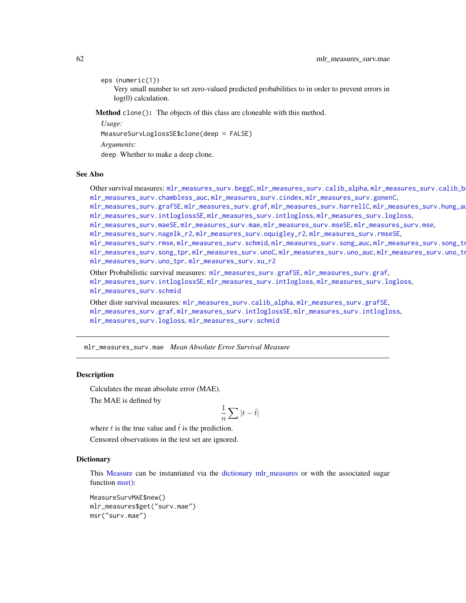eps (numeric(1))

Very small number to set zero-valued predicted probabilities to in order to prevent errors in log(0) calculation.

Method clone(): The objects of this class are cloneable with this method.

*Usage:*

MeasureSurvLoglossSE\$clone(deep = FALSE)

*Arguments:*

deep Whether to make a deep clone.

# See Also

Other survival measures: [mlr\\_measures\\_surv.beggC](#page-35-0), [mlr\\_measures\\_surv.calib\\_alpha](#page-36-0), mlr\_measures\_surv.calib\_b [mlr\\_measures\\_surv.chambless\\_auc](#page-40-0), [mlr\\_measures\\_surv.cindex](#page-42-0), [mlr\\_measures\\_surv.gonenC](#page-44-0), [mlr\\_measures\\_surv.grafSE](#page-48-0), [mlr\\_measures\\_surv.graf](#page-46-0), [mlr\\_measures\\_surv.harrellC](#page-50-0), [mlr\\_measures\\_surv.hung\\_auc](#page-51-0), [mlr\\_measures\\_surv.intloglossSE](#page-56-0), [mlr\\_measures\\_surv.intlogloss](#page-53-0), [mlr\\_measures\\_surv.logloss](#page-58-0), [mlr\\_measures\\_surv.maeSE](#page-63-0), [mlr\\_measures\\_surv.mae](#page-61-0), [mlr\\_measures\\_surv.mseSE](#page-66-0), [mlr\\_measures\\_surv.mse](#page-64-0),

[mlr\\_measures\\_surv.nagelk\\_r2](#page-67-0), [mlr\\_measures\\_surv.oquigley\\_r2](#page-69-0), [mlr\\_measures\\_surv.rmseSE](#page-72-0),

[mlr\\_measures\\_surv.rmse](#page-70-0), [mlr\\_measures\\_surv.schmid](#page-73-0), [mlr\\_measures\\_surv.song\\_auc](#page-76-0), mlr\_measures\_surv.song\_tn

[mlr\\_measures\\_surv.song\\_tpr](#page-80-0),[mlr\\_measures\\_surv.unoC](#page-82-0),[mlr\\_measures\\_surv.uno\\_auc](#page-83-0),mlr\_measures\_surv.uno\_tn [mlr\\_measures\\_surv.uno\\_tpr](#page-87-0), [mlr\\_measures\\_surv.xu\\_r2](#page-89-0)

Other Probabilistic survival measures: [mlr\\_measures\\_surv.grafSE](#page-48-0), [mlr\\_measures\\_surv.graf](#page-46-0), [mlr\\_measures\\_surv.intloglossSE](#page-56-0), [mlr\\_measures\\_surv.intlogloss](#page-53-0), [mlr\\_measures\\_surv.logloss](#page-58-0), [mlr\\_measures\\_surv.schmid](#page-73-0)

Other distr survival measures: [mlr\\_measures\\_surv.calib\\_alpha](#page-36-0), [mlr\\_measures\\_surv.grafSE](#page-48-0), [mlr\\_measures\\_surv.graf](#page-46-0), [mlr\\_measures\\_surv.intloglossSE](#page-56-0), [mlr\\_measures\\_surv.intlogloss](#page-53-0), [mlr\\_measures\\_surv.logloss](#page-58-0), [mlr\\_measures\\_surv.schmid](#page-73-0)

<span id="page-61-0"></span>mlr\_measures\_surv.mae *Mean Absolute Error Survival Measure*

### <span id="page-61-1"></span>Description

Calculates the mean absolute error (MAE).

The MAE is defined by

$$
\frac{1}{n}\sum |t - \hat{t}|
$$

where t is the true value and  $\hat{t}$  is the prediction.

Censored observations in the test set are ignored.

#### **Dictionary**

This [Measure](#page-0-0) can be instantiated via the [dictionary](#page-0-0) [mlr\\_measures](#page-0-0) or with the associated sugar function [msr\(\):](#page-0-0)

MeasureSurvMAE\$new() mlr\_measures\$get("surv.mae") msr("surv.mae")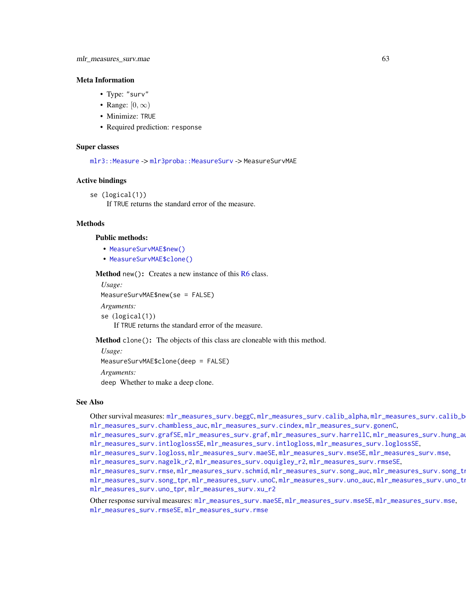#### Meta Information

- Type: "surv"
- Range:  $[0, \infty)$
- Minimize: TRUE
- Required prediction: response

### Super classes

[mlr3::Measure](#page-0-0) -> [mlr3proba::MeasureSurv](#page-0-0) -> MeasureSurvMAE

#### Active bindings

```
se (logical(1))
```
If TRUE returns the standard error of the measure.

# **Methods**

# Public methods:

- [MeasureSurvMAE\\$new\(\)](#page-7-0)
- [MeasureSurvMAE\\$clone\(\)](#page-8-0)

Method new(): Creates a new instance of this [R6](#page-0-0) class.

*Usage:* MeasureSurvMAE\$new(se = FALSE) *Arguments:* se (logical(1))

If TRUE returns the standard error of the measure.

Method clone(): The objects of this class are cloneable with this method.

*Usage:* MeasureSurvMAE\$clone(deep = FALSE) *Arguments:* deep Whether to make a deep clone.

#### See Also

Other survival measures: [mlr\\_measures\\_surv.beggC](#page-35-0), [mlr\\_measures\\_surv.calib\\_alpha](#page-36-0), [mlr\\_measures\\_surv.calib\\_beta](#page-38-0), [mlr\\_measures\\_surv.chambless\\_auc](#page-40-0), [mlr\\_measures\\_surv.cindex](#page-42-0), [mlr\\_measures\\_surv.gonenC](#page-44-0),

[mlr\\_measures\\_surv.grafSE](#page-48-0), [mlr\\_measures\\_surv.graf](#page-46-0), [mlr\\_measures\\_surv.harrellC](#page-50-0), [mlr\\_measures\\_surv.hung\\_auc](#page-51-0), [mlr\\_measures\\_surv.intloglossSE](#page-56-0), [mlr\\_measures\\_surv.intlogloss](#page-53-0), [mlr\\_measures\\_surv.loglossSE](#page-60-0),

[mlr\\_measures\\_surv.logloss](#page-58-0), [mlr\\_measures\\_surv.maeSE](#page-63-0), [mlr\\_measures\\_surv.mseSE](#page-66-0), [mlr\\_measures\\_surv.mse](#page-64-0),

[mlr\\_measures\\_surv.nagelk\\_r2](#page-67-0), [mlr\\_measures\\_surv.oquigley\\_r2](#page-69-0), [mlr\\_measures\\_surv.rmseSE](#page-72-0),

[mlr\\_measures\\_surv.rmse](#page-70-0), [mlr\\_measures\\_surv.schmid](#page-73-0), [mlr\\_measures\\_surv.song\\_auc](#page-76-0), mlr\_measures\_surv.song\_tn [mlr\\_measures\\_surv.song\\_tpr](#page-80-0),[mlr\\_measures\\_surv.unoC](#page-82-0),[mlr\\_measures\\_surv.uno\\_auc](#page-83-0),mlr\_measures\_surv.uno\_tn [mlr\\_measures\\_surv.uno\\_tpr](#page-87-0), [mlr\\_measures\\_surv.xu\\_r2](#page-89-0)

Other response survival measures: [mlr\\_measures\\_surv.maeSE](#page-63-0), [mlr\\_measures\\_surv.mseSE](#page-66-0), [mlr\\_measures\\_surv.mse](#page-64-0), [mlr\\_measures\\_surv.rmseSE](#page-72-0), [mlr\\_measures\\_surv.rmse](#page-70-0)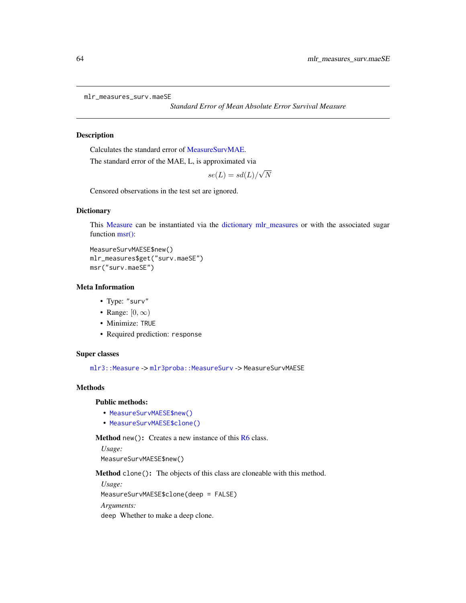```
mlr_measures_surv.maeSE
```
*Standard Error of Mean Absolute Error Survival Measure*

# Description

Calculates the standard error of [MeasureSurvMAE.](#page-61-1)

The standard error of the MAE, L, is approximated via

 $se(L) = sd(L)/$ √ N

Censored observations in the test set are ignored.

#### **Dictionary**

This [Measure](#page-0-0) can be instantiated via the [dictionary](#page-0-0) [mlr\\_measures](#page-0-0) or with the associated sugar function [msr\(\):](#page-0-0)

```
MeasureSurvMAESE$new()
mlr_measures$get("surv.maeSE")
msr("surv.maeSE")
```
### Meta Information

- Type: "surv"
- Range:  $[0, \infty)$
- Minimize: TRUE
- Required prediction: response

# Super classes

[mlr3::Measure](#page-0-0) -> [mlr3proba::MeasureSurv](#page-0-0) -> MeasureSurvMAESE

# **Methods**

# Public methods:

- [MeasureSurvMAESE\\$new\(\)](#page-7-0)
- [MeasureSurvMAESE\\$clone\(\)](#page-8-0)

Method new(): Creates a new instance of this [R6](#page-0-0) class.

*Usage:*

MeasureSurvMAESE\$new()

Method clone(): The objects of this class are cloneable with this method.

*Usage:* MeasureSurvMAESE\$clone(deep = FALSE) *Arguments:* deep Whether to make a deep clone.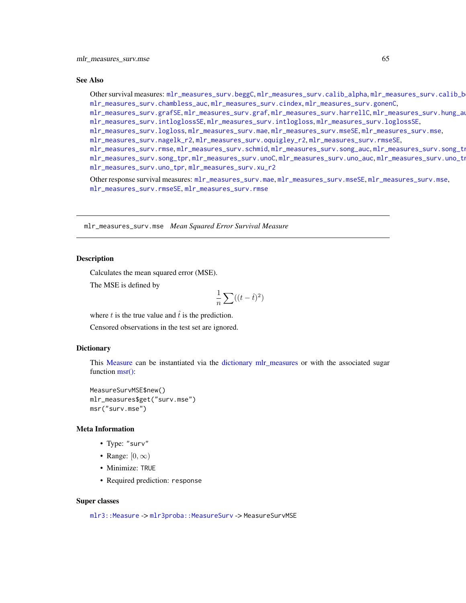#### See Also

Other survival measures: [mlr\\_measures\\_surv.beggC](#page-35-0), [mlr\\_measures\\_surv.calib\\_alpha](#page-36-0), mlr\_measures\_surv.calib\_b [mlr\\_measures\\_surv.chambless\\_auc](#page-40-0), [mlr\\_measures\\_surv.cindex](#page-42-0), [mlr\\_measures\\_surv.gonenC](#page-44-0),

[mlr\\_measures\\_surv.grafSE](#page-48-0), [mlr\\_measures\\_surv.graf](#page-46-0), [mlr\\_measures\\_surv.harrellC](#page-50-0), [mlr\\_measures\\_surv.hung\\_auc](#page-51-0), [mlr\\_measures\\_surv.intloglossSE](#page-56-0), [mlr\\_measures\\_surv.intlogloss](#page-53-0), [mlr\\_measures\\_surv.loglossSE](#page-60-0),

[mlr\\_measures\\_surv.logloss](#page-58-0), [mlr\\_measures\\_surv.mae](#page-61-0), [mlr\\_measures\\_surv.mseSE](#page-66-0), [mlr\\_measures\\_surv.mse](#page-64-0),

[mlr\\_measures\\_surv.nagelk\\_r2](#page-67-0), [mlr\\_measures\\_surv.oquigley\\_r2](#page-69-0), [mlr\\_measures\\_surv.rmseSE](#page-72-0),

[mlr\\_measures\\_surv.rmse](#page-70-0), [mlr\\_measures\\_surv.schmid](#page-73-0), [mlr\\_measures\\_surv.song\\_auc](#page-76-0), mlr\_measures\_surv.song\_tn [mlr\\_measures\\_surv.song\\_tpr](#page-80-0), [mlr\\_measures\\_surv.unoC](#page-82-0), [mlr\\_measures\\_surv.uno\\_auc](#page-83-0), mlr\_measures\_surv.uno\_tn [mlr\\_measures\\_surv.uno\\_tpr](#page-87-0), [mlr\\_measures\\_surv.xu\\_r2](#page-89-0)

Other response survival measures: [mlr\\_measures\\_surv.mae](#page-61-0), [mlr\\_measures\\_surv.mseSE](#page-66-0), [mlr\\_measures\\_surv.mse](#page-64-0), [mlr\\_measures\\_surv.rmseSE](#page-72-0), [mlr\\_measures\\_surv.rmse](#page-70-0)

<span id="page-64-0"></span>mlr\_measures\_surv.mse *Mean Squared Error Survival Measure*

### <span id="page-64-1"></span>**Description**

Calculates the mean squared error (MSE).

The MSE is defined by

$$
\frac{1}{n}\sum ((t-\hat{t})^2)
$$

where t is the true value and  $\hat{t}$  is the prediction.

Censored observations in the test set are ignored.

### **Dictionary**

This [Measure](#page-0-0) can be instantiated via the [dictionary](#page-0-0) [mlr\\_measures](#page-0-0) or with the associated sugar function [msr\(\):](#page-0-0)

MeasureSurvMSE\$new() mlr\_measures\$get("surv.mse") msr("surv.mse")

#### Meta Information

- Type: "surv"
- Range:  $[0, \infty)$
- Minimize: TRUE
- Required prediction: response

### Super classes

[mlr3::Measure](#page-0-0) -> [mlr3proba::MeasureSurv](#page-0-0) -> MeasureSurvMSE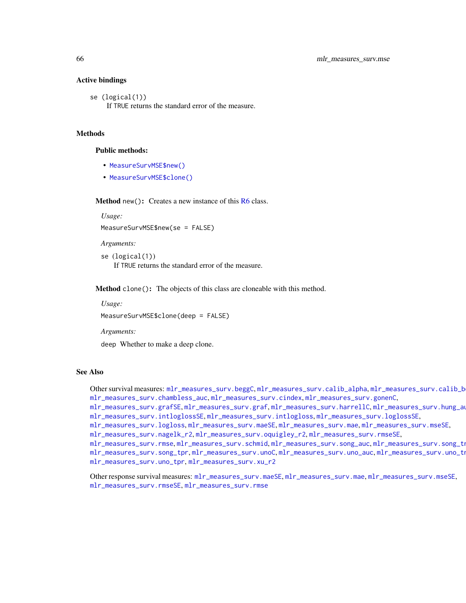### Active bindings

se (logical(1)) If TRUE returns the standard error of the measure.

# **Methods**

# Public methods:

- [MeasureSurvMSE\\$new\(\)](#page-7-0)
- [MeasureSurvMSE\\$clone\(\)](#page-8-0)

Method new(): Creates a new instance of this [R6](#page-0-0) class.

*Usage:*

MeasureSurvMSE\$new(se = FALSE)

*Arguments:*

```
se (logical(1))
   If TRUE returns the standard error of the measure.
```
Method clone(): The objects of this class are cloneable with this method.

*Usage:*

MeasureSurvMSE\$clone(deep = FALSE)

*Arguments:*

deep Whether to make a deep clone.

# See Also

Other survival measures: [mlr\\_measures\\_surv.beggC](#page-35-0), [mlr\\_measures\\_surv.calib\\_alpha](#page-36-0), mlr\_measures\_surv.calib\_b [mlr\\_measures\\_surv.chambless\\_auc](#page-40-0), [mlr\\_measures\\_surv.cindex](#page-42-0), [mlr\\_measures\\_surv.gonenC](#page-44-0),

[mlr\\_measures\\_surv.grafSE](#page-48-0), [mlr\\_measures\\_surv.graf](#page-46-0), [mlr\\_measures\\_surv.harrellC](#page-50-0), [mlr\\_measures\\_surv.hung\\_auc](#page-51-0), [mlr\\_measures\\_surv.intloglossSE](#page-56-0), [mlr\\_measures\\_surv.intlogloss](#page-53-0), [mlr\\_measures\\_surv.loglossSE](#page-60-0),

[mlr\\_measures\\_surv.logloss](#page-58-0), [mlr\\_measures\\_surv.maeSE](#page-63-0), [mlr\\_measures\\_surv.mae](#page-61-0), [mlr\\_measures\\_surv.mseSE](#page-66-0),

[mlr\\_measures\\_surv.nagelk\\_r2](#page-67-0), [mlr\\_measures\\_surv.oquigley\\_r2](#page-69-0), [mlr\\_measures\\_surv.rmseSE](#page-72-0),

[mlr\\_measures\\_surv.rmse](#page-70-0), [mlr\\_measures\\_surv.schmid](#page-73-0), [mlr\\_measures\\_surv.song\\_auc](#page-76-0), mlr\_measures\_surv.song\_tn [mlr\\_measures\\_surv.song\\_tpr](#page-80-0),[mlr\\_measures\\_surv.unoC](#page-82-0),[mlr\\_measures\\_surv.uno\\_auc](#page-83-0),mlr\_measures\_surv.uno\_tn [mlr\\_measures\\_surv.uno\\_tpr](#page-87-0), [mlr\\_measures\\_surv.xu\\_r2](#page-89-0)

Other response survival measures: [mlr\\_measures\\_surv.maeSE](#page-63-0), [mlr\\_measures\\_surv.mae](#page-61-0), [mlr\\_measures\\_surv.mseSE](#page-66-0), [mlr\\_measures\\_surv.rmseSE](#page-72-0), [mlr\\_measures\\_surv.rmse](#page-70-0)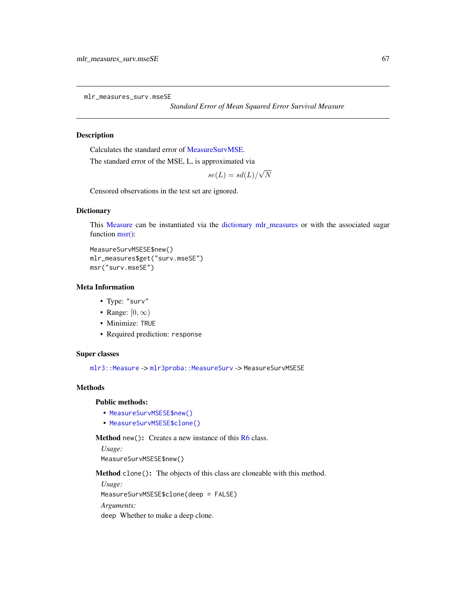<span id="page-66-0"></span>mlr\_measures\_surv.mseSE

*Standard Error of Mean Squared Error Survival Measure*

# Description

Calculates the standard error of [MeasureSurvMSE.](#page-64-1)

The standard error of the MSE, L, is approximated via

 $se(L) = sd(L)/$ √ N

Censored observations in the test set are ignored.

### **Dictionary**

This [Measure](#page-0-0) can be instantiated via the [dictionary](#page-0-0) [mlr\\_measures](#page-0-0) or with the associated sugar function [msr\(\):](#page-0-0)

```
MeasureSurvMSESE$new()
mlr_measures$get("surv.mseSE")
msr("surv.mseSE")
```
#### Meta Information

- Type: "surv"
- Range:  $[0, \infty)$
- Minimize: TRUE
- Required prediction: response

### Super classes

[mlr3::Measure](#page-0-0) -> [mlr3proba::MeasureSurv](#page-0-0) -> MeasureSurvMSESE

# **Methods**

# Public methods:

- [MeasureSurvMSESE\\$new\(\)](#page-7-0)
- [MeasureSurvMSESE\\$clone\(\)](#page-8-0)

Method new(): Creates a new instance of this [R6](#page-0-0) class.

*Usage:*

MeasureSurvMSESE\$new()

Method clone(): The objects of this class are cloneable with this method.

*Usage:* MeasureSurvMSESE\$clone(deep = FALSE) *Arguments:*

deep Whether to make a deep clone.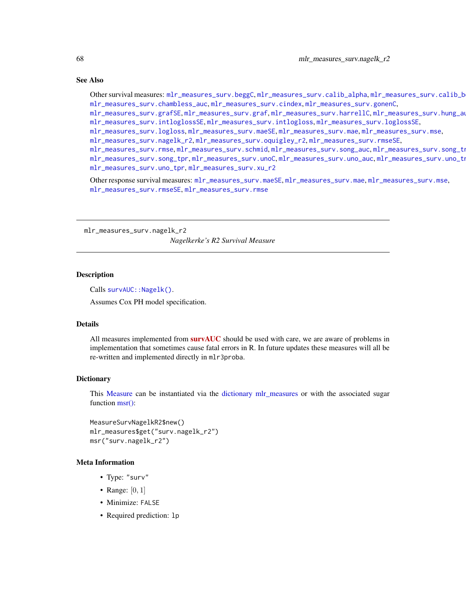# See Also

Other survival measures: [mlr\\_measures\\_surv.beggC](#page-35-0), [mlr\\_measures\\_surv.calib\\_alpha](#page-36-0), mlr\_measures\_surv.calib\_b [mlr\\_measures\\_surv.chambless\\_auc](#page-40-0), [mlr\\_measures\\_surv.cindex](#page-42-0), [mlr\\_measures\\_surv.gonenC](#page-44-0),

[mlr\\_measures\\_surv.grafSE](#page-48-0), [mlr\\_measures\\_surv.graf](#page-46-0), [mlr\\_measures\\_surv.harrellC](#page-50-0), [mlr\\_measures\\_surv.hung\\_auc](#page-51-0), [mlr\\_measures\\_surv.intloglossSE](#page-56-0), [mlr\\_measures\\_surv.intlogloss](#page-53-0), [mlr\\_measures\\_surv.loglossSE](#page-60-0),

[mlr\\_measures\\_surv.logloss](#page-58-0), [mlr\\_measures\\_surv.maeSE](#page-63-0), [mlr\\_measures\\_surv.mae](#page-61-0), [mlr\\_measures\\_surv.mse](#page-64-0),

[mlr\\_measures\\_surv.nagelk\\_r2](#page-67-0), [mlr\\_measures\\_surv.oquigley\\_r2](#page-69-0), [mlr\\_measures\\_surv.rmseSE](#page-72-0),

[mlr\\_measures\\_surv.rmse](#page-70-0), [mlr\\_measures\\_surv.schmid](#page-73-0), [mlr\\_measures\\_surv.song\\_auc](#page-76-0), mlr\_measures\_surv.song\_tn [mlr\\_measures\\_surv.song\\_tpr](#page-80-0), [mlr\\_measures\\_surv.unoC](#page-82-0), [mlr\\_measures\\_surv.uno\\_auc](#page-83-0), mlr\_measures\_surv.uno\_tn [mlr\\_measures\\_surv.uno\\_tpr](#page-87-0), [mlr\\_measures\\_surv.xu\\_r2](#page-89-0)

Other response survival measures: [mlr\\_measures\\_surv.maeSE](#page-63-0), [mlr\\_measures\\_surv.mae](#page-61-0), [mlr\\_measures\\_surv.mse](#page-64-0), [mlr\\_measures\\_surv.rmseSE](#page-72-0), [mlr\\_measures\\_surv.rmse](#page-70-0)

<span id="page-67-0"></span>mlr\_measures\_surv.nagelk\_r2 *Nagelkerke's R2 Survival Measure*

#### Description

Calls survAUC:: Nagelk().

Assumes Cox PH model specification.

#### Details

All measures implemented from **[survAUC](https://CRAN.R-project.org/package=survAUC)** should be used with care, we are aware of problems in implementation that sometimes cause fatal errors in R. In future updates these measures will all be re-written and implemented directly in mlr3proba.

#### **Dictionary**

This [Measure](#page-0-0) can be instantiated via the [dictionary](#page-0-0) [mlr\\_measures](#page-0-0) or with the associated sugar function [msr\(\):](#page-0-0)

```
MeasureSurvNagelkR2$new()
mlr_measures$get("surv.nagelk_r2")
msr("surv.nagelk_r2")
```
#### Meta Information

- Type: "surv"
- Range:  $[0, 1]$
- Minimize: FALSE
- Required prediction: lp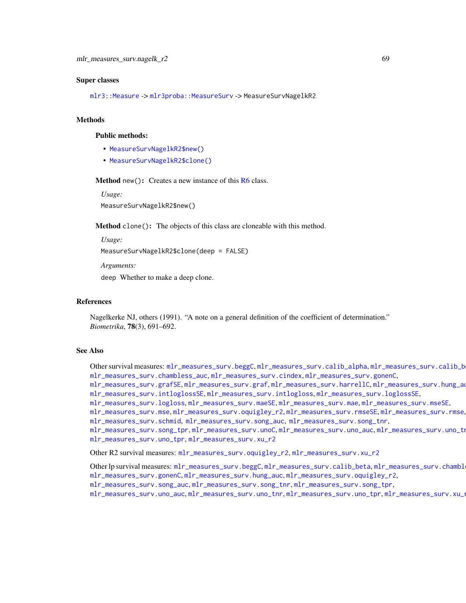#### Super classes

[mlr3::Measure](#page-0-0) -> [mlr3proba::MeasureSurv](#page-0-0) -> MeasureSurvNagelkR2

#### Methods

# Public methods:

- [MeasureSurvNagelkR2\\$new\(\)](#page-7-0)
- [MeasureSurvNagelkR2\\$clone\(\)](#page-8-0)

**Method** new(): Creates a new instance of this  $R6$  class.

*Usage:*

MeasureSurvNagelkR2\$new()

Method clone(): The objects of this class are cloneable with this method.

*Usage:*

```
MeasureSurvNagelkR2$clone(deep = FALSE)
```
*Arguments:*

deep Whether to make a deep clone.

### References

Nagelkerke NJ, others (1991). "A note on a general definition of the coefficient of determination." *Biometrika*, 78(3), 691–692.

### See Also

Other survival measures: [mlr\\_measures\\_surv.beggC](#page-35-0), [mlr\\_measures\\_surv.calib\\_alpha](#page-36-0), mlr\_measures\_surv.calib\_b [mlr\\_measures\\_surv.chambless\\_auc](#page-40-0), [mlr\\_measures\\_surv.cindex](#page-42-0), [mlr\\_measures\\_surv.gonenC](#page-44-0), [mlr\\_measures\\_surv.grafSE](#page-48-0), [mlr\\_measures\\_surv.graf](#page-46-0), [mlr\\_measures\\_surv.harrellC](#page-50-0), [mlr\\_measures\\_surv.hung\\_auc](#page-51-0), [mlr\\_measures\\_surv.intloglossSE](#page-56-0), [mlr\\_measures\\_surv.intlogloss](#page-53-0), [mlr\\_measures\\_surv.loglossSE](#page-60-0), [mlr\\_measures\\_surv.logloss](#page-58-0), [mlr\\_measures\\_surv.maeSE](#page-63-0), [mlr\\_measures\\_surv.mae](#page-61-0), [mlr\\_measures\\_surv.mseSE](#page-66-0), [mlr\\_measures\\_surv.mse](#page-64-0), [mlr\\_measures\\_surv.oquigley\\_r2](#page-69-0), [mlr\\_measures\\_surv.rmseSE](#page-72-0), [mlr\\_measures\\_surv.rmse](#page-70-0), [mlr\\_measures\\_surv.schmid](#page-73-0), [mlr\\_measures\\_surv.song\\_auc](#page-76-0), [mlr\\_measures\\_surv.song\\_tnr](#page-78-0), [mlr\\_measures\\_surv.song\\_tpr](#page-80-0),[mlr\\_measures\\_surv.unoC](#page-82-0),[mlr\\_measures\\_surv.uno\\_auc](#page-83-0),mlr\_measures\_surv.uno\_tn

```
mlr_measures_surv.uno_tpr, mlr_measures_surv.xu_r2
```
Other R2 survival measures: [mlr\\_measures\\_surv.oquigley\\_r2](#page-69-0), [mlr\\_measures\\_surv.xu\\_r2](#page-89-0)

Other lp survival measures: [mlr\\_measures\\_surv.beggC](#page-35-0), [mlr\\_measures\\_surv.calib\\_beta](#page-38-0), mlr\_measures\_surv.chambl [mlr\\_measures\\_surv.gonenC](#page-44-0), [mlr\\_measures\\_surv.hung\\_auc](#page-51-0), [mlr\\_measures\\_surv.oquigley\\_r2](#page-69-0), [mlr\\_measures\\_surv.song\\_auc](#page-76-0), [mlr\\_measures\\_surv.song\\_tnr](#page-78-0), [mlr\\_measures\\_surv.song\\_tpr](#page-80-0), [mlr\\_measures\\_surv.uno\\_auc](#page-83-0), [mlr\\_measures\\_surv.uno\\_tnr](#page-85-0), [mlr\\_measures\\_surv.uno\\_tpr](#page-87-0), [mlr\\_measures\\_surv.xu\\_r2](#page-89-0)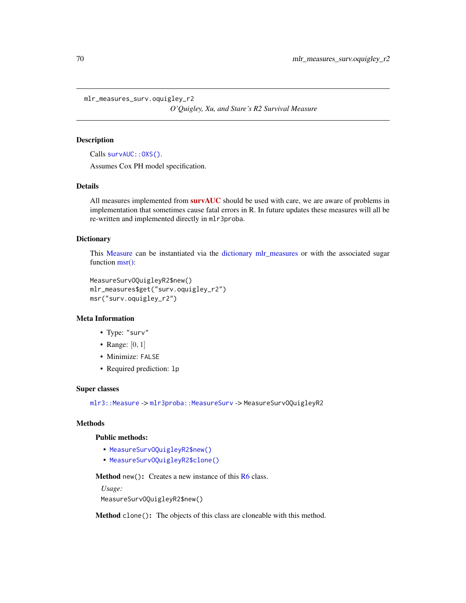<span id="page-69-0"></span>mlr\_measures\_surv.oquigley\_r2

*O'Quigley, Xu, and Stare's R2 Survival Measure*

# Description

Calls survAUC:: 0XS().

Assumes Cox PH model specification.

# Details

All measures implemented from [survAUC](https://CRAN.R-project.org/package=survAUC) should be used with care, we are aware of problems in implementation that sometimes cause fatal errors in R. In future updates these measures will all be re-written and implemented directly in mlr3proba.

### **Dictionary**

This [Measure](#page-0-0) can be instantiated via the [dictionary](#page-0-0) [mlr\\_measures](#page-0-0) or with the associated sugar function [msr\(\):](#page-0-0)

```
MeasureSurvOQuigleyR2$new()
mlr_measures$get("surv.oquigley_r2")
msr("surv.oquigley_r2")
```
# Meta Information

- Type: "surv"
- Range:  $[0, 1]$
- Minimize: FALSE
- Required prediction: lp

# Super classes

[mlr3::Measure](#page-0-0) -> [mlr3proba::MeasureSurv](#page-0-0) -> MeasureSurvOQuigleyR2

# Methods

# Public methods:

- [MeasureSurvOQuigleyR2\\$new\(\)](#page-7-0)
- [MeasureSurvOQuigleyR2\\$clone\(\)](#page-8-0)

Method new(): Creates a new instance of this [R6](#page-0-0) class.

```
Usage:
MeasureSurvOQuigleyR2$new()
```
Method clone(): The objects of this class are cloneable with this method.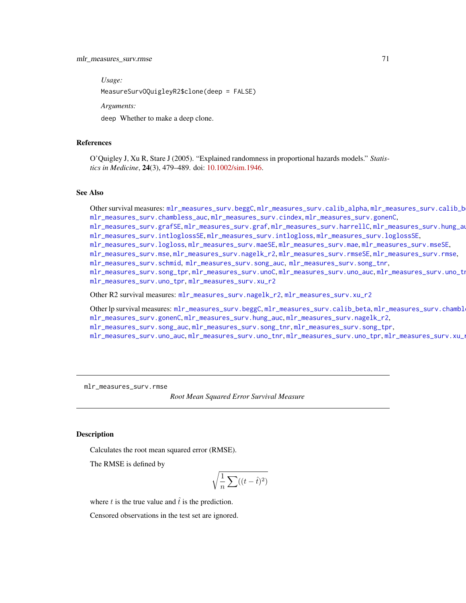*Usage:*

MeasureSurvOQuigleyR2\$clone(deep = FALSE)

*Arguments:*

deep Whether to make a deep clone.

### References

O'Quigley J, Xu R, Stare J (2005). "Explained randomness in proportional hazards models." *Statistics in Medicine*, 24(3), 479–489. doi: [10.1002/sim.1946.](https://doi.org/10.1002/sim.1946)

### See Also

```
mlr_measures_surv.beggCmlr_measures_surv.calib_alpha, mlr_measures_surv.calib_b
mlr_measures_surv.chambless_auc, mlr_measures_surv.cindex, mlr_measures_surv.gonenC,
mlr_measures_surv.grafSE, mlr_measures_surv.graf, mlr_measures_surv.harrellC, mlr_measures_surv.hung_auc,
mlr_measures_surv.intloglossSE, mlr_measures_surv.intlogloss, mlr_measures_surv.loglossSE,
mlr_measures_surv.logloss, mlr_measures_surv.maeSE, mlr_measures_surv.mae, mlr_measures_surv.mseSE,
mlr_measures_surv.mse, mlr_measures_surv.nagelk_r2, mlr_measures_surv.rmseSE, mlr_measures_surv.rmse,
mlr_measures_surv.schmid, mlr_measures_surv.song_auc, mlr_measures_surv.song_tnr,
mlr_measures_surv.song_tprmlr_measures_surv.unoCmlr_measures_surv.uno_auc,mlr_measures_surv.uno_tn
mlr_measures_surv.uno_tpr, mlr_measures_surv.xu_r2
```
Other R2 survival measures: [mlr\\_measures\\_surv.nagelk\\_r2](#page-67-0), [mlr\\_measures\\_surv.xu\\_r2](#page-89-0)

Other lp survival measures: [mlr\\_measures\\_surv.beggC](#page-35-0), [mlr\\_measures\\_surv.calib\\_beta](#page-38-0), mlr\_measures\_surv.chambl [mlr\\_measures\\_surv.gonenC](#page-44-0), [mlr\\_measures\\_surv.hung\\_auc](#page-51-0), [mlr\\_measures\\_surv.nagelk\\_r2](#page-67-0), [mlr\\_measures\\_surv.song\\_auc](#page-76-0), [mlr\\_measures\\_surv.song\\_tnr](#page-78-0), [mlr\\_measures\\_surv.song\\_tpr](#page-80-0), [mlr\\_measures\\_surv.uno\\_auc](#page-83-0), [mlr\\_measures\\_surv.uno\\_tnr](#page-85-0), [mlr\\_measures\\_surv.uno\\_tpr](#page-87-0), [mlr\\_measures\\_surv.xu\\_r2](#page-89-0)

<span id="page-70-0"></span>mlr\_measures\_surv.rmse

*Root Mean Squared Error Survival Measure*

### Description

Calculates the root mean squared error (RMSE).

The RMSE is defined by

$$
\sqrt{\frac{1}{n}\sum((t-\hat{t})^2)}
$$

where t is the true value and  $\hat{t}$  is the prediction.

Censored observations in the test set are ignored.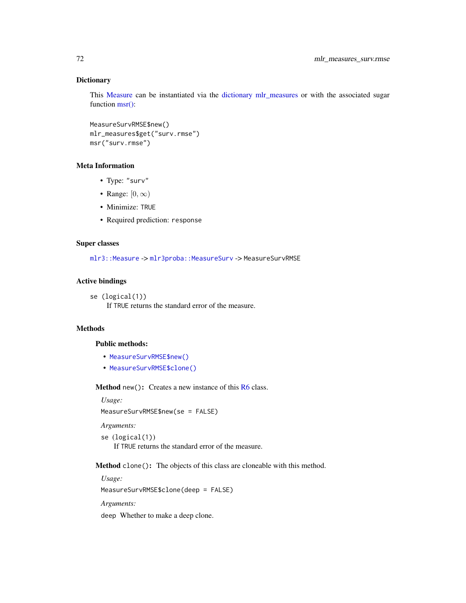### **Dictionary**

This [Measure](#page-0-0) can be instantiated via the [dictionary](#page-0-0) [mlr\\_measures](#page-0-0) or with the associated sugar function [msr\(\):](#page-0-0)

```
MeasureSurvRMSE$new()
mlr_measures$get("surv.rmse")
msr("surv.rmse")
```
# Meta Information

- Type: "surv"
- Range:  $[0, \infty)$
- Minimize: TRUE
- Required prediction: response

# Super classes

[mlr3::Measure](#page-0-0) -> [mlr3proba::MeasureSurv](#page-0-0) -> MeasureSurvRMSE

# Active bindings

```
se (logical(1))
```
If TRUE returns the standard error of the measure.

# Methods

# Public methods:

- [MeasureSurvRMSE\\$new\(\)](#page-7-0)
- [MeasureSurvRMSE\\$clone\(\)](#page-8-0)

Method new(): Creates a new instance of this [R6](#page-0-0) class.

### *Usage:*

MeasureSurvRMSE\$new(se = FALSE)

*Arguments:*

```
se (logical(1))
    If TRUE returns the standard error of the measure.
```
Method clone(): The objects of this class are cloneable with this method.

*Usage:* MeasureSurvRMSE\$clone(deep = FALSE)

*Arguments:*

deep Whether to make a deep clone.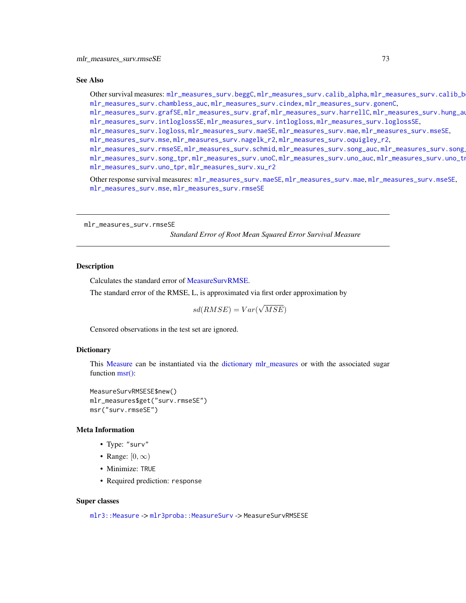#### See Also

Other survival measures: [mlr\\_measures\\_surv.beggC](#page-35-0), [mlr\\_measures\\_surv.calib\\_alpha](#page-36-0), [mlr\\_measures\\_surv.calib\\_beta](#page-38-0), [mlr\\_measures\\_surv.chambless\\_auc](#page-40-0), [mlr\\_measures\\_surv.cindex](#page-42-0), [mlr\\_measures\\_surv.gonenC](#page-44-0),

[mlr\\_measures\\_surv.grafSE](#page-48-0), [mlr\\_measures\\_surv.graf](#page-46-0), [mlr\\_measures\\_surv.harrellC](#page-50-0), [mlr\\_measures\\_surv.hung\\_auc](#page-51-0), [mlr\\_measures\\_surv.intloglossSE](#page-56-0), [mlr\\_measures\\_surv.intlogloss](#page-53-0), [mlr\\_measures\\_surv.loglossSE](#page-60-0),

[mlr\\_measures\\_surv.logloss](#page-58-0), [mlr\\_measures\\_surv.maeSE](#page-63-0), [mlr\\_measures\\_surv.mae](#page-61-0), [mlr\\_measures\\_surv.mseSE](#page-66-0),

[mlr\\_measures\\_surv.mse](#page-64-0), [mlr\\_measures\\_surv.nagelk\\_r2](#page-67-0), [mlr\\_measures\\_surv.oquigley\\_r2](#page-69-0),

[mlr\\_measures\\_surv.rmseSE](#page-72-0), [mlr\\_measures\\_surv.schmid](#page-73-0), [mlr\\_measures\\_surv.song\\_auc](#page-76-0), mlr\_measures\_surv.song [mlr\\_measures\\_surv.song\\_tpr](#page-80-0), [mlr\\_measures\\_surv.unoC](#page-82-0), [mlr\\_measures\\_surv.uno\\_auc](#page-83-0), mlr\_measures\_surv.uno\_tn [mlr\\_measures\\_surv.uno\\_tpr](#page-87-0), [mlr\\_measures\\_surv.xu\\_r2](#page-89-0)

Other response survival measures: [mlr\\_measures\\_surv.maeSE](#page-63-0), [mlr\\_measures\\_surv.mae](#page-61-0), [mlr\\_measures\\_surv.mseSE](#page-66-0), [mlr\\_measures\\_surv.mse](#page-64-0), [mlr\\_measures\\_surv.rmseSE](#page-72-0)

<span id="page-72-0"></span>mlr\_measures\_surv.rmseSE

*Standard Error of Root Mean Squared Error Survival Measure*

#### Description

Calculates the standard error of [MeasureSurvRMSE.](#page-70-0)

The standard error of the RMSE, L, is approximated via first order approximation by

 $sd(RMSE) = Var($ √  $MSE)$ 

Censored observations in the test set are ignored.

#### **Dictionary**

This [Measure](#page-0-0) can be instantiated via the [dictionary](#page-0-0) [mlr\\_measures](#page-0-0) or with the associated sugar function [msr\(\):](#page-0-0)

MeasureSurvRMSESE\$new() mlr\_measures\$get("surv.rmseSE") msr("surv.rmseSE")

#### Meta Information

- Type: "surv"
- Range:  $[0, \infty)$
- Minimize: TRUE
- Required prediction: response

#### Super classes

[mlr3::Measure](#page-0-0) -> [mlr3proba::MeasureSurv](#page-0-0) -> MeasureSurvRMSESE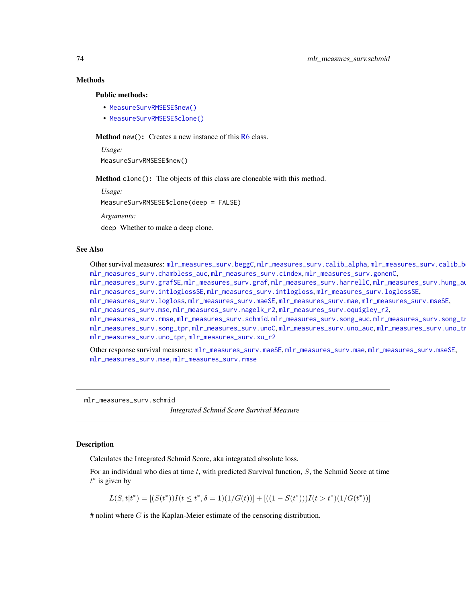## Methods

#### Public methods:

- [MeasureSurvRMSESE\\$new\(\)](#page-7-0)
- [MeasureSurvRMSESE\\$clone\(\)](#page-8-0)

Method new(): Creates a new instance of this [R6](#page-0-0) class.

*Usage:* MeasureSurvRMSESE\$new()

Method clone(): The objects of this class are cloneable with this method.

*Usage:*

MeasureSurvRMSESE\$clone(deep = FALSE)

*Arguments:*

deep Whether to make a deep clone.

## See Also

Other survival measures: [mlr\\_measures\\_surv.beggC](#page-35-0), [mlr\\_measures\\_surv.calib\\_alpha](#page-36-0), mlr\_measures\_surv.calib\_b [mlr\\_measures\\_surv.chambless\\_auc](#page-40-0), [mlr\\_measures\\_surv.cindex](#page-42-0), [mlr\\_measures\\_surv.gonenC](#page-44-0),

[mlr\\_measures\\_surv.grafSE](#page-48-0), [mlr\\_measures\\_surv.graf](#page-46-0), [mlr\\_measures\\_surv.harrellC](#page-50-0), [mlr\\_measures\\_surv.hung\\_auc](#page-51-0), [mlr\\_measures\\_surv.intloglossSE](#page-56-0), [mlr\\_measures\\_surv.intlogloss](#page-53-0), [mlr\\_measures\\_surv.loglossSE](#page-60-0),

[mlr\\_measures\\_surv.logloss](#page-58-0), [mlr\\_measures\\_surv.maeSE](#page-63-0), [mlr\\_measures\\_surv.mae](#page-61-0), [mlr\\_measures\\_surv.mseSE](#page-66-0), [mlr\\_measures\\_surv.mse](#page-64-0), [mlr\\_measures\\_surv.nagelk\\_r2](#page-67-0), [mlr\\_measures\\_surv.oquigley\\_r2](#page-69-0),

[mlr\\_measures\\_surv.rmse](#page-70-1), [mlr\\_measures\\_surv.schmid](#page-73-0), [mlr\\_measures\\_surv.song\\_auc](#page-76-0), mlr\_measures\_surv.song\_tn [mlr\\_measures\\_surv.song\\_tpr](#page-80-0),[mlr\\_measures\\_surv.unoC](#page-82-0),[mlr\\_measures\\_surv.uno\\_auc](#page-83-0),mlr\_measures\_surv.uno\_tn

[mlr\\_measures\\_surv.uno\\_tpr](#page-87-0), [mlr\\_measures\\_surv.xu\\_r2](#page-89-0)

Other response survival measures: [mlr\\_measures\\_surv.maeSE](#page-63-0), [mlr\\_measures\\_surv.mae](#page-61-0), [mlr\\_measures\\_surv.mseSE](#page-66-0), [mlr\\_measures\\_surv.mse](#page-64-0), [mlr\\_measures\\_surv.rmse](#page-70-1)

<span id="page-73-0"></span>mlr\_measures\_surv.schmid

*Integrated Schmid Score Survival Measure*

## **Description**

Calculates the Integrated Schmid Score, aka integrated absolute loss.

For an individual who dies at time  $t$ , with predicted Survival function,  $S$ , the Schmid Score at time  $t^*$  is given by

 $L(S, t|t^*) = [(S(t^*))I(t \le t^*, \delta = 1)(1/G(t))] + [(1 - S(t^*)))I(t > t^*)(1/G(t^*))]$ 

 $#$  nolint where  $G$  is the Kaplan-Meier estimate of the censoring distribution.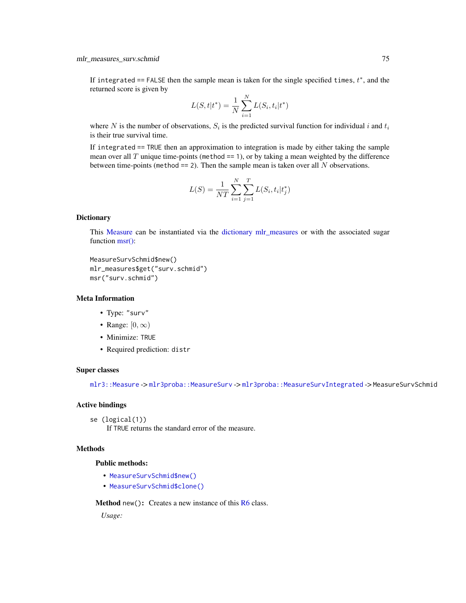If integrated == FALSE then the sample mean is taken for the single specified times,  $t^*$ , and the returned score is given by

$$
L(S, t | t^*) = \frac{1}{N} \sum_{i=1}^{N} L(S_i, t_i | t^*)
$$

where N is the number of observations,  $S_i$  is the predicted survival function for individual i and  $t_i$ is their true survival time.

If integrated == TRUE then an approximation to integration is made by either taking the sample mean over all  $T$  unique time-points (method == 1), or by taking a mean weighted by the difference between time-points (method  $== 2$ ). Then the sample mean is taken over all N observations.

$$
L(S) = \frac{1}{NT} \sum_{i=1}^{N} \sum_{j=1}^{T} L(S_i, t_i | t_j^*)
$$

## **Dictionary**

This [Measure](#page-0-0) can be instantiated via the [dictionary](#page-0-0) [mlr\\_measures](#page-0-0) or with the associated sugar function [msr\(\):](#page-0-0)

```
MeasureSurvSchmid$new()
mlr_measures$get("surv.schmid")
msr("surv.schmid")
```
## Meta Information

- Type: "surv"
- Range:  $[0, \infty)$
- Minimize: TRUE
- Required prediction: distr

#### Super classes

[mlr3::Measure](#page-0-0) -> [mlr3proba::MeasureSurv](#page-0-0) -> [mlr3proba::MeasureSurvIntegrated](#page-0-0) -> MeasureSurvSchmid

#### Active bindings

se (logical(1))

If TRUE returns the standard error of the measure.

## Methods

## Public methods:

- [MeasureSurvSchmid\\$new\(\)](#page-7-0)
- [MeasureSurvSchmid\\$clone\(\)](#page-8-0)

**Method** new( $)$ : Creates a new instance of this  $R6$  class.

*Usage:*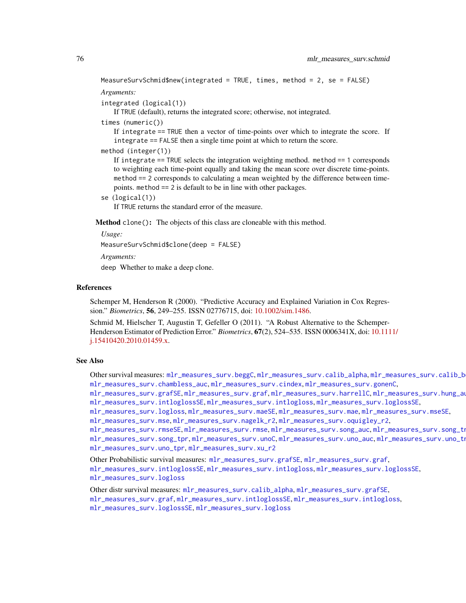```
MeasureSurvSchmid$new(integrated = TRUE, times, method = 2, se = FALSE)
```
#### *Arguments:*

```
integrated (logical(1))
```
If TRUE (default), returns the integrated score; otherwise, not integrated.

times (numeric())

If integrate == TRUE then a vector of time-points over which to integrate the score. If integrate == FALSE then a single time point at which to return the score.

method (integer(1))

If integrate == TRUE selects the integration weighting method. method == 1 corresponds to weighting each time-point equally and taking the mean score over discrete time-points. method == 2 corresponds to calculating a mean weighted by the difference between timepoints. method == 2 is default to be in line with other packages.

se (logical(1))

If TRUE returns the standard error of the measure.

Method clone(): The objects of this class are cloneable with this method.

*Usage:*

MeasureSurvSchmid\$clone(deep = FALSE)

*Arguments:*

deep Whether to make a deep clone.

### References

Schemper M, Henderson R (2000). "Predictive Accuracy and Explained Variation in Cox Regression." *Biometrics*, 56, 249–255. ISSN 02776715, doi: [10.1002/sim.1486.](https://doi.org/10.1002/sim.1486)

Schmid M, Hielscher T, Augustin T, Gefeller O (2011). "A Robust Alternative to the Schemper-Henderson Estimator of Prediction Error." *Biometrics*, 67(2), 524–535. ISSN 0006341X, doi: [10.111](https://doi.org/10.1111/j.1541-0420.2010.01459.x)1/ [j.15410420.2010.01459.x.](https://doi.org/10.1111/j.1541-0420.2010.01459.x)

## See Also

Other survival measures: [mlr\\_measures\\_surv.beggC](#page-35-0), [mlr\\_measures\\_surv.calib\\_alpha](#page-36-0), [mlr\\_measures\\_surv.calib\\_beta](#page-38-0), [mlr\\_measures\\_surv.chambless\\_auc](#page-40-0), [mlr\\_measures\\_surv.cindex](#page-42-0), [mlr\\_measures\\_surv.gonenC](#page-44-0),

[mlr\\_measures\\_surv.grafSE](#page-48-0), [mlr\\_measures\\_surv.graf](#page-46-0), [mlr\\_measures\\_surv.harrellC](#page-50-0), [mlr\\_measures\\_surv.hung\\_auc](#page-51-0), [mlr\\_measures\\_surv.intloglossSE](#page-56-0), [mlr\\_measures\\_surv.intlogloss](#page-53-0), [mlr\\_measures\\_surv.loglossSE](#page-60-0),

[mlr\\_measures\\_surv.logloss](#page-58-0), [mlr\\_measures\\_surv.maeSE](#page-63-0), [mlr\\_measures\\_surv.mae](#page-61-0), [mlr\\_measures\\_surv.mseSE](#page-66-0),

[mlr\\_measures\\_surv.mse](#page-64-0), [mlr\\_measures\\_surv.nagelk\\_r2](#page-67-0), [mlr\\_measures\\_surv.oquigley\\_r2](#page-69-0),

```
mlr_measures_surv.rmseSEmlr_measures_surv.rmsemlr_measures_surv.song_auc,mlr_measures_surv.song_tn
mlr_measures_surv.song_tprmlr_measures_surv.unoCmlr_measures_surv.uno_auc,mlr_measures_surv.uno_tn
mlr_measures_surv.uno_tpr, mlr_measures_surv.xu_r2
```
Other Probabilistic survival measures: [mlr\\_measures\\_surv.grafSE](#page-48-0), [mlr\\_measures\\_surv.graf](#page-46-0), [mlr\\_measures\\_surv.intloglossSE](#page-56-0), [mlr\\_measures\\_surv.intlogloss](#page-53-0), [mlr\\_measures\\_surv.loglossSE](#page-60-0), [mlr\\_measures\\_surv.logloss](#page-58-0)

Other distr survival measures: [mlr\\_measures\\_surv.calib\\_alpha](#page-36-0), [mlr\\_measures\\_surv.grafSE](#page-48-0), [mlr\\_measures\\_surv.graf](#page-46-0), [mlr\\_measures\\_surv.intloglossSE](#page-56-0), [mlr\\_measures\\_surv.intlogloss](#page-53-0), [mlr\\_measures\\_surv.loglossSE](#page-60-0), [mlr\\_measures\\_surv.logloss](#page-58-0)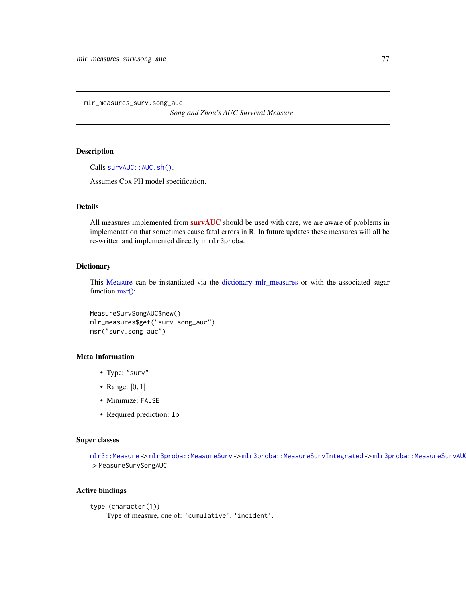<span id="page-76-0"></span>mlr\_measures\_surv.song\_auc

*Song and Zhou's AUC Survival Measure*

## Description

Calls survAUC:: AUC.sh().

Assumes Cox PH model specification.

## Details

All measures implemented from [survAUC](https://CRAN.R-project.org/package=survAUC) should be used with care, we are aware of problems in implementation that sometimes cause fatal errors in R. In future updates these measures will all be re-written and implemented directly in mlr3proba.

#### **Dictionary**

This [Measure](#page-0-0) can be instantiated via the [dictionary](#page-0-0) [mlr\\_measures](#page-0-0) or with the associated sugar function [msr\(\):](#page-0-0)

MeasureSurvSongAUC\$new() mlr\_measures\$get("surv.song\_auc") msr("surv.song\_auc")

## Meta Information

- Type: "surv"
- Range:  $[0, 1]$
- Minimize: FALSE
- Required prediction: lp

## Super classes

[mlr3::Measure](#page-0-0) -> [mlr3proba::MeasureSurv](#page-0-0) -> [mlr3proba::MeasureSurvIntegrated](#page-0-0) -> mlr3proba::MeasureSurvAU -> MeasureSurvSongAUC

## Active bindings

```
type (character(1))
    Type of measure, one of: 'cumulative', 'incident'.
```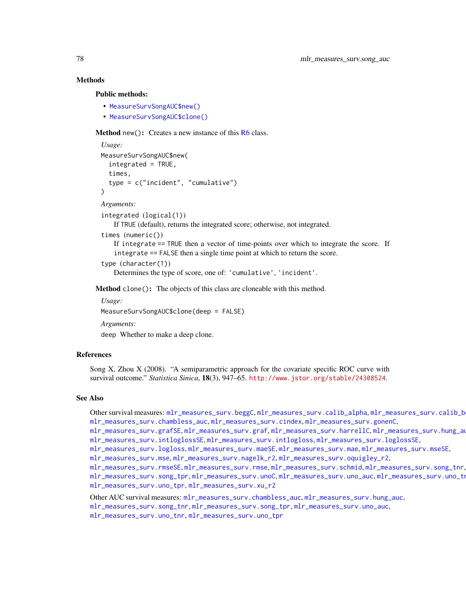## Methods

#### Public methods:

- [MeasureSurvSongAUC\\$new\(\)](#page-7-0)
- [MeasureSurvSongAUC\\$clone\(\)](#page-8-0)

Method new(): Creates a new instance of this [R6](#page-0-0) class.

```
Usage:
MeasureSurvSongAUC$new(
  integrated = TRUE,times,
  type = c("incident", "cumulative")
)
```
#### *Arguments:*

```
integrated (logical(1))
```
If TRUE (default), returns the integrated score; otherwise, not integrated.

```
times (numeric())
```
If integrate == TRUE then a vector of time-points over which to integrate the score. If integrate == FALSE then a single time point at which to return the score.

```
type (character(1))
```
Determines the type of score, one of: 'cumulative', 'incident'.

Method clone(): The objects of this class are cloneable with this method.

*Usage:* MeasureSurvSongAUC\$clone(deep = FALSE) *Arguments:*

deep Whether to make a deep clone.

## References

Song X, Zhou X (2008). "A semiparametric approach for the covariate specific ROC curve with survival outcome." *Statistica Sinica*, 18(3), 947–65. <http://www.jstor.org/stable/24308524>.

## See Also

Other survival measures: [mlr\\_measures\\_surv.beggC](#page-35-0), [mlr\\_measures\\_surv.calib\\_alpha](#page-36-0), [mlr\\_measures\\_surv.calib\\_beta](#page-38-0), [mlr\\_measures\\_surv.chambless\\_auc](#page-40-0), [mlr\\_measures\\_surv.cindex](#page-42-0), [mlr\\_measures\\_surv.gonenC](#page-44-0),

[mlr\\_measures\\_surv.grafSE](#page-48-0), [mlr\\_measures\\_surv.graf](#page-46-0), [mlr\\_measures\\_surv.harrellC](#page-50-0), [mlr\\_measures\\_surv.hung\\_auc](#page-51-0), [mlr\\_measures\\_surv.intloglossSE](#page-56-0), [mlr\\_measures\\_surv.intlogloss](#page-53-0), [mlr\\_measures\\_surv.loglossSE](#page-60-0),

[mlr\\_measures\\_surv.logloss](#page-58-0), [mlr\\_measures\\_surv.maeSE](#page-63-0), [mlr\\_measures\\_surv.mae](#page-61-0), [mlr\\_measures\\_surv.mseSE](#page-66-0),

[mlr\\_measures\\_surv.mse](#page-64-0), [mlr\\_measures\\_surv.nagelk\\_r2](#page-67-0), [mlr\\_measures\\_surv.oquigley\\_r2](#page-69-0),

[mlr\\_measures\\_surv.rmseSE](#page-72-0), [mlr\\_measures\\_surv.rmse](#page-70-1), [mlr\\_measures\\_surv.schmid](#page-73-0), [mlr\\_measures\\_surv.song\\_tnr](#page-78-0), [mlr\\_measures\\_surv.song\\_tpr](#page-80-0),[mlr\\_measures\\_surv.unoC](#page-82-0),[mlr\\_measures\\_surv.uno\\_auc](#page-83-0),mlr\_measures\_surv.uno\_tn [mlr\\_measures\\_surv.uno\\_tpr](#page-87-0), [mlr\\_measures\\_surv.xu\\_r2](#page-89-0)

Other AUC survival measures: [mlr\\_measures\\_surv.chambless\\_auc](#page-40-0), [mlr\\_measures\\_surv.hung\\_auc](#page-51-0),

[mlr\\_measures\\_surv.song\\_tnr](#page-78-0), [mlr\\_measures\\_surv.song\\_tpr](#page-80-0), [mlr\\_measures\\_surv.uno\\_auc](#page-83-0),

[mlr\\_measures\\_surv.uno\\_tnr](#page-85-0), [mlr\\_measures\\_surv.uno\\_tpr](#page-87-0)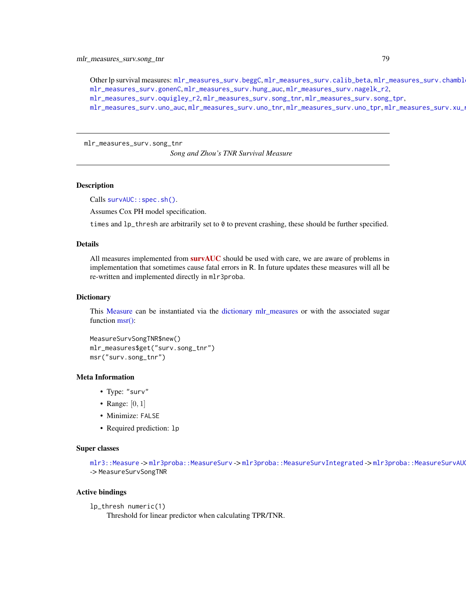Other lp survival measures: [mlr\\_measures\\_surv.beggC](#page-35-0), [mlr\\_measures\\_surv.calib\\_beta](#page-38-0), mlr\_measures\_surv.chambl [mlr\\_measures\\_surv.gonenC](#page-44-0), [mlr\\_measures\\_surv.hung\\_auc](#page-51-0), [mlr\\_measures\\_surv.nagelk\\_r2](#page-67-0), [mlr\\_measures\\_surv.oquigley\\_r2](#page-69-0), [mlr\\_measures\\_surv.song\\_tnr](#page-78-0), [mlr\\_measures\\_surv.song\\_tpr](#page-80-0), [mlr\\_measures\\_surv.uno\\_auc](#page-83-0), [mlr\\_measures\\_surv.uno\\_tnr](#page-85-0), [mlr\\_measures\\_surv.uno\\_tpr](#page-87-0), [mlr\\_measures\\_surv.xu\\_r2](#page-89-0)

<span id="page-78-0"></span>mlr\_measures\_surv.song\_tnr

*Song and Zhou's TNR Survival Measure*

#### Description

Calls survAUC:: spec.sh().

Assumes Cox PH model specification.

times and lp\_thresh are arbitrarily set to 0 to prevent crashing, these should be further specified.

#### Details

All measures implemented from **[survAUC](https://CRAN.R-project.org/package=survAUC)** should be used with care, we are aware of problems in implementation that sometimes cause fatal errors in R. In future updates these measures will all be re-written and implemented directly in mlr3proba.

#### Dictionary

This [Measure](#page-0-0) can be instantiated via the [dictionary](#page-0-0) [mlr\\_measures](#page-0-0) or with the associated sugar function [msr\(\):](#page-0-0)

```
MeasureSurvSongTNR$new()
mlr_measures$get("surv.song_tnr")
msr("surv.song_tnr")
```
#### Meta Information

- Type: "surv"
- Range:  $[0, 1]$
- Minimize: FALSE
- Required prediction: lp

## Super classes

[mlr3::Measure](#page-0-0) -> [mlr3proba::MeasureSurv](#page-0-0) -> [mlr3proba::MeasureSurvIntegrated](#page-0-0) -> mlr3proba::MeasureSurvAU -> MeasureSurvSongTNR

#### Active bindings

```
lp_thresh numeric(1)
```
Threshold for linear predictor when calculating TPR/TNR.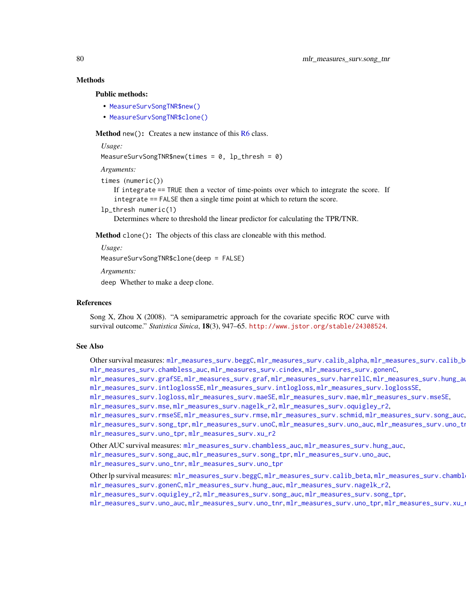## Methods

#### Public methods:

- [MeasureSurvSongTNR\\$new\(\)](#page-7-0)
- [MeasureSurvSongTNR\\$clone\(\)](#page-8-0)

**Method** new(): Creates a new instance of this  $R6$  class.

*Usage:*

```
MeasureSurvSongTNR$new(times = 0, lp_thresh = 0)
```
*Arguments:*

```
times (numeric())
```
If integrate == TRUE then a vector of time-points over which to integrate the score. If integrate == FALSE then a single time point at which to return the score.

lp\_thresh numeric(1)

Determines where to threshold the linear predictor for calculating the TPR/TNR.

Method clone(): The objects of this class are cloneable with this method.

*Usage:*

MeasureSurvSongTNR\$clone(deep = FALSE)

*Arguments:*

deep Whether to make a deep clone.

#### References

Song X, Zhou X (2008). "A semiparametric approach for the covariate specific ROC curve with survival outcome." *Statistica Sinica*, 18(3), 947–65. <http://www.jstor.org/stable/24308524>.

#### See Also

Other survival measures: [mlr\\_measures\\_surv.beggC](#page-35-0), [mlr\\_measures\\_surv.calib\\_alpha](#page-36-0), [mlr\\_measures\\_surv.calib\\_beta](#page-38-0), [mlr\\_measures\\_surv.chambless\\_auc](#page-40-0), [mlr\\_measures\\_surv.cindex](#page-42-0), [mlr\\_measures\\_surv.gonenC](#page-44-0), [mlr\\_measures\\_surv.grafSE](#page-48-0), [mlr\\_measures\\_surv.graf](#page-46-0), [mlr\\_measures\\_surv.harrellC](#page-50-0), [mlr\\_measures\\_surv.hung\\_auc](#page-51-0), [mlr\\_measures\\_surv.intloglossSE](#page-56-0), [mlr\\_measures\\_surv.intlogloss](#page-53-0), [mlr\\_measures\\_surv.loglossSE](#page-60-0), [mlr\\_measures\\_surv.logloss](#page-58-0), [mlr\\_measures\\_surv.maeSE](#page-63-0), [mlr\\_measures\\_surv.mae](#page-61-0), [mlr\\_measures\\_surv.mseSE](#page-66-0),

[mlr\\_measures\\_surv.mse](#page-64-0), [mlr\\_measures\\_surv.nagelk\\_r2](#page-67-0), [mlr\\_measures\\_surv.oquigley\\_r2](#page-69-0),

```
mlr_measures_surv.rmseSE, mlr_measures_surv.rmse, mlr_measures_surv.schmid, mlr_measures_surv.song_auc,
mlr_measures_surv.song_tprmlr_measures_surv.unoCmlr_measures_surv.uno_auc,mlr_measures_surv.uno_tn
mlr_measures_surv.uno_tpr, mlr_measures_surv.xu_r2
```
Other AUC survival measures: [mlr\\_measures\\_surv.chambless\\_auc](#page-40-0), [mlr\\_measures\\_surv.hung\\_auc](#page-51-0), [mlr\\_measures\\_surv.song\\_auc](#page-76-0), [mlr\\_measures\\_surv.song\\_tpr](#page-80-0), [mlr\\_measures\\_surv.uno\\_auc](#page-83-0), [mlr\\_measures\\_surv.uno\\_tnr](#page-85-0), [mlr\\_measures\\_surv.uno\\_tpr](#page-87-0)

Other lp survival measures: [mlr\\_measures\\_surv.beggC](#page-35-0), [mlr\\_measures\\_surv.calib\\_beta](#page-38-0), mlr\_measures\_surv.chambl [mlr\\_measures\\_surv.gonenC](#page-44-0), [mlr\\_measures\\_surv.hung\\_auc](#page-51-0), [mlr\\_measures\\_surv.nagelk\\_r2](#page-67-0), [mlr\\_measures\\_surv.oquigley\\_r2](#page-69-0), [mlr\\_measures\\_surv.song\\_auc](#page-76-0), [mlr\\_measures\\_surv.song\\_tpr](#page-80-0),

[mlr\\_measures\\_surv.uno\\_auc](#page-83-0), [mlr\\_measures\\_surv.uno\\_tnr](#page-85-0), [mlr\\_measures\\_surv.uno\\_tpr](#page-87-0), [mlr\\_measures\\_surv.xu\\_r2](#page-89-0)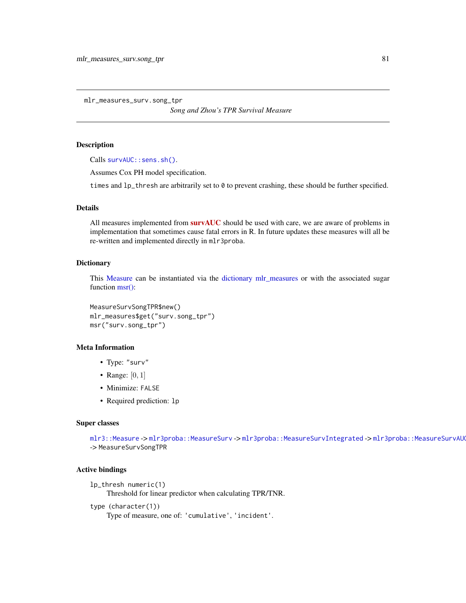<span id="page-80-0"></span>mlr\_measures\_surv.song\_tpr

*Song and Zhou's TPR Survival Measure*

## Description

Calls [survAUC::sens.sh\(\)](#page-0-0).

Assumes Cox PH model specification.

times and  $lp_t$  thresh are arbitrarily set to  $\theta$  to prevent crashing, these should be further specified.

## **Details**

All measures implemented from [survAUC](https://CRAN.R-project.org/package=survAUC) should be used with care, we are aware of problems in implementation that sometimes cause fatal errors in R. In future updates these measures will all be re-written and implemented directly in mlr3proba.

#### **Dictionary**

This [Measure](#page-0-0) can be instantiated via the [dictionary](#page-0-0) [mlr\\_measures](#page-0-0) or with the associated sugar function [msr\(\):](#page-0-0)

MeasureSurvSongTPR\$new() mlr\_measures\$get("surv.song\_tpr") msr("surv.song\_tpr")

## Meta Information

- Type: "surv"
- Range:  $[0, 1]$
- Minimize: FALSE
- Required prediction: lp

## Super classes

[mlr3::Measure](#page-0-0) -> [mlr3proba::MeasureSurv](#page-0-0) -> [mlr3proba::MeasureSurvIntegrated](#page-0-0) -> mlr3proba::MeasureSurvAU -> MeasureSurvSongTPR

#### Active bindings

```
lp_thresh numeric(1)
```
Threshold for linear predictor when calculating TPR/TNR.

```
type (character(1))
```

```
Type of measure, one of: 'cumulative', 'incident'.
```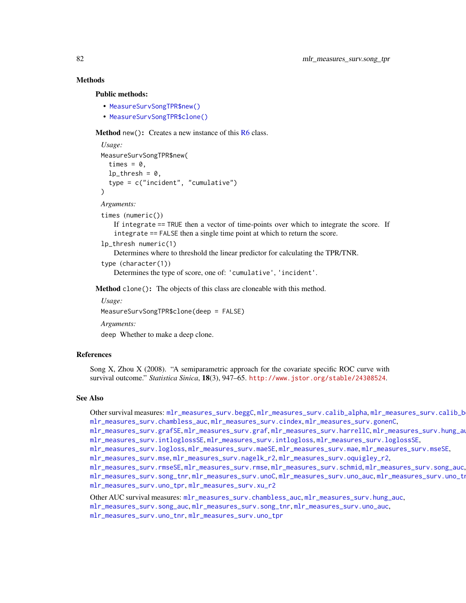## Methods

#### Public methods:

- [MeasureSurvSongTPR\\$new\(\)](#page-7-0)
- [MeasureSurvSongTPR\\$clone\(\)](#page-8-0)

Method new(): Creates a new instance of this [R6](#page-0-0) class.

```
Usage:
MeasureSurvSongTPR$new(
  times = 0,
  lp_{th}resh = 0,
  type = c("incident", "cumulative")
)
```
*Arguments:*

```
times (numeric())
```
If integrate == TRUE then a vector of time-points over which to integrate the score. If integrate == FALSE then a single time point at which to return the score.

```
lp_thresh numeric(1)
```
Determines where to threshold the linear predictor for calculating the TPR/TNR.

```
type (character(1))
```
Determines the type of score, one of: 'cumulative', 'incident'.

Method clone(): The objects of this class are cloneable with this method.

*Usage:*

MeasureSurvSongTPR\$clone(deep = FALSE)

*Arguments:*

deep Whether to make a deep clone.

## References

Song X, Zhou X (2008). "A semiparametric approach for the covariate specific ROC curve with survival outcome." *Statistica Sinica*, 18(3), 947–65. <http://www.jstor.org/stable/24308524>.

## See Also

Other survival measures: [mlr\\_measures\\_surv.beggC](#page-35-0), [mlr\\_measures\\_surv.calib\\_alpha](#page-36-0), [mlr\\_measures\\_surv.calib\\_beta](#page-38-0), [mlr\\_measures\\_surv.chambless\\_auc](#page-40-0), [mlr\\_measures\\_surv.cindex](#page-42-0), [mlr\\_measures\\_surv.gonenC](#page-44-0),

[mlr\\_measures\\_surv.grafSE](#page-48-0), [mlr\\_measures\\_surv.graf](#page-46-0), [mlr\\_measures\\_surv.harrellC](#page-50-0), [mlr\\_measures\\_surv.hung\\_auc](#page-51-0), [mlr\\_measures\\_surv.intloglossSE](#page-56-0), [mlr\\_measures\\_surv.intlogloss](#page-53-0), [mlr\\_measures\\_surv.loglossSE](#page-60-0),

[mlr\\_measures\\_surv.logloss](#page-58-0), [mlr\\_measures\\_surv.maeSE](#page-63-0), [mlr\\_measures\\_surv.mae](#page-61-0), [mlr\\_measures\\_surv.mseSE](#page-66-0),

[mlr\\_measures\\_surv.mse](#page-64-0), [mlr\\_measures\\_surv.nagelk\\_r2](#page-67-0), [mlr\\_measures\\_surv.oquigley\\_r2](#page-69-0),

[mlr\\_measures\\_surv.rmseSE](#page-72-0), [mlr\\_measures\\_surv.rmse](#page-70-1), [mlr\\_measures\\_surv.schmid](#page-73-0), [mlr\\_measures\\_surv.song\\_auc](#page-76-0), [mlr\\_measures\\_surv.song\\_tnr](#page-78-0),[mlr\\_measures\\_surv.unoC](#page-82-0),[mlr\\_measures\\_surv.uno\\_auc](#page-83-0),mlr\_measures\_surv.uno\_tn [mlr\\_measures\\_surv.uno\\_tpr](#page-87-0), [mlr\\_measures\\_surv.xu\\_r2](#page-89-0)

Other AUC survival measures: [mlr\\_measures\\_surv.chambless\\_auc](#page-40-0), [mlr\\_measures\\_surv.hung\\_auc](#page-51-0), [mlr\\_measures\\_surv.song\\_auc](#page-76-0), [mlr\\_measures\\_surv.song\\_tnr](#page-78-0), [mlr\\_measures\\_surv.uno\\_auc](#page-83-0),

[mlr\\_measures\\_surv.uno\\_tnr](#page-85-0), [mlr\\_measures\\_surv.uno\\_tpr](#page-87-0)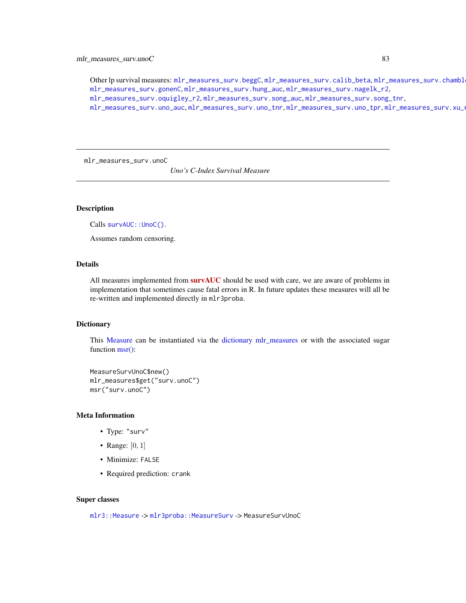## mlr\_measures\_surv.unoC 83

Other lp survival measures: [mlr\\_measures\\_surv.beggC](#page-35-0), [mlr\\_measures\\_surv.calib\\_beta](#page-38-0), mlr\_measures\_surv.chambl [mlr\\_measures\\_surv.gonenC](#page-44-0), [mlr\\_measures\\_surv.hung\\_auc](#page-51-0), [mlr\\_measures\\_surv.nagelk\\_r2](#page-67-0), [mlr\\_measures\\_surv.oquigley\\_r2](#page-69-0), [mlr\\_measures\\_surv.song\\_auc](#page-76-0), [mlr\\_measures\\_surv.song\\_tnr](#page-78-0), [mlr\\_measures\\_surv.uno\\_auc](#page-83-0), [mlr\\_measures\\_surv.uno\\_tnr](#page-85-0), [mlr\\_measures\\_surv.uno\\_tpr](#page-87-0), [mlr\\_measures\\_surv.xu\\_r2](#page-89-0)

<span id="page-82-0"></span>mlr\_measures\_surv.unoC

*Uno's C-Index Survival Measure*

## Description

Calls survAUC:: UnoC().

Assumes random censoring.

## Details

All measures implemented from **[survAUC](https://CRAN.R-project.org/package=survAUC)** should be used with care, we are aware of problems in implementation that sometimes cause fatal errors in R. In future updates these measures will all be re-written and implemented directly in mlr3proba.

#### Dictionary

This [Measure](#page-0-0) can be instantiated via the [dictionary](#page-0-0) [mlr\\_measures](#page-0-0) or with the associated sugar function [msr\(\):](#page-0-0)

```
MeasureSurvUnoC$new()
mlr_measures$get("surv.unoC")
msr("surv.unoC")
```
## Meta Information

- Type: "surv"
- Range:  $[0, 1]$
- Minimize: FALSE
- Required prediction: crank

#### Super classes

[mlr3::Measure](#page-0-0) -> [mlr3proba::MeasureSurv](#page-0-0) -> MeasureSurvUnoC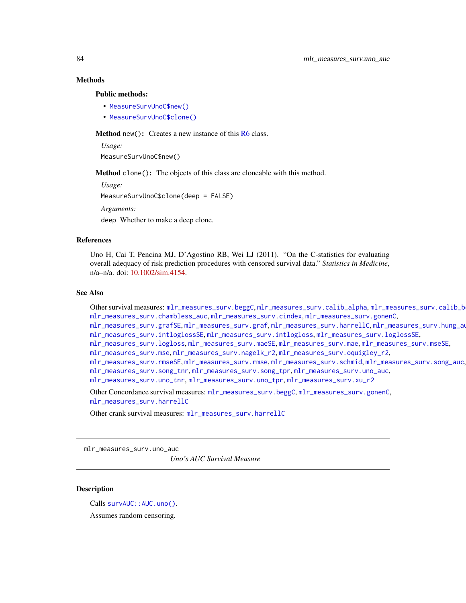#### Methods

#### Public methods:

- [MeasureSurvUnoC\\$new\(\)](#page-7-0)
- [MeasureSurvUnoC\\$clone\(\)](#page-8-0)

Method new(): Creates a new instance of this [R6](#page-0-0) class.

*Usage:*

MeasureSurvUnoC\$new()

Method clone(): The objects of this class are cloneable with this method.

*Usage:*

MeasureSurvUnoC\$clone(deep = FALSE)

*Arguments:*

deep Whether to make a deep clone.

#### References

Uno H, Cai T, Pencina MJ, D'Agostino RB, Wei LJ (2011). "On the C-statistics for evaluating overall adequacy of risk prediction procedures with censored survival data." *Statistics in Medicine*, n/a–n/a. doi: [10.1002/sim.4154.](https://doi.org/10.1002/sim.4154)

#### See Also

Other survival measures: [mlr\\_measures\\_surv.beggC](#page-35-0), [mlr\\_measures\\_surv.calib\\_alpha](#page-36-0), [mlr\\_measures\\_surv.calib\\_beta](#page-38-0), [mlr\\_measures\\_surv.chambless\\_auc](#page-40-0), [mlr\\_measures\\_surv.cindex](#page-42-0), [mlr\\_measures\\_surv.gonenC](#page-44-0), [mlr\\_measures\\_surv.grafSE](#page-48-0), [mlr\\_measures\\_surv.graf](#page-46-0), [mlr\\_measures\\_surv.harrellC](#page-50-0), [mlr\\_measures\\_surv.hung\\_auc](#page-51-0), [mlr\\_measures\\_surv.intloglossSE](#page-56-0), [mlr\\_measures\\_surv.intlogloss](#page-53-0), [mlr\\_measures\\_surv.loglossSE](#page-60-0), [mlr\\_measures\\_surv.logloss](#page-58-0), [mlr\\_measures\\_surv.maeSE](#page-63-0), [mlr\\_measures\\_surv.mae](#page-61-0), [mlr\\_measures\\_surv.mseSE](#page-66-0), [mlr\\_measures\\_surv.mse](#page-64-0), [mlr\\_measures\\_surv.nagelk\\_r2](#page-67-0), [mlr\\_measures\\_surv.oquigley\\_r2](#page-69-0), [mlr\\_measures\\_surv.rmseSE](#page-72-0), [mlr\\_measures\\_surv.rmse](#page-70-1), [mlr\\_measures\\_surv.schmid](#page-73-0), [mlr\\_measures\\_surv.song\\_auc](#page-76-0), [mlr\\_measures\\_surv.song\\_tnr](#page-78-0), [mlr\\_measures\\_surv.song\\_tpr](#page-80-0), [mlr\\_measures\\_surv.uno\\_auc](#page-83-0), [mlr\\_measures\\_surv.uno\\_tnr](#page-85-0), [mlr\\_measures\\_surv.uno\\_tpr](#page-87-0), [mlr\\_measures\\_surv.xu\\_r2](#page-89-0)

Other Concordance survival measures: [mlr\\_measures\\_surv.beggC](#page-35-0), [mlr\\_measures\\_surv.gonenC](#page-44-0), [mlr\\_measures\\_surv.harrellC](#page-50-0)

Other crank survival measures: [mlr\\_measures\\_surv.harrellC](#page-50-0)

<span id="page-83-0"></span>mlr\_measures\_surv.uno\_auc

*Uno's AUC Survival Measure*

## Description

Calls survAUC:: AUC.uno().

Assumes random censoring.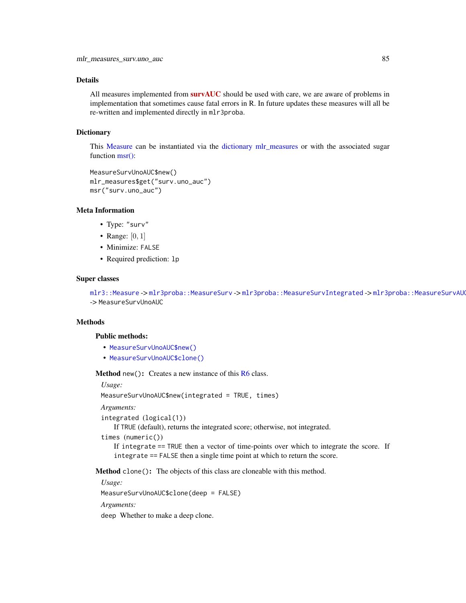## Details

All measures implemented from  $survAUC$  should be used with care, we are aware of problems in implementation that sometimes cause fatal errors in R. In future updates these measures will all be re-written and implemented directly in mlr3proba.

#### **Dictionary**

This [Measure](#page-0-0) can be instantiated via the [dictionary](#page-0-0) [mlr\\_measures](#page-0-0) or with the associated sugar function [msr\(\):](#page-0-0)

```
MeasureSurvUnoAUC$new()
mlr_measures$get("surv.uno_auc")
msr("surv.uno_auc")
```
#### Meta Information

- Type: "surv"
- Range:  $[0, 1]$
- Minimize: FALSE
- Required prediction: lp

#### Super classes

[mlr3::Measure](#page-0-0) -> [mlr3proba::MeasureSurv](#page-0-0) -> [mlr3proba::MeasureSurvIntegrated](#page-0-0) -> mlr3proba::MeasureSurvAU -> MeasureSurvUnoAUC

## **Methods**

## Public methods:

- [MeasureSurvUnoAUC\\$new\(\)](#page-7-0)
- [MeasureSurvUnoAUC\\$clone\(\)](#page-8-0)

**Method** new(): Creates a new instance of this  $R6$  class.

*Usage:*

MeasureSurvUnoAUC\$new(integrated = TRUE, times)

*Arguments:*

```
integrated (logical(1))
```
If TRUE (default), returns the integrated score; otherwise, not integrated.

times (numeric())

If integrate == TRUE then a vector of time-points over which to integrate the score. If integrate == FALSE then a single time point at which to return the score.

Method clone(): The objects of this class are cloneable with this method.

*Usage:* MeasureSurvUnoAUC\$clone(deep = FALSE) *Arguments:* deep Whether to make a deep clone.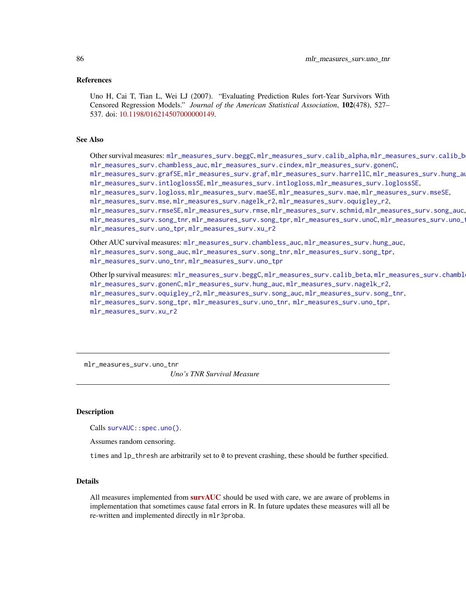#### References

Uno H, Cai T, Tian L, Wei LJ (2007). "Evaluating Prediction Rules fort-Year Survivors With Censored Regression Models." *Journal of the American Statistical Association*, 102(478), 527– 537. doi: [10.1198/016214507000000149.](https://doi.org/10.1198/016214507000000149)

#### See Also

Other survival measures: [mlr\\_measures\\_surv.beggC](#page-35-0), [mlr\\_measures\\_surv.calib\\_alpha](#page-36-0), mlr\_measures\_surv.calib\_b [mlr\\_measures\\_surv.chambless\\_auc](#page-40-0), [mlr\\_measures\\_surv.cindex](#page-42-0), [mlr\\_measures\\_surv.gonenC](#page-44-0),

[mlr\\_measures\\_surv.grafSE](#page-48-0), [mlr\\_measures\\_surv.graf](#page-46-0), [mlr\\_measures\\_surv.harrellC](#page-50-0), [mlr\\_measures\\_surv.hung\\_auc](#page-51-0), [mlr\\_measures\\_surv.intloglossSE](#page-56-0), [mlr\\_measures\\_surv.intlogloss](#page-53-0), [mlr\\_measures\\_surv.loglossSE](#page-60-0),

[mlr\\_measures\\_surv.logloss](#page-58-0), [mlr\\_measures\\_surv.maeSE](#page-63-0), [mlr\\_measures\\_surv.mae](#page-61-0), [mlr\\_measures\\_surv.mseSE](#page-66-0),

[mlr\\_measures\\_surv.mse](#page-64-0), [mlr\\_measures\\_surv.nagelk\\_r2](#page-67-0), [mlr\\_measures\\_surv.oquigley\\_r2](#page-69-0),

[mlr\\_measures\\_surv.rmseSE](#page-72-0), [mlr\\_measures\\_surv.rmse](#page-70-1), [mlr\\_measures\\_surv.schmid](#page-73-0), [mlr\\_measures\\_surv.song\\_auc](#page-76-0), [mlr\\_measures\\_surv.song\\_tnr](#page-78-0), [mlr\\_measures\\_surv.song\\_tpr](#page-80-0), [mlr\\_measures\\_surv.unoC](#page-82-0), [mlr\\_measures\\_surv.uno\\_tnr](#page-85-0), [mlr\\_measures\\_surv.uno\\_tpr](#page-87-0), [mlr\\_measures\\_surv.xu\\_r2](#page-89-0)

Other AUC survival measures: [mlr\\_measures\\_surv.chambless\\_auc](#page-40-0), [mlr\\_measures\\_surv.hung\\_auc](#page-51-0), [mlr\\_measures\\_surv.song\\_auc](#page-76-0), [mlr\\_measures\\_surv.song\\_tnr](#page-78-0), [mlr\\_measures\\_surv.song\\_tpr](#page-80-0), [mlr\\_measures\\_surv.uno\\_tnr](#page-85-0), [mlr\\_measures\\_surv.uno\\_tpr](#page-87-0)

Other lp survival measures: [mlr\\_measures\\_surv.beggC](#page-35-0), [mlr\\_measures\\_surv.calib\\_beta](#page-38-0), mlr\_measures\_surv.chambl [mlr\\_measures\\_surv.gonenC](#page-44-0), [mlr\\_measures\\_surv.hung\\_auc](#page-51-0), [mlr\\_measures\\_surv.nagelk\\_r2](#page-67-0), [mlr\\_measures\\_surv.oquigley\\_r2](#page-69-0), [mlr\\_measures\\_surv.song\\_auc](#page-76-0), [mlr\\_measures\\_surv.song\\_tnr](#page-78-0), [mlr\\_measures\\_surv.song\\_tpr](#page-80-0), [mlr\\_measures\\_surv.uno\\_tnr](#page-85-0), [mlr\\_measures\\_surv.uno\\_tpr](#page-87-0), [mlr\\_measures\\_surv.xu\\_r2](#page-89-0)

<span id="page-85-0"></span>mlr\_measures\_surv.uno\_tnr *Uno's TNR Survival Measure*

#### **Description**

Calls [survAUC::spec.uno\(\)](#page-0-0).

Assumes random censoring.

times and  $lp_t$ thresh are arbitrarily set to 0 to prevent crashing, these should be further specified.

## Details

All measures implemented from **[survAUC](https://CRAN.R-project.org/package=survAUC)** should be used with care, we are aware of problems in implementation that sometimes cause fatal errors in R. In future updates these measures will all be re-written and implemented directly in mlr3proba.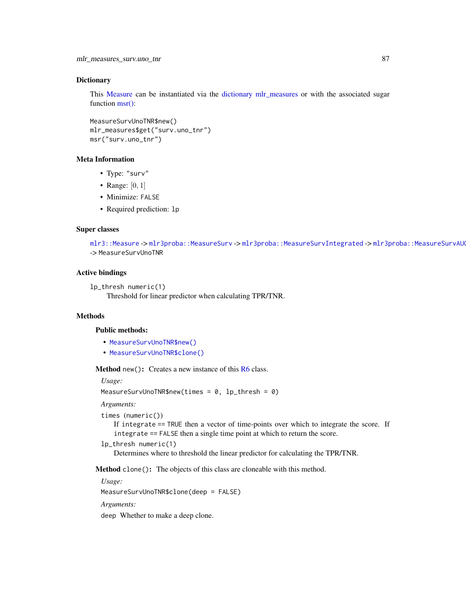## **Dictionary**

This [Measure](#page-0-0) can be instantiated via the [dictionary](#page-0-0) [mlr\\_measures](#page-0-0) or with the associated sugar function [msr\(\):](#page-0-0)

```
MeasureSurvUnoTNR$new()
mlr_measures$get("surv.uno_tnr")
msr("surv.uno_tnr")
```
## Meta Information

- Type: "surv"
- Range:  $[0, 1]$
- Minimize: FALSE
- Required prediction: lp

#### Super classes

[mlr3::Measure](#page-0-0) -> [mlr3proba::MeasureSurv](#page-0-0) -> [mlr3proba::MeasureSurvIntegrated](#page-0-0) -> mlr3proba::MeasureSurvAU -> MeasureSurvUnoTNR

#### Active bindings

```
lp_thresh numeric(1)
    Threshold for linear predictor when calculating TPR/TNR.
```
## **Methods**

#### Public methods:

- [MeasureSurvUnoTNR\\$new\(\)](#page-7-0)
- [MeasureSurvUnoTNR\\$clone\(\)](#page-8-0)

**Method** new(): Creates a new instance of this  $R6$  class.

*Usage:*

```
MeasureSurvUnoTNR$new(times = 0, lp_thresh = 0)
```
*Arguments:*

```
times (numeric())
```
If integrate == TRUE then a vector of time-points over which to integrate the score. If integrate == FALSE then a single time point at which to return the score.

```
lp_thresh numeric(1)
```
Determines where to threshold the linear predictor for calculating the TPR/TNR.

Method clone(): The objects of this class are cloneable with this method.

*Usage:*

MeasureSurvUnoTNR\$clone(deep = FALSE)

*Arguments:*

deep Whether to make a deep clone.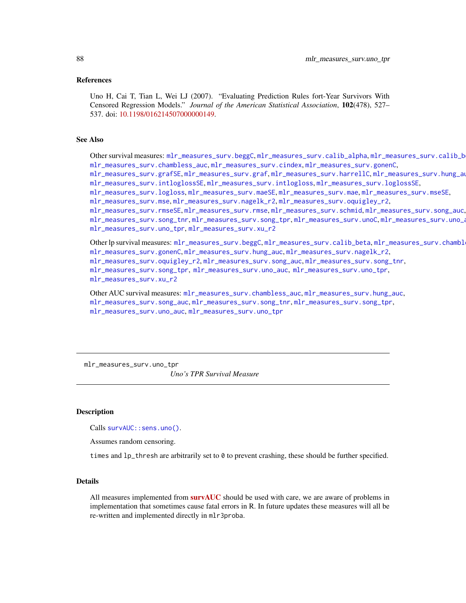#### References

Uno H, Cai T, Tian L, Wei LJ (2007). "Evaluating Prediction Rules fort-Year Survivors With Censored Regression Models." *Journal of the American Statistical Association*, 102(478), 527– 537. doi: [10.1198/016214507000000149.](https://doi.org/10.1198/016214507000000149)

#### See Also

Other survival measures: [mlr\\_measures\\_surv.beggC](#page-35-0), [mlr\\_measures\\_surv.calib\\_alpha](#page-36-0), [mlr\\_measures\\_surv.calib\\_beta](#page-38-0), [mlr\\_measures\\_surv.chambless\\_auc](#page-40-0), [mlr\\_measures\\_surv.cindex](#page-42-0), [mlr\\_measures\\_surv.gonenC](#page-44-0), [mlr\\_measures\\_surv.grafSE](#page-48-0), [mlr\\_measures\\_surv.graf](#page-46-0), [mlr\\_measures\\_surv.harrellC](#page-50-0), [mlr\\_measures\\_surv.hung\\_auc](#page-51-0), [mlr\\_measures\\_surv.intloglossSE](#page-56-0), [mlr\\_measures\\_surv.intlogloss](#page-53-0), [mlr\\_measures\\_surv.loglossSE](#page-60-0), [mlr\\_measures\\_surv.logloss](#page-58-0), [mlr\\_measures\\_surv.maeSE](#page-63-0), [mlr\\_measures\\_surv.mae](#page-61-0), [mlr\\_measures\\_surv.mseSE](#page-66-0), [mlr\\_measures\\_surv.mse](#page-64-0), [mlr\\_measures\\_surv.nagelk\\_r2](#page-67-0), [mlr\\_measures\\_surv.oquigley\\_r2](#page-69-0), [mlr\\_measures\\_surv.rmseSE](#page-72-0), [mlr\\_measures\\_surv.rmse](#page-70-1), [mlr\\_measures\\_surv.schmid](#page-73-0), [mlr\\_measures\\_surv.song\\_auc](#page-76-0), [mlr\\_measures\\_surv.song\\_tnr](#page-78-0), [mlr\\_measures\\_surv.song\\_tpr](#page-80-0), [mlr\\_measures\\_surv.unoC](#page-82-0), [mlr\\_measures\\_surv.uno\\_auc](#page-83-0),

[mlr\\_measures\\_surv.uno\\_tpr](#page-87-0), [mlr\\_measures\\_surv.xu\\_r2](#page-89-0)

Other lp survival measures: [mlr\\_measures\\_surv.beggC](#page-35-0), [mlr\\_measures\\_surv.calib\\_beta](#page-38-0), mlr\_measures\_surv.chambl [mlr\\_measures\\_surv.gonenC](#page-44-0), [mlr\\_measures\\_surv.hung\\_auc](#page-51-0), [mlr\\_measures\\_surv.nagelk\\_r2](#page-67-0), [mlr\\_measures\\_surv.oquigley\\_r2](#page-69-0), [mlr\\_measures\\_surv.song\\_auc](#page-76-0), [mlr\\_measures\\_surv.song\\_tnr](#page-78-0), [mlr\\_measures\\_surv.song\\_tpr](#page-80-0), [mlr\\_measures\\_surv.uno\\_auc](#page-83-0), [mlr\\_measures\\_surv.uno\\_tpr](#page-87-0), [mlr\\_measures\\_surv.xu\\_r2](#page-89-0)

Other AUC survival measures: [mlr\\_measures\\_surv.chambless\\_auc](#page-40-0), [mlr\\_measures\\_surv.hung\\_auc](#page-51-0), [mlr\\_measures\\_surv.song\\_auc](#page-76-0), [mlr\\_measures\\_surv.song\\_tnr](#page-78-0), [mlr\\_measures\\_surv.song\\_tpr](#page-80-0), [mlr\\_measures\\_surv.uno\\_auc](#page-83-0), [mlr\\_measures\\_surv.uno\\_tpr](#page-87-0)

<span id="page-87-0"></span>mlr\_measures\_surv.uno\_tpr *Uno's TPR Survival Measure*

#### **Description**

Calls [survAUC::sens.uno\(\)](#page-0-0).

Assumes random censoring.

times and  $lp_t$ thresh are arbitrarily set to 0 to prevent crashing, these should be further specified.

## Details

All measures implemented from **[survAUC](https://CRAN.R-project.org/package=survAUC)** should be used with care, we are aware of problems in implementation that sometimes cause fatal errors in R. In future updates these measures will all be re-written and implemented directly in mlr3proba.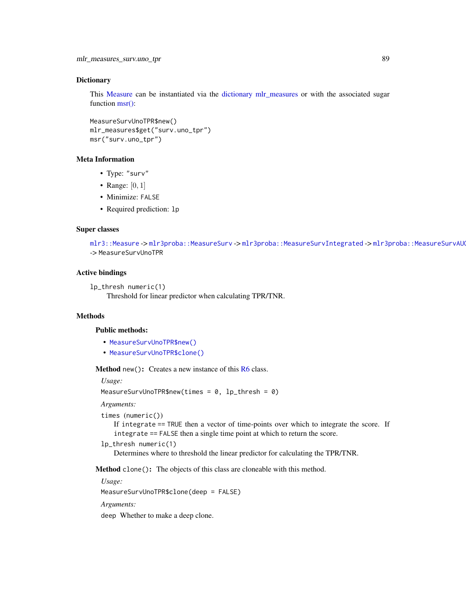### **Dictionary**

This [Measure](#page-0-0) can be instantiated via the [dictionary](#page-0-0) [mlr\\_measures](#page-0-0) or with the associated sugar function [msr\(\):](#page-0-0)

```
MeasureSurvUnoTPR$new()
mlr_measures$get("surv.uno_tpr")
msr("surv.uno_tpr")
```
## Meta Information

- Type: "surv"
- Range:  $[0, 1]$
- Minimize: FALSE
- Required prediction: lp

#### Super classes

[mlr3::Measure](#page-0-0) -> [mlr3proba::MeasureSurv](#page-0-0) -> [mlr3proba::MeasureSurvIntegrated](#page-0-0) -> mlr3proba::MeasureSurvAU -> MeasureSurvUnoTPR

#### Active bindings

```
lp_thresh numeric(1)
    Threshold for linear predictor when calculating TPR/TNR.
```
## **Methods**

#### Public methods:

- [MeasureSurvUnoTPR\\$new\(\)](#page-7-0)
- [MeasureSurvUnoTPR\\$clone\(\)](#page-8-0)

**Method** new(): Creates a new instance of this  $R6$  class.

*Usage:*

```
MeasureSurvUnoTPR$new(times = 0, lp_thresh = 0)
```
*Arguments:*

```
times (numeric())
```
If integrate == TRUE then a vector of time-points over which to integrate the score. If integrate == FALSE then a single time point at which to return the score.

```
lp_thresh numeric(1)
```
Determines where to threshold the linear predictor for calculating the TPR/TNR.

Method clone(): The objects of this class are cloneable with this method.

*Usage:*

MeasureSurvUnoTPR\$clone(deep = FALSE)

*Arguments:*

deep Whether to make a deep clone.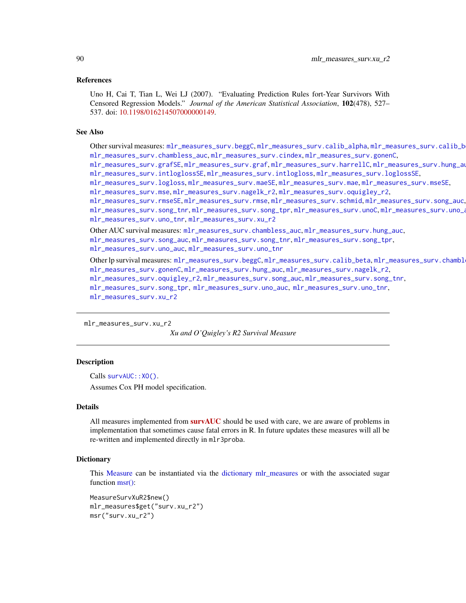#### References

Uno H, Cai T, Tian L, Wei LJ (2007). "Evaluating Prediction Rules fort-Year Survivors With Censored Regression Models." *Journal of the American Statistical Association*, 102(478), 527– 537. doi: [10.1198/016214507000000149.](https://doi.org/10.1198/016214507000000149)

#### See Also

Other survival measures: [mlr\\_measures\\_surv.beggC](#page-35-0), [mlr\\_measures\\_surv.calib\\_alpha](#page-36-0), mlr\_measures\_surv.calib\_b [mlr\\_measures\\_surv.chambless\\_auc](#page-40-0), [mlr\\_measures\\_surv.cindex](#page-42-0), [mlr\\_measures\\_surv.gonenC](#page-44-0), [mlr\\_measures\\_surv.grafSE](#page-48-0), [mlr\\_measures\\_surv.graf](#page-46-0), [mlr\\_measures\\_surv.harrellC](#page-50-0), [mlr\\_measures\\_surv.hung\\_auc](#page-51-0),

[mlr\\_measures\\_surv.intloglossSE](#page-56-0), [mlr\\_measures\\_surv.intlogloss](#page-53-0), [mlr\\_measures\\_surv.loglossSE](#page-60-0),

[mlr\\_measures\\_surv.logloss](#page-58-0), [mlr\\_measures\\_surv.maeSE](#page-63-0), [mlr\\_measures\\_surv.mae](#page-61-0), [mlr\\_measures\\_surv.mseSE](#page-66-0),

[mlr\\_measures\\_surv.mse](#page-64-0), [mlr\\_measures\\_surv.nagelk\\_r2](#page-67-0), [mlr\\_measures\\_surv.oquigley\\_r2](#page-69-0),

```
mlr_measures_surv.rmseSE, mlr_measures_surv.rmse, mlr_measures_surv.schmid, mlr_measures_surv.song_auc,
mlr_measures_surv.song_tnr, mlr_measures_surv.song_tpr, mlr_measures_surv.unoC, mlr_measures_surv.uno_auc,
mlr_measures_surv.uno_tnr, mlr_measures_surv.xu_r2
```
Other AUC survival measures: [mlr\\_measures\\_surv.chambless\\_auc](#page-40-0), [mlr\\_measures\\_surv.hung\\_auc](#page-51-0), [mlr\\_measures\\_surv.song\\_auc](#page-76-0), [mlr\\_measures\\_surv.song\\_tnr](#page-78-0), [mlr\\_measures\\_surv.song\\_tpr](#page-80-0), [mlr\\_measures\\_surv.uno\\_auc](#page-83-0), [mlr\\_measures\\_surv.uno\\_tnr](#page-85-0)

Other lp survival measures: [mlr\\_measures\\_surv.beggC](#page-35-0), [mlr\\_measures\\_surv.calib\\_beta](#page-38-0), mlr\_measures\_surv.chambl [mlr\\_measures\\_surv.gonenC](#page-44-0), [mlr\\_measures\\_surv.hung\\_auc](#page-51-0), [mlr\\_measures\\_surv.nagelk\\_r2](#page-67-0), [mlr\\_measures\\_surv.oquigley\\_r2](#page-69-0), [mlr\\_measures\\_surv.song\\_auc](#page-76-0), [mlr\\_measures\\_surv.song\\_tnr](#page-78-0), [mlr\\_measures\\_surv.song\\_tpr](#page-80-0), [mlr\\_measures\\_surv.uno\\_auc](#page-83-0), [mlr\\_measures\\_surv.uno\\_tnr](#page-85-0), [mlr\\_measures\\_surv.xu\\_r2](#page-89-0)

```
mlr_measures_surv.xu_r2
```
*Xu and O'Quigley's R2 Survival Measure*

#### **Description**

Calls survAUC:: XO().

Assumes Cox PH model specification.

## Details

All measures implemented from  $survAUC$  should be used with care, we are aware of problems in implementation that sometimes cause fatal errors in R. In future updates these measures will all be re-written and implemented directly in mlr3proba.

#### **Dictionary**

This [Measure](#page-0-0) can be instantiated via the [dictionary](#page-0-0) [mlr\\_measures](#page-0-0) or with the associated sugar function [msr\(\):](#page-0-0)

MeasureSurvXuR2\$new() mlr\_measures\$get("surv.xu\_r2") msr("surv.xu\_r2")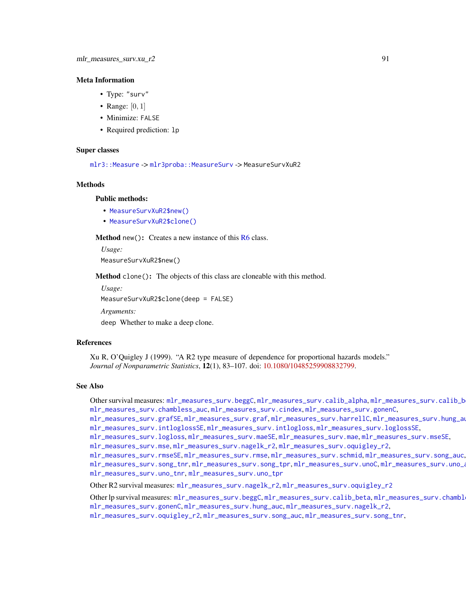#### Meta Information

- Type: "surv"
- Range:  $[0, 1]$
- Minimize: FALSE
- Required prediction: lp

#### Super classes

[mlr3::Measure](#page-0-0) -> [mlr3proba::MeasureSurv](#page-0-0) -> MeasureSurvXuR2

### Methods

#### Public methods:

- [MeasureSurvXuR2\\$new\(\)](#page-7-0)
- [MeasureSurvXuR2\\$clone\(\)](#page-8-0)

Method new(): Creates a new instance of this [R6](#page-0-0) class.

*Usage:* MeasureSurvXuR2\$new()

Method clone(): The objects of this class are cloneable with this method.

*Usage:*

MeasureSurvXuR2\$clone(deep = FALSE)

*Arguments:*

deep Whether to make a deep clone.

## References

Xu R, O'Quigley J (1999). "A R2 type measure of dependence for proportional hazards models." *Journal of Nonparametric Statistics*, 12(1), 83–107. doi: [10.1080/10485259908832799.](https://doi.org/10.1080/10485259908832799)

#### See Also

Other survival measures: [mlr\\_measures\\_surv.beggC](#page-35-0), [mlr\\_measures\\_surv.calib\\_alpha](#page-36-0), mlr\_measures\_surv.calib\_b [mlr\\_measures\\_surv.chambless\\_auc](#page-40-0), [mlr\\_measures\\_surv.cindex](#page-42-0), [mlr\\_measures\\_surv.gonenC](#page-44-0),

[mlr\\_measures\\_surv.grafSE](#page-48-0), [mlr\\_measures\\_surv.graf](#page-46-0), [mlr\\_measures\\_surv.harrellC](#page-50-0), [mlr\\_measures\\_surv.hung\\_auc](#page-51-0), [mlr\\_measures\\_surv.intloglossSE](#page-56-0), [mlr\\_measures\\_surv.intlogloss](#page-53-0), [mlr\\_measures\\_surv.loglossSE](#page-60-0),

[mlr\\_measures\\_surv.logloss](#page-58-0), [mlr\\_measures\\_surv.maeSE](#page-63-0), [mlr\\_measures\\_surv.mae](#page-61-0), [mlr\\_measures\\_surv.mseSE](#page-66-0),

[mlr\\_measures\\_surv.mse](#page-64-0), [mlr\\_measures\\_surv.nagelk\\_r2](#page-67-0), [mlr\\_measures\\_surv.oquigley\\_r2](#page-69-0),

[mlr\\_measures\\_surv.rmseSE](#page-72-0), [mlr\\_measures\\_surv.rmse](#page-70-1), [mlr\\_measures\\_surv.schmid](#page-73-0), [mlr\\_measures\\_surv.song\\_auc](#page-76-0), [mlr\\_measures\\_surv.song\\_tnr](#page-78-0), [mlr\\_measures\\_surv.song\\_tpr](#page-80-0), [mlr\\_measures\\_surv.unoC](#page-82-0), [mlr\\_measures\\_surv.uno\\_auc](#page-83-0),

[mlr\\_measures\\_surv.uno\\_tnr](#page-85-0), [mlr\\_measures\\_surv.uno\\_tpr](#page-87-0)

Other R2 survival measures: [mlr\\_measures\\_surv.nagelk\\_r2](#page-67-0), [mlr\\_measures\\_surv.oquigley\\_r2](#page-69-0)

Other lp survival measures: [mlr\\_measures\\_surv.beggC](#page-35-0), [mlr\\_measures\\_surv.calib\\_beta](#page-38-0), mlr\_measures\_surv.chambl [mlr\\_measures\\_surv.gonenC](#page-44-0), [mlr\\_measures\\_surv.hung\\_auc](#page-51-0), [mlr\\_measures\\_surv.nagelk\\_r2](#page-67-0),

[mlr\\_measures\\_surv.oquigley\\_r2](#page-69-0), [mlr\\_measures\\_surv.song\\_auc](#page-76-0), [mlr\\_measures\\_surv.song\\_tnr](#page-78-0),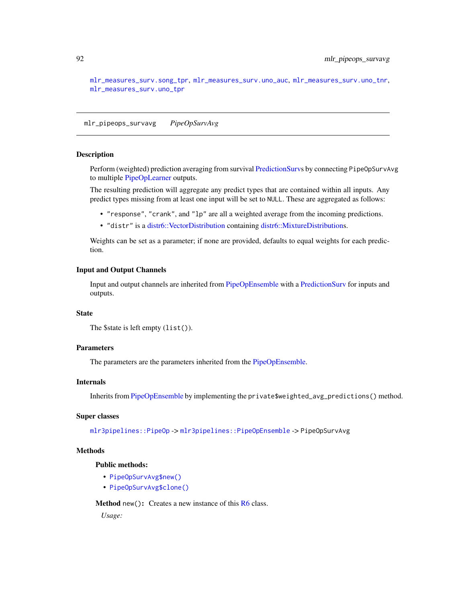[mlr\\_measures\\_surv.song\\_tpr](#page-80-0), [mlr\\_measures\\_surv.uno\\_auc](#page-83-0), [mlr\\_measures\\_surv.uno\\_tnr](#page-85-0), [mlr\\_measures\\_surv.uno\\_tpr](#page-87-0)

<span id="page-91-0"></span>mlr\_pipeops\_survavg *PipeOpSurvAvg*

## Description

Perform (weighted) prediction averaging from survival [PredictionSurvs](#page-122-0) by connecting PipeOpSurvAvg to multiple [PipeOpLearner](#page-0-0) outputs.

The resulting prediction will aggregate any predict types that are contained within all inputs. Any predict types missing from at least one input will be set to NULL. These are aggregated as follows:

- "response", "crank", and "lp" are all a weighted average from the incoming predictions.
- "distr" is a [distr6::VectorDistribution](#page-0-0) containing [distr6::MixtureDistributions](#page-0-0).

Weights can be set as a parameter; if none are provided, defaults to equal weights for each prediction.

## Input and Output Channels

Input and output channels are inherited from [PipeOpEnsemble](#page-0-0) with a [PredictionSurv](#page-122-0) for inputs and outputs.

## **State**

```
The $state is left empty (list()).
```
#### Parameters

The parameters are the parameters inherited from the [PipeOpEnsemble.](#page-0-0)

#### Internals

Inherits from [PipeOpEnsemble](#page-0-0) by implementing the private\$weighted\_avg\_predictions() method.

#### Super classes

[mlr3pipelines::PipeOp](#page-0-0) -> [mlr3pipelines::PipeOpEnsemble](#page-0-0) -> PipeOpSurvAvg

## Methods

## Public methods:

- [PipeOpSurvAvg\\$new\(\)](#page-7-0)
- [PipeOpSurvAvg\\$clone\(\)](#page-8-0)

Method new(): Creates a new instance of this [R6](#page-0-0) class.

*Usage:*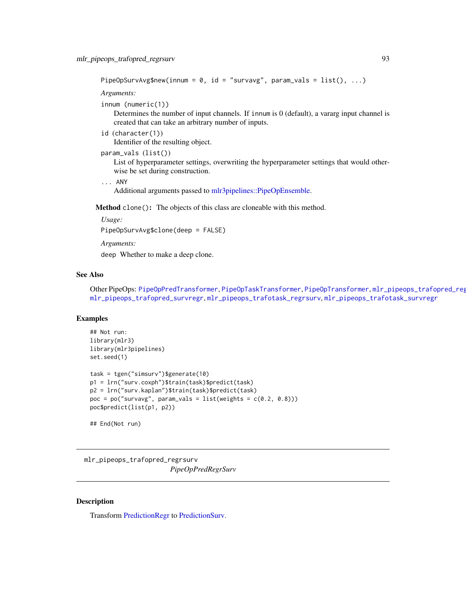```
PipeOpSurvAvg$new(innum = 0, id = "survavg", param_vals = list(), ...)
```
*Arguments:*

```
innum (numeric(1))
```
Determines the number of input channels. If innum is 0 (default), a vararg input channel is created that can take an arbitrary number of inputs.

id (character(1))

Identifier of the resulting object.

```
param_vals (list())
```
List of hyperparameter settings, overwriting the hyperparameter settings that would otherwise be set during construction.

```
... ANY
```
Additional arguments passed to [mlr3pipelines::PipeOpEnsemble.](#page-0-0)

Method clone(): The objects of this class are cloneable with this method.

*Usage:*

PipeOpSurvAvg\$clone(deep = FALSE)

*Arguments:*

deep Whether to make a deep clone.

## See Also

Other PipeOps: [PipeOpPredTransformer](#page-113-0), [PipeOpTaskTransformer](#page-117-0), [PipeOpTransformer](#page-118-0), mlr\_pipeops\_trafopred\_reg [mlr\\_pipeops\\_trafopred\\_survregr](#page-94-0), [mlr\\_pipeops\\_trafotask\\_regrsurv](#page-96-0), [mlr\\_pipeops\\_trafotask\\_survregr](#page-97-0)

## Examples

```
## Not run:
library(mlr3)
library(mlr3pipelines)
set.seed(1)
task = tgen("simsurv")$generate(10)
p1 = lrn("surv.coxph")$train(task)$predict(task)
p2 = lrn("surv.kaplan")$train(task)$predict(task)
poc = po("survavg", param_values = list(weights = c(0.2, 0.8)))poc$predict(list(p1, p2))
```
## End(Not run)

<span id="page-92-0"></span>mlr\_pipeops\_trafopred\_regrsurv *PipeOpPredRegrSurv*

## **Description**

Transform [PredictionRegr](#page-0-0) to [PredictionSurv.](#page-122-0)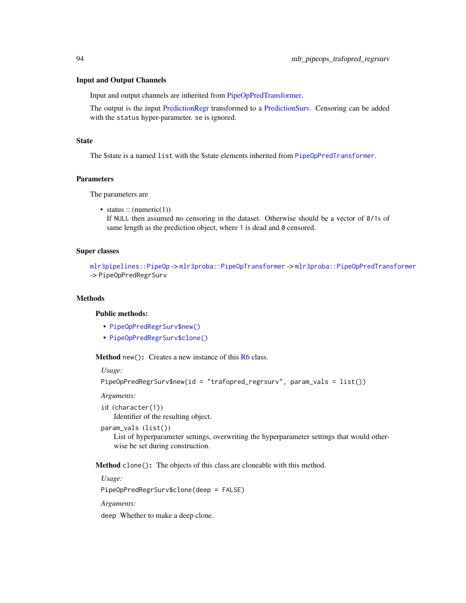#### Input and Output Channels

Input and output channels are inherited from [PipeOpPredTransformer.](#page-113-0)

The output is the input [PredictionRegr](#page-0-0) transformed to a [PredictionSurv.](#page-122-0) Censoring can be added with the status hyper-parameter. se is ignored.

#### State

The \$state is a named list with the \$state elements inherited from [PipeOpPredTransformer](#page-113-0).

#### Parameters

The parameters are

• status ::  $(numeric(1))$ 

If NULL then assumed no censoring in the dataset. Otherwise should be a vector of 0/1s of same length as the prediction object, where 1 is dead and 0 censored.

## Super classes

[mlr3pipelines::PipeOp](#page-0-0) -> [mlr3proba::PipeOpTransformer](#page-0-0) -> [mlr3proba::PipeOpPredTransformer](#page-0-0) -> PipeOpPredRegrSurv

#### Methods

## Public methods:

- [PipeOpPredRegrSurv\\$new\(\)](#page-7-0)
- [PipeOpPredRegrSurv\\$clone\(\)](#page-8-0)

**Method** new(): Creates a new instance of this  $R6$  class.

*Usage:*

```
PipeOpPredRegrSurv$new(id = "trafopred_regrsurv", param_vals = list())
```
*Arguments:*

- id (character(1)) Identifier of the resulting object.
- param\_vals (list())

List of hyperparameter settings, overwriting the hyperparameter settings that would otherwise be set during construction.

Method clone(): The objects of this class are cloneable with this method.

*Usage:*

PipeOpPredRegrSurv\$clone(deep = FALSE)

*Arguments:*

deep Whether to make a deep clone.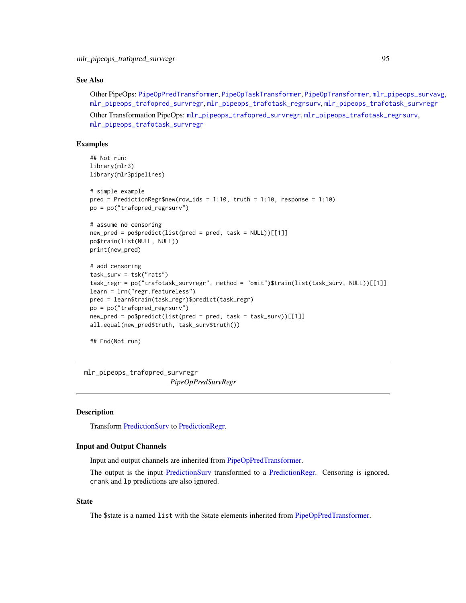## See Also

```
Other PipeOps: PipeOpPredTransformer, PipeOpTaskTransformer, PipeOpTransformer, mlr_pipeops_survavg,
mlr_pipeops_trafopred_survregr, mlr_pipeops_trafotask_regrsurv, mlr_pipeops_trafotask_survregr
```

```
Other Transformation PipeOps: mlr_pipeops_trafopred_survregr, mlr_pipeops_trafotask_regrsurv,
mlr_pipeops_trafotask_survregr
```
#### Examples

```
## Not run:
library(mlr3)
library(mlr3pipelines)
# simple example
pred = PredictionRegr$new(row_ids = 1:10, truth = 1:10, response = 1:10)
po = po("trafopred_regrsurv")
# assume no censoring
new\_pred = po$predict(list(pred = pred, task = NULL))[[1]]po$train(list(NULL, NULL))
print(new_pred)
# add censoring
task_surv = tsk("rats")
task_regr = po("trafotask_survregr", method = "omit")$train(list(task_surv, NULL))[[1]]
learn = lrn("regr.featureless")
pred = learn$train(task_regr)$predict(task_regr)
po = po("trafopred_regrsurv")
new_pred = po$predict(list(pred = pred, task = task_surv))[[1]]
all.equal(new_pred$truth, task_surv$truth())
```
## End(Not run)

<span id="page-94-0"></span>mlr\_pipeops\_trafopred\_survregr

*PipeOpPredSurvRegr*

#### **Description**

Transform [PredictionSurv](#page-122-0) to [PredictionRegr.](#page-0-0)

#### Input and Output Channels

Input and output channels are inherited from [PipeOpPredTransformer.](#page-113-0)

The output is the input [PredictionSurv](#page-122-0) transformed to a [PredictionRegr.](#page-0-0) Censoring is ignored. crank and lp predictions are also ignored.

## State

The \$state is a named list with the \$state elements inherited from [PipeOpPredTransformer.](#page-113-0)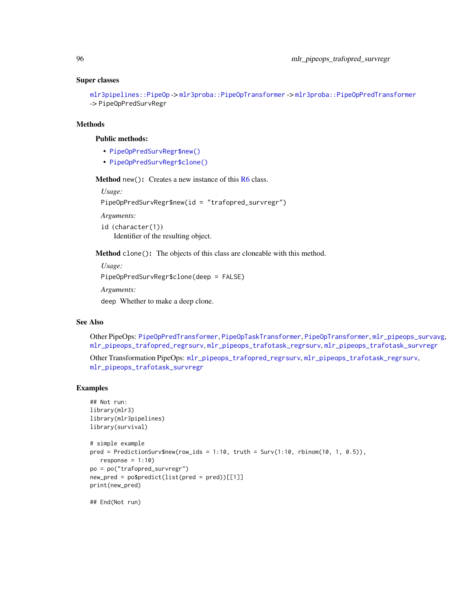#### Super classes

[mlr3pipelines::PipeOp](#page-0-0) -> [mlr3proba::PipeOpTransformer](#page-0-0) -> [mlr3proba::PipeOpPredTransformer](#page-0-0) -> PipeOpPredSurvRegr

#### Methods

## Public methods:

- [PipeOpPredSurvRegr\\$new\(\)](#page-7-0)
- [PipeOpPredSurvRegr\\$clone\(\)](#page-8-0)

Method new(): Creates a new instance of this [R6](#page-0-0) class.

*Usage:*

PipeOpPredSurvRegr\$new(id = "trafopred\_survregr")

*Arguments:*

id (character(1)) Identifier of the resulting object.

Method clone(): The objects of this class are cloneable with this method.

*Usage:* PipeOpPredSurvRegr\$clone(deep = FALSE) *Arguments:*

deep Whether to make a deep clone.

## See Also

Other PipeOps: [PipeOpPredTransformer](#page-113-0), [PipeOpTaskTransformer](#page-117-0), [PipeOpTransformer](#page-118-0), [mlr\\_pipeops\\_survavg](#page-91-0), [mlr\\_pipeops\\_trafopred\\_regrsurv](#page-92-0), [mlr\\_pipeops\\_trafotask\\_regrsurv](#page-96-0), [mlr\\_pipeops\\_trafotask\\_survregr](#page-97-0)

Other Transformation PipeOps: [mlr\\_pipeops\\_trafopred\\_regrsurv](#page-92-0), [mlr\\_pipeops\\_trafotask\\_regrsurv](#page-96-0), [mlr\\_pipeops\\_trafotask\\_survregr](#page-97-0)

## Examples

```
## Not run:
library(mlr3)
library(mlr3pipelines)
library(survival)
# simple example
pred = PredictionSurv$new(row_ids = 1:10, truth = Surv(1:10, rbinom(10, 1, 0.5)),
   response = 1:10)
po = po("trafopred_survregr")
new_pred = po$predict(list(pred = pred))[[1]]
print(new_pred)
```
## End(Not run)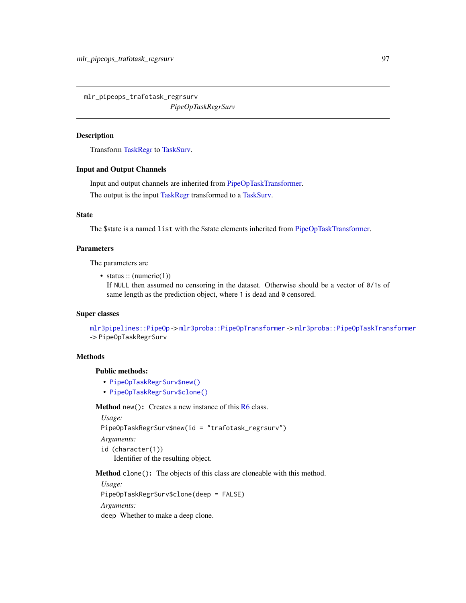<span id="page-96-0"></span>mlr\_pipeops\_trafotask\_regrsurv *PipeOpTaskRegrSurv*

## Description

Transform [TaskRegr](#page-0-0) to [TaskSurv.](#page-125-0)

## Input and Output Channels

Input and output channels are inherited from [PipeOpTaskTransformer.](#page-117-0) The output is the input [TaskRegr](#page-0-0) transformed to a [TaskSurv.](#page-125-0)

#### State

The \$state is a named list with the \$state elements inherited from [PipeOpTaskTransformer.](#page-117-0)

#### Parameters

The parameters are

• status  $::$  (numeric(1))

If NULL then assumed no censoring in the dataset. Otherwise should be a vector of 0/1s of same length as the prediction object, where 1 is dead and 0 censored.

## Super classes

```
mlr3pipelines::PipeOp -> mlr3proba::PipeOpTransformer -> mlr3proba::PipeOpTaskTransformer
-> PipeOpTaskRegrSurv
```
## Methods

#### Public methods:

- [PipeOpTaskRegrSurv\\$new\(\)](#page-7-0)
- [PipeOpTaskRegrSurv\\$clone\(\)](#page-8-0)

Method new(): Creates a new instance of this [R6](#page-0-0) class.

```
Usage:
PipeOpTaskRegrSurv$new(id = "trafotask_regrsurv")
Arguments:
id (character(1))
   Identifier of the resulting object.
```
Method clone(): The objects of this class are cloneable with this method.

*Usage:* PipeOpTaskRegrSurv\$clone(deep = FALSE) *Arguments:* deep Whether to make a deep clone.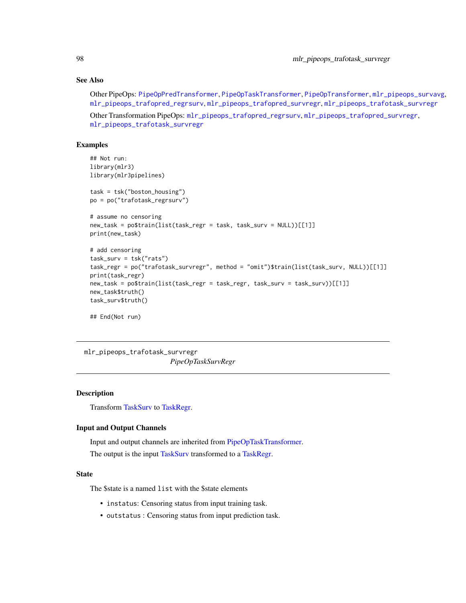## See Also

Other PipeOps: [PipeOpPredTransformer](#page-113-0), [PipeOpTaskTransformer](#page-117-0), [PipeOpTransformer](#page-118-0), [mlr\\_pipeops\\_survavg](#page-91-0), [mlr\\_pipeops\\_trafopred\\_regrsurv](#page-92-0), [mlr\\_pipeops\\_trafopred\\_survregr](#page-94-0), [mlr\\_pipeops\\_trafotask\\_survregr](#page-97-0)

Other Transformation PipeOps: [mlr\\_pipeops\\_trafopred\\_regrsurv](#page-92-0), [mlr\\_pipeops\\_trafopred\\_survregr](#page-94-0), [mlr\\_pipeops\\_trafotask\\_survregr](#page-97-0)

## Examples

```
## Not run:
library(mlr3)
library(mlr3pipelines)
task = tsk("boston_housing")
po = po("trafotask_regrsurv")
# assume no censoring
new_task = po$train(list(task_regr = task, task_surv = NULL))[[1]]
print(new_task)
# add censoring
task_surv = tsk("rats")
task_regr = po("trafotask_survregr", method = "omit")$train(list(task_surv, NULL))[[1]]
print(task_regr)
new_task = po$train(list(task_regr = task_regr, task_surv = task_surv))[[1]]
new_task$truth()
task_surv$truth()
## End(Not run)
```
<span id="page-97-0"></span>mlr\_pipeops\_trafotask\_survregr *PipeOpTaskSurvRegr*

## Description

Transform [TaskSurv](#page-125-0) to [TaskRegr.](#page-0-0)

#### Input and Output Channels

Input and output channels are inherited from [PipeOpTaskTransformer.](#page-117-0) The output is the input [TaskSurv](#page-125-0) transformed to a [TaskRegr.](#page-0-0)

#### State

The \$state is a named list with the \$state elements

- instatus: Censoring status from input training task.
- outstatus : Censoring status from input prediction task.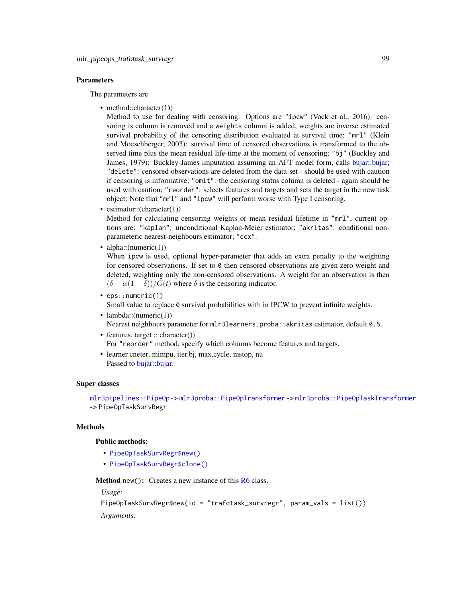#### **Parameters**

The parameters are

• method::character(1))

Method to use for dealing with censoring. Options are "ipcw" (Vock et al., 2016): censoring is column is removed and a weights column is added, weights are inverse estimated survival probability of the censoring distribution evaluated at survival time; "mrl" (Klein and Moeschberger, 2003): survival time of censored observations is transformed to the observed time plus the mean residual life-time at the moment of censoring; "bj" (Buckley and James, 1979): Buckley-James imputation assuming an AFT model form, calls [bujar::bujar;](#page-0-0) "delete": censored observations are deleted from the data-set - should be used with caution if censoring is informative; "omit": the censoring status column is deleted - again should be used with caution; "reorder": selects features and targets and sets the target in the new task object. Note that "mrl" and "ipcw" will perform worse with Type I censoring.

• estimator::(character(1))

Method for calculating censoring weights or mean residual lifetime in "mrl", current options are: "kaplan": unconditional Kaplan-Meier estimator; "akritas": conditional nonparameteric nearest-neighbours estimator; "cox".

• alpha:: $(numeric(1))$ 

When ipcw is used, optional hyper-parameter that adds an extra penalty to the weighting for censored observations. If set to  $\theta$  then censored observations are given zero weight and deleted, weighting only the non-censored observations. A weight for an observation is then  $(\delta + \alpha(1 - \delta))/G(t)$  where  $\delta$  is the censoring indicator.

• eps::numeric(1)

Small value to replace 0 survival probabilities with in IPCW to prevent infinite weights.

- lambda:: $(numeric(1))$ Nearest neighbours parameter for mlr3learners.proba::akritas estimator, default 0.5.
- features, target :: character()) For "reorder" method, specify which columns become features and targets.
- learner cneter, mimpu, iter.bj, max.cycle, mstop, nu Passed to bujar: : bujar.

#### Super classes

[mlr3pipelines::PipeOp](#page-0-0) -> [mlr3proba::PipeOpTransformer](#page-0-0) -> [mlr3proba::PipeOpTaskTransformer](#page-0-0) -> PipeOpTaskSurvRegr

## **Methods**

## Public methods:

- [PipeOpTaskSurvRegr\\$new\(\)](#page-7-0)
- [PipeOpTaskSurvRegr\\$clone\(\)](#page-8-0)

**Method** new( $)$ : Creates a new instance of this  $R6$  class.

*Usage:*

```
PipeOpTaskSurvRegr$new(id = "trafotask_survregr", param_vals = list())
```
*Arguments:*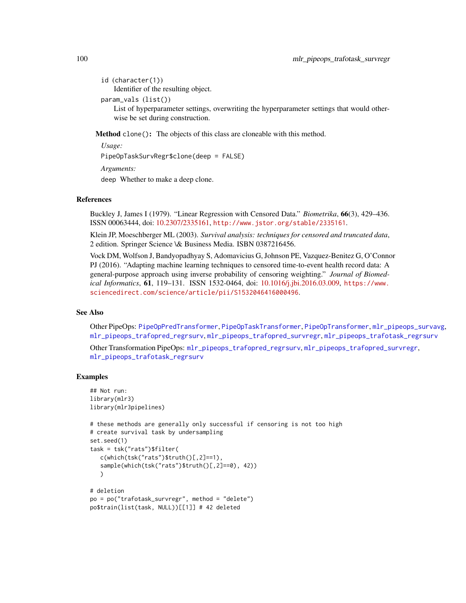- id (character(1)) Identifier of the resulting object.
- param\_vals (list())

List of hyperparameter settings, overwriting the hyperparameter settings that would otherwise be set during construction.

Method clone(): The objects of this class are cloneable with this method.

*Usage:*

PipeOpTaskSurvRegr\$clone(deep = FALSE)

*Arguments:*

deep Whether to make a deep clone.

## References

Buckley J, James I (1979). "Linear Regression with Censored Data." *Biometrika*, 66(3), 429–436. ISSN 00063444, doi: [10.2307/2335161,](https://doi.org/10.2307/2335161) <http://www.jstor.org/stable/2335161>.

Klein JP, Moeschberger ML (2003). *Survival analysis: techniques for censored and truncated data*, 2 edition. Springer Science \& Business Media. ISBN 0387216456.

Vock DM, Wolfson J, Bandyopadhyay S, Adomavicius G, Johnson PE, Vazquez-Benitez G, O'Connor PJ (2016). "Adapting machine learning techniques to censored time-to-event health record data: A general-purpose approach using inverse probability of censoring weighting." *Journal of Biomedical Informatics*, 61, 119–131. ISSN 1532-0464, doi: [10.1016/j.jbi.2016.03.009,](https://doi.org/10.1016/j.jbi.2016.03.009) [https://www.](https://www.sciencedirect.com/science/article/pii/S1532046416000496) [sciencedirect.com/science/article/pii/S1532046416000496](https://www.sciencedirect.com/science/article/pii/S1532046416000496).

## See Also

Other PipeOps: [PipeOpPredTransformer](#page-113-0), [PipeOpTaskTransformer](#page-117-0), [PipeOpTransformer](#page-118-0), [mlr\\_pipeops\\_survavg](#page-91-0), [mlr\\_pipeops\\_trafopred\\_regrsurv](#page-92-0), [mlr\\_pipeops\\_trafopred\\_survregr](#page-94-0), [mlr\\_pipeops\\_trafotask\\_regrsurv](#page-96-0)

Other Transformation PipeOps: [mlr\\_pipeops\\_trafopred\\_regrsurv](#page-92-0), [mlr\\_pipeops\\_trafopred\\_survregr](#page-94-0), [mlr\\_pipeops\\_trafotask\\_regrsurv](#page-96-0)

## Examples

```
## Not run:
library(mlr3)
library(mlr3pipelines)
# these methods are generally only successful if censoring is not too high
# create survival task by undersampling
set.seed(1)
task = tsk("rats")$filter(
  c(\text{which}(tsk("rats")$truth()[,2]==1),
   sample(which(tsk("rats")$truth()[,2]==0), 42))
   )
# deletion
po = po("trafotask_survregr", method = "delete")
po$train(list(task, NULL))[[1]] # 42 deleted
```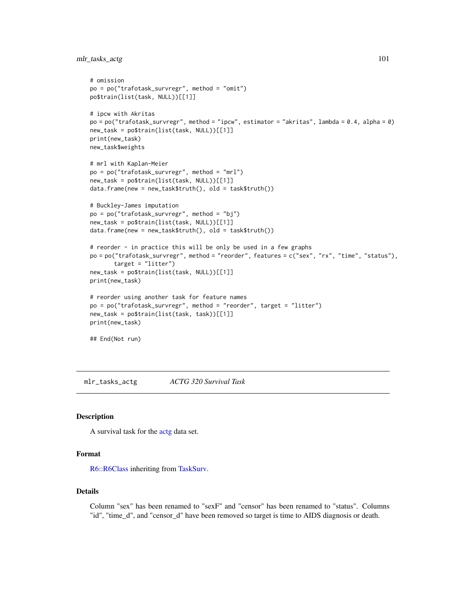mlr\_tasks\_actg 101

```
# omission
po = po("trafotask_survregr", method = "omit")
po$train(list(task, NULL))[[1]]
# ipcw with Akritas
po = po("trafotask_survregr", method = "ipcw", estimator = "akritas", lambda = 0.4, alpha = 0)
new_task = po$train(list(task, NULL))[[1]]
print(new_task)
new_task$weights
# mrl with Kaplan-Meier
po = po("trafotask_survregr", method = "mrl")
new_task = po$train(list(task, NULL))[[1]]
data.frame(new = new_task$truth(), old = task$truth())
# Buckley-James imputation
po = po("trafotask_survregr", method = "bj")
new_task = po$train(list(task, NULL))[[1]]
data.frame(new = new_task$truth(), old = task$truth())
# reorder - in practice this will be only be used in a few graphs
po = po("trafotask_survregr", method = "reorder", features = c("sex", "rx", "time", "status"),
       target = "litter")
new_task = po$train(list(task, NULL))[[1]]
print(new_task)
# reorder using another task for feature names
po = po("trafotask_survregr", method = "reorder", target = "litter")
new_task = po$train(list(task, task))[[1]]
print(new_task)
## End(Not run)
```
mlr\_tasks\_actg *ACTG 320 Survival Task*

#### Description

A survival task for the [actg](#page-4-0) data set.

#### Format

[R6::R6Class](#page-0-0) inheriting from [TaskSurv.](#page-125-0)

#### Details

Column "sex" has been renamed to "sexF" and "censor" has been renamed to "status". Columns "id", "time\_d", and "censor\_d" have been removed so target is time to AIDS diagnosis or death.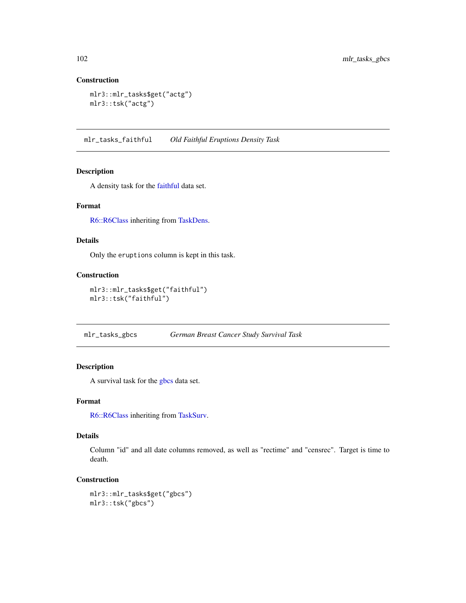## Construction

```
mlr3::mlr_tasks$get("actg")
mlr3::tsk("actg")
```
mlr\_tasks\_faithful *Old Faithful Eruptions Density Task*

## Description

A density task for the [faithful](#page-0-0) data set.

## Format

[R6::R6Class](#page-0-0) inheriting from [TaskDens.](#page-124-0)

#### Details

Only the eruptions column is kept in this task.

#### Construction

```
mlr3::mlr_tasks$get("faithful")
mlr3::tsk("faithful")
```
mlr\_tasks\_gbcs *German Breast Cancer Study Survival Task*

## Description

A survival task for the [gbcs](#page-5-0) data set.

## Format

[R6::R6Class](#page-0-0) inheriting from [TaskSurv.](#page-125-0)

#### Details

Column "id" and all date columns removed, as well as "rectime" and "censrec". Target is time to death.

## Construction

mlr3::mlr\_tasks\$get("gbcs") mlr3::tsk("gbcs")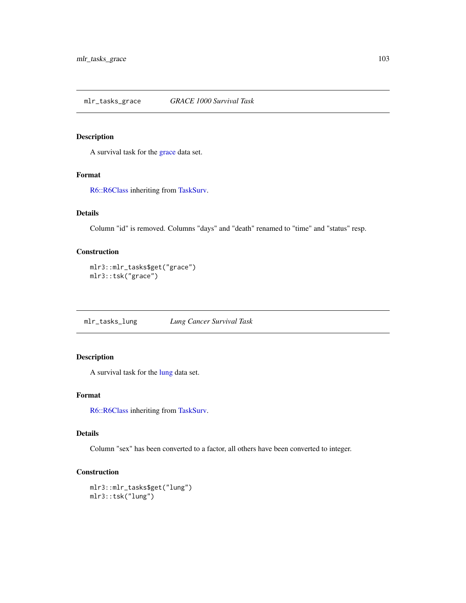## Description

A survival task for the [grace](#page-6-0) data set.

## Format

[R6::R6Class](#page-0-0) inheriting from [TaskSurv.](#page-125-0)

## Details

Column "id" is removed. Columns "days" and "death" renamed to "time" and "status" resp.

## Construction

```
mlr3::mlr_tasks$get("grace")
mlr3::tsk("grace")
```
mlr\_tasks\_lung *Lung Cancer Survival Task*

## Description

A survival task for the [lung](#page-0-0) data set.

#### Format

[R6::R6Class](#page-0-0) inheriting from [TaskSurv.](#page-125-0)

## Details

Column "sex" has been converted to a factor, all others have been converted to integer.

## Construction

mlr3::mlr\_tasks\$get("lung") mlr3::tsk("lung")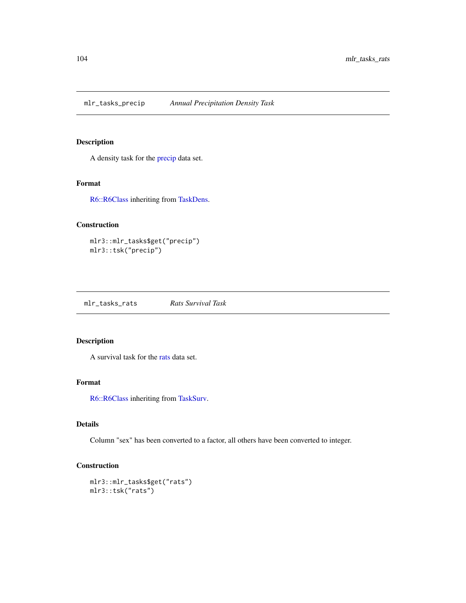mlr\_tasks\_precip *Annual Precipitation Density Task*

## Description

A density task for the [precip](#page-0-0) data set.

## Format

[R6::R6Class](#page-0-0) inheriting from [TaskDens.](#page-124-0)

## Construction

mlr3::mlr\_tasks\$get("precip") mlr3::tsk("precip")

mlr\_tasks\_rats *Rats Survival Task*

## Description

A survival task for the [rats](#page-0-0) data set.

### Format

[R6::R6Class](#page-0-0) inheriting from [TaskSurv.](#page-125-0)

## Details

Column "sex" has been converted to a factor, all others have been converted to integer.

## Construction

mlr3::mlr\_tasks\$get("rats") mlr3::tsk("rats")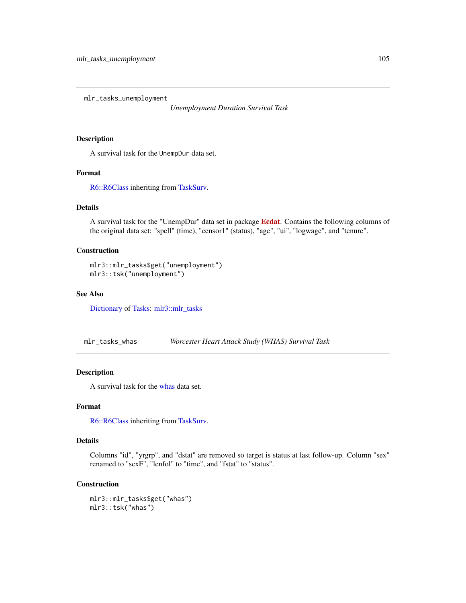mlr\_tasks\_unemployment

*Unemployment Duration Survival Task*

## Description

A survival task for the UnempDur data set.

## Format

[R6::R6Class](#page-0-0) inheriting from [TaskSurv.](#page-125-0)

## Details

A survival task for the "UnempDur" data set in package [Ecdat](https://CRAN.R-project.org/package=Ecdat). Contains the following columns of the original data set: "spell" (time), "censor1" (status), "age", "ui", "logwage", and "tenure".

## Construction

mlr3::mlr\_tasks\$get("unemployment") mlr3::tsk("unemployment")

## See Also

[Dictionary](#page-0-0) of [Tasks:](#page-0-0) [mlr3::mlr\\_tasks](#page-0-0)

mlr\_tasks\_whas *Worcester Heart Attack Study (WHAS) Survival Task*

## Description

A survival task for the [whas](#page-128-0) data set.

## Format

[R6::R6Class](#page-0-0) inheriting from [TaskSurv.](#page-125-0)

## Details

Columns "id", "yrgrp", and "dstat" are removed so target is status at last follow-up. Column "sex" renamed to "sexF", "lenfol" to "time", and "fstat" to "status".

#### Construction

mlr3::mlr\_tasks\$get("whas") mlr3::tsk("whas")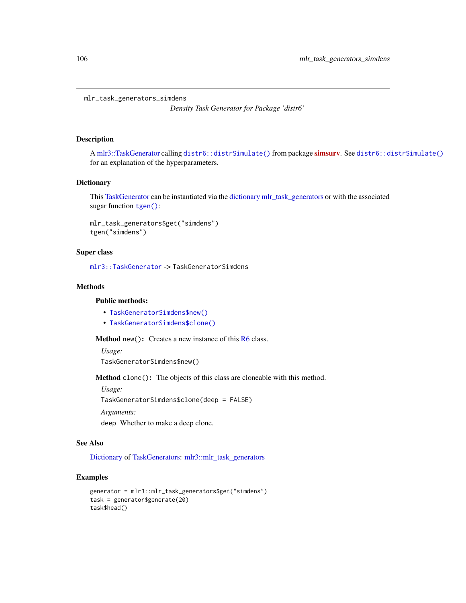mlr\_task\_generators\_simdens

*Density Task Generator for Package 'distr6'*

## Description

A [mlr3::TaskGenerator](#page-0-0) calling [distr6::distrSimulate\(\)](#page-0-0) from package [simsurv](https://CRAN.R-project.org/package=simsurv). See [distr6::distrSimulate\(\)](#page-0-0) for an explanation of the hyperparameters.

#### Dictionary

This [TaskGenerator](#page-0-0) can be instantiated via the [dictionary](#page-0-0) [mlr\\_task\\_generators](#page-0-0) or with the associated sugar function [tgen\(\)](#page-0-0):

```
mlr_task_generators$get("simdens")
tgen("simdens")
```
## Super class

[mlr3::TaskGenerator](#page-0-0) -> TaskGeneratorSimdens

## Methods

## Public methods:

- [TaskGeneratorSimdens\\$new\(\)](#page-7-0)
- [TaskGeneratorSimdens\\$clone\(\)](#page-8-0)

Method new(): Creates a new instance of this [R6](#page-0-0) class.

*Usage:* TaskGeneratorSimdens\$new()

Method clone(): The objects of this class are cloneable with this method.

*Usage:*

TaskGeneratorSimdens\$clone(deep = FALSE)

*Arguments:*

deep Whether to make a deep clone.

#### See Also

[Dictionary](#page-0-0) of [TaskGenerators:](#page-0-0) [mlr3::mlr\\_task\\_generators](#page-0-0)

## Examples

```
generator = mlr3::mlr_task_generators$get("simdens")
task = generator$generate(20)
task$head()
```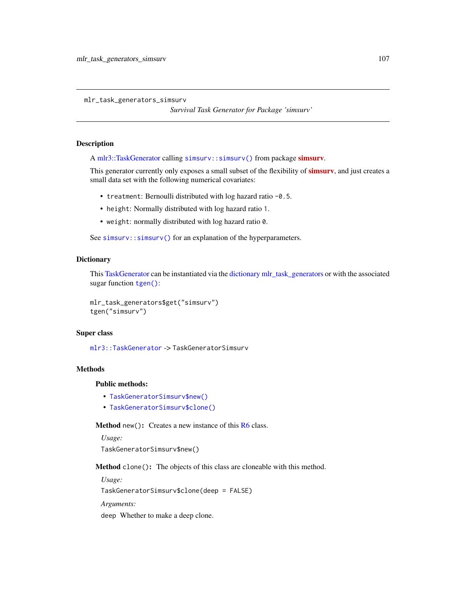mlr\_task\_generators\_simsurv

*Survival Task Generator for Package 'simsurv'*

#### Description

A [mlr3::TaskGenerator](#page-0-0) calling [simsurv::simsurv\(\)](#page-0-0) from package [simsurv](https://CRAN.R-project.org/package=simsurv).

This generator currently only exposes a small subset of the flexibility of **[simsurv](https://CRAN.R-project.org/package=simsurv)**, and just creates a small data set with the following numerical covariates:

- treatment: Bernoulli distributed with log hazard ratio -0.5.
- height: Normally distributed with log hazard ratio 1.
- weight: normally distributed with log hazard ratio 0.

See [simsurv::simsurv\(\)](#page-0-0) for an explanation of the hyperparameters.

#### **Dictionary**

This [TaskGenerator](#page-0-0) can be instantiated via the [dictionary](#page-0-0) [mlr\\_task\\_generators](#page-0-0) or with the associated sugar function [tgen\(\)](#page-0-0):

```
mlr_task_generators$get("simsurv")
tgen("simsurv")
```
#### Super class

[mlr3::TaskGenerator](#page-0-0) -> TaskGeneratorSimsurv

## **Methods**

#### Public methods:

- [TaskGeneratorSimsurv\\$new\(\)](#page-7-0)
- [TaskGeneratorSimsurv\\$clone\(\)](#page-8-0)

Method new(): Creates a new instance of this [R6](#page-0-0) class.

*Usage:* TaskGeneratorSimsurv\$new()

Method clone(): The objects of this class are cloneable with this method.

*Usage:* TaskGeneratorSimsurv\$clone(deep = FALSE)

*Arguments:*

deep Whether to make a deep clone.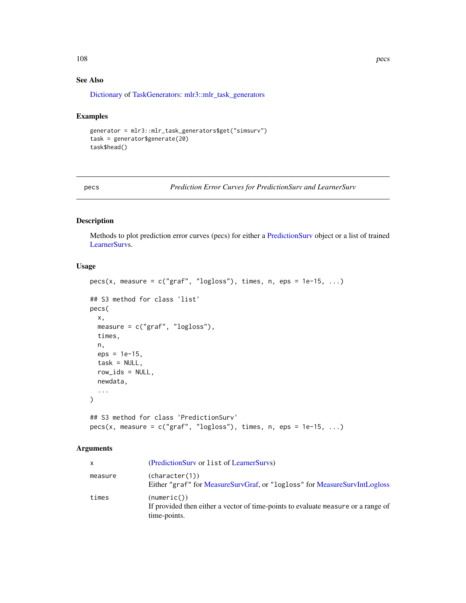## See Also

[Dictionary](#page-0-0) of [TaskGenerators:](#page-0-0) [mlr3::mlr\\_task\\_generators](#page-0-0)

#### Examples

```
generator = mlr3::mlr_task_generators$get("simsurv")
task = generator$generate(20)
task$head()
```
pecs *Prediction Error Curves for PredictionSurv and LearnerSurv*

## Description

Methods to plot prediction error curves (pecs) for either a [PredictionSurv](#page-122-0) object or a list of trained [LearnerSurvs](#page-8-1).

## Usage

```
pecs(x, measure = c("graf", "logloss"), times, n,eps = 1e-15, ...)## S3 method for class 'list'
pecs(
 x,
 measure = c("graf", "logloss"),
 times,
 n,
 eps = 1e-15,
 task = NULL,row_ids = NULL,
 newdata,
  ...
)
## S3 method for class 'PredictionSurv'
```
# $pecs(x, measure = c("graf", "logloss"), times, n,eps = 1e-15, ...)$

## Arguments

| x       | (PredictionSurv or list of LearnerSurvs)                                                                         |
|---------|------------------------------------------------------------------------------------------------------------------|
| measure | (character(1))<br>Either "graf" for MeasureSurvGraf, or "logloss" for MeasureSurvIntLogloss                      |
| times   | (numeric())<br>If provided then either a vector of time-points to evaluate measure or a range of<br>time-points. |

108 pecs and the person of the set of the set of the set of the set of the set of the set of the set of the set of the set of the set of the set of the set of the set of the set of the set of the set of the set of the set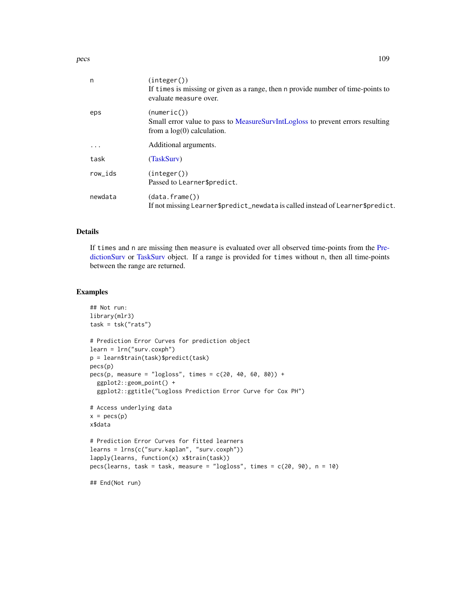<span id="page-108-0"></span>pecs and the set of the set of the set of the set of the set of the set of the set of the set of the set of the set of the set of the set of the set of the set of the set of the set of the set of the set of the set of the

| n         | (integer())<br>If times is missing or given as a range, then n provide number of time-points to<br>evaluate measure over.     |
|-----------|-------------------------------------------------------------------------------------------------------------------------------|
| eps       | (numeric())<br>Small error value to pass to MeasureSurvIntLogloss to prevent errors resulting<br>from a $log(0)$ calculation. |
| $\ddotsc$ | Additional arguments.                                                                                                         |
| task      | (TaskSurv)                                                                                                                    |
| row_ids   | (integer())<br>Passed to Learner\$predict.                                                                                    |
| newdata   | (data frame())<br>If not missing Learner\$predict_newdata is called instead of Learner\$predict.                              |

# Details

If times and n are missing then measure is evaluated over all observed time-points from the [Pre](#page-122-0)[dictionSurv](#page-122-0) or [TaskSurv](#page-125-0) object. If a range is provided for times without n, then all time-points between the range are returned.

# Examples

```
## Not run:
library(mlr3)
task = tsk("rats")
# Prediction Error Curves for prediction object
learn = lrn("surv.coxph")
p = learn$train(task)$predict(task)
pecs(p)
pecs(p, measure = "logloss", times = c(20, 40, 60, 80)) +
  ggplot2::geom_point() +
  ggplot2::ggtitle("Logloss Prediction Error Curve for Cox PH")
# Access underlying data
x = pecs(p)x$data
# Prediction Error Curves for fitted learners
learns = lrns(c("surv.kaplan", "surv.coxph"))
lapply(learns, function(x) x$train(task))
pecs(learns, task = task, measure = "logloss", times = c(20, 90), n = 10)
## End(Not run)
```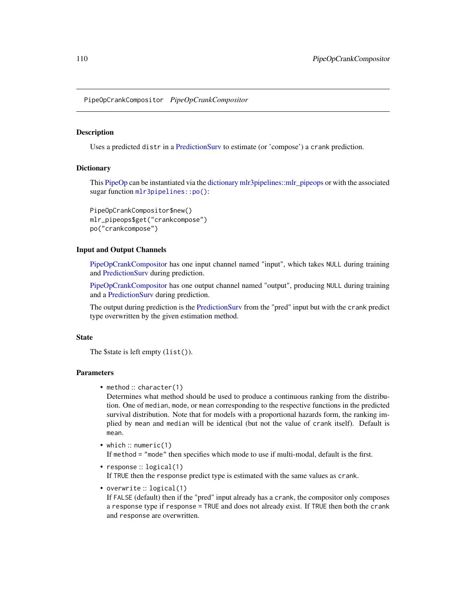<span id="page-109-1"></span><span id="page-109-0"></span>PipeOpCrankCompositor *PipeOpCrankCompositor*

#### Description

Uses a predicted distr in a [PredictionSurv](#page-122-0) to estimate (or 'compose') a crank prediction.

# **Dictionary**

This [PipeOp](#page-0-0) can be instantiated via the [dictionary](#page-0-0) [mlr3pipelines::mlr\\_pipeops](#page-0-0) or with the associated sugar function [mlr3pipelines::po\(\)](#page-0-0):

```
PipeOpCrankCompositor$new()
mlr_pipeops$get("crankcompose")
po("crankcompose")
```
# Input and Output Channels

[PipeOpCrankCompositor](#page-109-0) has one input channel named "input", which takes NULL during training and [PredictionSurv](#page-122-0) during prediction.

[PipeOpCrankCompositor](#page-109-0) has one output channel named "output", producing NULL during training and a [PredictionSurv](#page-122-0) during prediction.

The output during prediction is the [PredictionSurv](#page-122-0) from the "pred" input but with the crank predict type overwritten by the given estimation method.

# State

The \$state is left empty (list()).

# Parameters

• method :: character(1)

Determines what method should be used to produce a continuous ranking from the distribution. One of median, mode, or mean corresponding to the respective functions in the predicted survival distribution. Note that for models with a proportional hazards form, the ranking implied by mean and median will be identical (but not the value of crank itself). Default is mean.

- which :: numeric(1) If method = "mode" then specifies which mode to use if multi-modal, default is the first.
- response :: logical(1) If TRUE then the response predict type is estimated with the same values as crank.
- overwrite :: logical(1) If FALSE (default) then if the "pred" input already has a crank, the compositor only composes a response type if response = TRUE and does not already exist. If TRUE then both the crank and response are overwritten.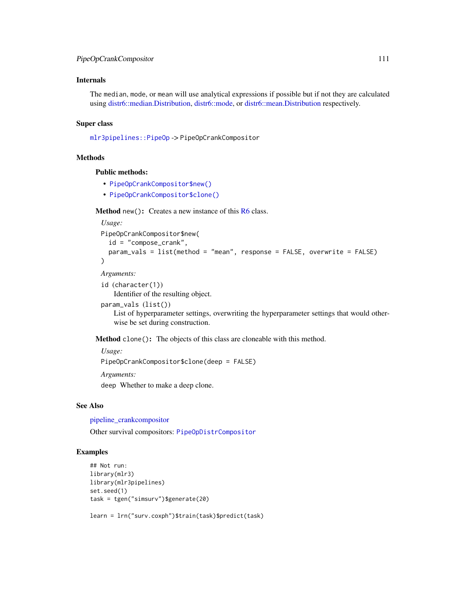# <span id="page-110-0"></span>Internals

The median, mode, or mean will use analytical expressions if possible but if not they are calculated using [distr6::median.Distribution,](#page-0-0) [distr6::mode,](#page-0-0) or [distr6::mean.Distribution](#page-0-0) respectively.

# Super class

[mlr3pipelines::PipeOp](#page-0-0) -> PipeOpCrankCompositor

# Methods

# Public methods:

- [PipeOpCrankCompositor\\$new\(\)](#page-7-0)
- [PipeOpCrankCompositor\\$clone\(\)](#page-8-0)

**Method** new(): Creates a new instance of this  $R6$  class.

```
Usage:
PipeOpCrankCompositor$new(
  id = "compose_crank",
  param_vals = list(method = "mean", response = FALSE, overwrite = FALSE)
)
Arguments:
id (character(1))
```
Identifier of the resulting object.

```
param_vals (list())
```
List of hyperparameter settings, overwriting the hyperparameter settings that would otherwise be set during construction.

Method clone(): The objects of this class are cloneable with this method.

```
Usage:
PipeOpCrankCompositor$clone(deep = FALSE)
Arguments:
deep Whether to make a deep clone.
```
# See Also

[pipeline\\_crankcompositor](#page-16-0)

Other survival compositors: [PipeOpDistrCompositor](#page-111-0)

# Examples

```
## Not run:
library(mlr3)
library(mlr3pipelines)
set.seed(1)
task = tgen("simsurv")$generate(20)
```
learn = lrn("surv.coxph")\$train(task)\$predict(task)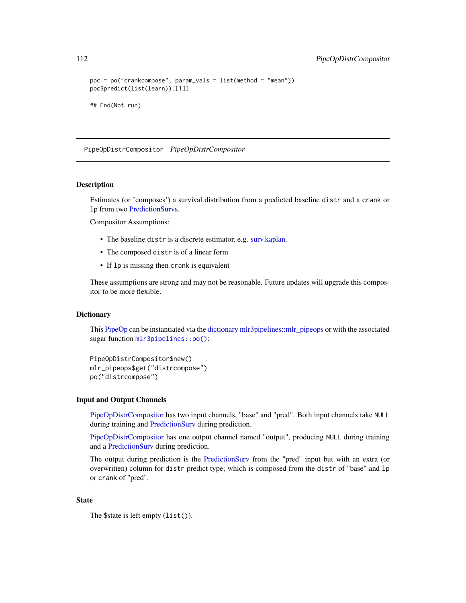```
poc = po("crankcompose", param_vals = list(method = "mean"))
poc$predict(list(learn))[[1]]
## End(Not run)
```
<span id="page-111-0"></span>PipeOpDistrCompositor *PipeOpDistrCompositor*

# Description

Estimates (or 'composes') a survival distribution from a predicted baseline distr and a crank or lp from two [PredictionSurvs](#page-122-0).

Compositor Assumptions:

- The baseline distr is a discrete estimator, e.g. [surv.kaplan.](#page-31-0)
- The composed distr is of a linear form
- If lp is missing then crank is equivalent

These assumptions are strong and may not be reasonable. Future updates will upgrade this compositor to be more flexible.

# **Dictionary**

This [PipeOp](#page-0-0) can be instantiated via the [dictionary](#page-0-0) [mlr3pipelines::mlr\\_pipeops](#page-0-0) or with the associated sugar function [mlr3pipelines::po\(\)](#page-0-0):

```
PipeOpDistrCompositor$new()
mlr_pipeops$get("distrcompose")
po("distrcompose")
```
#### Input and Output Channels

[PipeOpDistrCompositor](#page-111-0) has two input channels, "base" and "pred". Both input channels take NULL during training and [PredictionSurv](#page-122-0) during prediction.

[PipeOpDistrCompositor](#page-111-0) has one output channel named "output", producing NULL during training and a [PredictionSurv](#page-122-0) during prediction.

The output during prediction is the [PredictionSurv](#page-122-0) from the "pred" input but with an extra (or overwritten) column for distr predict type; which is composed from the distr of "base" and lp or crank of "pred".

# State

The \$state is left empty (list()).

<span id="page-111-1"></span>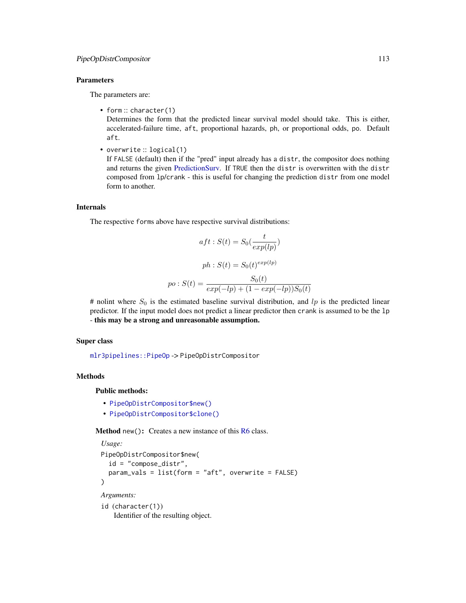#### <span id="page-112-0"></span>Parameters

The parameters are:

• form: character(1)

Determines the form that the predicted linear survival model should take. This is either, accelerated-failure time, aft, proportional hazards, ph, or proportional odds, po. Default aft.

• overwrite :: logical(1)

If FALSE (default) then if the "pred" input already has a distr, the compositor does nothing and returns the given [PredictionSurv.](#page-122-0) If TRUE then the distr is overwritten with the distr composed from lp/crank - this is useful for changing the prediction distr from one model form to another.

#### Internals

The respective forms above have respective survival distributions:

$$
aft: S(t) = S_0(\frac{t}{exp(lp)})
$$

$$
ph: S(t) = S_0(t)^{exp(lp)}
$$

$$
po: S(t) = \frac{S_0(t)}{exp(-lp) + (1 - exp(-lp))S_0(t)}
$$

# nolint where  $S_0$  is the estimated baseline survival distribution, and lp is the predicted linear predictor. If the input model does not predict a linear predictor then crank is assumed to be the lp - this may be a strong and unreasonable assumption.

#### Super class

[mlr3pipelines::PipeOp](#page-0-0) -> PipeOpDistrCompositor

# Methods

Public methods:

- [PipeOpDistrCompositor\\$new\(\)](#page-7-0)
- [PipeOpDistrCompositor\\$clone\(\)](#page-8-0)

**Method** new( $)$ : Creates a new instance of this  $R6$  class.

```
Usage:
PipeOpDistrCompositor$new(
  id = "compose_distr",
  param_vals = list(form = "aft", overwrite = FALSE)
\mathcal{E}Arguments:
id (character(1))
```
Identifier of the resulting object.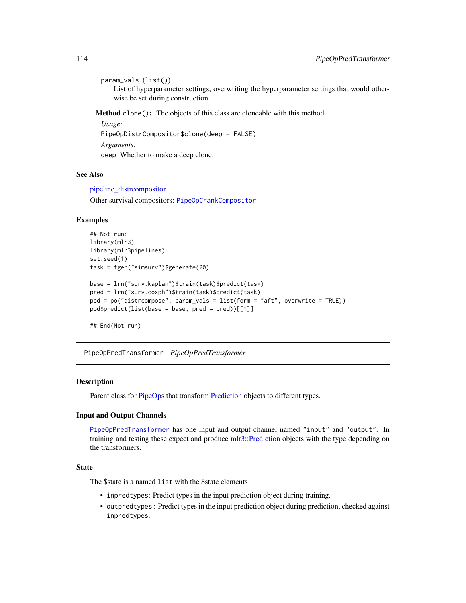```
param_vals (list())
```
List of hyperparameter settings, overwriting the hyperparameter settings that would otherwise be set during construction.

Method clone(): The objects of this class are cloneable with this method.

```
Usage:
PipeOpDistrCompositor$clone(deep = FALSE)
Arguments:
deep Whether to make a deep clone.
```
# See Also

[pipeline\\_distrcompositor](#page-18-0) Other survival compositors: [PipeOpCrankCompositor](#page-109-0)

### Examples

```
## Not run:
library(mlr3)
library(mlr3pipelines)
set.seed(1)
task = tgen("simsurv")$generate(20)
base = lrn("surv.kaplan")$train(task)$predict(task)
pred = lrn("surv.coxph")$train(task)$predict(task)
pod = po("distrcompose", param_vals = list(form = "aft", overwrite = TRUE))
pod$predict(list(base = base, pred = pred))[[1]]
```
## End(Not run)

<span id="page-113-0"></span>PipeOpPredTransformer *PipeOpPredTransformer*

# Description

Parent class for [PipeOps](#page-0-0) that transform [Prediction](#page-0-0) objects to different types.

#### Input and Output Channels

[PipeOpPredTransformer](#page-113-0) has one input and output channel named "input" and "output". In training and testing these expect and produce [mlr3::Prediction](#page-0-0) objects with the type depending on the transformers.

# State

The \$state is a named list with the \$state elements

- inpredtypes: Predict types in the input prediction object during training.
- outpredtypes : Predict types in the input prediction object during prediction, checked against inpredtypes.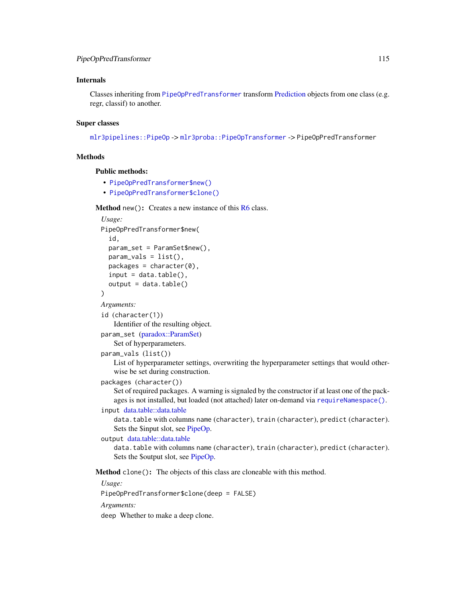# <span id="page-114-0"></span>Internals

Classes inheriting from [PipeOpPredTransformer](#page-113-0) transform [Prediction](#page-0-0) objects from one class (e.g. regr, classif) to another.

# Super classes

[mlr3pipelines::PipeOp](#page-0-0) -> [mlr3proba::PipeOpTransformer](#page-0-0) -> PipeOpPredTransformer

# Methods

# Public methods:

- [PipeOpPredTransformer\\$new\(\)](#page-7-0)
- [PipeOpPredTransformer\\$clone\(\)](#page-8-0)

**Method** new( $)$ : Creates a new instance of this  $R6$  class.

```
Usage:
PipeOpPredTransformer$new(
  id,
 param_set = ParamSet$new(),
 param_values = list(),
 package = character(0),
  input = data_table(),output = data.title())
```

```
Arguments:
```
id (character(1))

Identifier of the resulting object.

```
param_set (paradox::ParamSet)
   Set of hyperparameters.
```
param\_vals (list())

List of hyperparameter settings, overwriting the hyperparameter settings that would otherwise be set during construction.

packages (character())

Set of required packages. A warning is signaled by the constructor if at least one of the packages is not installed, but loaded (not attached) later on-demand via [requireNamespace\(\)](#page-0-0).

input [data.table::data.table](#page-0-0)

data.table with columns name (character), train (character), predict (character). Sets the \$input slot, see [PipeOp.](#page-0-0)

```
output data.table::data.table
```
data.table with columns name (character), train (character), predict (character). Sets the \$output slot, see [PipeOp.](#page-0-0)

Method clone(): The objects of this class are cloneable with this method.

*Usage:*

PipeOpPredTransformer\$clone(deep = FALSE)

*Arguments:*

deep Whether to make a deep clone.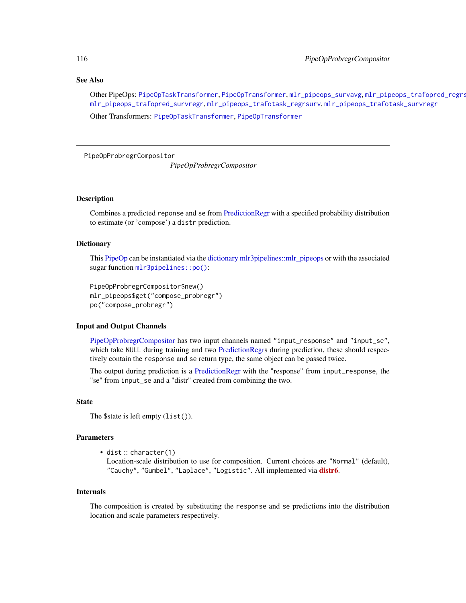#### <span id="page-115-1"></span>See Also

Other PipeOps: [PipeOpTaskTransformer](#page-117-0), [PipeOpTransformer](#page-118-0), [mlr\\_pipeops\\_survavg](#page-91-0), [mlr\\_pipeops\\_trafopred\\_regrsurv](#page-92-0), [mlr\\_pipeops\\_trafopred\\_survregr](#page-94-0), [mlr\\_pipeops\\_trafotask\\_regrsurv](#page-96-0), [mlr\\_pipeops\\_trafotask\\_survregr](#page-97-0)

Other Transformers: [PipeOpTaskTransformer](#page-117-0), [PipeOpTransformer](#page-118-0)

<span id="page-115-0"></span>PipeOpProbregrCompositor

*PipeOpProbregrCompositor*

#### Description

Combines a predicted reponse and se from [PredictionRegr](#page-0-0) with a specified probability distribution to estimate (or 'compose') a distr prediction.

# Dictionary

This [PipeOp](#page-0-0) can be instantiated via the [dictionary](#page-0-0) [mlr3pipelines::mlr\\_pipeops](#page-0-0) or with the associated sugar function [mlr3pipelines::po\(\)](#page-0-0):

```
PipeOpProbregrCompositor$new()
mlr_pipeops$get("compose_probregr")
po("compose_probregr")
```
# Input and Output Channels

[PipeOpProbregrCompositor](#page-115-0) has two input channels named "input\_response" and "input\_se", which take NULL during training and two [PredictionRegrs](#page-0-0) during prediction, these should respectively contain the response and se return type, the same object can be passed twice.

The output during prediction is a [PredictionRegr](#page-0-0) with the "response" from input\_response, the "se" from input\_se and a "distr" created from combining the two.

# State

```
The $state is left empty (list()).
```
#### Parameters

• dist :: character(1)

Location-scale distribution to use for composition. Current choices are "Normal" (default), "Cauchy", "Gumbel", "Laplace", "Logistic". All implemented via **[distr6](https://CRAN.R-project.org/package=distr6)**.

#### Internals

The composition is created by substituting the response and se predictions into the distribution location and scale parameters respectively.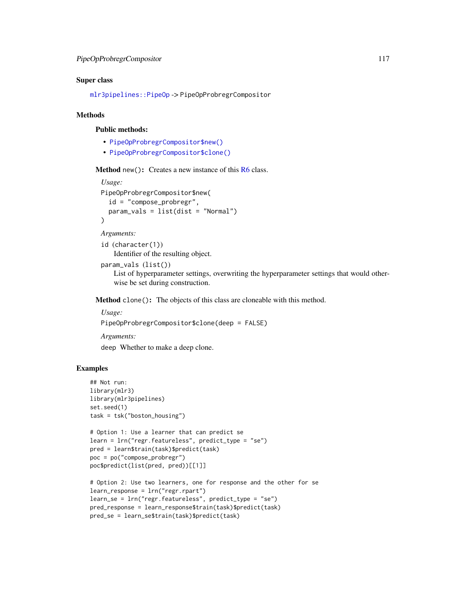# <span id="page-116-0"></span>Super class

[mlr3pipelines::PipeOp](#page-0-0) -> PipeOpProbregrCompositor

# **Methods**

# Public methods:

- [PipeOpProbregrCompositor\\$new\(\)](#page-7-0)
- [PipeOpProbregrCompositor\\$clone\(\)](#page-8-0)

**Method** new( $)$ : Creates a new instance of this  $R6$  class.

```
Usage:
PipeOpProbregrCompositor$new(
  id = "compose_probregr",
  param_vals = list(dist = "Normal")
)
```

```
Arguments:
```
id (character(1)) Identifier of the resulting object.

```
param_vals (list())
```
List of hyperparameter settings, overwriting the hyperparameter settings that would otherwise be set during construction.

Method clone(): The objects of this class are cloneable with this method.

*Usage:*

```
PipeOpProbregrCompositor$clone(deep = FALSE)
```
*Arguments:*

deep Whether to make a deep clone.

# Examples

```
## Not run:
library(mlr3)
library(mlr3pipelines)
set.seed(1)
task = tsk("boston_housing")
# Option 1: Use a learner that can predict se
learn = lrn("regr.featureless", predict_type = "se")
pred = learn$train(task)$predict(task)
poc = po("compose_probregr")
poc$predict(list(pred, pred))[[1]]
# Option 2: Use two learners, one for response and the other for se
learn_response = lrn("regr.rpart")
learn_se = lrn("regr.featureless", predict_type = "se")
pred_response = learn_response$train(task)$predict(task)
```

```
pred_se = learn_se$train(task)$predict(task)
```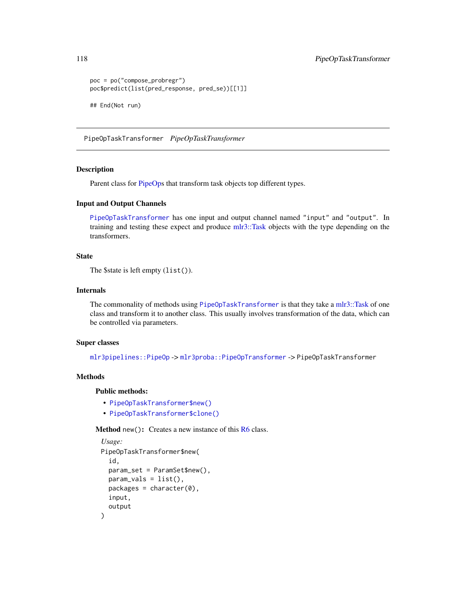```
poc = po("compose_probregr")
poc$predict(list(pred_response, pred_se))[[1]]
## End(Not run)
```
<span id="page-117-0"></span>PipeOpTaskTransformer *PipeOpTaskTransformer*

# Description

Parent class for [PipeOps](#page-0-0) that transform task objects top different types.

# Input and Output Channels

[PipeOpTaskTransformer](#page-117-0) has one input and output channel named "input" and "output". In training and testing these expect and produce [mlr3::Task](#page-0-0) objects with the type depending on the transformers.

# State

```
The $state is left empty (list()).
```
# Internals

The commonality of methods using [PipeOpTaskTransformer](#page-117-0) is that they take a [mlr3::Task](#page-0-0) of one class and transform it to another class. This usually involves transformation of the data, which can be controlled via parameters.

# Super classes

[mlr3pipelines::PipeOp](#page-0-0) -> [mlr3proba::PipeOpTransformer](#page-0-0) -> PipeOpTaskTransformer

# Methods

Public methods:

- [PipeOpTaskTransformer\\$new\(\)](#page-7-0)
- [PipeOpTaskTransformer\\$clone\(\)](#page-8-0)

**Method** new( $)$ : Creates a new instance of this  $R6$  class.

```
Usage:
PipeOpTaskTransformer$new(
  id,
 param_set = ParamSet$new(),
 param\_vals = list(),
 packages = character(0),
  input,
  output
)
```
<span id="page-117-1"></span>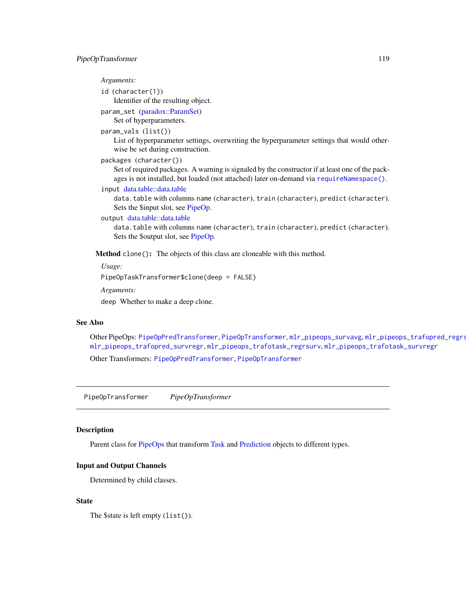# <span id="page-118-1"></span>*Arguments:*

```
id (character(1))
   Identifier of the resulting object.
param_set (paradox::ParamSet)
```
# Set of hyperparameters.

```
param_vals (list())
```
List of hyperparameter settings, overwriting the hyperparameter settings that would otherwise be set during construction.

```
packages (character())
```
Set of required packages. A warning is signaled by the constructor if at least one of the packages is not installed, but loaded (not attached) later on-demand via [requireNamespace\(\)](#page-0-0).

```
input data.table::data.table
```
data.table with columns name (character), train (character), predict (character). Sets the \$input slot, see [PipeOp.](#page-0-0)

# output [data.table::data.table](#page-0-0)

data.table with columns name (character), train (character), predict (character). Sets the \$output slot, see [PipeOp.](#page-0-0)

Method clone(): The objects of this class are cloneable with this method.

*Usage:*

PipeOpTaskTransformer\$clone(deep = FALSE)

*Arguments:*

deep Whether to make a deep clone.

# See Also

Other PipeOps: [PipeOpPredTransformer](#page-113-0), [PipeOpTransformer](#page-118-0), [mlr\\_pipeops\\_survavg](#page-91-0), [mlr\\_pipeops\\_trafopred\\_regrsurv](#page-92-0), [mlr\\_pipeops\\_trafopred\\_survregr](#page-94-0), [mlr\\_pipeops\\_trafotask\\_regrsurv](#page-96-0), [mlr\\_pipeops\\_trafotask\\_survregr](#page-97-0) Other Transformers: [PipeOpPredTransformer](#page-113-0), [PipeOpTransformer](#page-118-0)

<span id="page-118-0"></span>PipeOpTransformer *PipeOpTransformer*

# **Description**

Parent class for [PipeOps](#page-0-0) that transform [Task](#page-0-0) and [Prediction](#page-0-0) objects to different types.

### Input and Output Channels

Determined by child classes.

# **State**

The \$state is left empty (list()).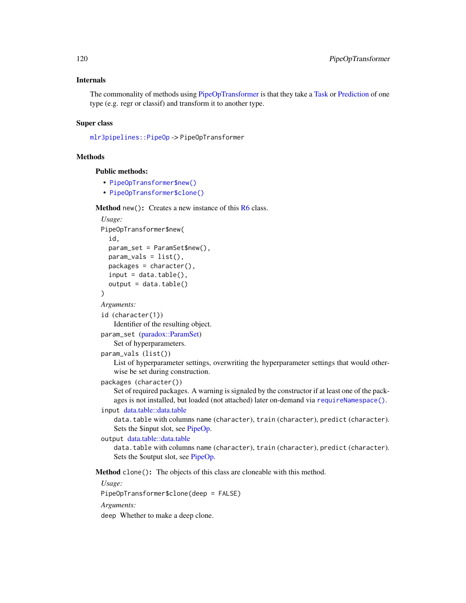# <span id="page-119-0"></span>Internals

The commonality of methods using [PipeOpTransformer](#page-118-0) is that they take a [Task](#page-0-0) or [Prediction](#page-0-0) of one type (e.g. regr or classif) and transform it to another type.

# Super class

[mlr3pipelines::PipeOp](#page-0-0) -> PipeOpTransformer

#### Methods

Public methods:

- [PipeOpTransformer\\$new\(\)](#page-7-0)
- [PipeOpTransformer\\$clone\(\)](#page-8-0)

**Method** new( $)$ : Creates a new instance of this  $R6$  class.

```
Usage:
PipeOpTransformer$new(
  id,
 param_set = ParamSet$new(),
 param_values = list(),
 packages = character(),
  input = data_table(),output = data.title())
```
*Arguments:*

id (character(1))

Identifier of the resulting object.

```
param_set (paradox::ParamSet)
   Set of hyperparameters.
```
param\_vals (list())

List of hyperparameter settings, overwriting the hyperparameter settings that would otherwise be set during construction.

packages (character())

Set of required packages. A warning is signaled by the constructor if at least one of the packages is not installed, but loaded (not attached) later on-demand via [requireNamespace\(\)](#page-0-0).

input [data.table::data.table](#page-0-0)

data.table with columns name (character), train (character), predict (character). Sets the \$input slot, see [PipeOp.](#page-0-0)

```
output data.table::data.table
```
data.table with columns name (character), train (character), predict (character). Sets the \$output slot, see [PipeOp.](#page-0-0)

Method clone(): The objects of this class are cloneable with this method.

*Usage:*

PipeOpTransformer\$clone(deep = FALSE)

*Arguments:*

deep Whether to make a deep clone.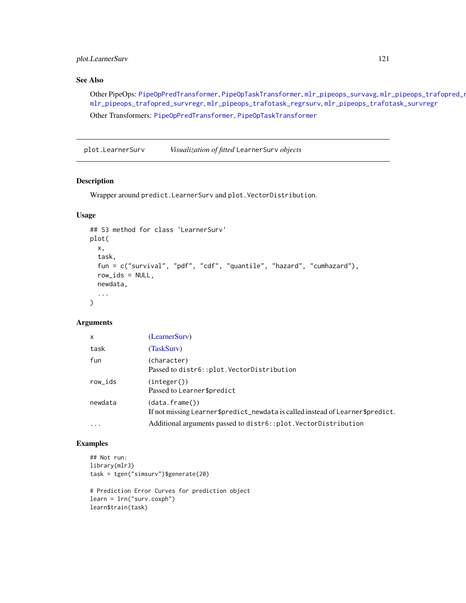# <span id="page-120-0"></span>plot.LearnerSurv 121

# See Also

Other PipeOps: [PipeOpPredTransformer](#page-113-0), [PipeOpTaskTransformer](#page-117-0), [mlr\\_pipeops\\_survavg](#page-91-0), mlr\_pipeops\_trafopred\_regre [mlr\\_pipeops\\_trafopred\\_survregr](#page-94-0), [mlr\\_pipeops\\_trafotask\\_regrsurv](#page-96-0), [mlr\\_pipeops\\_trafotask\\_survregr](#page-97-0) Other Transformers: [PipeOpPredTransformer](#page-113-0), [PipeOpTaskTransformer](#page-117-0)

plot.LearnerSurv *Visualization of fitted* LearnerSurv *objects*

# Description

Wrapper around predict.LearnerSurv and plot.VectorDistribution.

# Usage

```
## S3 method for class 'LearnerSurv'
plot(
 x,
  task,
  fun = c("survival", "pdf", "cdf", "quantile", "hazard", "cumhazard"),
  row\_ids = NULL,newdata,
  ...
)
```
# Arguments

| $\mathsf{x}$ | (LearnerSurv)                                                                                     |
|--------------|---------------------------------------------------------------------------------------------------|
| task         | (TaskSurv)                                                                                        |
| fun          | (character)<br>Passed to distr6::plot.VectorDistribution                                          |
| row_ids      | (integer())<br>Passed to Learner\$predict                                                         |
| newdata      | (data, frame())<br>If not missing Learner\$predict_newdata is called instead of Learner\$predict. |
| $\ddotsc$    | Additional arguments passed to distr6::plot.VectorDistribution                                    |

# Examples

```
## Not run:
library(mlr3)
task = tgen("simsurv")$generate(20)
```

```
# Prediction Error Curves for prediction object
learn = lrn("surv.coxph")
learn$train(task)
```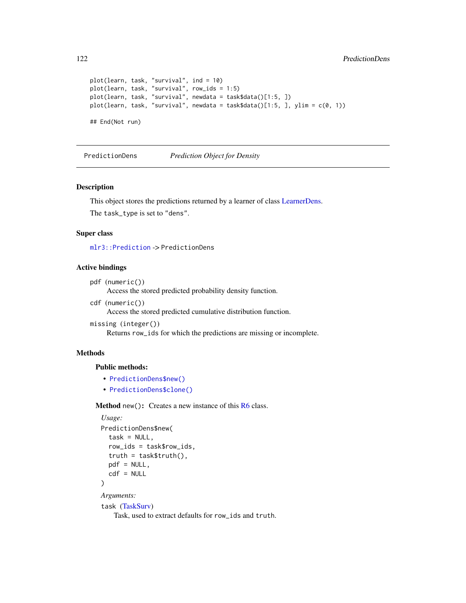```
plot(learn, task, "survival", ind = 10)
plot(learn, task, "survival", row_ids = 1:5)
plot(learn, task, "survival", newdata = task$data()[1:5, ])
plot(learn, task, "survival", newdata = task$data()[1:5, ], ylim = c(0, 1))
## End(Not run)
```
<span id="page-121-0"></span>PredictionDens *Prediction Object for Density*

#### Description

This object stores the predictions returned by a learner of class [LearnerDens.](#page-6-0) The task\_type is set to "dens".

#### Super class

[mlr3::Prediction](#page-0-0) -> PredictionDens

# Active bindings

```
pdf (numeric())
```
Access the stored predicted probability density function.

cdf (numeric())

Access the stored predicted cumulative distribution function.

```
missing (integer())
```
Returns row\_ids for which the predictions are missing or incomplete.

# Methods

Public methods:

- [PredictionDens\\$new\(\)](#page-7-0)
- [PredictionDens\\$clone\(\)](#page-8-0)

Method new(): Creates a new instance of this [R6](#page-0-0) class.

```
Usage:
PredictionDens$new(
  task = NULL,row_ids = task$row_ids,
 truth = task$truth(),
  pdf = NULL,
  cdf = NULL)
Arguments:
task (TaskSurv)
```
Task, used to extract defaults for row\_ids and truth.

<span id="page-121-1"></span>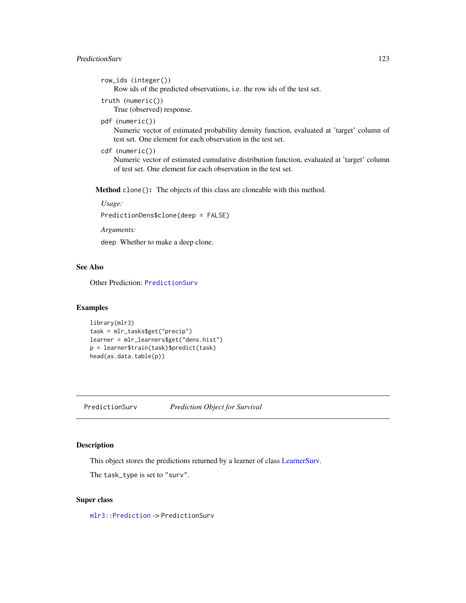# <span id="page-122-1"></span>PredictionSurv 123

```
row_ids (integer())
```
Row ids of the predicted observations, i.e. the row ids of the test set.

```
truth (numeric())
```
True (observed) response.

pdf (numeric())

Numeric vector of estimated probability density function, evaluated at 'target' column of test set. One element for each observation in the test set.

```
cdf (numeric())
```
Numeric vector of estimated cumulative distribution function, evaluated at 'target' column of test set. One element for each observation in the test set.

Method clone(): The objects of this class are cloneable with this method.

*Usage:*

PredictionDens\$clone(deep = FALSE)

*Arguments:*

deep Whether to make a deep clone.

# See Also

Other Prediction: [PredictionSurv](#page-122-0)

#### Examples

```
library(mlr3)
task = mlr_tasks$get("precip")
learner = mlr_learners$get("dens.hist")
p = learner$train(task)$predict(task)
head(as.data.table(p))
```
<span id="page-122-0"></span>PredictionSurv *Prediction Object for Survival*

# Description

This object stores the predictions returned by a learner of class [LearnerSurv.](#page-8-1)

The task\_type is set to "surv".

#### Super class

[mlr3::Prediction](#page-0-0) -> PredictionSurv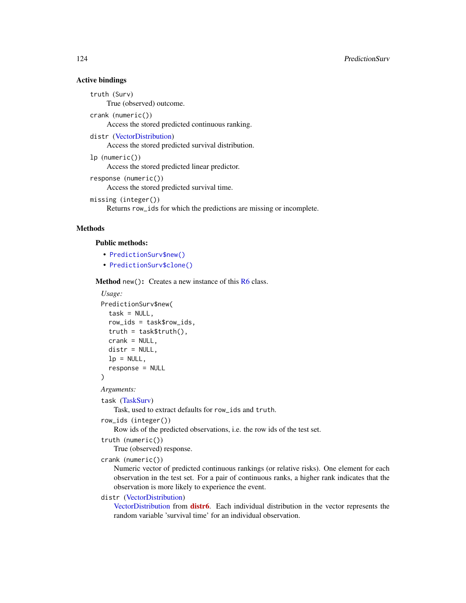# <span id="page-123-0"></span>Active bindings

truth (Surv) True (observed) outcome.

crank (numeric())

Access the stored predicted continuous ranking.

distr [\(VectorDistribution\)](#page-0-0)

Access the stored predicted survival distribution.

lp (numeric())

Access the stored predicted linear predictor.

```
response (numeric())
     Access the stored predicted survival time.
```

```
missing (integer())
    Returns row_ids for which the predictions are missing or incomplete.
```
# Methods

#### Public methods:

- [PredictionSurv\\$new\(\)](#page-7-0)
- [PredictionSurv\\$clone\(\)](#page-8-0)

**Method** new( $)$ : Creates a new instance of this  $R6$  class.

*Usage:*

```
PredictionSurv$new(
  task = NULL,row_ids = task$row_ids,
  truth = task$truth(),
  crank = NULL,
  distr = NULL,
  lp = NULL,response = NULL
\lambda
```
*Arguments:*

task [\(TaskSurv\)](#page-125-0)

Task, used to extract defaults for row\_ids and truth.

```
row_ids (integer())
```
Row ids of the predicted observations, i.e. the row ids of the test set.

```
truth (numeric())
```
True (observed) response.

```
crank (numeric())
```
Numeric vector of predicted continuous rankings (or relative risks). One element for each observation in the test set. For a pair of continuous ranks, a higher rank indicates that the observation is more likely to experience the event.

# distr [\(VectorDistribution\)](#page-0-0)

[VectorDistribution](#page-0-0) from [distr6](https://CRAN.R-project.org/package=distr6). Each individual distribution in the vector represents the random variable 'survival time' for an individual observation.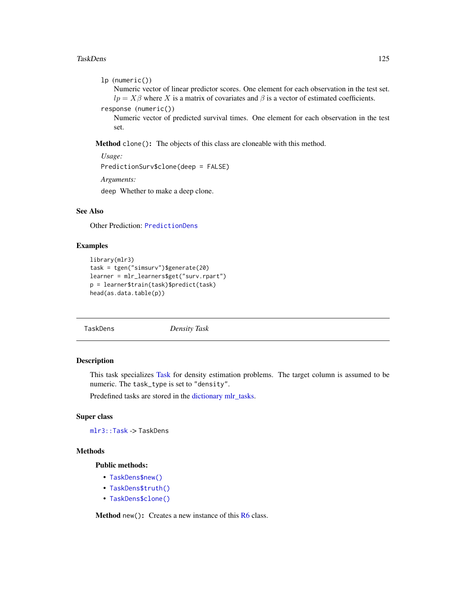#### <span id="page-124-1"></span>TaskDens 125

```
lp (numeric())
```
Numeric vector of linear predictor scores. One element for each observation in the test set.  $lp = X\beta$  where X is a matrix of covariates and  $\beta$  is a vector of estimated coefficients.

```
response (numeric())
```
Numeric vector of predicted survival times. One element for each observation in the test set.

Method clone(): The objects of this class are cloneable with this method.

```
Usage:
PredictionSurv$clone(deep = FALSE)
Arguments:
```
deep Whether to make a deep clone.

# See Also

Other Prediction: [PredictionDens](#page-121-0)

# Examples

```
library(mlr3)
task = tgen("simsurv")$generate(20)
learner = mlr_learners$get("surv.rpart")
p = learner$train(task)$predict(task)
head(as.data.table(p))
```
<span id="page-124-0"></span>TaskDens *Density Task*

# Description

This task specializes [Task](#page-0-0) for density estimation problems. The target column is assumed to be numeric. The task\_type is set to "density".

Predefined tasks are stored in the [dictionary](#page-0-0) [mlr\\_tasks.](#page-0-0)

#### Super class

[mlr3::Task](#page-0-0) -> TaskDens

# **Methods**

Public methods:

- [TaskDens\\$new\(\)](#page-7-0)
- [TaskDens\\$truth\(\)](#page-125-1)
- [TaskDens\\$clone\(\)](#page-8-0)

Method new(): Creates a new instance of this [R6](#page-0-0) class.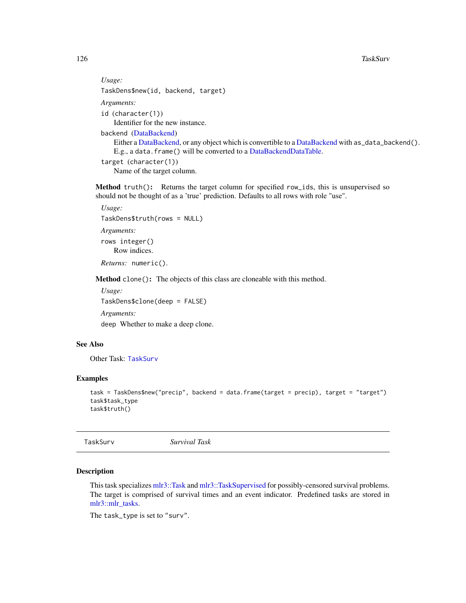```
Usage:
TaskDens$new(id, backend, target)
Arguments:
id (character(1))
   Identifier for the new instance.
backend (DataBackend)
   DataBackend,DataBackend with as_data_backend().
   E.g., a data.frame() will be converted to a DataBackendDataTable.
target (character(1))
   Name of the target column.
```
<span id="page-125-1"></span>Method truth(): Returns the target column for specified row\_ids, this is unsupervised so should not be thought of as a 'true' prediction. Defaults to all rows with role "use".

```
Usage:
TaskDens$truth(rows = NULL)
Arguments:
rows integer()
   Row indices.
```
*Returns:* numeric().

Method clone(): The objects of this class are cloneable with this method.

```
Usage:
TaskDens$clone(deep = FALSE)
Arguments:
deep Whether to make a deep clone.
```
# See Also

Other Task: [TaskSurv](#page-125-0)

#### Examples

```
task = TaskDens$new("precip", backend = data.frame(target = precip), target = "target")
task$task_type
task$truth()
```
<span id="page-125-0"></span>

TaskSurv *Survival Task*

# Description

This task specializes [mlr3::Task](#page-0-0) and [mlr3::TaskSupervised](#page-0-0) for possibly-censored survival problems. The target is comprised of survival times and an event indicator. Predefined tasks are stored in [mlr3::mlr\\_tasks.](#page-0-0)

The task\_type is set to "surv".

<span id="page-125-2"></span>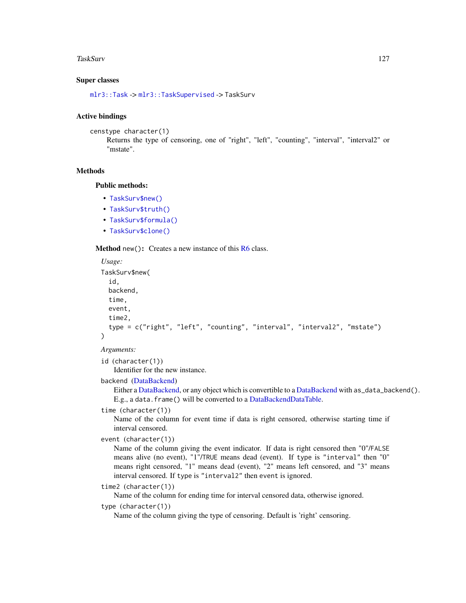#### <span id="page-126-0"></span>TaskSurv 127

# Super classes

[mlr3::Task](#page-0-0) -> [mlr3::TaskSupervised](#page-0-0) -> TaskSurv

#### Active bindings

```
censtype character(1)
```
Returns the type of censoring, one of "right", "left", "counting", "interval", "interval2" or "mstate".

#### **Methods**

# Public methods:

- [TaskSurv\\$new\(\)](#page-7-0)
- [TaskSurv\\$truth\(\)](#page-125-1)
- [TaskSurv\\$formula\(\)](#page-127-0)
- [TaskSurv\\$clone\(\)](#page-8-0)

### **Method** new(): Creates a new instance of this  $R6$  class.

```
Usage:
TaskSurv$new(
  id,
 backend,
  time,
 event,
  time2,
  type = c("right", "left", "counting", "interval", "interval2", "mstate")
)
```
*Arguments:*

id (character(1)) Identifier for the new instance.

backend [\(DataBackend\)](#page-0-0)

Either a [DataBackend,](#page-0-0) or any object which is convertible to a [DataBackend](#page-0-0) with as\_data\_backend(). E.g., a data.frame() will be converted to a [DataBackendDataTable.](#page-0-0)

# time (character(1))

Name of the column for event time if data is right censored, otherwise starting time if interval censored.

```
event (character(1))
```
Name of the column giving the event indicator. If data is right censored then "0"/FALSE means alive (no event), "1"/TRUE means dead (event). If type is "interval" then "0" means right censored, "1" means dead (event), "2" means left censored, and "3" means interval censored. If type is "interval2" then event is ignored.

```
time2 (character(1))
```
Name of the column for ending time for interval censored data, otherwise ignored.

# type (character(1))

Name of the column giving the type of censoring. Default is 'right' censoring.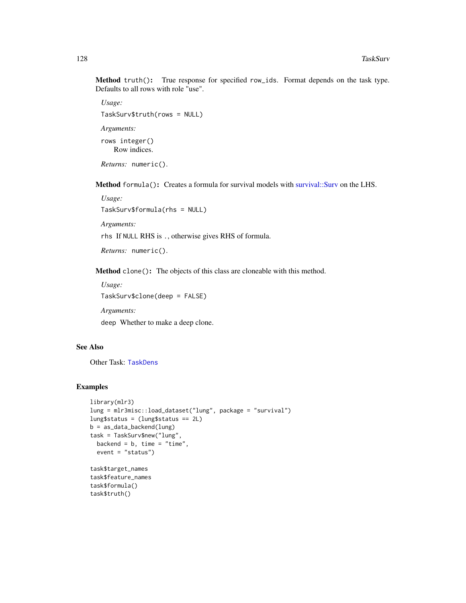<span id="page-127-1"></span>Method truth(): True response for specified row\_ids. Format depends on the task type. Defaults to all rows with role "use".

```
Usage:
TaskSurv$truth(rows = NULL)
Arguments:
rows integer()
   Row indices.
```
*Returns:* numeric().

<span id="page-127-0"></span>Method formula(): Creates a formula for survival models with [survival::Surv](#page-0-0) on the LHS.

*Usage:* TaskSurv\$formula(rhs = NULL)

*Arguments:*

rhs If NULL RHS is ., otherwise gives RHS of formula.

*Returns:* numeric().

Method clone(): The objects of this class are cloneable with this method.

*Usage:*

TaskSurv\$clone(deep = FALSE)

*Arguments:*

deep Whether to make a deep clone.

# See Also

Other Task: [TaskDens](#page-124-0)

# Examples

```
library(mlr3)
lung = mlr3misc::load_dataset("lung", package = "survival")
lung$status = (lung$status == 2L)
b = as_data_backend(lung)
task = TaskSurv$new("lung",
 backend = b, time = "time",
  event = "status")
task$target_names
task$feature_names
task$formula()
task$truth()
```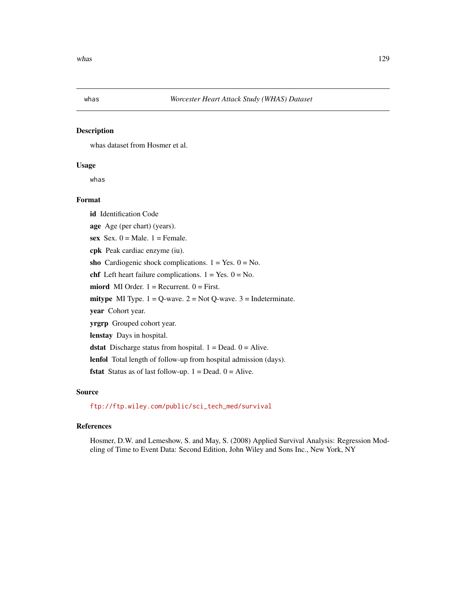<span id="page-128-0"></span>

# Description

whas dataset from Hosmer et al.

# Usage

whas

# Format

id Identification Code

age Age (per chart) (years).

sex Sex.  $0 =$  Male.  $1 =$  Female.

cpk Peak cardiac enzyme (iu).

sho Cardiogenic shock complications.  $1 = Yes. 0 = No.$ 

chf Left heart failure complications.  $1 = Yes$ .  $0 = No$ .

miord MI Order.  $1 =$  Recurrent.  $0 =$  First.

mitype MI Type.  $1 = Q$ -wave.  $2 = Not Q$ -wave.  $3 = Indeterminate$ .

year Cohort year.

yrgrp Grouped cohort year.

lenstay Days in hospital.

**dstat** Discharge status from hospital.  $1 = Dead$ .  $0 = Alice$ .

lenfol Total length of follow-up from hospital admission (days).

**fstat** Status as of last follow-up.  $1 = Dead$ .  $0 = Alice$ .

#### Source

[ftp://ftp.wiley.com/public/sci\\_tech\\_med/survival](ftp://ftp.wiley.com/public/sci_tech_med/survival)

# References

Hosmer, D.W. and Lemeshow, S. and May, S. (2008) Applied Survival Analysis: Regression Modeling of Time to Event Data: Second Edition, John Wiley and Sons Inc., New York, NY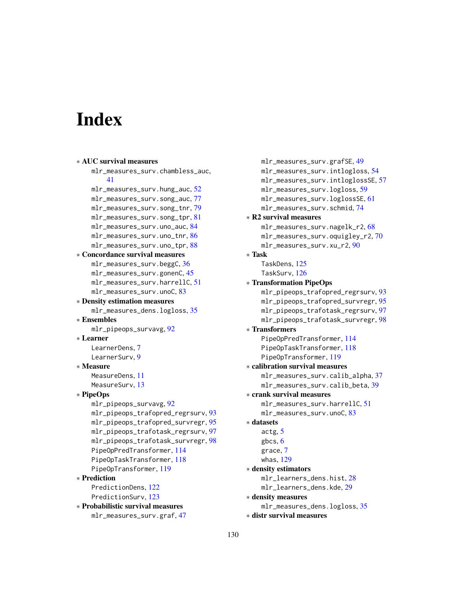# **Index**

```
∗ AUC survival measures
    mlr_measures_surv.chambless_auc,
        41
    mlr_measures_surv.hung_auc, 52
    mlr_measures_surv.song_auc, 77
    mlr_measures_surv.song_tnr, 79
    mlr_measures_surv.song_tpr, 81
    mlr_measures_surv.uno_auc, 84
    mlr_measures_surv.uno_tnr, 86
    mlr_measures_surv.uno_tpr, 88
∗ Concordance survival measures
    mlr_measures_surv.beggC, 36
    mlr_measures_surv.gonenC, 45
    mlr_measures_surv.harrellC, 51
    mlr_measures_surv.unoC, 83
∗ Density estimation measures
    mlr_measures_dens.logloss, 35
∗ Ensembles
    mlr_pipeops_survavg, 92
∗ Learner
    LearnerDens, 7
    LearnerSurv, 9
∗ Measure
   MeasureDens, 11
    13
∗ PipeOps
    mlr_pipeops_survavg, 92
    mlr_pipeops_trafopred_regrsurv, 93
    mlr_pipeops_trafopred_survregr, 95
    mlr_pipeops_trafotask_regrsurv, 97
    mlr_pipeops_trafotask_survregr, 98
    PipeOpPredTransformer, 114
    PipeOpTaskTransformer, 118
    PipeOpTransformer, 119
∗ Prediction
    PredictionDens, 122
    PredictionSurv, 123
∗ Probabilistic survival measures
    mlr_measures_surv.graf, 47
```
mlr\_measures\_surv.grafSE, [49](#page-48-0) mlr\_measures\_surv.intlogloss, [54](#page-53-1) mlr\_measures\_surv.intloglossSE, [57](#page-56-0) mlr\_measures\_surv.logloss, [59](#page-58-0) mlr\_measures\_surv.loglossSE, [61](#page-60-0) mlr\_measures\_surv.schmid, [74](#page-73-0) ∗ R2 survival measures mlr\_measures\_surv.nagelk\_r2, [68](#page-67-0) mlr\_measures\_surv.oquigley\_r2, [70](#page-69-0) mlr\_measures\_surv.xu\_r2, [90](#page-89-0) ∗ Task TaskDens, [125](#page-124-1) TaskSurv, [126](#page-125-2) ∗ Transformation PipeOps mlr\_pipeops\_trafopred\_regrsurv, [93](#page-92-1) mlr\_pipeops\_trafopred\_survregr, [95](#page-94-1) mlr\_pipeops\_trafotask\_regrsurv, [97](#page-96-1) mlr\_pipeops\_trafotask\_survregr, [98](#page-97-1) ∗ Transformers PipeOpPredTransformer, [114](#page-113-1) PipeOpTaskTransformer, [118](#page-117-1) PipeOpTransformer, [119](#page-118-1) ∗ calibration survival measures mlr\_measures\_surv.calib\_alpha, [37](#page-36-0) mlr\_measures\_surv.calib\_beta, [39](#page-38-0) ∗ crank survival measures mlr\_measures\_surv.harrellC, [51](#page-50-0) mlr\_measures\_surv.unoC, [83](#page-82-0) ∗ datasets actg, [5](#page-4-0) gbcs, [6](#page-5-0) grace, [7](#page-6-1) whas, [129](#page-128-0) ∗ density estimators mlr\_learners\_dens.hist, [28](#page-27-0) mlr\_learners\_dens.kde, [29](#page-28-0) ∗ density measures mlr\_measures\_dens.logloss, [35](#page-34-0) ∗ distr survival measures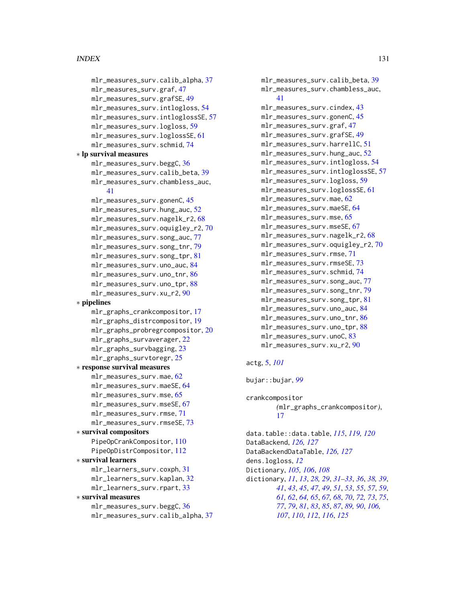```
mlr_measures_surv.calib_alpha, 37
    mlr_measures_surv.graf, 47
    mlr_measures_surv.grafSE, 49
    mlr_measures_surv.intlogloss, 54
    mlr_measures_surv.intloglossSE, 57
    mlr_measures_surv.logloss, 59
    mlr_measures_surv.loglossSE, 61
    mlr_measures_surv.schmid, 74
∗ lp survival measures
    mlr_measures_surv.beggC, 36
    mlr_measures_surv.calib_beta, 39
    mlr_measures_surv.chambless_auc,
        41
    mlr_measures_surv.gonenC, 45
    mlr_measures_surv.hung_auc, 52
    mlr_measures_surv.nagelk_r2, 68
    mlr_measures_surv.oquigley_r2, 70
    mlr_measures_surv.song_auc, 77
    mlr_measures_surv.song_tnr, 79
    mlr_measures_surv.song_tpr, 81
    mlr_measures_surv.uno_auc, 84
    mlr_measures_surv.uno_tnr, 86
    mlr_measures_surv.uno_tpr, 88
    mlr_measures_surv.xu_r2, 90
∗ pipelines
    mlr_graphs_crankcompositor, 17
    mlr_graphs_distrcompositor, 19
    mlr_graphs_probregrcompositor, 20
    mlr_graphs_survaverager, 22
   mlr_graphs_survbagging, 23
    mlr_graphs_survtoregr, 25
∗ response survival measures
    mlr_measures_surv.mae, 62
    mlr_measures_surv.maeSE, 64
    mlr_measures_surv.mse, 65
    mlr_measures_surv.mseSE, 67
    mlr_measures_surv.rmse, 71
    mlr_measures_surv.rmseSE, 73
∗ survival compositors
    PipeOpCrankCompositor, 110
    PipeOpDistrCompositor, 112
∗ survival learners
    mlr_learners_surv.coxph, 31
    mlr_learners_surv.kaplan, 32
    mlr_learners_surv.rpart, 33
∗ survival measures
    mlr_measures_surv.beggC, 36
    mlr_measures_surv.calib_alpha, 37
```
mlr\_measures\_surv.calib\_beta, [39](#page-38-0) mlr\_measures\_surv.chambless\_auc, [41](#page-40-0) mlr\_measures\_surv.cindex, [43](#page-42-0) mlr\_measures\_surv.gonenC, [45](#page-44-0) mlr\_measures\_surv.graf, [47](#page-46-0) mlr\_measures\_surv.grafSE, [49](#page-48-0) mlr\_measures\_surv.harrellC, [51](#page-50-0) mlr\_measures\_surv.hung\_auc, [52](#page-51-0) mlr\_measures\_surv.intlogloss, [54](#page-53-1) mlr\_measures\_surv.intloglossSE, [57](#page-56-0) mlr\_measures\_surv.logloss, [59](#page-58-0) mlr\_measures\_surv.loglossSE, [61](#page-60-0) mlr\_measures\_surv.mae, [62](#page-61-0) mlr\_measures\_surv.maeSE, [64](#page-63-0) mlr\_measures\_surv.mse, [65](#page-64-0) mlr\_measures\_surv.mseSE, [67](#page-66-0) mlr\_measures\_surv.nagelk\_r2, [68](#page-67-0) mlr\_measures\_surv.oquigley\_r2, [70](#page-69-0) mlr\_measures\_surv.rmse, [71](#page-70-0) mlr\_measures\_surv.rmseSE, [73](#page-72-0) mlr\_measures\_surv.schmid, [74](#page-73-0) mlr\_measures\_surv.song\_auc, [77](#page-76-0) mlr\_measures\_surv.song\_tnr, [79](#page-78-0) mlr\_measures\_surv.song\_tpr, [81](#page-80-0) mlr\_measures\_surv.uno\_auc, [84](#page-83-0) mlr\_measures\_surv.uno\_tnr, [86](#page-85-0) mlr\_measures\_surv.uno\_tpr, [88](#page-87-0) mlr\_measures\_surv.unoC, [83](#page-82-0) mlr\_measures\_surv.xu\_r2, [90](#page-89-0)

# actg, [5,](#page-4-0) *[101](#page-100-0)*

bujar::bujar, *[99](#page-98-0)*

crankcompositor *(*mlr\_graphs\_crankcompositor*)*, [17](#page-16-1)

data.table::data.table, *[115](#page-114-0)*, *[119,](#page-118-1) [120](#page-119-0)* DataBackend, *[126,](#page-125-2) [127](#page-126-0)* DataBackendDataTable, *[126,](#page-125-2) [127](#page-126-0)* dens.logloss, *[12](#page-11-0)* Dictionary, *[105,](#page-104-0) [106](#page-105-0)*, *[108](#page-107-0)* dictionary, *[11](#page-10-0)*, *[13](#page-12-0)*, *[28,](#page-27-0) [29](#page-28-0)*, *[31](#page-30-0)[–33](#page-32-0)*, *[36](#page-35-0)*, *[38,](#page-37-0) [39](#page-38-0)*, *[41](#page-40-0)*, *[43](#page-42-0)*, *[45](#page-44-0)*, *[47](#page-46-0)*, *[49](#page-48-0)*, *[51](#page-50-0)*, *[53](#page-52-0)*, *[55](#page-54-0)*, *[57](#page-56-0)*, *[59](#page-58-0)*, *[61,](#page-60-0) [62](#page-61-0)*, *[64,](#page-63-0) [65](#page-64-0)*, *[67,](#page-66-0) [68](#page-67-0)*, *[70](#page-69-0)*, *[72,](#page-71-0) [73](#page-72-0)*, *[75](#page-74-0)*, *[77](#page-76-0)*, *[79](#page-78-0)*, *[81](#page-80-0)*, *[83](#page-82-0)*, *[85](#page-84-0)*, *[87](#page-86-0)*, *[89,](#page-88-0) [90](#page-89-0)*, *[106,](#page-105-0) [107](#page-106-0)*, *[110](#page-109-1)*, *[112](#page-111-1)*, *[116](#page-115-1)*, *[125](#page-124-1)*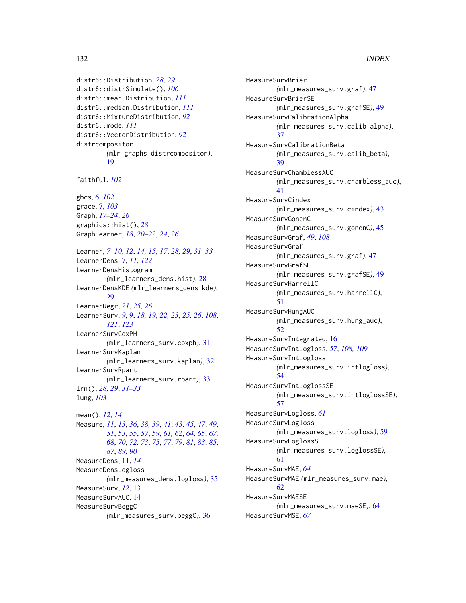```
distr6::Distribution, 28, 29
distr6::distrSimulate(), 106
distr6::mean.Distribution, 111
distr6::median.Distribution, 111
distr6::MixtureDistribution, 92
distr6::mode, 111
distr6::VectorDistribution, 92
distrcompositor
        (mlr_graphs_distrcompositor),
        19
```
faithful, *[102](#page-101-0)*

gbcs, [6,](#page-5-0) *[102](#page-101-0)* grace, [7,](#page-6-1) *[103](#page-102-0)* Graph, *[17](#page-16-1)[–24](#page-23-0)*, *[26](#page-25-0)* graphics::hist(), *[28](#page-27-0)* GraphLearner, *[18](#page-17-0)*, *[20](#page-19-0)[–22](#page-21-0)*, *[24](#page-23-0)*, *[26](#page-25-0)*

Learner, *[7](#page-6-1)[–10](#page-9-0)*, *[12](#page-11-0)*, *[14,](#page-13-0) [15](#page-14-0)*, *[17](#page-16-1)*, *[28,](#page-27-0) [29](#page-28-0)*, *[31–](#page-30-0)[33](#page-32-0)* LearnerDens, [7,](#page-6-1) *[11](#page-10-0)*, *[122](#page-121-1)* LearnerDensHistogram *(*mlr\_learners\_dens.hist*)*, [28](#page-27-0) LearnerDensKDE *(*mlr\_learners\_dens.kde*)*, [29](#page-28-0) LearnerRegr, *[21](#page-20-0)*, *[25,](#page-24-0) [26](#page-25-0)* LearnerSurv, *[9](#page-8-2)*, [9,](#page-8-2) *[18,](#page-17-0) [19](#page-18-1)*, *[22,](#page-21-0) [23](#page-22-0)*, *[25,](#page-24-0) [26](#page-25-0)*, *[108](#page-107-0)*, *[121](#page-120-0)*, *[123](#page-122-1)* LearnerSurvCoxPH *(*mlr\_learners\_surv.coxph*)*, [31](#page-30-0) LearnerSurvKaplan *(*mlr\_learners\_surv.kaplan*)*, [32](#page-31-1) LearnerSurvRpart *(*mlr\_learners\_surv.rpart*)*, [33](#page-32-0) lrn(), *[28,](#page-27-0) [29](#page-28-0)*, *[31](#page-30-0)[–33](#page-32-0)* lung, *[103](#page-102-0)* mean(), *[12](#page-11-0)*, *[14](#page-13-0)*

Measure, *[11](#page-10-0)*, *[13](#page-12-0)*, *[36](#page-35-0)*, *[38,](#page-37-0) [39](#page-38-0)*, *[41](#page-40-0)*, *[43](#page-42-0)*, *[45](#page-44-0)*, *[47](#page-46-0)*, *[49](#page-48-0)*, *[51](#page-50-0)*, *[53](#page-52-0)*, *[55](#page-54-0)*, *[57](#page-56-0)*, *[59](#page-58-0)*, *[61,](#page-60-0) [62](#page-61-0)*, *[64,](#page-63-0) [65](#page-64-0)*, *[67,](#page-66-0) [68](#page-67-0)*, *[70](#page-69-0)*, *[72,](#page-71-0) [73](#page-72-0)*, *[75](#page-74-0)*, *[77](#page-76-0)*, *[79](#page-78-0)*, *[81](#page-80-0)*, *[83](#page-82-0)*, *[85](#page-84-0)*, *[87](#page-86-0)*, *[89,](#page-88-0) [90](#page-89-0)* MeasureDens, [11,](#page-10-0) *[14](#page-13-0)* MeasureDensLogloss *(*mlr\_measures\_dens.logloss*)*, [35](#page-34-0) MeasureSurv, *[12](#page-11-0)*, [13](#page-12-0) MeasureSurvAUC, [14](#page-13-0) MeasureSurvBeggC *(*mlr\_measures\_surv.beggC*)*, [36](#page-35-0)

MeasureSurvBrier *(*mlr\_measures\_surv.graf*)*, [47](#page-46-0) MeasureSurvBrierSE *(*mlr\_measures\_surv.grafSE*)*, [49](#page-48-0) MeasureSurvCalibrationAlpha *(*mlr\_measures\_surv.calib\_alpha*)*, [37](#page-36-0) MeasureSurvCalibrationBeta *(*mlr\_measures\_surv.calib\_beta*)*, [39](#page-38-0) MeasureSurvChamblessAUC *(*mlr\_measures\_surv.chambless\_auc*)*, [41](#page-40-0) MeasureSurvCindex *(*mlr\_measures\_surv.cindex*)*, [43](#page-42-0) MeasureSurvGonenC *(*mlr\_measures\_surv.gonenC*)*, [45](#page-44-0) MeasureSurvGraf, *[49](#page-48-0)*, *[108](#page-107-0)* MeasureSurvGraf *(*mlr\_measures\_surv.graf*)*, [47](#page-46-0) MeasureSurvGrafSE *(*mlr\_measures\_surv.grafSE*)*, [49](#page-48-0) MeasureSurvHarrellC *(*mlr\_measures\_surv.harrellC*)*, [51](#page-50-0) MeasureSurvHungAUC *(*mlr\_measures\_surv.hung\_auc*)*, [52](#page-51-0) MeasureSurvIntegrated, [16](#page-15-0) MeasureSurvIntLogloss, *[57](#page-56-0)*, *[108,](#page-107-0) [109](#page-108-0)* MeasureSurvIntLogloss *(*mlr\_measures\_surv.intlogloss*)*, [54](#page-53-1) MeasureSurvIntLoglossSE *(*mlr\_measures\_surv.intloglossSE*)*, [57](#page-56-0) MeasureSurvLogloss, *[61](#page-60-0)* MeasureSurvLogloss *(*mlr\_measures\_surv.logloss*)*, [59](#page-58-0) MeasureSurvLoglossSE *(*mlr\_measures\_surv.loglossSE*)*, [61](#page-60-0) MeasureSurvMAE, *[64](#page-63-0)* MeasureSurvMAE *(*mlr\_measures\_surv.mae*)*, [62](#page-61-0) MeasureSurvMAESE *(*mlr\_measures\_surv.maeSE*)*, [64](#page-63-0) MeasureSurvMSE, *[67](#page-66-0)*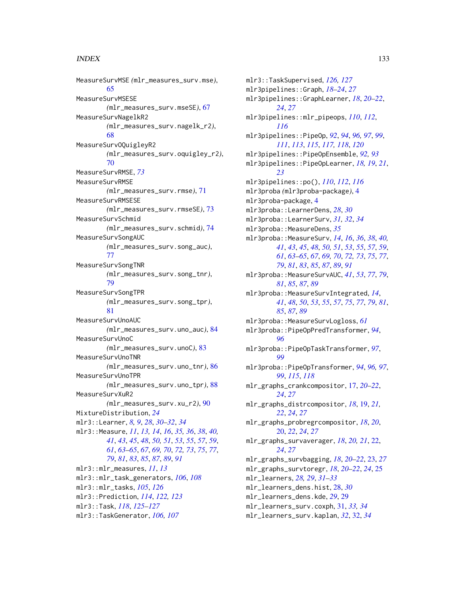MeasureSurvMSE *(*mlr\_measures\_surv.mse*)*, [65](#page-64-0) MeasureSurvMSESE *(*mlr\_measures\_surv.mseSE*)*, [67](#page-66-0) MeasureSurvNagelkR2 *(*mlr\_measures\_surv.nagelk\_r2*)*, [68](#page-67-0) MeasureSurvOQuigleyR2 *(*mlr\_measures\_surv.oquigley\_r2*)*, [70](#page-69-0) MeasureSurvRMSE, *[73](#page-72-0)* MeasureSurvRMSE *(*mlr\_measures\_surv.rmse*)*, [71](#page-70-0) MeasureSurvRMSESE *(*mlr\_measures\_surv.rmseSE*)*, [73](#page-72-0) MeasureSurvSchmid *(*mlr\_measures\_surv.schmid*)*, [74](#page-73-0) MeasureSurvSongAUC *(*mlr\_measures\_surv.song\_auc*)*, [77](#page-76-0) MeasureSurvSongTNR *(*mlr\_measures\_surv.song\_tnr*)*, [79](#page-78-0) MeasureSurvSongTPR *(*mlr\_measures\_surv.song\_tpr*)*, [81](#page-80-0) MeasureSurvUnoAUC *(*mlr\_measures\_surv.uno\_auc*)*, [84](#page-83-0) MeasureSurvUnoC *(*mlr\_measures\_surv.unoC*)*, [83](#page-82-0) MeasureSurvUnoTNR *(*mlr\_measures\_surv.uno\_tnr*)*, [86](#page-85-0) MeasureSurvUnoTPR *(*mlr\_measures\_surv.uno\_tpr*)*, [88](#page-87-0) MeasureSurvXuR2 *(*mlr\_measures\_surv.xu\_r2*)*, [90](#page-89-0) MixtureDistribution, *[24](#page-23-0)* mlr3::Learner, *[8,](#page-7-1) [9](#page-8-2)*, *[28](#page-27-0)*, *[30–](#page-29-0)[32](#page-31-1)*, *[34](#page-33-0)* mlr3::Measure, *[11](#page-10-0)*, *[13,](#page-12-0) [14](#page-13-0)*, *[16](#page-15-0)*, *[35,](#page-34-0) [36](#page-35-0)*, *[38](#page-37-0)*, *[40,](#page-39-0) [41](#page-40-0)*, *[43](#page-42-0)*, *[45](#page-44-0)*, *[48](#page-47-0)*, *[50,](#page-49-0) [51](#page-50-0)*, *[53](#page-52-0)*, *[55](#page-54-0)*, *[57](#page-56-0)*, *[59](#page-58-0)*, *[61](#page-60-0)*, *[63](#page-62-0)[–65](#page-64-0)*, *[67](#page-66-0)*, *[69,](#page-68-0) [70](#page-69-0)*, *[72,](#page-71-0) [73](#page-72-0)*, *[75](#page-74-0)*, *[77](#page-76-0)*, *[79](#page-78-0)*, *[81](#page-80-0)*, *[83](#page-82-0)*, *[85](#page-84-0)*, *[87](#page-86-0)*, *[89](#page-88-0)*, *[91](#page-90-0)* mlr3::mlr\_measures, *[11](#page-10-0)*, *[13](#page-12-0)* mlr3::mlr\_task\_generators, *[106](#page-105-0)*, *[108](#page-107-0)* mlr3::mlr\_tasks, *[105](#page-104-0)*, *[126](#page-125-2)* mlr3::Prediction, *[114](#page-113-1)*, *[122,](#page-121-1) [123](#page-122-1)* mlr3::Task, *[118](#page-117-1)*, *[125](#page-124-1)[–127](#page-126-0)* mlr3::TaskGenerator, *[106,](#page-105-0) [107](#page-106-0)*

mlr3::TaskSupervised, *[126,](#page-125-2) [127](#page-126-0)* mlr3pipelines::Graph, *[18](#page-17-0)[–24](#page-23-0)*, *[27](#page-26-0)* mlr3pipelines::GraphLearner, *[18](#page-17-0)*, *[20](#page-19-0)[–22](#page-21-0)*, *[24](#page-23-0)*, *[27](#page-26-0)* mlr3pipelines::mlr\_pipeops, *[110](#page-109-1)*, *[112](#page-111-1)*, *[116](#page-115-1)* mlr3pipelines::PipeOp, *[92](#page-91-1)*, *[94](#page-93-0)*, *[96,](#page-95-0) [97](#page-96-1)*, *[99](#page-98-0)*, *[111](#page-110-0)*, *[113](#page-112-0)*, *[115](#page-114-0)*, *[117,](#page-116-0) [118](#page-117-1)*, *[120](#page-119-0)* mlr3pipelines::PipeOpEnsemble, *[92,](#page-91-1) [93](#page-92-1)* mlr3pipelines::PipeOpLearner, *[18,](#page-17-0) [19](#page-18-1)*, *[21](#page-20-0)*, *[23](#page-22-0)* mlr3pipelines::po(), *[110](#page-109-1)*, *[112](#page-111-1)*, *[116](#page-115-1)* mlr3proba *(*mlr3proba-package*)*, [4](#page-3-0) mlr3proba-package, [4](#page-3-0) mlr3proba::LearnerDens, *[28](#page-27-0)*, *[30](#page-29-0)* mlr3proba::LearnerSurv, *[31,](#page-30-0) [32](#page-31-1)*, *[34](#page-33-0)* mlr3proba::MeasureDens, [35](#page-34-0) mlr3proba::MeasureSurv, *[14](#page-13-0)*, *[16](#page-15-0)*, *[36](#page-35-0)*, *[38](#page-37-0)*, *[40,](#page-39-0) [41](#page-40-0)*, *[43](#page-42-0)*, *[45](#page-44-0)*, *[48](#page-47-0)*, *[50,](#page-49-0) [51](#page-50-0)*, *[53](#page-52-0)*, *[55](#page-54-0)*, *[57](#page-56-0)*, *[59](#page-58-0)*, *[61](#page-60-0)*, *[63](#page-62-0)[–65](#page-64-0)*, *[67](#page-66-0)*, *[69,](#page-68-0) [70](#page-69-0)*, *[72,](#page-71-0) [73](#page-72-0)*, *[75](#page-74-0)*, *[77](#page-76-0)*, *[79](#page-78-0)*, *[81](#page-80-0)*, *[83](#page-82-0)*, *[85](#page-84-0)*, *[87](#page-86-0)*, *[89](#page-88-0)*, *[91](#page-90-0)* mlr3proba::MeasureSurvAUC, *[41](#page-40-0)*, *[53](#page-52-0)*, *[77](#page-76-0)*, *[79](#page-78-0)*, *[81](#page-80-0)*, *[85](#page-84-0)*, *[87](#page-86-0)*, *[89](#page-88-0)* mlr3proba::MeasureSurvIntegrated, *[14](#page-13-0)*, *[41](#page-40-0)*, *[48](#page-47-0)*, *[50](#page-49-0)*, *[53](#page-52-0)*, *[55](#page-54-0)*, *[57](#page-56-0)*, *[75](#page-74-0)*, *[77](#page-76-0)*, *[79](#page-78-0)*, *[81](#page-80-0)*, *[85](#page-84-0)*, *[87](#page-86-0)*, *[89](#page-88-0)* mlr3proba::MeasureSurvLogloss, *[61](#page-60-0)* mlr3proba::PipeOpPredTransformer, *[94](#page-93-0)*, *[96](#page-95-0)* mlr3proba::PipeOpTaskTransformer, *[97](#page-96-1)*, *[99](#page-98-0)* mlr3proba::PipeOpTransformer, *[94](#page-93-0)*, *[96,](#page-95-0) [97](#page-96-1)*, *[99](#page-98-0)*, *[115](#page-114-0)*, *[118](#page-117-1)* mlr\_graphs\_crankcompositor, [17,](#page-16-1) *[20](#page-19-0)[–22](#page-21-0)*, *[24](#page-23-0)*, *[27](#page-26-0)* mlr\_graphs\_distrcompositor, *[18](#page-17-0)*, [19,](#page-18-1) *[21,](#page-20-0) [22](#page-21-0)*, *[24](#page-23-0)*, *[27](#page-26-0)* mlr\_graphs\_probregrcompositor, *[18](#page-17-0)*, *[20](#page-19-0)*, [20,](#page-19-0) *[22](#page-21-0)*, *[24](#page-23-0)*, *[27](#page-26-0)* mlr\_graphs\_survaverager, *[18](#page-17-0)*, *[20,](#page-19-0) [21](#page-20-0)*, [22,](#page-21-0) *[24](#page-23-0)*, *[27](#page-26-0)* mlr\_graphs\_survbagging, *[18](#page-17-0)*, *[20](#page-19-0)[–22](#page-21-0)*, [23,](#page-22-0) *[27](#page-26-0)* mlr\_graphs\_survtoregr, *[18](#page-17-0)*, *[20](#page-19-0)[–22](#page-21-0)*, *[24](#page-23-0)*, [25](#page-24-0) mlr\_learners, *[28,](#page-27-0) [29](#page-28-0)*, *[31](#page-30-0)[–33](#page-32-0)* mlr\_learners\_dens.hist, [28,](#page-27-0) *[30](#page-29-0)* mlr\_learners\_dens.kde, *[29](#page-28-0)*, [29](#page-28-0) mlr\_learners\_surv.coxph, [31,](#page-30-0) *[33,](#page-32-0) [34](#page-33-0)* mlr\_learners\_surv.kaplan, *[32](#page-31-1)*, [32,](#page-31-1) *[34](#page-33-0)*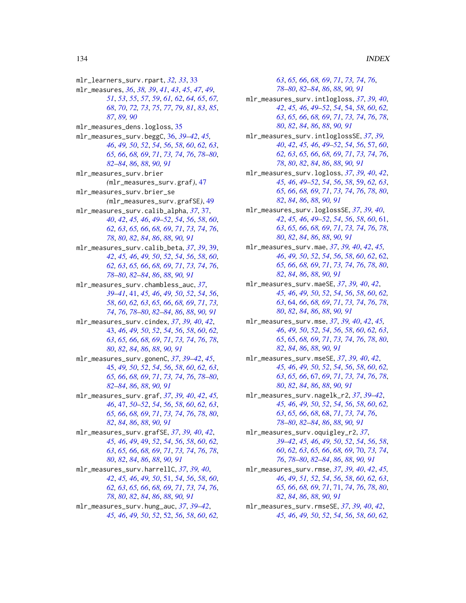*[63](#page-62-0)*, *[65,](#page-64-0) [66](#page-65-0)*, *[68,](#page-67-0) [69](#page-68-0)*, *[71](#page-70-0)*, *[73,](#page-72-0) [74](#page-73-0)*, *[76](#page-75-0)*,

mlr\_learners\_surv.rpart, *[32,](#page-31-1) [33](#page-32-0)*, [33](#page-32-0) mlr\_measures, *[36](#page-35-0)*, *[38,](#page-37-0) [39](#page-38-0)*, *[41](#page-40-0)*, *[43](#page-42-0)*, *[45](#page-44-0)*, *[47](#page-46-0)*, *[49](#page-48-0)*, *[51](#page-50-0)*, *[53](#page-52-0)*, *[55](#page-54-0)*, *[57](#page-56-0)*, *[59](#page-58-0)*, *[61,](#page-60-0) [62](#page-61-0)*, *[64,](#page-63-0) [65](#page-64-0)*, *[67,](#page-66-0) [68](#page-67-0)*, *[70](#page-69-0)*, *[72,](#page-71-0) [73](#page-72-0)*, *[75](#page-74-0)*, *[77](#page-76-0)*, *[79](#page-78-0)*, *[81](#page-80-0)*, *[83](#page-82-0)*, *[85](#page-84-0)*, *[87](#page-86-0)*, *[89,](#page-88-0) [90](#page-89-0)* mlr\_measures\_dens.logloss, [35](#page-34-0) mlr\_measures\_surv.beggC, [36,](#page-35-0) *[39–](#page-38-0)[42](#page-41-0)*, *[45,](#page-44-0) [46](#page-45-0)*, *[49,](#page-48-0) [50](#page-49-0)*, *[52](#page-51-0)*, *[54](#page-53-1)*, *[56](#page-55-0)*, *[58](#page-57-0)*, *[60](#page-59-0)*, *[62,](#page-61-0) [63](#page-62-0)*, *[65,](#page-64-0) [66](#page-65-0)*, *[68,](#page-67-0) [69](#page-68-0)*, *[71](#page-70-0)*, *[73,](#page-72-0) [74](#page-73-0)*, *[76](#page-75-0)*, *[78–](#page-77-0)[80](#page-79-0)*, *[82](#page-81-0)[–84](#page-83-0)*, *[86](#page-85-0)*, *[88](#page-87-0)*, *[90,](#page-89-0) [91](#page-90-0)* mlr\_measures\_surv.brier *(*mlr\_measures\_surv.graf*)*, [47](#page-46-0) mlr\_measures\_surv.brier\_se *(*mlr\_measures\_surv.grafSE*)*, [49](#page-48-0) mlr\_measures\_surv.calib\_alpha, *[37](#page-36-0)*, [37,](#page-36-0) *[40](#page-39-0)*, *[42](#page-41-0)*, *[45,](#page-44-0) [46](#page-45-0)*, *[49–](#page-48-0)[52](#page-51-0)*, *[54](#page-53-1)*, *[56](#page-55-0)*, *[58](#page-57-0)*, *[60](#page-59-0)*, *[62,](#page-61-0) [63](#page-62-0)*, *[65,](#page-64-0) [66](#page-65-0)*, *[68,](#page-67-0) [69](#page-68-0)*, *[71](#page-70-0)*, *[73,](#page-72-0) [74](#page-73-0)*, *[76](#page-75-0)*, *[78](#page-77-0)*, *[80](#page-79-0)*, *[82](#page-81-0)*, *[84](#page-83-0)*, *[86](#page-85-0)*, *[88](#page-87-0)*, *[90,](#page-89-0) [91](#page-90-0)* mlr\_measures\_surv.calib\_beta, *[37](#page-36-0)*, *[39](#page-38-0)*, [39,](#page-38-0) *[42](#page-41-0)*, *[45,](#page-44-0) [46](#page-45-0)*, *[49,](#page-48-0) [50](#page-49-0)*, *[52](#page-51-0)*, *[54](#page-53-1)*, *[56](#page-55-0)*, *[58](#page-57-0)*, *[60](#page-59-0)*, *[62,](#page-61-0) [63](#page-62-0)*, *[65,](#page-64-0) [66](#page-65-0)*, *[68,](#page-67-0) [69](#page-68-0)*, *[71](#page-70-0)*, *[73,](#page-72-0) [74](#page-73-0)*, *[76](#page-75-0)*, *[78](#page-77-0)[–80](#page-79-0)*, *[82](#page-81-0)[–84](#page-83-0)*, *[86](#page-85-0)*, *[88](#page-87-0)*, *[90,](#page-89-0) [91](#page-90-0)* mlr\_measures\_surv.chambless\_auc, *[37](#page-36-0)*, *[39](#page-38-0)[–41](#page-40-0)*, [41,](#page-40-0) *[45,](#page-44-0) [46](#page-45-0)*, *[49,](#page-48-0) [50](#page-49-0)*, *[52](#page-51-0)*, *[54](#page-53-1)*, *[56](#page-55-0)*, *[58](#page-57-0)*, *[60](#page-59-0)*, *[62,](#page-61-0) [63](#page-62-0)*, *[65,](#page-64-0) [66](#page-65-0)*, *[68,](#page-67-0) [69](#page-68-0)*, *[71](#page-70-0)*, *[73,](#page-72-0) [74](#page-73-0)*, *[76](#page-75-0)*, *[78](#page-77-0)[–80](#page-79-0)*, *[82–](#page-81-0)[84](#page-83-0)*, *[86](#page-85-0)*, *[88](#page-87-0)*, *[90,](#page-89-0) [91](#page-90-0)* mlr\_measures\_surv.cindex, *[37](#page-36-0)*, *[39,](#page-38-0) [40](#page-39-0)*, *[42](#page-41-0)*, [43,](#page-42-0) *[46](#page-45-0)*, *[49,](#page-48-0) [50](#page-49-0)*, *[52](#page-51-0)*, *[54](#page-53-1)*, *[56](#page-55-0)*, *[58](#page-57-0)*, *[60](#page-59-0)*, *[62,](#page-61-0) [63](#page-62-0)*, *[65,](#page-64-0) [66](#page-65-0)*, *[68,](#page-67-0) [69](#page-68-0)*, *[71](#page-70-0)*, *[73,](#page-72-0) [74](#page-73-0)*, *[76](#page-75-0)*, *[78](#page-77-0)*, *[80](#page-79-0)*, *[82](#page-81-0)*, *[84](#page-83-0)*, *[86](#page-85-0)*, *[88](#page-87-0)*, *[90,](#page-89-0) [91](#page-90-0)* mlr\_measures\_surv.gonenC, *[37](#page-36-0)*, *[39–](#page-38-0)[42](#page-41-0)*, *[45](#page-44-0)*, [45,](#page-44-0) *[49,](#page-48-0) [50](#page-49-0)*, *[52](#page-51-0)*, *[54](#page-53-1)*, *[56](#page-55-0)*, *[58](#page-57-0)*, *[60](#page-59-0)*, *[62,](#page-61-0) [63](#page-62-0)*, *[65,](#page-64-0) [66](#page-65-0)*, *[68,](#page-67-0) [69](#page-68-0)*, *[71](#page-70-0)*, *[73,](#page-72-0) [74](#page-73-0)*, *[76](#page-75-0)*, *[78–](#page-77-0)[80](#page-79-0)*, *[82](#page-81-0)[–84](#page-83-0)*, *[86](#page-85-0)*, *[88](#page-87-0)*, *[90,](#page-89-0) [91](#page-90-0)* mlr\_measures\_surv.graf, *[37](#page-36-0)*, *[39,](#page-38-0) [40](#page-39-0)*, *[42](#page-41-0)*, *[45,](#page-44-0) [46](#page-45-0)*, [47,](#page-46-0) *[50](#page-49-0)[–52](#page-51-0)*, *[54](#page-53-1)*, *[56](#page-55-0)*, *[58](#page-57-0)*, *[60](#page-59-0)*, *[62,](#page-61-0) [63](#page-62-0)*, *[65,](#page-64-0) [66](#page-65-0)*, *[68,](#page-67-0) [69](#page-68-0)*, *[71](#page-70-0)*, *[73,](#page-72-0) [74](#page-73-0)*, *[76](#page-75-0)*, *[78](#page-77-0)*, *[80](#page-79-0)*, *[82](#page-81-0)*, *[84](#page-83-0)*, *[86](#page-85-0)*, *[88](#page-87-0)*, *[90,](#page-89-0) [91](#page-90-0)* mlr\_measures\_surv.grafSE, *[37](#page-36-0)*, *[39,](#page-38-0) [40](#page-39-0)*, *[42](#page-41-0)*, *[45,](#page-44-0) [46](#page-45-0)*, *[49](#page-48-0)*, [49,](#page-48-0) *[52](#page-51-0)*, *[54](#page-53-1)*, *[56](#page-55-0)*, *[58](#page-57-0)*, *[60](#page-59-0)*, *[62,](#page-61-0) [63](#page-62-0)*, *[65,](#page-64-0) [66](#page-65-0)*, *[68,](#page-67-0) [69](#page-68-0)*, *[71](#page-70-0)*, *[73,](#page-72-0) [74](#page-73-0)*, *[76](#page-75-0)*, *[78](#page-77-0)*, *[80](#page-79-0)*, *[82](#page-81-0)*, *[84](#page-83-0)*, *[86](#page-85-0)*, *[88](#page-87-0)*, *[90,](#page-89-0) [91](#page-90-0)* mlr\_measures\_surv.harrellC, *[37](#page-36-0)*, *[39,](#page-38-0) [40](#page-39-0)*, *[42](#page-41-0)*, *[45,](#page-44-0) [46](#page-45-0)*, *[49,](#page-48-0) [50](#page-49-0)*, [51,](#page-50-0) *[54](#page-53-1)*, *[56](#page-55-0)*, *[58](#page-57-0)*, *[60](#page-59-0)*, *[62,](#page-61-0) [63](#page-62-0)*, *[65,](#page-64-0) [66](#page-65-0)*, *[68,](#page-67-0) [69](#page-68-0)*, *[71](#page-70-0)*, *[73,](#page-72-0) [74](#page-73-0)*, *[76](#page-75-0)*, *[78](#page-77-0)*, *[80](#page-79-0)*, *[82](#page-81-0)*, *[84](#page-83-0)*, *[86](#page-85-0)*, *[88](#page-87-0)*, *[90,](#page-89-0) [91](#page-90-0)* mlr\_measures\_surv.hung\_auc, *[37](#page-36-0)*, *[39–](#page-38-0)[42](#page-41-0)*, *[45,](#page-44-0) [46](#page-45-0)*, *[49,](#page-48-0) [50](#page-49-0)*, *[52](#page-51-0)*, [52,](#page-51-0) *[56](#page-55-0)*, *[58](#page-57-0)*, *[60](#page-59-0)*, *[62,](#page-61-0)*

*[78](#page-77-0)[–80](#page-79-0)*, *[82](#page-81-0)[–84](#page-83-0)*, *[86](#page-85-0)*, *[88](#page-87-0)*, *[90,](#page-89-0) [91](#page-90-0)* mlr\_measures\_surv.intlogloss, *[37](#page-36-0)*, *[39,](#page-38-0) [40](#page-39-0)*, *[42](#page-41-0)*, *[45,](#page-44-0) [46](#page-45-0)*, *[49](#page-48-0)[–52](#page-51-0)*, *[54](#page-53-1)*, [54,](#page-53-1) *[58](#page-57-0)*, *[60](#page-59-0)*, *[62,](#page-61-0) [63](#page-62-0)*, *[65,](#page-64-0) [66](#page-65-0)*, *[68,](#page-67-0) [69](#page-68-0)*, *[71](#page-70-0)*, *[73,](#page-72-0) [74](#page-73-0)*, *[76](#page-75-0)*, *[78](#page-77-0)*, *[80](#page-79-0)*, *[82](#page-81-0)*, *[84](#page-83-0)*, *[86](#page-85-0)*, *[88](#page-87-0)*, *[90,](#page-89-0) [91](#page-90-0)* mlr\_measures\_surv.intloglossSE, *[37](#page-36-0)*, *[39,](#page-38-0) [40](#page-39-0)*, *[42](#page-41-0)*, *[45,](#page-44-0) [46](#page-45-0)*, *[49](#page-48-0)[–52](#page-51-0)*, *[54](#page-53-1)*, *[56](#page-55-0)*, [57,](#page-56-0) *[60](#page-59-0)*, *[62,](#page-61-0) [63](#page-62-0)*, *[65,](#page-64-0) [66](#page-65-0)*, *[68,](#page-67-0) [69](#page-68-0)*, *[71](#page-70-0)*, *[73,](#page-72-0) [74](#page-73-0)*, *[76](#page-75-0)*, *[78](#page-77-0)*, *[80](#page-79-0)*, *[82](#page-81-0)*, *[84](#page-83-0)*, *[86](#page-85-0)*, *[88](#page-87-0)*, *[90,](#page-89-0) [91](#page-90-0)* mlr\_measures\_surv.logloss, *[37](#page-36-0)*, *[39,](#page-38-0) [40](#page-39-0)*, *[42](#page-41-0)*, *[45,](#page-44-0) [46](#page-45-0)*, *[49](#page-48-0)[–52](#page-51-0)*, *[54](#page-53-1)*, *[56](#page-55-0)*, *[58](#page-57-0)*, [59,](#page-58-0) *[62,](#page-61-0) [63](#page-62-0)*, *[65,](#page-64-0) [66](#page-65-0)*, *[68,](#page-67-0) [69](#page-68-0)*, *[71](#page-70-0)*, *[73,](#page-72-0) [74](#page-73-0)*, *[76](#page-75-0)*, *[78](#page-77-0)*, *[80](#page-79-0)*, *[82](#page-81-0)*, *[84](#page-83-0)*, *[86](#page-85-0)*, *[88](#page-87-0)*, *[90,](#page-89-0) [91](#page-90-0)* mlr\_measures\_surv.loglossSE, *[37](#page-36-0)*, *[39,](#page-38-0) [40](#page-39-0)*, *[42](#page-41-0)*, *[45,](#page-44-0) [46](#page-45-0)*, *[49](#page-48-0)[–52](#page-51-0)*, *[54](#page-53-1)*, *[56](#page-55-0)*, *[58](#page-57-0)*, *[60](#page-59-0)*, [61,](#page-60-0) *[63](#page-62-0)*, *[65,](#page-64-0) [66](#page-65-0)*, *[68,](#page-67-0) [69](#page-68-0)*, *[71](#page-70-0)*, *[73,](#page-72-0) [74](#page-73-0)*, *[76](#page-75-0)*, *[78](#page-77-0)*, *[80](#page-79-0)*, *[82](#page-81-0)*, *[84](#page-83-0)*, *[86](#page-85-0)*, *[88](#page-87-0)*, *[90,](#page-89-0) [91](#page-90-0)* mlr\_measures\_surv.mae, *[37](#page-36-0)*, *[39,](#page-38-0) [40](#page-39-0)*, *[42](#page-41-0)*, *[45,](#page-44-0) [46](#page-45-0)*, *[49,](#page-48-0) [50](#page-49-0)*, *[52](#page-51-0)*, *[54](#page-53-1)*, *[56](#page-55-0)*, *[58](#page-57-0)*, *[60](#page-59-0)*, *[62](#page-61-0)*, [62,](#page-61-0) *[65,](#page-64-0) [66](#page-65-0)*, *[68,](#page-67-0) [69](#page-68-0)*, *[71](#page-70-0)*, *[73,](#page-72-0) [74](#page-73-0)*, *[76](#page-75-0)*, *[78](#page-77-0)*, *[80](#page-79-0)*, *[82](#page-81-0)*, *[84](#page-83-0)*, *[86](#page-85-0)*, *[88](#page-87-0)*, *[90,](#page-89-0) [91](#page-90-0)* mlr\_measures\_surv.maeSE, *[37](#page-36-0)*, *[39,](#page-38-0) [40](#page-39-0)*, *[42](#page-41-0)*, *[45,](#page-44-0) [46](#page-45-0)*, *[49,](#page-48-0) [50](#page-49-0)*, *[52](#page-51-0)*, *[54](#page-53-1)*, *[56](#page-55-0)*, *[58](#page-57-0)*, *[60](#page-59-0)*, *[62,](#page-61-0) [63](#page-62-0)*, [64,](#page-63-0) *[66](#page-65-0)*, *[68,](#page-67-0) [69](#page-68-0)*, *[71](#page-70-0)*, *[73,](#page-72-0) [74](#page-73-0)*, *[76](#page-75-0)*, *[78](#page-77-0)*, *[80](#page-79-0)*, *[82](#page-81-0)*, *[84](#page-83-0)*, *[86](#page-85-0)*, *[88](#page-87-0)*, *[90,](#page-89-0) [91](#page-90-0)* mlr\_measures\_surv.mse, *[37](#page-36-0)*, *[39,](#page-38-0) [40](#page-39-0)*, *[42](#page-41-0)*, *[45,](#page-44-0) [46](#page-45-0)*, *[49,](#page-48-0) [50](#page-49-0)*, *[52](#page-51-0)*, *[54](#page-53-1)*, *[56](#page-55-0)*, *[58](#page-57-0)*, *[60](#page-59-0)*, *[62,](#page-61-0) [63](#page-62-0)*, *[65](#page-64-0)*, [65,](#page-64-0) *[68,](#page-67-0) [69](#page-68-0)*, *[71](#page-70-0)*, *[73,](#page-72-0) [74](#page-73-0)*, *[76](#page-75-0)*, *[78](#page-77-0)*, *[80](#page-79-0)*, *[82](#page-81-0)*, *[84](#page-83-0)*, *[86](#page-85-0)*, *[88](#page-87-0)*, *[90,](#page-89-0) [91](#page-90-0)* mlr\_measures\_surv.mseSE, *[37](#page-36-0)*, *[39,](#page-38-0) [40](#page-39-0)*, *[42](#page-41-0)*, *[45,](#page-44-0) [46](#page-45-0)*, *[49,](#page-48-0) [50](#page-49-0)*, *[52](#page-51-0)*, *[54](#page-53-1)*, *[56](#page-55-0)*, *[58](#page-57-0)*, *[60](#page-59-0)*, *[62,](#page-61-0) [63](#page-62-0)*, *[65,](#page-64-0) [66](#page-65-0)*, [67,](#page-66-0) *[69](#page-68-0)*, *[71](#page-70-0)*, *[73,](#page-72-0) [74](#page-73-0)*, *[76](#page-75-0)*, *[78](#page-77-0)*, *[80](#page-79-0)*, *[82](#page-81-0)*, *[84](#page-83-0)*, *[86](#page-85-0)*, *[88](#page-87-0)*, *[90,](#page-89-0) [91](#page-90-0)* mlr\_measures\_surv.nagelk\_r2, *[37](#page-36-0)*, *[39](#page-38-0)[–42](#page-41-0)*, *[45,](#page-44-0) [46](#page-45-0)*, *[49,](#page-48-0) [50](#page-49-0)*, *[52](#page-51-0)*, *[54](#page-53-1)*, *[56](#page-55-0)*, *[58](#page-57-0)*, *[60](#page-59-0)*, *[62,](#page-61-0) [63](#page-62-0)*, *[65,](#page-64-0) [66](#page-65-0)*, *[68](#page-67-0)*, [68,](#page-67-0) *[71](#page-70-0)*, *[73,](#page-72-0) [74](#page-73-0)*, *[76](#page-75-0)*, *[78](#page-77-0)[–80](#page-79-0)*, *[82](#page-81-0)[–84](#page-83-0)*, *[86](#page-85-0)*, *[88](#page-87-0)*, *[90,](#page-89-0) [91](#page-90-0)* mlr\_measures\_surv.oquigley\_r2, *[37](#page-36-0)*, *[39](#page-38-0)[–42](#page-41-0)*, *[45,](#page-44-0) [46](#page-45-0)*, *[49,](#page-48-0) [50](#page-49-0)*, *[52](#page-51-0)*, *[54](#page-53-1)*, *[56](#page-55-0)*, *[58](#page-57-0)*, *[60](#page-59-0)*, *[62,](#page-61-0) [63](#page-62-0)*, *[65,](#page-64-0) [66](#page-65-0)*, *[68,](#page-67-0) [69](#page-68-0)*, [70,](#page-69-0) *[73,](#page-72-0) [74](#page-73-0)*, *[76](#page-75-0)*, *[78](#page-77-0)[–80](#page-79-0)*, *[82](#page-81-0)[–84](#page-83-0)*, *[86](#page-85-0)*, *[88](#page-87-0)*, *[90,](#page-89-0) [91](#page-90-0)* mlr\_measures\_surv.rmse, *[37](#page-36-0)*, *[39,](#page-38-0) [40](#page-39-0)*, *[42](#page-41-0)*, *[45,](#page-44-0) [46](#page-45-0)*, *[49](#page-48-0)*, *[51,](#page-50-0) [52](#page-51-0)*, *[54](#page-53-1)*, *[56](#page-55-0)*, *[58](#page-57-0)*, *[60](#page-59-0)*, *[62,](#page-61-0) [63](#page-62-0)*, *[65,](#page-64-0) [66](#page-65-0)*, *[68,](#page-67-0) [69](#page-68-0)*, *[71](#page-70-0)*, [71,](#page-70-0) *[74](#page-73-0)*, *[76](#page-75-0)*, *[78](#page-77-0)*, *[80](#page-79-0)*, *[82](#page-81-0)*, *[84](#page-83-0)*, *[86](#page-85-0)*, *[88](#page-87-0)*, *[90,](#page-89-0) [91](#page-90-0)* mlr\_measures\_surv.rmseSE, *[37](#page-36-0)*, *[39,](#page-38-0) [40](#page-39-0)*, *[42](#page-41-0)*, *[45,](#page-44-0) [46](#page-45-0)*, *[49,](#page-48-0) [50](#page-49-0)*, *[52](#page-51-0)*, *[54](#page-53-1)*, *[56](#page-55-0)*, *[58](#page-57-0)*, *[60](#page-59-0)*, *[62,](#page-61-0)*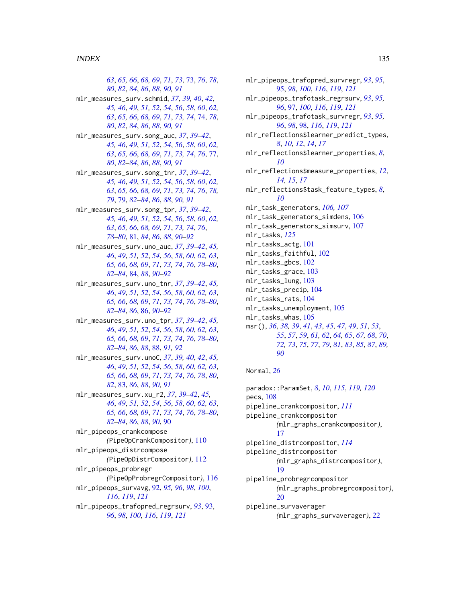*[63](#page-62-0)*, *[65,](#page-64-0) [66](#page-65-0)*, *[68,](#page-67-0) [69](#page-68-0)*, *[71](#page-70-0)*, *[73](#page-72-0)*, [73,](#page-72-0) *[76](#page-75-0)*, *[78](#page-77-0)*, *[80](#page-79-0)*, *[82](#page-81-0)*, *[84](#page-83-0)*, *[86](#page-85-0)*, *[88](#page-87-0)*, *[90,](#page-89-0) [91](#page-90-0)* mlr\_measures\_surv.schmid, *[37](#page-36-0)*, *[39,](#page-38-0) [40](#page-39-0)*, *[42](#page-41-0)*, *[45,](#page-44-0) [46](#page-45-0)*, *[49](#page-48-0)*, *[51,](#page-50-0) [52](#page-51-0)*, *[54](#page-53-1)*, *[56](#page-55-0)*, *[58](#page-57-0)*, *[60](#page-59-0)*, *[62,](#page-61-0) [63](#page-62-0)*, *[65,](#page-64-0) [66](#page-65-0)*, *[68,](#page-67-0) [69](#page-68-0)*, *[71](#page-70-0)*, *[73,](#page-72-0) [74](#page-73-0)*, [74,](#page-73-0) *[78](#page-77-0)*, *[80](#page-79-0)*, *[82](#page-81-0)*, *[84](#page-83-0)*, *[86](#page-85-0)*, *[88](#page-87-0)*, *[90,](#page-89-0) [91](#page-90-0)* mlr\_measures\_surv.song\_auc, *[37](#page-36-0)*, *[39–](#page-38-0)[42](#page-41-0)*, *[45,](#page-44-0) [46](#page-45-0)*, *[49](#page-48-0)*, *[51,](#page-50-0) [52](#page-51-0)*, *[54](#page-53-1)*, *[56](#page-55-0)*, *[58](#page-57-0)*, *[60](#page-59-0)*, *[62,](#page-61-0) [63](#page-62-0)*, *[65,](#page-64-0) [66](#page-65-0)*, *[68,](#page-67-0) [69](#page-68-0)*, *[71](#page-70-0)*, *[73,](#page-72-0) [74](#page-73-0)*, *[76](#page-75-0)*, [77,](#page-76-0) *[80](#page-79-0)*, *[82](#page-81-0)[–84](#page-83-0)*, *[86](#page-85-0)*, *[88](#page-87-0)*, *[90,](#page-89-0) [91](#page-90-0)* mlr\_measures\_surv.song\_tnr, *[37](#page-36-0)*, *[39–](#page-38-0)[42](#page-41-0)*, *[45,](#page-44-0) [46](#page-45-0)*, *[49](#page-48-0)*, *[51,](#page-50-0) [52](#page-51-0)*, *[54](#page-53-1)*, *[56](#page-55-0)*, *[58](#page-57-0)*, *[60](#page-59-0)*, *[62,](#page-61-0) [63](#page-62-0)*, *[65,](#page-64-0) [66](#page-65-0)*, *[68,](#page-67-0) [69](#page-68-0)*, *[71](#page-70-0)*, *[73,](#page-72-0) [74](#page-73-0)*, *[76](#page-75-0)*, *[78,](#page-77-0) [79](#page-78-0)*, [79,](#page-78-0) *[82](#page-81-0)[–84](#page-83-0)*, *[86](#page-85-0)*, *[88](#page-87-0)*, *[90,](#page-89-0) [91](#page-90-0)* mlr\_measures\_surv.song\_tpr, *[37](#page-36-0)*, *[39–](#page-38-0)[42](#page-41-0)*, *[45,](#page-44-0) [46](#page-45-0)*, *[49](#page-48-0)*, *[51,](#page-50-0) [52](#page-51-0)*, *[54](#page-53-1)*, *[56](#page-55-0)*, *[58](#page-57-0)*, *[60](#page-59-0)*, *[62,](#page-61-0) [63](#page-62-0)*, *[65,](#page-64-0) [66](#page-65-0)*, *[68,](#page-67-0) [69](#page-68-0)*, *[71](#page-70-0)*, *[73,](#page-72-0) [74](#page-73-0)*, *[76](#page-75-0)*, *[78](#page-77-0)[–80](#page-79-0)*, [81,](#page-80-0) *[84](#page-83-0)*, *[86](#page-85-0)*, *[88](#page-87-0)*, *[90–](#page-89-0)[92](#page-91-1)* mlr\_measures\_surv.uno\_auc, *[37](#page-36-0)*, *[39–](#page-38-0)[42](#page-41-0)*, *[45,](#page-44-0) [46](#page-45-0)*, *[49](#page-48-0)*, *[51,](#page-50-0) [52](#page-51-0)*, *[54](#page-53-1)*, *[56](#page-55-0)*, *[58](#page-57-0)*, *[60](#page-59-0)*, *[62,](#page-61-0) [63](#page-62-0)*, *[65,](#page-64-0) [66](#page-65-0)*, *[68,](#page-67-0) [69](#page-68-0)*, *[71](#page-70-0)*, *[73,](#page-72-0) [74](#page-73-0)*, *[76](#page-75-0)*, *[78–](#page-77-0)[80](#page-79-0)*, *[82](#page-81-0)[–84](#page-83-0)*, [84,](#page-83-0) *[88](#page-87-0)*, *[90–](#page-89-0)[92](#page-91-1)* mlr\_measures\_surv.uno\_tnr, *[37](#page-36-0)*, *[39–](#page-38-0)[42](#page-41-0)*, *[45,](#page-44-0) [46](#page-45-0)*, *[49](#page-48-0)*, *[51,](#page-50-0) [52](#page-51-0)*, *[54](#page-53-1)*, *[56](#page-55-0)*, *[58](#page-57-0)*, *[60](#page-59-0)*, *[62,](#page-61-0) [63](#page-62-0)*, *[65,](#page-64-0) [66](#page-65-0)*, *[68,](#page-67-0) [69](#page-68-0)*, *[71](#page-70-0)*, *[73,](#page-72-0) [74](#page-73-0)*, *[76](#page-75-0)*, *[78–](#page-77-0)[80](#page-79-0)*, *[82](#page-81-0)[–84](#page-83-0)*, *[86](#page-85-0)*, [86,](#page-85-0) *[90–](#page-89-0)[92](#page-91-1)* mlr\_measures\_surv.uno\_tpr, *[37](#page-36-0)*, *[39–](#page-38-0)[42](#page-41-0)*, *[45,](#page-44-0) [46](#page-45-0)*, *[49](#page-48-0)*, *[51,](#page-50-0) [52](#page-51-0)*, *[54](#page-53-1)*, *[56](#page-55-0)*, *[58](#page-57-0)*, *[60](#page-59-0)*, *[62,](#page-61-0) [63](#page-62-0)*, *[65,](#page-64-0) [66](#page-65-0)*, *[68,](#page-67-0) [69](#page-68-0)*, *[71](#page-70-0)*, *[73,](#page-72-0) [74](#page-73-0)*, *[76](#page-75-0)*, *[78–](#page-77-0)[80](#page-79-0)*, *[82](#page-81-0)[–84](#page-83-0)*, *[86](#page-85-0)*, *[88](#page-87-0)*, [88,](#page-87-0) *[91,](#page-90-0) [92](#page-91-1)* mlr\_measures\_surv.unoC, *[37](#page-36-0)*, *[39,](#page-38-0) [40](#page-39-0)*, *[42](#page-41-0)*, *[45,](#page-44-0) [46](#page-45-0)*, *[49](#page-48-0)*, *[51,](#page-50-0) [52](#page-51-0)*, *[54](#page-53-1)*, *[56](#page-55-0)*, *[58](#page-57-0)*, *[60](#page-59-0)*, *[62,](#page-61-0) [63](#page-62-0)*, *[65,](#page-64-0) [66](#page-65-0)*, *[68,](#page-67-0) [69](#page-68-0)*, *[71](#page-70-0)*, *[73,](#page-72-0) [74](#page-73-0)*, *[76](#page-75-0)*, *[78](#page-77-0)*, *[80](#page-79-0)*, *[82](#page-81-0)*, [83,](#page-82-0) *[86](#page-85-0)*, *[88](#page-87-0)*, *[90,](#page-89-0) [91](#page-90-0)* mlr\_measures\_surv.xu\_r2, *[37](#page-36-0)*, *[39–](#page-38-0)[42](#page-41-0)*, *[45,](#page-44-0) [46](#page-45-0)*, *[49](#page-48-0)*, *[51,](#page-50-0) [52](#page-51-0)*, *[54](#page-53-1)*, *[56](#page-55-0)*, *[58](#page-57-0)*, *[60](#page-59-0)*, *[62,](#page-61-0) [63](#page-62-0)*, *[65,](#page-64-0) [66](#page-65-0)*, *[68,](#page-67-0) [69](#page-68-0)*, *[71](#page-70-0)*, *[73,](#page-72-0) [74](#page-73-0)*, *[76](#page-75-0)*, *[78–](#page-77-0)[80](#page-79-0)*, *[82](#page-81-0)[–84](#page-83-0)*, *[86](#page-85-0)*, *[88](#page-87-0)*, *[90](#page-89-0)*, [90](#page-89-0) mlr\_pipeops\_crankcompose *(*PipeOpCrankCompositor*)*, [110](#page-109-1) mlr\_pipeops\_distrcompose *(*PipeOpDistrCompositor*)*, [112](#page-111-1) mlr\_pipeops\_probregr *(*PipeOpProbregrCompositor*)*, [116](#page-115-1) mlr\_pipeops\_survavg, [92,](#page-91-1) *[95,](#page-94-1) [96](#page-95-0)*, *[98](#page-97-1)*, *[100](#page-99-0)*, *[116](#page-115-1)*, *[119](#page-118-1)*, *[121](#page-120-0)* mlr\_pipeops\_trafopred\_regrsurv, *[93](#page-92-1)*, [93,](#page-92-1) *[96](#page-95-0)*, *[98](#page-97-1)*, *[100](#page-99-0)*, *[116](#page-115-1)*, *[119](#page-118-1)*, *[121](#page-120-0)*

mlr\_pipeops\_trafopred\_survregr, *[93](#page-92-1)*, *[95](#page-94-1)*, [95,](#page-94-1) *[98](#page-97-1)*, *[100](#page-99-0)*, *[116](#page-115-1)*, *[119](#page-118-1)*, *[121](#page-120-0)* mlr\_pipeops\_trafotask\_regrsurv, *[93](#page-92-1)*, *[95,](#page-94-1) [96](#page-95-0)*, [97,](#page-96-1) *[100](#page-99-0)*, *[116](#page-115-1)*, *[119](#page-118-1)*, *[121](#page-120-0)* mlr\_pipeops\_trafotask\_survregr, *[93](#page-92-1)*, *[95,](#page-94-1) [96](#page-95-0)*, *[98](#page-97-1)*, [98,](#page-97-1) *[116](#page-115-1)*, *[119](#page-118-1)*, *[121](#page-120-0)* mlr\_reflections\$learner\_predict\_types, *[8](#page-7-1)*, *[10](#page-9-0)*, *[12](#page-11-0)*, *[14](#page-13-0)*, *[17](#page-16-1)* mlr\_reflections\$learner\_properties, *[8](#page-7-1)*, *[10](#page-9-0)* mlr\_reflections\$measure\_properties, *[12](#page-11-0)*, *[14,](#page-13-0) [15](#page-14-0)*, *[17](#page-16-1)* mlr\_reflections\$task\_feature\_types, *[8](#page-7-1)*, *[10](#page-9-0)* mlr\_task\_generators, *[106,](#page-105-0) [107](#page-106-0)* mlr\_task\_generators\_simdens, [106](#page-105-0) mlr\_task\_generators\_simsurv, [107](#page-106-0) mlr\_tasks, *[125](#page-124-1)* mlr\_tasks\_actg, [101](#page-100-0) mlr\_tasks\_faithful, [102](#page-101-0) mlr\_tasks\_gbcs, [102](#page-101-0) mlr\_tasks\_grace, [103](#page-102-0) mlr\_tasks\_lung, [103](#page-102-0) mlr\_tasks\_precip, [104](#page-103-0) mlr\_tasks\_rats, [104](#page-103-0) mlr\_tasks\_unemployment, [105](#page-104-0) mlr\_tasks\_whas, [105](#page-104-0) msr(), *[36](#page-35-0)*, *[38,](#page-37-0) [39](#page-38-0)*, *[41](#page-40-0)*, *[43](#page-42-0)*, *[45](#page-44-0)*, *[47](#page-46-0)*, *[49](#page-48-0)*, *[51](#page-50-0)*, *[53](#page-52-0)*, *[55](#page-54-0)*, *[57](#page-56-0)*, *[59](#page-58-0)*, *[61,](#page-60-0) [62](#page-61-0)*, *[64,](#page-63-0) [65](#page-64-0)*, *[67,](#page-66-0) [68](#page-67-0)*, *[70](#page-69-0)*, *[72,](#page-71-0) [73](#page-72-0)*, *[75](#page-74-0)*, *[77](#page-76-0)*, *[79](#page-78-0)*, *[81](#page-80-0)*, *[83](#page-82-0)*, *[85](#page-84-0)*, *[87](#page-86-0)*, *[89,](#page-88-0) [90](#page-89-0)*

#### Normal, *[26](#page-25-0)*

paradox::ParamSet, *[8](#page-7-1)*, *[10](#page-9-0)*, *[115](#page-114-0)*, *[119,](#page-118-1) [120](#page-119-0)* pecs, [108](#page-107-0) pipeline\_crankcompositor, *[111](#page-110-0)* pipeline\_crankcompositor *(*mlr\_graphs\_crankcompositor*)*, [17](#page-16-1) pipeline\_distrcompositor, *[114](#page-113-1)* pipeline\_distrcompositor *(*mlr\_graphs\_distrcompositor*)*, [19](#page-18-1) pipeline\_probregrcompositor *(*mlr\_graphs\_probregrcompositor*)*, [20](#page-19-0) pipeline\_survaverager *(*mlr\_graphs\_survaverager*)*, [22](#page-21-0)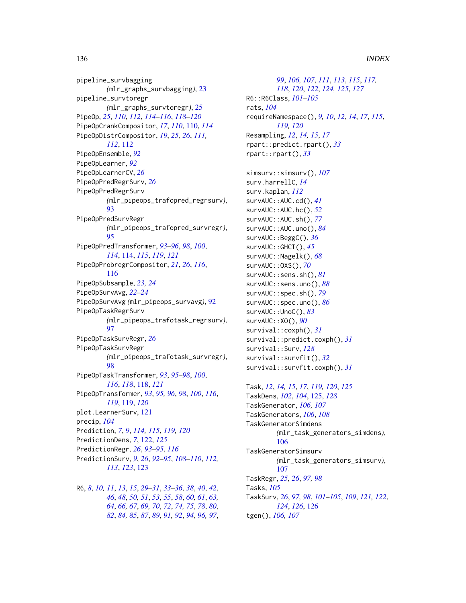pipeline\_survbagging *(*mlr\_graphs\_survbagging*)*, [23](#page-22-0) pipeline\_survtoregr *(*mlr\_graphs\_survtoregr*)*, [25](#page-24-0) PipeOp, *[25](#page-24-0)*, *[110](#page-109-1)*, *[112](#page-111-1)*, *[114–](#page-113-1)[116](#page-115-1)*, *[118–](#page-117-1)[120](#page-119-0)* PipeOpCrankCompositor, *[17](#page-16-1)*, *[110](#page-109-1)*, [110,](#page-109-1) *[114](#page-113-1)* PipeOpDistrCompositor, *[19](#page-18-1)*, *[25,](#page-24-0) [26](#page-25-0)*, *[111,](#page-110-0) [112](#page-111-1)*, [112](#page-111-1) PipeOpEnsemble, *[92](#page-91-1)* PipeOpLearner, *[92](#page-91-1)* PipeOpLearnerCV, *[26](#page-25-0)* PipeOpPredRegrSurv, *[26](#page-25-0)* PipeOpPredRegrSurv *(*mlr\_pipeops\_trafopred\_regrsurv*)*, [93](#page-92-1) PipeOpPredSurvRegr *(*mlr\_pipeops\_trafopred\_survregr*)*, [95](#page-94-1) PipeOpPredTransformer, *[93–](#page-92-1)[96](#page-95-0)*, *[98](#page-97-1)*, *[100](#page-99-0)*, *[114](#page-113-1)*, [114,](#page-113-1) *[115](#page-114-0)*, *[119](#page-118-1)*, *[121](#page-120-0)* PipeOpProbregrCompositor, *[21](#page-20-0)*, *[26](#page-25-0)*, *[116](#page-115-1)*, [116](#page-115-1) PipeOpSubsample, *[23,](#page-22-0) [24](#page-23-0)* PipeOpSurvAvg, *[22](#page-21-0)[–24](#page-23-0)* PipeOpSurvAvg *(*mlr\_pipeops\_survavg*)*, [92](#page-91-1) PipeOpTaskRegrSurv *(*mlr\_pipeops\_trafotask\_regrsurv*)*, [97](#page-96-1) PipeOpTaskSurvRegr, *[26](#page-25-0)* PipeOpTaskSurvRegr *(*mlr\_pipeops\_trafotask\_survregr*)*, [98](#page-97-1) PipeOpTaskTransformer, *[93](#page-92-1)*, *[95–](#page-94-1)[98](#page-97-1)*, *[100](#page-99-0)*, *[116](#page-115-1)*, *[118](#page-117-1)*, [118,](#page-117-1) *[121](#page-120-0)* PipeOpTransformer, *[93](#page-92-1)*, *[95,](#page-94-1) [96](#page-95-0)*, *[98](#page-97-1)*, *[100](#page-99-0)*, *[116](#page-115-1)*, *[119](#page-118-1)*, [119,](#page-118-1) *[120](#page-119-0)* plot.LearnerSurv, [121](#page-120-0) precip, *[104](#page-103-0)* Prediction, *[7](#page-6-1)*, *[9](#page-8-2)*, *[114,](#page-113-1) [115](#page-114-0)*, *[119,](#page-118-1) [120](#page-119-0)* PredictionDens, *[7](#page-6-1)*, [122,](#page-121-1) *[125](#page-124-1)* PredictionRegr, *[26](#page-25-0)*, *[93–](#page-92-1)[95](#page-94-1)*, *[116](#page-115-1)* PredictionSurv, *[9](#page-8-2)*, *[26](#page-25-0)*, *[92–](#page-91-1)[95](#page-94-1)*, *[108–](#page-107-0)[110](#page-109-1)*, *[112,](#page-111-1) [113](#page-112-0)*, *[123](#page-122-1)*, [123](#page-122-1)

R6, *[8](#page-7-1)*, *[10,](#page-9-0) [11](#page-10-0)*, *[13](#page-12-0)*, *[15](#page-14-0)*, *[29–](#page-28-0)[31](#page-30-0)*, *[33–](#page-32-0)[36](#page-35-0)*, *[38](#page-37-0)*, *[40](#page-39-0)*, *[42](#page-41-0)*, , *[48](#page-47-0)*, *[50,](#page-49-0) [51](#page-50-0)*, *[53](#page-52-0)*, *[55](#page-54-0)*, *[58](#page-57-0)*, *[60,](#page-59-0) [61](#page-60-0)*, *[63,](#page-62-0)* , *[66,](#page-65-0) [67](#page-66-0)*, *[69,](#page-68-0) [70](#page-69-0)*, *[72](#page-71-0)*, *[74,](#page-73-0) [75](#page-74-0)*, *[78](#page-77-0)*, *[80](#page-79-0)*, , *[84,](#page-83-0) [85](#page-84-0)*, *[87](#page-86-0)*, *[89](#page-88-0)*, *[91,](#page-90-0) [92](#page-91-1)*, *[94](#page-93-0)*, *[96,](#page-95-0) [97](#page-96-1)*,

*[99](#page-98-0)*, *[106,](#page-105-0) [107](#page-106-0)*, *[111](#page-110-0)*, *[113](#page-112-0)*, *[115](#page-114-0)*, *[117,](#page-116-0) [118](#page-117-1)*, *[120](#page-119-0)*, *[122](#page-121-1)*, *[124,](#page-123-0) [125](#page-124-1)*, *[127](#page-126-0)* R6::R6Class, *[101](#page-100-0)[–105](#page-104-0)* rats, *[104](#page-103-0)* requireNamespace(), *[9,](#page-8-2) [10](#page-9-0)*, *[12](#page-11-0)*, *[14](#page-13-0)*, *[17](#page-16-1)*, *[115](#page-114-0)*, *[119,](#page-118-1) [120](#page-119-0)* Resampling, *[12](#page-11-0)*, *[14,](#page-13-0) [15](#page-14-0)*, *[17](#page-16-1)* rpart::predict.rpart(), *[33](#page-32-0)* rpart::rpart(), *[33](#page-32-0)*

simsurv::simsurv(), *[107](#page-106-0)* surv.harrellC, *[14](#page-13-0)* surv.kaplan, *[112](#page-111-1)* survAUC::AUC.cd(), *[41](#page-40-0)* survAUC::AUC.hc(), *[52](#page-51-0)* survAUC::AUC.sh(), *[77](#page-76-0)* survAUC::AUC.uno(), *[84](#page-83-0)* survAUC::BeggC(), *[36](#page-35-0)* survAUC::GHCI(), *[45](#page-44-0)* survAUC::Nagelk(), *[68](#page-67-0)* survAUC::OXS(), *[70](#page-69-0)* survAUC::sens.sh(), *[81](#page-80-0)* survAUC::sens.uno(), *[88](#page-87-0)* survAUC::spec.sh(), *[79](#page-78-0)* survAUC::spec.uno(), *[86](#page-85-0)* survAUC::UnoC(), *[83](#page-82-0)* survAUC::XO(), *[90](#page-89-0)* survival::coxph(), *[31](#page-30-0)* survival::predict.coxph(), *[31](#page-30-0)* survival::Surv, *[128](#page-127-1)* survival::survfit(), *[32](#page-31-1)* survival::survfit.coxph(), *[31](#page-30-0)*

Task, *[12](#page-11-0)*, *[14,](#page-13-0) [15](#page-14-0)*, *[17](#page-16-1)*, *[119,](#page-118-1) [120](#page-119-0)*, *[125](#page-124-1)* TaskDens, *[102](#page-101-0)*, *[104](#page-103-0)*, [125,](#page-124-1) *[128](#page-127-1)* TaskGenerator, *[106,](#page-105-0) [107](#page-106-0)* TaskGenerators, *[106](#page-105-0)*, *[108](#page-107-0)* TaskGeneratorSimdens *(*mlr\_task\_generators\_simdens*)*, [106](#page-105-0) TaskGeneratorSimsurv *(*mlr\_task\_generators\_simsurv*)*, [107](#page-106-0) TaskRegr, *[25,](#page-24-0) [26](#page-25-0)*, *[97,](#page-96-1) [98](#page-97-1)* Tasks, *[105](#page-104-0)* TaskSurv, *[26](#page-25-0)*, *[97,](#page-96-1) [98](#page-97-1)*, *[101](#page-100-0)[–105](#page-104-0)*, *[109](#page-108-0)*, *[121,](#page-120-0) [122](#page-121-1)*, *[124](#page-123-0)*, *[126](#page-125-2)*, [126](#page-125-2) tgen(), *[106,](#page-105-0) [107](#page-106-0)*